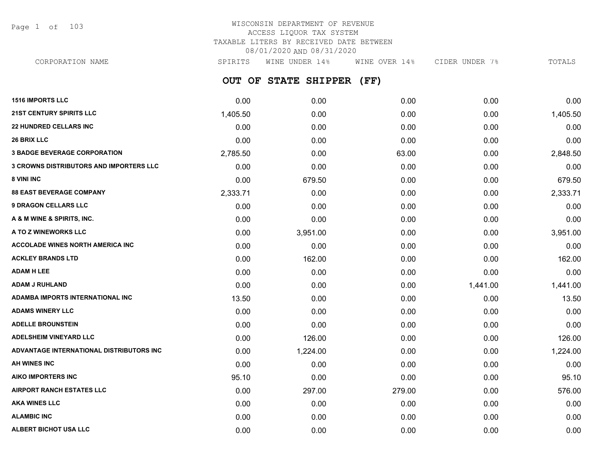Page 1 of 103

# WISCONSIN DEPARTMENT OF REVENUE ACCESS LIQUOR TAX SYSTEM TAXABLE LITERS BY RECEIVED DATE BETWEEN 08/01/2020 AND 08/31/2020

**OUT OF STATE SHIPPER (FF) 1516 IMPORTS LLC** 0.00 0.00 0.00 0.00 0.00 CORPORATION NAME SPIRITS WINE UNDER 14% WINE OVER 14% CIDER UNDER 7% TOTALS

| <b>21ST CENTURY SPIRITS LLC</b>                | 1,405.50 | 0.00     | 0.00   | 0.00     | 1,405.50 |
|------------------------------------------------|----------|----------|--------|----------|----------|
| <b>22 HUNDRED CELLARS INC</b>                  | 0.00     | 0.00     | 0.00   | 0.00     | 0.00     |
| <b>26 BRIX LLC</b>                             | 0.00     | 0.00     | 0.00   | 0.00     | 0.00     |
| <b>3 BADGE BEVERAGE CORPORATION</b>            | 2,785.50 | 0.00     | 63.00  | 0.00     | 2,848.50 |
| <b>3 CROWNS DISTRIBUTORS AND IMPORTERS LLC</b> | 0.00     | 0.00     | 0.00   | 0.00     | 0.00     |
| 8 VINI INC                                     | 0.00     | 679.50   | 0.00   | 0.00     | 679.50   |
| <b>88 EAST BEVERAGE COMPANY</b>                | 2,333.71 | 0.00     | 0.00   | 0.00     | 2,333.71 |
| <b>9 DRAGON CELLARS LLC</b>                    | 0.00     | 0.00     | 0.00   | 0.00     | 0.00     |
| A & M WINE & SPIRITS, INC.                     | 0.00     | 0.00     | 0.00   | 0.00     | 0.00     |
| A TO Z WINEWORKS LLC                           | 0.00     | 3,951.00 | 0.00   | 0.00     | 3,951.00 |
| <b>ACCOLADE WINES NORTH AMERICA INC</b>        | 0.00     | 0.00     | 0.00   | 0.00     | 0.00     |
| <b>ACKLEY BRANDS LTD</b>                       | 0.00     | 162.00   | 0.00   | 0.00     | 162.00   |
| <b>ADAM H LEE</b>                              | 0.00     | 0.00     | 0.00   | 0.00     | 0.00     |
| <b>ADAM J RUHLAND</b>                          | 0.00     | 0.00     | 0.00   | 1,441.00 | 1,441.00 |
| <b>ADAMBA IMPORTS INTERNATIONAL INC.</b>       | 13.50    | 0.00     | 0.00   | 0.00     | 13.50    |
| <b>ADAMS WINERY LLC</b>                        | 0.00     | 0.00     | 0.00   | 0.00     | 0.00     |
| <b>ADELLE BROUNSTEIN</b>                       | 0.00     | 0.00     | 0.00   | 0.00     | 0.00     |
| <b>ADELSHEIM VINEYARD LLC</b>                  | 0.00     | 126.00   | 0.00   | 0.00     | 126.00   |
| ADVANTAGE INTERNATIONAL DISTRIBUTORS INC       | 0.00     | 1,224.00 | 0.00   | 0.00     | 1,224.00 |
| AH WINES INC                                   | 0.00     | 0.00     | 0.00   | 0.00     | 0.00     |
| <b>AIKO IMPORTERS INC</b>                      | 95.10    | 0.00     | 0.00   | 0.00     | 95.10    |
| <b>AIRPORT RANCH ESTATES LLC</b>               | 0.00     | 297.00   | 279.00 | 0.00     | 576.00   |
| <b>AKA WINES LLC</b>                           | 0.00     | 0.00     | 0.00   | 0.00     | 0.00     |
| <b>ALAMBIC INC</b>                             | 0.00     | 0.00     | 0.00   | 0.00     | 0.00     |
| ALBERT BICHOT USA LLC                          | 0.00     | 0.00     | 0.00   | 0.00     | 0.00     |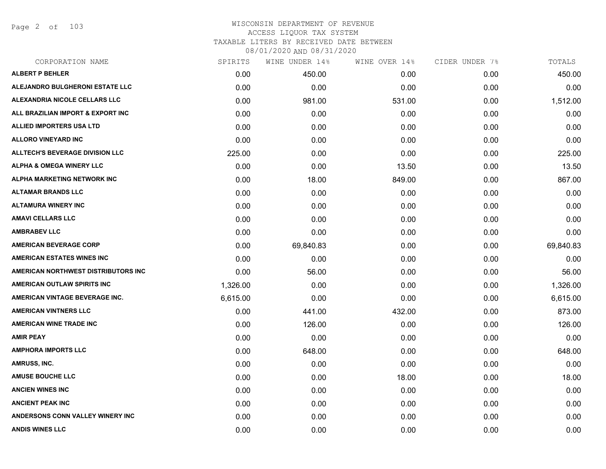Page 2 of 103

| CORPORATION NAME                       | SPIRITS  | WINE UNDER 14% | WINE OVER 14% | CIDER UNDER 7% | TOTALS    |
|----------------------------------------|----------|----------------|---------------|----------------|-----------|
| <b>ALBERT P BEHLER</b>                 | 0.00     | 450.00         | 0.00          | 0.00           | 450.00    |
| ALEJANDRO BULGHERONI ESTATE LLC        | 0.00     | 0.00           | 0.00          | 0.00           | 0.00      |
| ALEXANDRIA NICOLE CELLARS LLC          | 0.00     | 981.00         | 531.00        | 0.00           | 1,512.00  |
| ALL BRAZILIAN IMPORT & EXPORT INC      | 0.00     | 0.00           | 0.00          | 0.00           | 0.00      |
| <b>ALLIED IMPORTERS USA LTD</b>        | 0.00     | 0.00           | 0.00          | 0.00           | 0.00      |
| <b>ALLORO VINEYARD INC</b>             | 0.00     | 0.00           | 0.00          | 0.00           | 0.00      |
| <b>ALLTECH'S BEVERAGE DIVISION LLC</b> | 225.00   | 0.00           | 0.00          | 0.00           | 225.00    |
| <b>ALPHA &amp; OMEGA WINERY LLC</b>    | 0.00     | 0.00           | 13.50         | 0.00           | 13.50     |
| ALPHA MARKETING NETWORK INC            | 0.00     | 18.00          | 849.00        | 0.00           | 867.00    |
| <b>ALTAMAR BRANDS LLC</b>              | 0.00     | 0.00           | 0.00          | 0.00           | 0.00      |
| <b>ALTAMURA WINERY INC</b>             | 0.00     | 0.00           | 0.00          | 0.00           | 0.00      |
| <b>AMAVI CELLARS LLC</b>               | 0.00     | 0.00           | 0.00          | 0.00           | 0.00      |
| <b>AMBRABEV LLC</b>                    | 0.00     | 0.00           | 0.00          | 0.00           | 0.00      |
| <b>AMERICAN BEVERAGE CORP</b>          | 0.00     | 69,840.83      | 0.00          | 0.00           | 69,840.83 |
| <b>AMERICAN ESTATES WINES INC</b>      | 0.00     | 0.00           | 0.00          | 0.00           | 0.00      |
| AMERICAN NORTHWEST DISTRIBUTORS INC    | 0.00     | 56.00          | 0.00          | 0.00           | 56.00     |
| AMERICAN OUTLAW SPIRITS INC            | 1,326.00 | 0.00           | 0.00          | 0.00           | 1,326.00  |
| AMERICAN VINTAGE BEVERAGE INC.         | 6,615.00 | 0.00           | 0.00          | 0.00           | 6,615.00  |
| <b>AMERICAN VINTNERS LLC</b>           | 0.00     | 441.00         | 432.00        | 0.00           | 873.00    |
| <b>AMERICAN WINE TRADE INC</b>         | 0.00     | 126.00         | 0.00          | 0.00           | 126.00    |
| <b>AMIR PEAY</b>                       | 0.00     | 0.00           | 0.00          | 0.00           | 0.00      |
| <b>AMPHORA IMPORTS LLC</b>             | 0.00     | 648.00         | 0.00          | 0.00           | 648.00    |
| AMRUSS, INC.                           | 0.00     | 0.00           | 0.00          | 0.00           | 0.00      |
| <b>AMUSE BOUCHE LLC</b>                | 0.00     | 0.00           | 18.00         | 0.00           | 18.00     |
| <b>ANCIEN WINES INC</b>                | 0.00     | 0.00           | 0.00          | 0.00           | 0.00      |
| <b>ANCIENT PEAK INC</b>                | 0.00     | 0.00           | 0.00          | 0.00           | 0.00      |
| ANDERSONS CONN VALLEY WINERY INC       | 0.00     | 0.00           | 0.00          | 0.00           | 0.00      |
| <b>ANDIS WINES LLC</b>                 | 0.00     | 0.00           | 0.00          | 0.00           | 0.00      |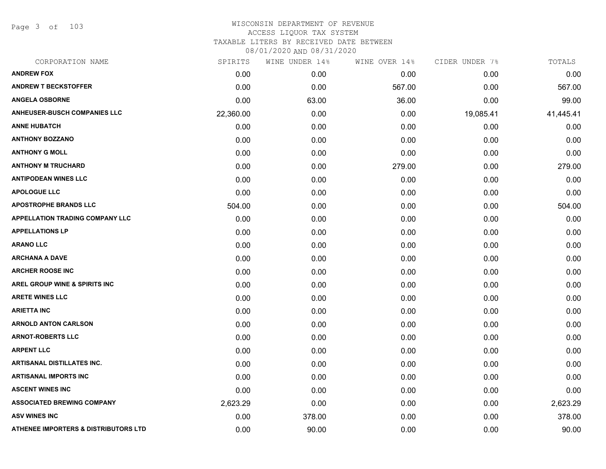Page 3 of 103

| CORPORATION NAME                                | SPIRITS   | WINE UNDER 14% | WINE OVER 14% | CIDER UNDER 7% | TOTALS    |
|-------------------------------------------------|-----------|----------------|---------------|----------------|-----------|
| <b>ANDREW FOX</b>                               | 0.00      | 0.00           | 0.00          | 0.00           | 0.00      |
| <b>ANDREW T BECKSTOFFER</b>                     | 0.00      | 0.00           | 567.00        | 0.00           | 567.00    |
| <b>ANGELA OSBORNE</b>                           | 0.00      | 63.00          | 36.00         | 0.00           | 99.00     |
| <b>ANHEUSER-BUSCH COMPANIES LLC</b>             | 22,360.00 | 0.00           | 0.00          | 19,085.41      | 41,445.41 |
| <b>ANNE HUBATCH</b>                             | 0.00      | 0.00           | 0.00          | 0.00           | 0.00      |
| <b>ANTHONY BOZZANO</b>                          | 0.00      | 0.00           | 0.00          | 0.00           | 0.00      |
| <b>ANTHONY G MOLL</b>                           | 0.00      | 0.00           | 0.00          | 0.00           | 0.00      |
| <b>ANTHONY M TRUCHARD</b>                       | 0.00      | 0.00           | 279.00        | 0.00           | 279.00    |
| <b>ANTIPODEAN WINES LLC</b>                     | 0.00      | 0.00           | 0.00          | 0.00           | 0.00      |
| <b>APOLOGUE LLC</b>                             | 0.00      | 0.00           | 0.00          | 0.00           | 0.00      |
| <b>APOSTROPHE BRANDS LLC</b>                    | 504.00    | 0.00           | 0.00          | 0.00           | 504.00    |
| <b>APPELLATION TRADING COMPANY LLC</b>          | 0.00      | 0.00           | 0.00          | 0.00           | 0.00      |
| <b>APPELLATIONS LP</b>                          | 0.00      | 0.00           | 0.00          | 0.00           | 0.00      |
| <b>ARANO LLC</b>                                | 0.00      | 0.00           | 0.00          | 0.00           | 0.00      |
| <b>ARCHANA A DAVE</b>                           | 0.00      | 0.00           | 0.00          | 0.00           | 0.00      |
| <b>ARCHER ROOSE INC</b>                         | 0.00      | 0.00           | 0.00          | 0.00           | 0.00      |
| <b>AREL GROUP WINE &amp; SPIRITS INC</b>        | 0.00      | 0.00           | 0.00          | 0.00           | 0.00      |
| <b>ARETE WINES LLC</b>                          | 0.00      | 0.00           | 0.00          | 0.00           | 0.00      |
| <b>ARIETTA INC</b>                              | 0.00      | 0.00           | 0.00          | 0.00           | 0.00      |
| <b>ARNOLD ANTON CARLSON</b>                     | 0.00      | 0.00           | 0.00          | 0.00           | 0.00      |
| <b>ARNOT-ROBERTS LLC</b>                        | 0.00      | 0.00           | 0.00          | 0.00           | 0.00      |
| <b>ARPENT LLC</b>                               | 0.00      | 0.00           | 0.00          | 0.00           | 0.00      |
| <b>ARTISANAL DISTILLATES INC.</b>               | 0.00      | 0.00           | 0.00          | 0.00           | 0.00      |
| <b>ARTISANAL IMPORTS INC</b>                    | 0.00      | 0.00           | 0.00          | 0.00           | 0.00      |
| <b>ASCENT WINES INC</b>                         | 0.00      | 0.00           | 0.00          | 0.00           | 0.00      |
| <b>ASSOCIATED BREWING COMPANY</b>               | 2,623.29  | 0.00           | 0.00          | 0.00           | 2,623.29  |
| <b>ASV WINES INC</b>                            | 0.00      | 378.00         | 0.00          | 0.00           | 378.00    |
| <b>ATHENEE IMPORTERS &amp; DISTRIBUTORS LTD</b> | 0.00      | 90.00          | 0.00          | 0.00           | 90.00     |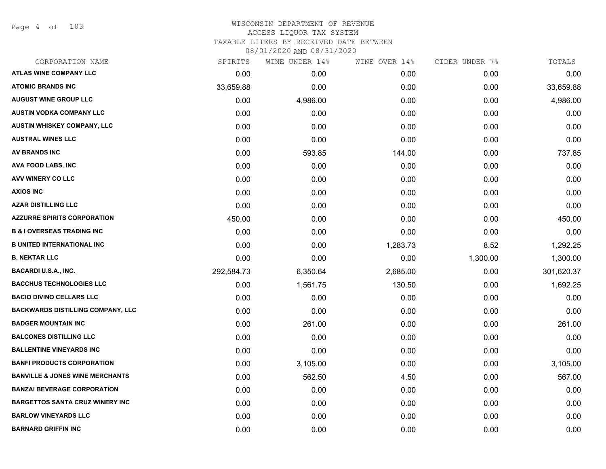Page 4 of 103

| CORPORATION NAME                           | SPIRITS    | WINE UNDER 14% | WINE OVER 14% | CIDER UNDER 7% | TOTALS     |
|--------------------------------------------|------------|----------------|---------------|----------------|------------|
| <b>ATLAS WINE COMPANY LLC</b>              | 0.00       | 0.00           | 0.00          | 0.00           | 0.00       |
| <b>ATOMIC BRANDS INC</b>                   | 33,659.88  | 0.00           | 0.00          | 0.00           | 33,659.88  |
| <b>AUGUST WINE GROUP LLC</b>               | 0.00       | 4,986.00       | 0.00          | 0.00           | 4,986.00   |
| <b>AUSTIN VODKA COMPANY LLC</b>            | 0.00       | 0.00           | 0.00          | 0.00           | 0.00       |
| <b>AUSTIN WHISKEY COMPANY, LLC</b>         | 0.00       | 0.00           | 0.00          | 0.00           | 0.00       |
| <b>AUSTRAL WINES LLC</b>                   | 0.00       | 0.00           | 0.00          | 0.00           | 0.00       |
| <b>AV BRANDS INC</b>                       | 0.00       | 593.85         | 144.00        | 0.00           | 737.85     |
| AVA FOOD LABS, INC                         | 0.00       | 0.00           | 0.00          | 0.00           | 0.00       |
| AVV WINERY CO LLC                          | 0.00       | 0.00           | 0.00          | 0.00           | 0.00       |
| <b>AXIOS INC</b>                           | 0.00       | 0.00           | 0.00          | 0.00           | 0.00       |
| <b>AZAR DISTILLING LLC</b>                 | 0.00       | 0.00           | 0.00          | 0.00           | 0.00       |
| <b>AZZURRE SPIRITS CORPORATION</b>         | 450.00     | 0.00           | 0.00          | 0.00           | 450.00     |
| <b>B &amp; I OVERSEAS TRADING INC</b>      | 0.00       | 0.00           | 0.00          | 0.00           | 0.00       |
| <b>B UNITED INTERNATIONAL INC</b>          | 0.00       | 0.00           | 1,283.73      | 8.52           | 1,292.25   |
| <b>B. NEKTAR LLC</b>                       | 0.00       | 0.00           | 0.00          | 1,300.00       | 1,300.00   |
| <b>BACARDI U.S.A., INC.</b>                | 292,584.73 | 6,350.64       | 2,685.00      | 0.00           | 301,620.37 |
| <b>BACCHUS TECHNOLOGIES LLC</b>            | 0.00       | 1,561.75       | 130.50        | 0.00           | 1,692.25   |
| <b>BACIO DIVINO CELLARS LLC</b>            | 0.00       | 0.00           | 0.00          | 0.00           | 0.00       |
| <b>BACKWARDS DISTILLING COMPANY, LLC</b>   | 0.00       | 0.00           | 0.00          | 0.00           | 0.00       |
| <b>BADGER MOUNTAIN INC</b>                 | 0.00       | 261.00         | 0.00          | 0.00           | 261.00     |
| <b>BALCONES DISTILLING LLC</b>             | 0.00       | 0.00           | 0.00          | 0.00           | 0.00       |
| <b>BALLENTINE VINEYARDS INC</b>            | 0.00       | 0.00           | 0.00          | 0.00           | 0.00       |
| <b>BANFI PRODUCTS CORPORATION</b>          | 0.00       | 3,105.00       | 0.00          | 0.00           | 3,105.00   |
| <b>BANVILLE &amp; JONES WINE MERCHANTS</b> | 0.00       | 562.50         | 4.50          | 0.00           | 567.00     |
| <b>BANZAI BEVERAGE CORPORATION</b>         | 0.00       | 0.00           | 0.00          | 0.00           | 0.00       |
| <b>BARGETTOS SANTA CRUZ WINERY INC</b>     | 0.00       | 0.00           | 0.00          | 0.00           | 0.00       |
| <b>BARLOW VINEYARDS LLC</b>                | 0.00       | 0.00           | 0.00          | 0.00           | 0.00       |
| <b>BARNARD GRIFFIN INC</b>                 | 0.00       | 0.00           | 0.00          | 0.00           | 0.00       |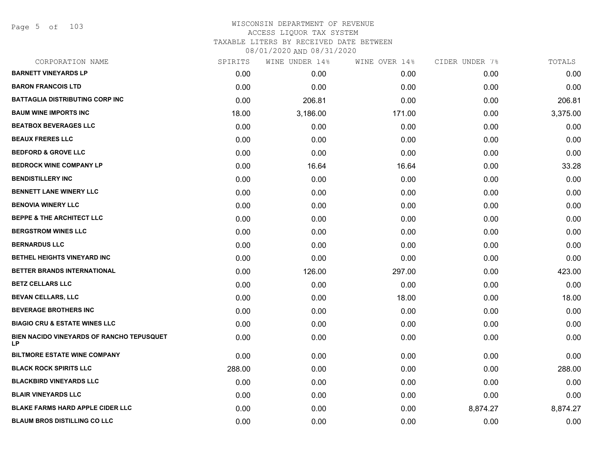Page 5 of 103

| CORPORATION NAME                                 | SPIRITS | WINE UNDER 14% | WINE OVER 14% | CIDER UNDER 7% | TOTALS   |
|--------------------------------------------------|---------|----------------|---------------|----------------|----------|
| <b>BARNETT VINEYARDS LP</b>                      | 0.00    | 0.00           | 0.00          | 0.00           | 0.00     |
| <b>BARON FRANCOIS LTD</b>                        | 0.00    | 0.00           | 0.00          | 0.00           | 0.00     |
| <b>BATTAGLIA DISTRIBUTING CORP INC</b>           | 0.00    | 206.81         | 0.00          | 0.00           | 206.81   |
| <b>BAUM WINE IMPORTS INC</b>                     | 18.00   | 3,186.00       | 171.00        | 0.00           | 3,375.00 |
| <b>BEATBOX BEVERAGES LLC</b>                     | 0.00    | 0.00           | 0.00          | 0.00           | 0.00     |
| <b>BEAUX FRERES LLC</b>                          | 0.00    | 0.00           | 0.00          | 0.00           | 0.00     |
| <b>BEDFORD &amp; GROVE LLC</b>                   | 0.00    | 0.00           | 0.00          | 0.00           | 0.00     |
| <b>BEDROCK WINE COMPANY LP</b>                   | 0.00    | 16.64          | 16.64         | 0.00           | 33.28    |
| <b>BENDISTILLERY INC</b>                         | 0.00    | 0.00           | 0.00          | 0.00           | 0.00     |
| <b>BENNETT LANE WINERY LLC</b>                   | 0.00    | 0.00           | 0.00          | 0.00           | 0.00     |
| <b>BENOVIA WINERY LLC</b>                        | 0.00    | 0.00           | 0.00          | 0.00           | 0.00     |
| <b>BEPPE &amp; THE ARCHITECT LLC</b>             | 0.00    | 0.00           | 0.00          | 0.00           | 0.00     |
| <b>BERGSTROM WINES LLC</b>                       | 0.00    | 0.00           | 0.00          | 0.00           | 0.00     |
| <b>BERNARDUS LLC</b>                             | 0.00    | 0.00           | 0.00          | 0.00           | 0.00     |
| BETHEL HEIGHTS VINEYARD INC                      | 0.00    | 0.00           | 0.00          | 0.00           | 0.00     |
| BETTER BRANDS INTERNATIONAL                      | 0.00    | 126.00         | 297.00        | 0.00           | 423.00   |
| <b>BETZ CELLARS LLC</b>                          | 0.00    | 0.00           | 0.00          | 0.00           | 0.00     |
| <b>BEVAN CELLARS, LLC</b>                        | 0.00    | 0.00           | 18.00         | 0.00           | 18.00    |
| <b>BEVERAGE BROTHERS INC</b>                     | 0.00    | 0.00           | 0.00          | 0.00           | 0.00     |
| <b>BIAGIO CRU &amp; ESTATE WINES LLC</b>         | 0.00    | 0.00           | 0.00          | 0.00           | 0.00     |
| BIEN NACIDO VINEYARDS OF RANCHO TEPUSQUET<br>LP. | 0.00    | 0.00           | 0.00          | 0.00           | 0.00     |
| <b>BILTMORE ESTATE WINE COMPANY</b>              | 0.00    | 0.00           | 0.00          | 0.00           | 0.00     |
| <b>BLACK ROCK SPIRITS LLC</b>                    | 288.00  | 0.00           | 0.00          | 0.00           | 288.00   |
| <b>BLACKBIRD VINEYARDS LLC</b>                   | 0.00    | 0.00           | 0.00          | 0.00           | 0.00     |
| <b>BLAIR VINEYARDS LLC</b>                       | 0.00    | 0.00           | 0.00          | 0.00           | 0.00     |
| <b>BLAKE FARMS HARD APPLE CIDER LLC</b>          | 0.00    | 0.00           | 0.00          | 8,874.27       | 8,874.27 |
| <b>BLAUM BROS DISTILLING CO LLC</b>              | 0.00    | 0.00           | 0.00          | 0.00           | 0.00     |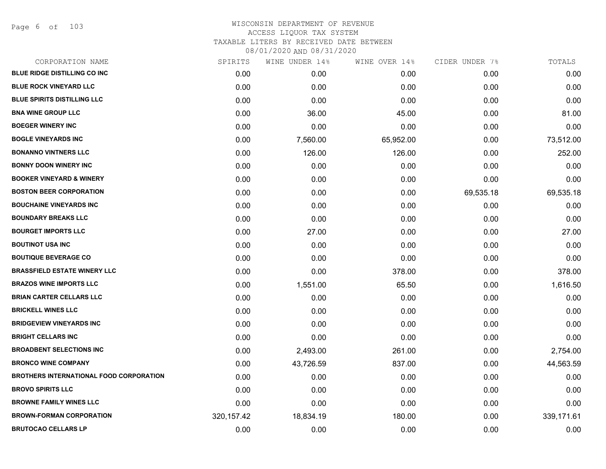Page 6 of 103

| CORPORATION NAME                               | SPIRITS     | WINE UNDER 14% | WINE OVER 14% | CIDER UNDER 7% | TOTALS     |
|------------------------------------------------|-------------|----------------|---------------|----------------|------------|
| BLUE RIDGE DISTILLING CO INC                   | 0.00        | 0.00           | 0.00          | 0.00           | 0.00       |
| BLUE ROCK VINEYARD LLC                         | 0.00        | 0.00           | 0.00          | 0.00           | 0.00       |
| <b>BLUE SPIRITS DISTILLING LLC</b>             | 0.00        | 0.00           | 0.00          | 0.00           | 0.00       |
| <b>BNA WINE GROUP LLC</b>                      | 0.00        | 36.00          | 45.00         | 0.00           | 81.00      |
| <b>BOEGER WINERY INC</b>                       | 0.00        | 0.00           | 0.00          | 0.00           | 0.00       |
| <b>BOGLE VINEYARDS INC</b>                     | 0.00        | 7,560.00       | 65,952.00     | 0.00           | 73,512.00  |
| <b>BONANNO VINTNERS LLC</b>                    | 0.00        | 126.00         | 126.00        | 0.00           | 252.00     |
| <b>BONNY DOON WINERY INC</b>                   | 0.00        | 0.00           | 0.00          | 0.00           | 0.00       |
| <b>BOOKER VINEYARD &amp; WINERY</b>            | 0.00        | 0.00           | 0.00          | 0.00           | 0.00       |
| <b>BOSTON BEER CORPORATION</b>                 | 0.00        | 0.00           | 0.00          | 69,535.18      | 69,535.18  |
| <b>BOUCHAINE VINEYARDS INC</b>                 | 0.00        | 0.00           | 0.00          | 0.00           | 0.00       |
| <b>BOUNDARY BREAKS LLC</b>                     | 0.00        | 0.00           | 0.00          | 0.00           | 0.00       |
| <b>BOURGET IMPORTS LLC</b>                     | 0.00        | 27.00          | 0.00          | 0.00           | 27.00      |
| <b>BOUTINOT USA INC</b>                        | 0.00        | 0.00           | 0.00          | 0.00           | 0.00       |
| <b>BOUTIQUE BEVERAGE CO</b>                    | 0.00        | 0.00           | 0.00          | 0.00           | 0.00       |
| <b>BRASSFIELD ESTATE WINERY LLC</b>            | 0.00        | 0.00           | 378.00        | 0.00           | 378.00     |
| <b>BRAZOS WINE IMPORTS LLC</b>                 | 0.00        | 1,551.00       | 65.50         | 0.00           | 1,616.50   |
| <b>BRIAN CARTER CELLARS LLC</b>                | 0.00        | 0.00           | 0.00          | 0.00           | 0.00       |
| <b>BRICKELL WINES LLC</b>                      | 0.00        | 0.00           | 0.00          | 0.00           | 0.00       |
| <b>BRIDGEVIEW VINEYARDS INC</b>                | 0.00        | 0.00           | 0.00          | 0.00           | 0.00       |
| <b>BRIGHT CELLARS INC</b>                      | 0.00        | 0.00           | 0.00          | 0.00           | 0.00       |
| <b>BROADBENT SELECTIONS INC</b>                | 0.00        | 2,493.00       | 261.00        | 0.00           | 2,754.00   |
| <b>BRONCO WINE COMPANY</b>                     | 0.00        | 43,726.59      | 837.00        | 0.00           | 44,563.59  |
| <b>BROTHERS INTERNATIONAL FOOD CORPORATION</b> | 0.00        | 0.00           | 0.00          | 0.00           | 0.00       |
| <b>BROVO SPIRITS LLC</b>                       | 0.00        | 0.00           | 0.00          | 0.00           | 0.00       |
| <b>BROWNE FAMILY WINES LLC</b>                 | 0.00        | 0.00           | 0.00          | 0.00           | 0.00       |
| <b>BROWN-FORMAN CORPORATION</b>                | 320, 157.42 | 18,834.19      | 180.00        | 0.00           | 339,171.61 |
| <b>BRUTOCAO CELLARS LP</b>                     | 0.00        | 0.00           | 0.00          | 0.00           | 0.00       |
|                                                |             |                |               |                |            |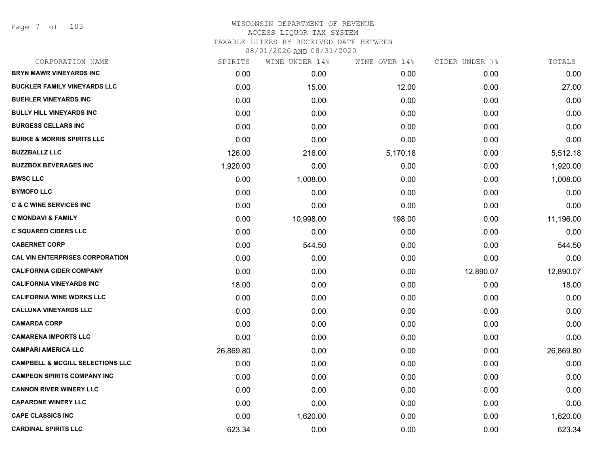Page 7 of 103

| CORPORATION NAME                            | SPIRITS   | WINE UNDER 14% | WINE OVER 14% | CIDER UNDER 7% | TOTALS    |
|---------------------------------------------|-----------|----------------|---------------|----------------|-----------|
| <b>BRYN MAWR VINEYARDS INC</b>              | 0.00      | 0.00           | 0.00          | 0.00           | 0.00      |
| <b>BUCKLER FAMILY VINEYARDS LLC</b>         | 0.00      | 15.00          | 12.00         | 0.00           | 27.00     |
| <b>BUEHLER VINEYARDS INC</b>                | 0.00      | 0.00           | 0.00          | 0.00           | 0.00      |
| <b>BULLY HILL VINEYARDS INC</b>             | 0.00      | 0.00           | 0.00          | 0.00           | 0.00      |
| <b>BURGESS CELLARS INC</b>                  | 0.00      | 0.00           | 0.00          | 0.00           | 0.00      |
| <b>BURKE &amp; MORRIS SPIRITS LLC</b>       | 0.00      | 0.00           | 0.00          | 0.00           | 0.00      |
| <b>BUZZBALLZ LLC</b>                        | 126.00    | 216.00         | 5,170.18      | 0.00           | 5,512.18  |
| <b>BUZZBOX BEVERAGES INC</b>                | 1,920.00  | 0.00           | 0.00          | 0.00           | 1,920.00  |
| <b>BWSC LLC</b>                             | 0.00      | 1,008.00       | 0.00          | 0.00           | 1,008.00  |
| <b>BYMOFO LLC</b>                           | 0.00      | 0.00           | 0.00          | 0.00           | 0.00      |
| <b>C &amp; C WINE SERVICES INC</b>          | 0.00      | 0.00           | 0.00          | 0.00           | 0.00      |
| <b>C MONDAVI &amp; FAMILY</b>               | 0.00      | 10,998.00      | 198.00        | 0.00           | 11,196.00 |
| <b>C SQUARED CIDERS LLC</b>                 | 0.00      | 0.00           | 0.00          | 0.00           | 0.00      |
| <b>CABERNET CORP</b>                        | 0.00      | 544.50         | 0.00          | 0.00           | 544.50    |
| <b>CAL VIN ENTERPRISES CORPORATION</b>      | 0.00      | 0.00           | 0.00          | 0.00           | 0.00      |
| <b>CALIFORNIA CIDER COMPANY</b>             | 0.00      | 0.00           | 0.00          | 12,890.07      | 12,890.07 |
| <b>CALIFORNIA VINEYARDS INC</b>             | 18.00     | 0.00           | 0.00          | 0.00           | 18.00     |
| <b>CALIFORNIA WINE WORKS LLC</b>            | 0.00      | 0.00           | 0.00          | 0.00           | 0.00      |
| <b>CALLUNA VINEYARDS LLC</b>                | 0.00      | 0.00           | 0.00          | 0.00           | 0.00      |
| <b>CAMARDA CORP</b>                         | 0.00      | 0.00           | 0.00          | 0.00           | 0.00      |
| <b>CAMARENA IMPORTS LLC</b>                 | 0.00      | 0.00           | 0.00          | 0.00           | 0.00      |
| <b>CAMPARI AMERICA LLC</b>                  | 26,869.80 | 0.00           | 0.00          | 0.00           | 26,869.80 |
| <b>CAMPBELL &amp; MCGILL SELECTIONS LLC</b> | 0.00      | 0.00           | 0.00          | 0.00           | 0.00      |
| <b>CAMPEON SPIRITS COMPANY INC</b>          | 0.00      | 0.00           | 0.00          | 0.00           | 0.00      |
| <b>CANNON RIVER WINERY LLC</b>              | 0.00      | 0.00           | 0.00          | 0.00           | 0.00      |
| <b>CAPARONE WINERY LLC</b>                  | 0.00      | 0.00           | 0.00          | 0.00           | 0.00      |
| <b>CAPE CLASSICS INC</b>                    | 0.00      | 1,620.00       | 0.00          | 0.00           | 1,620.00  |
| <b>CARDINAL SPIRITS LLC</b>                 | 623.34    | 0.00           | 0.00          | 0.00           | 623.34    |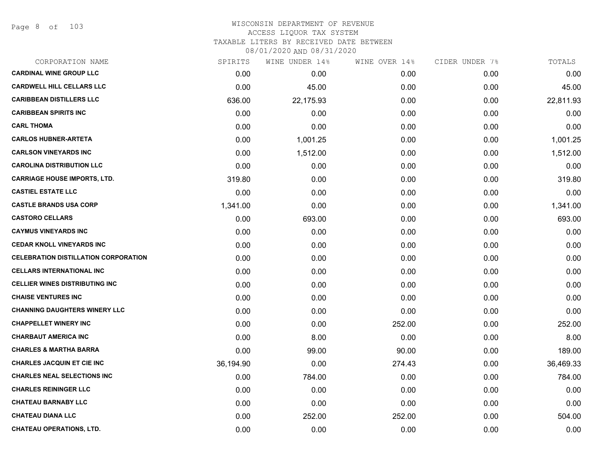Page 8 of 103

| CORPORATION NAME                            | SPIRITS   | WINE UNDER 14% | WINE OVER 14% | CIDER UNDER 7% | TOTALS    |
|---------------------------------------------|-----------|----------------|---------------|----------------|-----------|
| <b>CARDINAL WINE GROUP LLC</b>              | 0.00      | 0.00           | 0.00          | 0.00           | 0.00      |
| <b>CARDWELL HILL CELLARS LLC</b>            | 0.00      | 45.00          | 0.00          | 0.00           | 45.00     |
| <b>CARIBBEAN DISTILLERS LLC</b>             | 636.00    | 22,175.93      | 0.00          | 0.00           | 22,811.93 |
| <b>CARIBBEAN SPIRITS INC</b>                | 0.00      | 0.00           | 0.00          | 0.00           | 0.00      |
| <b>CARL THOMA</b>                           | 0.00      | 0.00           | 0.00          | 0.00           | 0.00      |
| <b>CARLOS HUBNER-ARTETA</b>                 | 0.00      | 1,001.25       | 0.00          | 0.00           | 1,001.25  |
| <b>CARLSON VINEYARDS INC</b>                | 0.00      | 1,512.00       | 0.00          | 0.00           | 1,512.00  |
| <b>CAROLINA DISTRIBUTION LLC</b>            | 0.00      | 0.00           | 0.00          | 0.00           | 0.00      |
| <b>CARRIAGE HOUSE IMPORTS, LTD.</b>         | 319.80    | 0.00           | 0.00          | 0.00           | 319.80    |
| <b>CASTIEL ESTATE LLC</b>                   | 0.00      | 0.00           | 0.00          | 0.00           | 0.00      |
| <b>CASTLE BRANDS USA CORP</b>               | 1,341.00  | 0.00           | 0.00          | 0.00           | 1,341.00  |
| <b>CASTORO CELLARS</b>                      | 0.00      | 693.00         | 0.00          | 0.00           | 693.00    |
| <b>CAYMUS VINEYARDS INC</b>                 | 0.00      | 0.00           | 0.00          | 0.00           | 0.00      |
| <b>CEDAR KNOLL VINEYARDS INC</b>            | 0.00      | 0.00           | 0.00          | 0.00           | 0.00      |
| <b>CELEBRATION DISTILLATION CORPORATION</b> | 0.00      | 0.00           | 0.00          | 0.00           | 0.00      |
| <b>CELLARS INTERNATIONAL INC</b>            | 0.00      | 0.00           | 0.00          | 0.00           | 0.00      |
| <b>CELLIER WINES DISTRIBUTING INC</b>       | 0.00      | 0.00           | 0.00          | 0.00           | 0.00      |
| <b>CHAISE VENTURES INC</b>                  | 0.00      | 0.00           | 0.00          | 0.00           | 0.00      |
| <b>CHANNING DAUGHTERS WINERY LLC</b>        | 0.00      | 0.00           | 0.00          | 0.00           | 0.00      |
| <b>CHAPPELLET WINERY INC</b>                | 0.00      | 0.00           | 252.00        | 0.00           | 252.00    |
| <b>CHARBAUT AMERICA INC</b>                 | 0.00      | 8.00           | 0.00          | 0.00           | 8.00      |
| <b>CHARLES &amp; MARTHA BARRA</b>           | 0.00      | 99.00          | 90.00         | 0.00           | 189.00    |
| <b>CHARLES JACQUIN ET CIE INC</b>           | 36,194.90 | 0.00           | 274.43        | 0.00           | 36,469.33 |
| <b>CHARLES NEAL SELECTIONS INC</b>          | 0.00      | 784.00         | 0.00          | 0.00           | 784.00    |
| <b>CHARLES REININGER LLC</b>                | 0.00      | 0.00           | 0.00          | 0.00           | 0.00      |
| <b>CHATEAU BARNABY LLC</b>                  | 0.00      | 0.00           | 0.00          | 0.00           | 0.00      |
| <b>CHATEAU DIANA LLC</b>                    | 0.00      | 252.00         | 252.00        | 0.00           | 504.00    |
| <b>CHATEAU OPERATIONS, LTD.</b>             | 0.00      | 0.00           | 0.00          | 0.00           | 0.00      |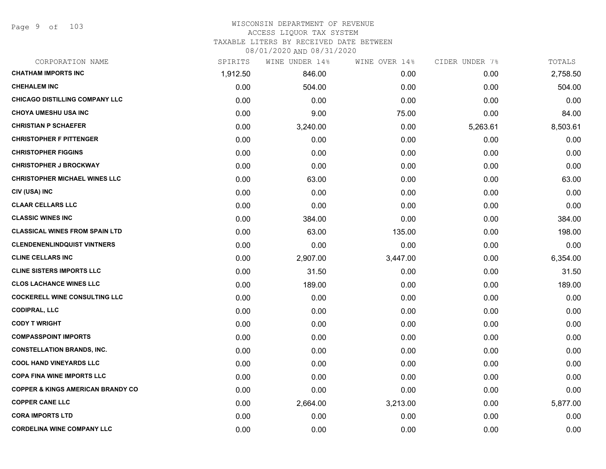#### WISCONSIN DEPARTMENT OF REVENUE ACCESS LIQUOR TAX SYSTEM TAXABLE LITERS BY RECEIVED DATE BETWEEN

| CORPORATION NAME                             | SPIRITS  | WINE UNDER 14% | WINE OVER 14% | CIDER UNDER 7% | TOTALS   |
|----------------------------------------------|----------|----------------|---------------|----------------|----------|
| <b>CHATHAM IMPORTS INC</b>                   | 1,912.50 | 846.00         | 0.00          | 0.00           | 2,758.50 |
| <b>CHEHALEM INC</b>                          | 0.00     | 504.00         | 0.00          | 0.00           | 504.00   |
| <b>CHICAGO DISTILLING COMPANY LLC</b>        | 0.00     | 0.00           | 0.00          | 0.00           | 0.00     |
| <b>CHOYA UMESHU USA INC</b>                  | 0.00     | 9.00           | 75.00         | 0.00           | 84.00    |
| <b>CHRISTIAN P SCHAEFER</b>                  | 0.00     | 3,240.00       | 0.00          | 5,263.61       | 8,503.61 |
| <b>CHRISTOPHER F PITTENGER</b>               | 0.00     | 0.00           | 0.00          | 0.00           | 0.00     |
| <b>CHRISTOPHER FIGGINS</b>                   | 0.00     | 0.00           | 0.00          | 0.00           | 0.00     |
| <b>CHRISTOPHER J BROCKWAY</b>                | 0.00     | 0.00           | 0.00          | 0.00           | 0.00     |
| <b>CHRISTOPHER MICHAEL WINES LLC</b>         | 0.00     | 63.00          | 0.00          | 0.00           | 63.00    |
| CIV (USA) INC                                | 0.00     | 0.00           | 0.00          | 0.00           | 0.00     |
| <b>CLAAR CELLARS LLC</b>                     | 0.00     | 0.00           | 0.00          | 0.00           | 0.00     |
| <b>CLASSIC WINES INC</b>                     | 0.00     | 384.00         | 0.00          | 0.00           | 384.00   |
| <b>CLASSICAL WINES FROM SPAIN LTD</b>        | 0.00     | 63.00          | 135.00        | 0.00           | 198.00   |
| <b>CLENDENENLINDQUIST VINTNERS</b>           | 0.00     | 0.00           | 0.00          | 0.00           | 0.00     |
| <b>CLINE CELLARS INC</b>                     | 0.00     | 2,907.00       | 3,447.00      | 0.00           | 6,354.00 |
| <b>CLINE SISTERS IMPORTS LLC</b>             | 0.00     | 31.50          | 0.00          | 0.00           | 31.50    |
| <b>CLOS LACHANCE WINES LLC</b>               | 0.00     | 189.00         | 0.00          | 0.00           | 189.00   |
| <b>COCKERELL WINE CONSULTING LLC</b>         | 0.00     | 0.00           | 0.00          | 0.00           | 0.00     |
| <b>CODIPRAL, LLC</b>                         | 0.00     | 0.00           | 0.00          | 0.00           | 0.00     |
| <b>CODY T WRIGHT</b>                         | 0.00     | 0.00           | 0.00          | 0.00           | 0.00     |
| <b>COMPASSPOINT IMPORTS</b>                  | 0.00     | 0.00           | 0.00          | 0.00           | 0.00     |
| <b>CONSTELLATION BRANDS, INC.</b>            | 0.00     | 0.00           | 0.00          | 0.00           | 0.00     |
| <b>COOL HAND VINEYARDS LLC</b>               | 0.00     | 0.00           | 0.00          | 0.00           | 0.00     |
| <b>COPA FINA WINE IMPORTS LLC</b>            | 0.00     | 0.00           | 0.00          | 0.00           | 0.00     |
| <b>COPPER &amp; KINGS AMERICAN BRANDY CO</b> | 0.00     | 0.00           | 0.00          | 0.00           | 0.00     |
| <b>COPPER CANE LLC</b>                       | 0.00     | 2,664.00       | 3,213.00      | 0.00           | 5,877.00 |
| <b>CORA IMPORTS LTD</b>                      | 0.00     | 0.00           | 0.00          | 0.00           | 0.00     |
| <b>CORDELINA WINE COMPANY LLC</b>            | 0.00     | 0.00           | 0.00          | 0.00           | 0.00     |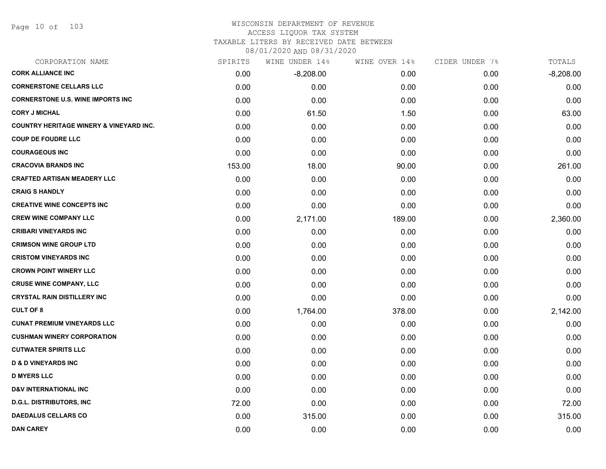Page 10 of 103

#### WISCONSIN DEPARTMENT OF REVENUE ACCESS LIQUOR TAX SYSTEM

# TAXABLE LITERS BY RECEIVED DATE BETWEEN

| CORPORATION NAME                                   | SPIRITS | WINE UNDER 14% | WINE OVER 14% | CIDER UNDER 7% | TOTALS      |
|----------------------------------------------------|---------|----------------|---------------|----------------|-------------|
| <b>CORK ALLIANCE INC</b>                           | 0.00    | $-8,208.00$    | 0.00          | 0.00           | $-8,208.00$ |
| <b>CORNERSTONE CELLARS LLC</b>                     | 0.00    | 0.00           | 0.00          | 0.00           | 0.00        |
| <b>CORNERSTONE U.S. WINE IMPORTS INC</b>           | 0.00    | 0.00           | 0.00          | 0.00           | 0.00        |
| <b>CORY J MICHAL</b>                               | 0.00    | 61.50          | 1.50          | 0.00           | 63.00       |
| <b>COUNTRY HERITAGE WINERY &amp; VINEYARD INC.</b> | 0.00    | 0.00           | 0.00          | 0.00           | 0.00        |
| <b>COUP DE FOUDRE LLC</b>                          | 0.00    | 0.00           | 0.00          | 0.00           | 0.00        |
| <b>COURAGEOUS INC</b>                              | 0.00    | 0.00           | 0.00          | 0.00           | 0.00        |
| <b>CRACOVIA BRANDS INC</b>                         | 153.00  | 18.00          | 90.00         | 0.00           | 261.00      |
| <b>CRAFTED ARTISAN MEADERY LLC</b>                 | 0.00    | 0.00           | 0.00          | 0.00           | 0.00        |
| <b>CRAIG S HANDLY</b>                              | 0.00    | 0.00           | 0.00          | 0.00           | 0.00        |
| <b>CREATIVE WINE CONCEPTS INC</b>                  | 0.00    | 0.00           | 0.00          | 0.00           | 0.00        |
| <b>CREW WINE COMPANY LLC</b>                       | 0.00    | 2,171.00       | 189.00        | 0.00           | 2,360.00    |
| <b>CRIBARI VINEYARDS INC</b>                       | 0.00    | 0.00           | 0.00          | 0.00           | 0.00        |
| <b>CRIMSON WINE GROUP LTD</b>                      | 0.00    | 0.00           | 0.00          | 0.00           | 0.00        |
| <b>CRISTOM VINEYARDS INC</b>                       | 0.00    | 0.00           | 0.00          | 0.00           | 0.00        |
| <b>CROWN POINT WINERY LLC</b>                      | 0.00    | 0.00           | 0.00          | 0.00           | 0.00        |
| <b>CRUSE WINE COMPANY, LLC</b>                     | 0.00    | 0.00           | 0.00          | 0.00           | 0.00        |
| <b>CRYSTAL RAIN DISTILLERY INC</b>                 | 0.00    | 0.00           | 0.00          | 0.00           | 0.00        |
| <b>CULT OF 8</b>                                   | 0.00    | 1,764.00       | 378.00        | 0.00           | 2,142.00    |
| <b>CUNAT PREMIUM VINEYARDS LLC</b>                 | 0.00    | 0.00           | 0.00          | 0.00           | 0.00        |
| <b>CUSHMAN WINERY CORPORATION</b>                  | 0.00    | 0.00           | 0.00          | 0.00           | 0.00        |
| <b>CUTWATER SPIRITS LLC</b>                        | 0.00    | 0.00           | 0.00          | 0.00           | 0.00        |
| <b>D &amp; D VINEYARDS INC</b>                     | 0.00    | 0.00           | 0.00          | 0.00           | 0.00        |
| <b>D MYERS LLC</b>                                 | 0.00    | 0.00           | 0.00          | 0.00           | 0.00        |
| <b>D&amp;V INTERNATIONAL INC</b>                   | 0.00    | 0.00           | 0.00          | 0.00           | 0.00        |
| <b>D.G.L. DISTRIBUTORS, INC</b>                    | 72.00   | 0.00           | 0.00          | 0.00           | 72.00       |
| <b>DAEDALUS CELLARS CO</b>                         | 0.00    | 315.00         | 0.00          | 0.00           | 315.00      |
| <b>DAN CAREY</b>                                   | 0.00    | 0.00           | 0.00          | 0.00           | 0.00        |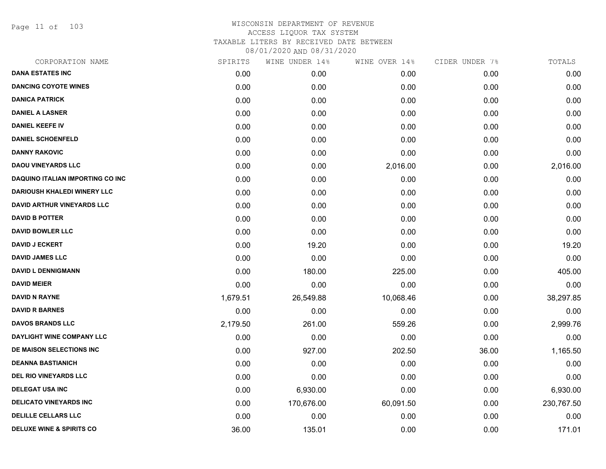Page 11 of 103

| CORPORATION NAME                        | SPIRITS  | WINE UNDER 14% | WINE OVER 14% | CIDER UNDER 7% | TOTALS     |
|-----------------------------------------|----------|----------------|---------------|----------------|------------|
| <b>DANA ESTATES INC</b>                 | 0.00     | 0.00           | 0.00          | 0.00           | 0.00       |
| <b>DANCING COYOTE WINES</b>             | 0.00     | 0.00           | 0.00          | 0.00           | 0.00       |
| <b>DANICA PATRICK</b>                   | 0.00     | 0.00           | 0.00          | 0.00           | 0.00       |
| <b>DANIEL A LASNER</b>                  | 0.00     | 0.00           | 0.00          | 0.00           | 0.00       |
| <b>DANIEL KEEFE IV</b>                  | 0.00     | 0.00           | 0.00          | 0.00           | 0.00       |
| <b>DANIEL SCHOENFELD</b>                | 0.00     | 0.00           | 0.00          | 0.00           | 0.00       |
| <b>DANNY RAKOVIC</b>                    | 0.00     | 0.00           | 0.00          | 0.00           | 0.00       |
| <b>DAOU VINEYARDS LLC</b>               | 0.00     | 0.00           | 2,016.00      | 0.00           | 2,016.00   |
| <b>DAQUINO ITALIAN IMPORTING CO INC</b> | 0.00     | 0.00           | 0.00          | 0.00           | 0.00       |
| <b>DARIOUSH KHALEDI WINERY LLC</b>      | 0.00     | 0.00           | 0.00          | 0.00           | 0.00       |
| <b>DAVID ARTHUR VINEYARDS LLC</b>       | 0.00     | 0.00           | 0.00          | 0.00           | 0.00       |
| <b>DAVID B POTTER</b>                   | 0.00     | 0.00           | 0.00          | 0.00           | 0.00       |
| <b>DAVID BOWLER LLC</b>                 | 0.00     | 0.00           | 0.00          | 0.00           | 0.00       |
| <b>DAVID J ECKERT</b>                   | 0.00     | 19.20          | 0.00          | 0.00           | 19.20      |
| <b>DAVID JAMES LLC</b>                  | 0.00     | 0.00           | 0.00          | 0.00           | 0.00       |
| <b>DAVID L DENNIGMANN</b>               | 0.00     | 180.00         | 225.00        | 0.00           | 405.00     |
| <b>DAVID MEIER</b>                      | 0.00     | 0.00           | 0.00          | 0.00           | 0.00       |
| <b>DAVID N RAYNE</b>                    | 1,679.51 | 26,549.88      | 10,068.46     | 0.00           | 38,297.85  |
| <b>DAVID R BARNES</b>                   | 0.00     | 0.00           | 0.00          | 0.00           | 0.00       |
| <b>DAVOS BRANDS LLC</b>                 | 2,179.50 | 261.00         | 559.26        | 0.00           | 2,999.76   |
| DAYLIGHT WINE COMPANY LLC               | 0.00     | 0.00           | 0.00          | 0.00           | 0.00       |
| DE MAISON SELECTIONS INC                | 0.00     | 927.00         | 202.50        | 36.00          | 1,165.50   |
| <b>DEANNA BASTIANICH</b>                | 0.00     | 0.00           | 0.00          | 0.00           | 0.00       |
| <b>DEL RIO VINEYARDS LLC</b>            | 0.00     | 0.00           | 0.00          | 0.00           | 0.00       |
| <b>DELEGAT USA INC</b>                  | 0.00     | 6,930.00       | 0.00          | 0.00           | 6,930.00   |
| <b>DELICATO VINEYARDS INC</b>           | 0.00     | 170,676.00     | 60,091.50     | 0.00           | 230,767.50 |
| <b>DELILLE CELLARS LLC</b>              | 0.00     | 0.00           | 0.00          | 0.00           | 0.00       |
| <b>DELUXE WINE &amp; SPIRITS CO</b>     | 36.00    | 135.01         | 0.00          | 0.00           | 171.01     |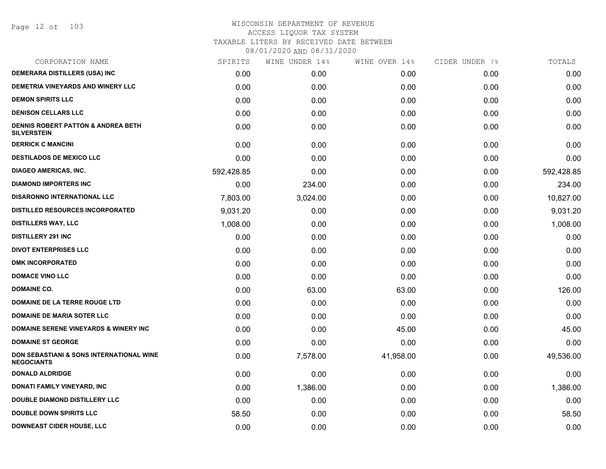Page 12 of 103

| CORPORATION NAME                                                    | SPIRITS    | WINE UNDER 14% | WINE OVER 14% | CIDER UNDER 7% | TOTALS     |
|---------------------------------------------------------------------|------------|----------------|---------------|----------------|------------|
| <b>DEMERARA DISTILLERS (USA) INC</b>                                | 0.00       | 0.00           | 0.00          | 0.00           | 0.00       |
| DEMETRIA VINEYARDS AND WINERY LLC                                   | 0.00       | 0.00           | 0.00          | 0.00           | 0.00       |
| <b>DEMON SPIRITS LLC</b>                                            | 0.00       | 0.00           | 0.00          | 0.00           | 0.00       |
| <b>DENISON CELLARS LLC</b>                                          | 0.00       | 0.00           | 0.00          | 0.00           | 0.00       |
| <b>DENNIS ROBERT PATTON &amp; ANDREA BETH</b><br><b>SILVERSTEIN</b> | 0.00       | 0.00           | 0.00          | 0.00           | 0.00       |
| <b>DERRICK C MANCINI</b>                                            | 0.00       | 0.00           | 0.00          | 0.00           | 0.00       |
| <b>DESTILADOS DE MEXICO LLC</b>                                     | 0.00       | 0.00           | 0.00          | 0.00           | 0.00       |
| <b>DIAGEO AMERICAS, INC.</b>                                        | 592,428.85 | 0.00           | 0.00          | 0.00           | 592,428.85 |
| <b>DIAMOND IMPORTERS INC</b>                                        | 0.00       | 234.00         | 0.00          | 0.00           | 234.00     |
| <b>DISARONNO INTERNATIONAL LLC</b>                                  | 7,803.00   | 3,024.00       | 0.00          | 0.00           | 10,827.00  |
| <b>DISTILLED RESOURCES INCORPORATED</b>                             | 9,031.20   | 0.00           | 0.00          | 0.00           | 9,031.20   |
| <b>DISTILLERS WAY, LLC</b>                                          | 1,008.00   | 0.00           | 0.00          | 0.00           | 1,008.00   |
| <b>DISTILLERY 291 INC</b>                                           | 0.00       | 0.00           | 0.00          | 0.00           | 0.00       |
| <b>DIVOT ENTERPRISES LLC</b>                                        | 0.00       | 0.00           | 0.00          | 0.00           | 0.00       |
| <b>DMK INCORPORATED</b>                                             | 0.00       | 0.00           | 0.00          | 0.00           | 0.00       |
| <b>DOMACE VINO LLC</b>                                              | 0.00       | 0.00           | 0.00          | 0.00           | 0.00       |
| <b>DOMAINE CO.</b>                                                  | 0.00       | 63.00          | 63.00         | 0.00           | 126.00     |
| DOMAINE DE LA TERRE ROUGE LTD                                       | 0.00       | 0.00           | 0.00          | 0.00           | 0.00       |
| <b>DOMAINE DE MARIA SOTER LLC</b>                                   | 0.00       | 0.00           | 0.00          | 0.00           | 0.00       |
| <b>DOMAINE SERENE VINEYARDS &amp; WINERY INC</b>                    | 0.00       | 0.00           | 45.00         | 0.00           | 45.00      |
| <b>DOMAINE ST GEORGE</b>                                            | 0.00       | 0.00           | 0.00          | 0.00           | 0.00       |
| DON SEBASTIANI & SONS INTERNATIONAL WINE<br><b>NEGOCIANTS</b>       | 0.00       | 7,578.00       | 41,958.00     | 0.00           | 49,536.00  |
| <b>DONALD ALDRIDGE</b>                                              | 0.00       | 0.00           | 0.00          | 0.00           | 0.00       |
| DONATI FAMILY VINEYARD, INC                                         | 0.00       | 1,386.00       | 0.00          | 0.00           | 1,386.00   |
| <b>DOUBLE DIAMOND DISTILLERY LLC</b>                                | 0.00       | 0.00           | 0.00          | 0.00           | 0.00       |
| <b>DOUBLE DOWN SPIRITS LLC</b>                                      | 58.50      | 0.00           | 0.00          | 0.00           | 58.50      |
| <b>DOWNEAST CIDER HOUSE, LLC</b>                                    | 0.00       | 0.00           | 0.00          | 0.00           | 0.00       |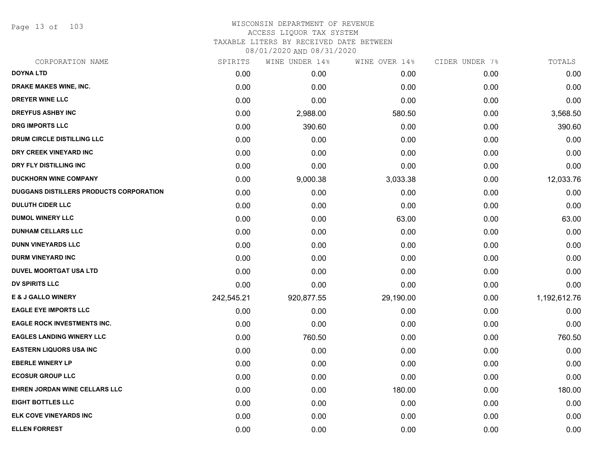Page 13 of 103

# WISCONSIN DEPARTMENT OF REVENUE ACCESS LIQUOR TAX SYSTEM TAXABLE LITERS BY RECEIVED DATE BETWEEN

| CORPORATION NAME                        | SPIRITS    | WINE UNDER 14% | WINE OVER 14% | CIDER UNDER 7% | TOTALS       |
|-----------------------------------------|------------|----------------|---------------|----------------|--------------|
| <b>DOYNA LTD</b>                        | 0.00       | 0.00           | 0.00          | 0.00           | 0.00         |
| DRAKE MAKES WINE, INC.                  | 0.00       | 0.00           | 0.00          | 0.00           | 0.00         |
| <b>DREYER WINE LLC</b>                  | 0.00       | 0.00           | 0.00          | 0.00           | 0.00         |
| <b>DREYFUS ASHBY INC</b>                | 0.00       | 2,988.00       | 580.50        | 0.00           | 3,568.50     |
| <b>DRG IMPORTS LLC</b>                  | 0.00       | 390.60         | 0.00          | 0.00           | 390.60       |
| DRUM CIRCLE DISTILLING LLC              | 0.00       | 0.00           | 0.00          | 0.00           | 0.00         |
| DRY CREEK VINEYARD INC                  | 0.00       | 0.00           | 0.00          | 0.00           | 0.00         |
| DRY FLY DISTILLING INC                  | 0.00       | 0.00           | 0.00          | 0.00           | 0.00         |
| <b>DUCKHORN WINE COMPANY</b>            | 0.00       | 9,000.38       | 3,033.38      | 0.00           | 12,033.76    |
| DUGGANS DISTILLERS PRODUCTS CORPORATION | 0.00       | 0.00           | 0.00          | 0.00           | 0.00         |
| <b>DULUTH CIDER LLC</b>                 | 0.00       | 0.00           | 0.00          | 0.00           | 0.00         |
| <b>DUMOL WINERY LLC</b>                 | 0.00       | 0.00           | 63.00         | 0.00           | 63.00        |
| <b>DUNHAM CELLARS LLC</b>               | 0.00       | 0.00           | 0.00          | 0.00           | 0.00         |
| <b>DUNN VINEYARDS LLC</b>               | 0.00       | 0.00           | 0.00          | 0.00           | 0.00         |
| <b>DURM VINEYARD INC</b>                | 0.00       | 0.00           | 0.00          | 0.00           | 0.00         |
| <b>DUVEL MOORTGAT USA LTD</b>           | 0.00       | 0.00           | 0.00          | 0.00           | 0.00         |
| <b>DV SPIRITS LLC</b>                   | 0.00       | 0.00           | 0.00          | 0.00           | 0.00         |
| <b>E &amp; J GALLO WINERY</b>           | 242,545.21 | 920,877.55     | 29,190.00     | 0.00           | 1,192,612.76 |
| <b>EAGLE EYE IMPORTS LLC</b>            | 0.00       | 0.00           | 0.00          | 0.00           | 0.00         |
| <b>EAGLE ROCK INVESTMENTS INC.</b>      | 0.00       | 0.00           | 0.00          | 0.00           | 0.00         |
| <b>EAGLES LANDING WINERY LLC</b>        | 0.00       | 760.50         | 0.00          | 0.00           | 760.50       |
| <b>EASTERN LIQUORS USA INC</b>          | 0.00       | 0.00           | 0.00          | 0.00           | 0.00         |
| <b>EBERLE WINERY LP</b>                 | 0.00       | 0.00           | 0.00          | 0.00           | 0.00         |
| <b>ECOSUR GROUP LLC</b>                 | 0.00       | 0.00           | 0.00          | 0.00           | 0.00         |
| EHREN JORDAN WINE CELLARS LLC           | 0.00       | 0.00           | 180.00        | 0.00           | 180.00       |
| <b>EIGHT BOTTLES LLC</b>                | 0.00       | 0.00           | 0.00          | 0.00           | 0.00         |
| ELK COVE VINEYARDS INC                  | 0.00       | 0.00           | 0.00          | 0.00           | 0.00         |
| <b>ELLEN FORREST</b>                    | 0.00       | 0.00           | 0.00          | 0.00           | 0.00         |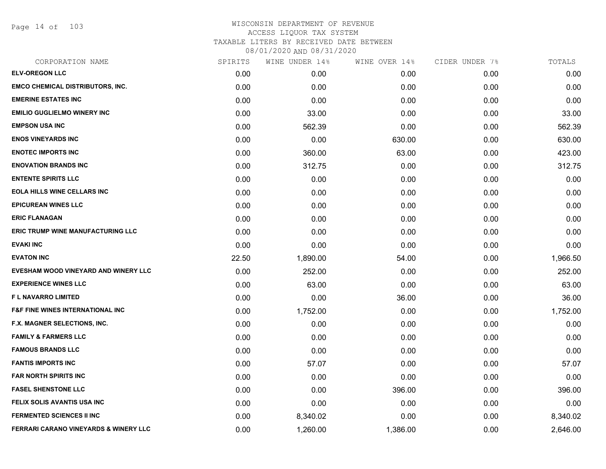Page 14 of 103

| CORPORATION NAME                                 | SPIRITS | WINE UNDER 14% | WINE OVER 14% | CIDER UNDER 7% | TOTALS   |
|--------------------------------------------------|---------|----------------|---------------|----------------|----------|
| <b>ELV-OREGON LLC</b>                            | 0.00    | 0.00           | 0.00          | 0.00           | 0.00     |
| <b>EMCO CHEMICAL DISTRIBUTORS, INC.</b>          | 0.00    | 0.00           | 0.00          | 0.00           | 0.00     |
| <b>EMERINE ESTATES INC</b>                       | 0.00    | 0.00           | 0.00          | 0.00           | 0.00     |
| <b>EMILIO GUGLIELMO WINERY INC</b>               | 0.00    | 33.00          | 0.00          | 0.00           | 33.00    |
| <b>EMPSON USA INC</b>                            | 0.00    | 562.39         | 0.00          | 0.00           | 562.39   |
| <b>ENOS VINEYARDS INC</b>                        | 0.00    | 0.00           | 630.00        | 0.00           | 630.00   |
| <b>ENOTEC IMPORTS INC</b>                        | 0.00    | 360.00         | 63.00         | 0.00           | 423.00   |
| <b>ENOVATION BRANDS INC</b>                      | 0.00    | 312.75         | 0.00          | 0.00           | 312.75   |
| <b>ENTENTE SPIRITS LLC</b>                       | 0.00    | 0.00           | 0.00          | 0.00           | 0.00     |
| EOLA HILLS WINE CELLARS INC                      | 0.00    | 0.00           | 0.00          | 0.00           | 0.00     |
| <b>EPICUREAN WINES LLC</b>                       | 0.00    | 0.00           | 0.00          | 0.00           | 0.00     |
| <b>ERIC FLANAGAN</b>                             | 0.00    | 0.00           | 0.00          | 0.00           | 0.00     |
| ERIC TRUMP WINE MANUFACTURING LLC                | 0.00    | 0.00           | 0.00          | 0.00           | 0.00     |
| <b>EVAKI INC</b>                                 | 0.00    | 0.00           | 0.00          | 0.00           | 0.00     |
| <b>EVATON INC</b>                                | 22.50   | 1,890.00       | 54.00         | 0.00           | 1,966.50 |
| EVESHAM WOOD VINEYARD AND WINERY LLC             | 0.00    | 252.00         | 0.00          | 0.00           | 252.00   |
| <b>EXPERIENCE WINES LLC</b>                      | 0.00    | 63.00          | 0.00          | 0.00           | 63.00    |
| <b>FL NAVARRO LIMITED</b>                        | 0.00    | 0.00           | 36.00         | 0.00           | 36.00    |
| <b>F&amp;F FINE WINES INTERNATIONAL INC</b>      | 0.00    | 1,752.00       | 0.00          | 0.00           | 1,752.00 |
| F.X. MAGNER SELECTIONS, INC.                     | 0.00    | 0.00           | 0.00          | 0.00           | 0.00     |
| <b>FAMILY &amp; FARMERS LLC</b>                  | 0.00    | 0.00           | 0.00          | 0.00           | 0.00     |
| <b>FAMOUS BRANDS LLC</b>                         | 0.00    | 0.00           | 0.00          | 0.00           | 0.00     |
| <b>FANTIS IMPORTS INC</b>                        | 0.00    | 57.07          | 0.00          | 0.00           | 57.07    |
| <b>FAR NORTH SPIRITS INC</b>                     | 0.00    | 0.00           | 0.00          | 0.00           | 0.00     |
| <b>FASEL SHENSTONE LLC</b>                       | 0.00    | 0.00           | 396.00        | 0.00           | 396.00   |
| FELIX SOLIS AVANTIS USA INC                      | 0.00    | 0.00           | 0.00          | 0.00           | 0.00     |
| <b>FERMENTED SCIENCES II INC</b>                 | 0.00    | 8,340.02       | 0.00          | 0.00           | 8,340.02 |
| <b>FERRARI CARANO VINEYARDS &amp; WINERY LLC</b> | 0.00    | 1,260.00       | 1,386.00      | 0.00           | 2,646.00 |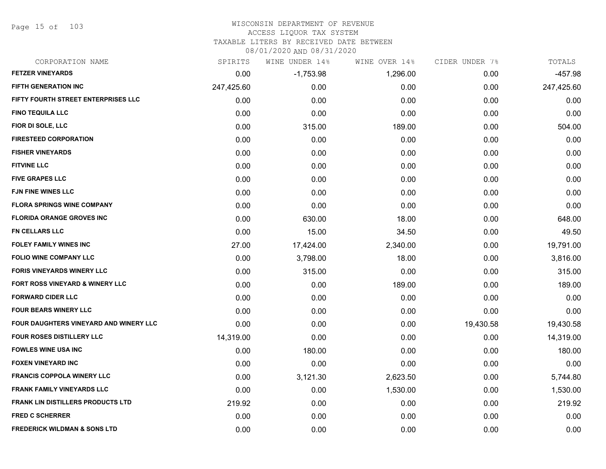Page 15 of 103

# WISCONSIN DEPARTMENT OF REVENUE

### ACCESS LIQUOR TAX SYSTEM

TAXABLE LITERS BY RECEIVED DATE BETWEEN

| CORPORATION NAME                         | SPIRITS    | WINE UNDER 14% | WINE OVER 14% | CIDER UNDER 7% | TOTALS     |
|------------------------------------------|------------|----------------|---------------|----------------|------------|
| <b>FETZER VINEYARDS</b>                  | 0.00       | $-1,753.98$    | 1,296.00      | 0.00           | $-457.98$  |
| <b>FIFTH GENERATION INC</b>              | 247,425.60 | 0.00           | 0.00          | 0.00           | 247,425.60 |
| FIFTY FOURTH STREET ENTERPRISES LLC      | 0.00       | 0.00           | 0.00          | 0.00           | 0.00       |
| <b>FINO TEQUILA LLC</b>                  | 0.00       | 0.00           | 0.00          | 0.00           | 0.00       |
| FIOR DI SOLE, LLC                        | 0.00       | 315.00         | 189.00        | 0.00           | 504.00     |
| <b>FIRESTEED CORPORATION</b>             | 0.00       | 0.00           | 0.00          | 0.00           | 0.00       |
| <b>FISHER VINEYARDS</b>                  | 0.00       | 0.00           | 0.00          | 0.00           | 0.00       |
| <b>FITVINE LLC</b>                       | 0.00       | 0.00           | 0.00          | 0.00           | 0.00       |
| <b>FIVE GRAPES LLC</b>                   | 0.00       | 0.00           | 0.00          | 0.00           | 0.00       |
| <b>FJN FINE WINES LLC</b>                | 0.00       | 0.00           | 0.00          | 0.00           | 0.00       |
| <b>FLORA SPRINGS WINE COMPANY</b>        | 0.00       | 0.00           | 0.00          | 0.00           | 0.00       |
| <b>FLORIDA ORANGE GROVES INC</b>         | 0.00       | 630.00         | 18.00         | 0.00           | 648.00     |
| <b>FN CELLARS LLC</b>                    | 0.00       | 15.00          | 34.50         | 0.00           | 49.50      |
| <b>FOLEY FAMILY WINES INC</b>            | 27.00      | 17,424.00      | 2,340.00      | 0.00           | 19,791.00  |
| FOLIO WINE COMPANY LLC                   | 0.00       | 3,798.00       | 18.00         | 0.00           | 3,816.00   |
| <b>FORIS VINEYARDS WINERY LLC</b>        | 0.00       | 315.00         | 0.00          | 0.00           | 315.00     |
| FORT ROSS VINEYARD & WINERY LLC          | 0.00       | 0.00           | 189.00        | 0.00           | 189.00     |
| <b>FORWARD CIDER LLC</b>                 | 0.00       | 0.00           | 0.00          | 0.00           | 0.00       |
| <b>FOUR BEARS WINERY LLC</b>             | 0.00       | 0.00           | 0.00          | 0.00           | 0.00       |
| FOUR DAUGHTERS VINEYARD AND WINERY LLC   | 0.00       | 0.00           | 0.00          | 19,430.58      | 19,430.58  |
| <b>FOUR ROSES DISTILLERY LLC</b>         | 14,319.00  | 0.00           | 0.00          | 0.00           | 14,319.00  |
| <b>FOWLES WINE USA INC</b>               | 0.00       | 180.00         | 0.00          | 0.00           | 180.00     |
| FOXEN VINEYARD INC                       | 0.00       | 0.00           | 0.00          | 0.00           | 0.00       |
| <b>FRANCIS COPPOLA WINERY LLC</b>        | 0.00       | 3,121.30       | 2,623.50      | 0.00           | 5,744.80   |
| <b>FRANK FAMILY VINEYARDS LLC</b>        | 0.00       | 0.00           | 1,530.00      | 0.00           | 1,530.00   |
| <b>FRANK LIN DISTILLERS PRODUCTS LTD</b> | 219.92     | 0.00           | 0.00          | 0.00           | 219.92     |
| <b>FRED C SCHERRER</b>                   | 0.00       | 0.00           | 0.00          | 0.00           | 0.00       |
| <b>FREDERICK WILDMAN &amp; SONS LTD</b>  | 0.00       | 0.00           | 0.00          | 0.00           | 0.00       |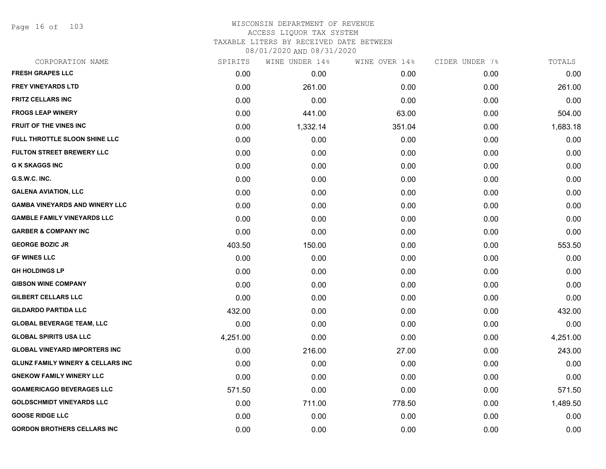Page 16 of 103

# WISCONSIN DEPARTMENT OF REVENUE ACCESS LIQUOR TAX SYSTEM TAXABLE LITERS BY RECEIVED DATE BETWEEN

| CORPORATION NAME                             | SPIRITS  | WINE UNDER 14% | WINE OVER 14% | CIDER UNDER 7% | TOTALS   |
|----------------------------------------------|----------|----------------|---------------|----------------|----------|
| <b>FRESH GRAPES LLC</b>                      | 0.00     | 0.00           | 0.00          | 0.00           | 0.00     |
| <b>FREY VINEYARDS LTD</b>                    | 0.00     | 261.00         | 0.00          | 0.00           | 261.00   |
| <b>FRITZ CELLARS INC</b>                     | 0.00     | 0.00           | 0.00          | 0.00           | 0.00     |
| <b>FROGS LEAP WINERY</b>                     | 0.00     | 441.00         | 63.00         | 0.00           | 504.00   |
| <b>FRUIT OF THE VINES INC</b>                | 0.00     | 1,332.14       | 351.04        | 0.00           | 1,683.18 |
| FULL THROTTLE SLOON SHINE LLC                | 0.00     | 0.00           | 0.00          | 0.00           | 0.00     |
| <b>FULTON STREET BREWERY LLC</b>             | 0.00     | 0.00           | 0.00          | 0.00           | 0.00     |
| <b>G K SKAGGS INC</b>                        | 0.00     | 0.00           | 0.00          | 0.00           | 0.00     |
| G.S.W.C. INC.                                | 0.00     | 0.00           | 0.00          | 0.00           | 0.00     |
| <b>GALENA AVIATION, LLC</b>                  | 0.00     | 0.00           | 0.00          | 0.00           | 0.00     |
| <b>GAMBA VINEYARDS AND WINERY LLC</b>        | 0.00     | 0.00           | 0.00          | 0.00           | 0.00     |
| <b>GAMBLE FAMILY VINEYARDS LLC</b>           | 0.00     | 0.00           | 0.00          | 0.00           | 0.00     |
| <b>GARBER &amp; COMPANY INC</b>              | 0.00     | 0.00           | 0.00          | 0.00           | 0.00     |
| <b>GEORGE BOZIC JR</b>                       | 403.50   | 150.00         | 0.00          | 0.00           | 553.50   |
| <b>GF WINES LLC</b>                          | 0.00     | 0.00           | 0.00          | 0.00           | 0.00     |
| <b>GH HOLDINGS LP</b>                        | 0.00     | 0.00           | 0.00          | 0.00           | 0.00     |
| <b>GIBSON WINE COMPANY</b>                   | 0.00     | 0.00           | 0.00          | 0.00           | 0.00     |
| <b>GILBERT CELLARS LLC</b>                   | 0.00     | 0.00           | 0.00          | 0.00           | 0.00     |
| <b>GILDARDO PARTIDA LLC</b>                  | 432.00   | 0.00           | 0.00          | 0.00           | 432.00   |
| <b>GLOBAL BEVERAGE TEAM, LLC</b>             | 0.00     | 0.00           | 0.00          | 0.00           | 0.00     |
| <b>GLOBAL SPIRITS USA LLC</b>                | 4,251.00 | 0.00           | 0.00          | 0.00           | 4,251.00 |
| <b>GLOBAL VINEYARD IMPORTERS INC</b>         | 0.00     | 216.00         | 27.00         | 0.00           | 243.00   |
| <b>GLUNZ FAMILY WINERY &amp; CELLARS INC</b> | 0.00     | 0.00           | 0.00          | 0.00           | 0.00     |
| <b>GNEKOW FAMILY WINERY LLC</b>              | 0.00     | 0.00           | 0.00          | 0.00           | 0.00     |
| <b>GOAMERICAGO BEVERAGES LLC</b>             | 571.50   | 0.00           | 0.00          | 0.00           | 571.50   |
| <b>GOLDSCHMIDT VINEYARDS LLC</b>             | 0.00     | 711.00         | 778.50        | 0.00           | 1,489.50 |
| <b>GOOSE RIDGE LLC</b>                       | 0.00     | 0.00           | 0.00          | 0.00           | 0.00     |
| <b>GORDON BROTHERS CELLARS INC</b>           | 0.00     | 0.00           | 0.00          | 0.00           | 0.00     |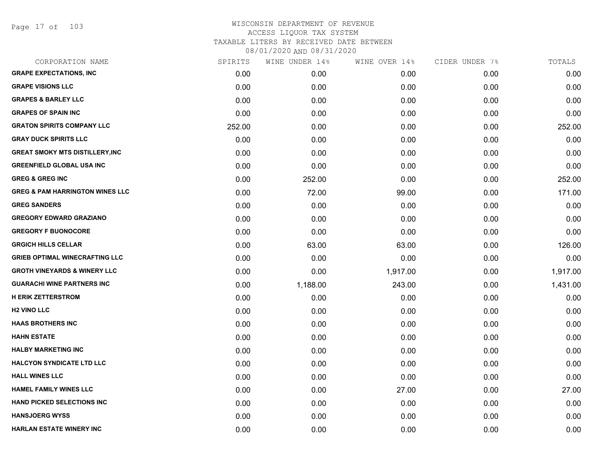Page 17 of 103

| CORPORATION NAME                           | SPIRITS | WINE UNDER 14% | WINE OVER 14% | CIDER UNDER 7% | TOTALS   |
|--------------------------------------------|---------|----------------|---------------|----------------|----------|
| <b>GRAPE EXPECTATIONS, INC</b>             | 0.00    | 0.00           | 0.00          | 0.00           | 0.00     |
| <b>GRAPE VISIONS LLC</b>                   | 0.00    | 0.00           | 0.00          | 0.00           | 0.00     |
| <b>GRAPES &amp; BARLEY LLC</b>             | 0.00    | 0.00           | 0.00          | 0.00           | 0.00     |
| <b>GRAPES OF SPAIN INC</b>                 | 0.00    | 0.00           | 0.00          | 0.00           | 0.00     |
| <b>GRATON SPIRITS COMPANY LLC</b>          | 252.00  | 0.00           | 0.00          | 0.00           | 252.00   |
| <b>GRAY DUCK SPIRITS LLC</b>               | 0.00    | 0.00           | 0.00          | 0.00           | 0.00     |
| <b>GREAT SMOKY MTS DISTILLERY, INC</b>     | 0.00    | 0.00           | 0.00          | 0.00           | 0.00     |
| <b>GREENFIELD GLOBAL USA INC</b>           | 0.00    | 0.00           | 0.00          | 0.00           | 0.00     |
| <b>GREG &amp; GREG INC</b>                 | 0.00    | 252.00         | 0.00          | 0.00           | 252.00   |
| <b>GREG &amp; PAM HARRINGTON WINES LLC</b> | 0.00    | 72.00          | 99.00         | 0.00           | 171.00   |
| <b>GREG SANDERS</b>                        | 0.00    | 0.00           | 0.00          | 0.00           | 0.00     |
| <b>GREGORY EDWARD GRAZIANO</b>             | 0.00    | 0.00           | 0.00          | 0.00           | 0.00     |
| <b>GREGORY F BUONOCORE</b>                 | 0.00    | 0.00           | 0.00          | 0.00           | 0.00     |
| <b>GRGICH HILLS CELLAR</b>                 | 0.00    | 63.00          | 63.00         | 0.00           | 126.00   |
| <b>GRIEB OPTIMAL WINECRAFTING LLC</b>      | 0.00    | 0.00           | 0.00          | 0.00           | 0.00     |
| <b>GROTH VINEYARDS &amp; WINERY LLC</b>    | 0.00    | 0.00           | 1,917.00      | 0.00           | 1,917.00 |
| <b>GUARACHI WINE PARTNERS INC</b>          | 0.00    | 1,188.00       | 243.00        | 0.00           | 1,431.00 |
| <b>H ERIK ZETTERSTROM</b>                  | 0.00    | 0.00           | 0.00          | 0.00           | 0.00     |
| <b>H2 VINO LLC</b>                         | 0.00    | 0.00           | 0.00          | 0.00           | 0.00     |
| <b>HAAS BROTHERS INC</b>                   | 0.00    | 0.00           | 0.00          | 0.00           | 0.00     |
| <b>HAHN ESTATE</b>                         | 0.00    | 0.00           | 0.00          | 0.00           | 0.00     |
| <b>HALBY MARKETING INC</b>                 | 0.00    | 0.00           | 0.00          | 0.00           | 0.00     |
| <b>HALCYON SYNDICATE LTD LLC</b>           | 0.00    | 0.00           | 0.00          | 0.00           | 0.00     |
| <b>HALL WINES LLC</b>                      | 0.00    | 0.00           | 0.00          | 0.00           | 0.00     |
| <b>HAMEL FAMILY WINES LLC</b>              | 0.00    | 0.00           | 27.00         | 0.00           | 27.00    |
| <b>HAND PICKED SELECTIONS INC</b>          | 0.00    | 0.00           | 0.00          | 0.00           | 0.00     |
| <b>HANSJOERG WYSS</b>                      | 0.00    | 0.00           | 0.00          | 0.00           | 0.00     |
| <b>HARLAN ESTATE WINERY INC</b>            | 0.00    | 0.00           | 0.00          | 0.00           | 0.00     |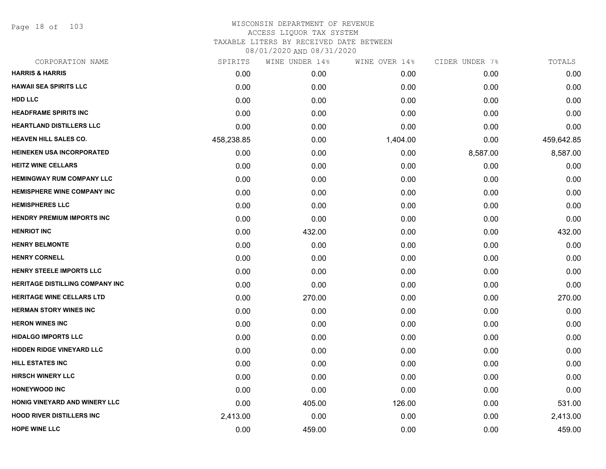Page 18 of 103

| CORPORATION NAME                       | SPIRITS    | WINE UNDER 14% | WINE OVER 14% | CIDER UNDER 7% | TOTALS     |
|----------------------------------------|------------|----------------|---------------|----------------|------------|
| <b>HARRIS &amp; HARRIS</b>             | 0.00       | 0.00           | 0.00          | 0.00           | 0.00       |
| <b>HAWAII SEA SPIRITS LLC</b>          | 0.00       | 0.00           | 0.00          | 0.00           | 0.00       |
| <b>HDD LLC</b>                         | 0.00       | 0.00           | 0.00          | 0.00           | 0.00       |
| <b>HEADFRAME SPIRITS INC</b>           | 0.00       | 0.00           | 0.00          | 0.00           | 0.00       |
| HEARTLAND DISTILLERS LLC               | 0.00       | 0.00           | 0.00          | 0.00           | 0.00       |
| <b>HEAVEN HILL SALES CO.</b>           | 458,238.85 | 0.00           | 1,404.00      | 0.00           | 459,642.85 |
| HEINEKEN USA INCORPORATED              | 0.00       | 0.00           | 0.00          | 8,587.00       | 8,587.00   |
| <b>HEITZ WINE CELLARS</b>              | 0.00       | 0.00           | 0.00          | 0.00           | 0.00       |
| <b>HEMINGWAY RUM COMPANY LLC</b>       | 0.00       | 0.00           | 0.00          | 0.00           | 0.00       |
| <b>HEMISPHERE WINE COMPANY INC</b>     | 0.00       | 0.00           | 0.00          | 0.00           | 0.00       |
| <b>HEMISPHERES LLC</b>                 | 0.00       | 0.00           | 0.00          | 0.00           | 0.00       |
| <b>HENDRY PREMIUM IMPORTS INC</b>      | 0.00       | 0.00           | 0.00          | 0.00           | 0.00       |
| <b>HENRIOT INC</b>                     | 0.00       | 432.00         | 0.00          | 0.00           | 432.00     |
| <b>HENRY BELMONTE</b>                  | 0.00       | 0.00           | 0.00          | 0.00           | 0.00       |
| <b>HENRY CORNELL</b>                   | 0.00       | 0.00           | 0.00          | 0.00           | 0.00       |
| HENRY STEELE IMPORTS LLC               | 0.00       | 0.00           | 0.00          | 0.00           | 0.00       |
| <b>HERITAGE DISTILLING COMPANY INC</b> | 0.00       | 0.00           | 0.00          | 0.00           | 0.00       |
| HERITAGE WINE CELLARS LTD              | 0.00       | 270.00         | 0.00          | 0.00           | 270.00     |
| <b>HERMAN STORY WINES INC</b>          | 0.00       | 0.00           | 0.00          | 0.00           | 0.00       |
| <b>HERON WINES INC</b>                 | 0.00       | 0.00           | 0.00          | 0.00           | 0.00       |
| <b>HIDALGO IMPORTS LLC</b>             | 0.00       | 0.00           | 0.00          | 0.00           | 0.00       |
| <b>HIDDEN RIDGE VINEYARD LLC</b>       | 0.00       | 0.00           | 0.00          | 0.00           | 0.00       |
| <b>HILL ESTATES INC</b>                | 0.00       | 0.00           | 0.00          | 0.00           | 0.00       |
| <b>HIRSCH WINERY LLC</b>               | 0.00       | 0.00           | 0.00          | 0.00           | 0.00       |
| <b>HONEYWOOD INC</b>                   | 0.00       | 0.00           | 0.00          | 0.00           | 0.00       |
| HONIG VINEYARD AND WINERY LLC          | 0.00       | 405.00         | 126.00        | 0.00           | 531.00     |
| <b>HOOD RIVER DISTILLERS INC</b>       | 2,413.00   | 0.00           | 0.00          | 0.00           | 2,413.00   |
| <b>HOPE WINE LLC</b>                   | 0.00       | 459.00         | 0.00          | 0.00           | 459.00     |
|                                        |            |                |               |                |            |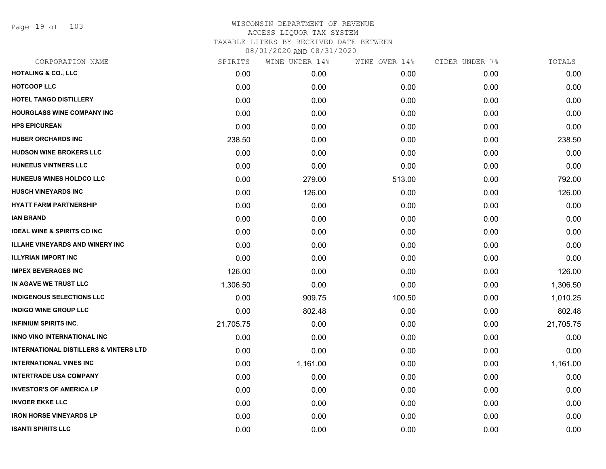Page 19 of 103

| CORPORATION NAME                                  | SPIRITS   | WINE UNDER 14% | WINE OVER 14% | CIDER UNDER 7% | TOTALS    |
|---------------------------------------------------|-----------|----------------|---------------|----------------|-----------|
| <b>HOTALING &amp; CO., LLC</b>                    | 0.00      | 0.00           | 0.00          | 0.00           | 0.00      |
| <b>HOTCOOP LLC</b>                                | 0.00      | 0.00           | 0.00          | 0.00           | 0.00      |
| HOTEL TANGO DISTILLERY                            | 0.00      | 0.00           | 0.00          | 0.00           | 0.00      |
| <b>HOURGLASS WINE COMPANY INC</b>                 | 0.00      | 0.00           | 0.00          | 0.00           | 0.00      |
| <b>HPS EPICUREAN</b>                              | 0.00      | 0.00           | 0.00          | 0.00           | 0.00      |
| <b>HUBER ORCHARDS INC</b>                         | 238.50    | 0.00           | 0.00          | 0.00           | 238.50    |
| <b>HUDSON WINE BROKERS LLC</b>                    | 0.00      | 0.00           | 0.00          | 0.00           | 0.00      |
| <b>HUNEEUS VINTNERS LLC</b>                       | 0.00      | 0.00           | 0.00          | 0.00           | 0.00      |
| HUNEEUS WINES HOLDCO LLC                          | 0.00      | 279.00         | 513.00        | 0.00           | 792.00    |
| <b>HUSCH VINEYARDS INC</b>                        | 0.00      | 126.00         | 0.00          | 0.00           | 126.00    |
| <b>HYATT FARM PARTNERSHIP</b>                     | 0.00      | 0.00           | 0.00          | 0.00           | 0.00      |
| <b>IAN BRAND</b>                                  | 0.00      | 0.00           | 0.00          | 0.00           | 0.00      |
| <b>IDEAL WINE &amp; SPIRITS CO INC</b>            | 0.00      | 0.00           | 0.00          | 0.00           | 0.00      |
| <b>ILLAHE VINEYARDS AND WINERY INC</b>            | 0.00      | 0.00           | 0.00          | 0.00           | 0.00      |
| <b>ILLYRIAN IMPORT INC</b>                        | 0.00      | 0.00           | 0.00          | 0.00           | 0.00      |
| <b>IMPEX BEVERAGES INC</b>                        | 126.00    | 0.00           | 0.00          | 0.00           | 126.00    |
| IN AGAVE WE TRUST LLC                             | 1,306.50  | 0.00           | 0.00          | 0.00           | 1,306.50  |
| <b>INDIGENOUS SELECTIONS LLC</b>                  | 0.00      | 909.75         | 100.50        | 0.00           | 1,010.25  |
| <b>INDIGO WINE GROUP LLC</b>                      | 0.00      | 802.48         | 0.00          | 0.00           | 802.48    |
| <b>INFINIUM SPIRITS INC.</b>                      | 21,705.75 | 0.00           | 0.00          | 0.00           | 21,705.75 |
| <b>INNO VINO INTERNATIONAL INC</b>                | 0.00      | 0.00           | 0.00          | 0.00           | 0.00      |
| <b>INTERNATIONAL DISTILLERS &amp; VINTERS LTD</b> | 0.00      | 0.00           | 0.00          | 0.00           | 0.00      |
| <b>INTERNATIONAL VINES INC</b>                    | 0.00      | 1,161.00       | 0.00          | 0.00           | 1,161.00  |
| <b>INTERTRADE USA COMPANY</b>                     | 0.00      | 0.00           | 0.00          | 0.00           | 0.00      |
| <b>INVESTOR'S OF AMERICA LP</b>                   | 0.00      | 0.00           | 0.00          | 0.00           | 0.00      |
| <b>INVOER EKKE LLC</b>                            | 0.00      | 0.00           | 0.00          | 0.00           | 0.00      |
| <b>IRON HORSE VINEYARDS LP</b>                    | 0.00      | 0.00           | 0.00          | 0.00           | 0.00      |
| <b>ISANTI SPIRITS LLC</b>                         | 0.00      | 0.00           | 0.00          | 0.00           | 0.00      |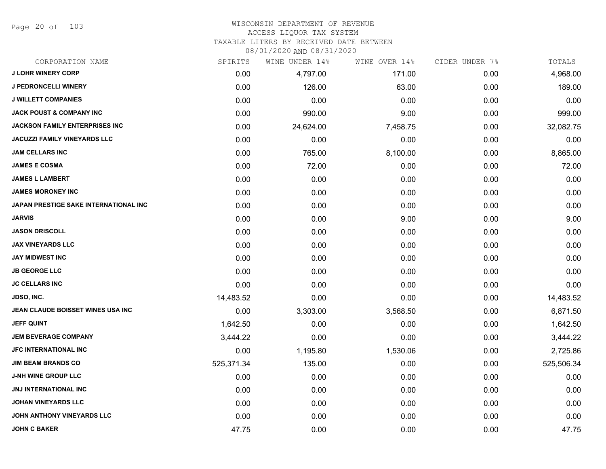Page 20 of 103

#### WISCONSIN DEPARTMENT OF REVENUE ACCESS LIQUOR TAX SYSTEM TAXABLE LITERS BY RECEIVED DATE BETWEEN

| CORPORATION NAME                      | SPIRITS    | WINE UNDER 14% | WINE OVER 14% | CIDER UNDER 7% | TOTALS     |
|---------------------------------------|------------|----------------|---------------|----------------|------------|
| <b>J LOHR WINERY CORP</b>             | 0.00       | 4,797.00       | 171.00        | 0.00           | 4,968.00   |
| <b>J PEDRONCELLI WINERY</b>           | 0.00       | 126.00         | 63.00         | 0.00           | 189.00     |
| <b>J WILLETT COMPANIES</b>            | 0.00       | 0.00           | 0.00          | 0.00           | 0.00       |
| <b>JACK POUST &amp; COMPANY INC</b>   | 0.00       | 990.00         | 9.00          | 0.00           | 999.00     |
| <b>JACKSON FAMILY ENTERPRISES INC</b> | 0.00       | 24,624.00      | 7,458.75      | 0.00           | 32,082.75  |
| JACUZZI FAMILY VINEYARDS LLC          | 0.00       | 0.00           | 0.00          | 0.00           | 0.00       |
| <b>JAM CELLARS INC</b>                | 0.00       | 765.00         | 8,100.00      | 0.00           | 8,865.00   |
| <b>JAMES E COSMA</b>                  | 0.00       | 72.00          | 0.00          | 0.00           | 72.00      |
| <b>JAMES L LAMBERT</b>                | 0.00       | 0.00           | 0.00          | 0.00           | 0.00       |
| <b>JAMES MORONEY INC</b>              | 0.00       | 0.00           | 0.00          | 0.00           | 0.00       |
| JAPAN PRESTIGE SAKE INTERNATIONAL INC | 0.00       | 0.00           | 0.00          | 0.00           | 0.00       |
| <b>JARVIS</b>                         | 0.00       | 0.00           | 9.00          | 0.00           | 9.00       |
| <b>JASON DRISCOLL</b>                 | 0.00       | 0.00           | 0.00          | 0.00           | 0.00       |
| <b>JAX VINEYARDS LLC</b>              | 0.00       | 0.00           | 0.00          | 0.00           | 0.00       |
| <b>JAY MIDWEST INC</b>                | 0.00       | 0.00           | 0.00          | 0.00           | 0.00       |
| <b>JB GEORGE LLC</b>                  | 0.00       | 0.00           | 0.00          | 0.00           | 0.00       |
| <b>JC CELLARS INC</b>                 | 0.00       | 0.00           | 0.00          | 0.00           | 0.00       |
| <b>JDSO, INC.</b>                     | 14,483.52  | 0.00           | 0.00          | 0.00           | 14,483.52  |
| JEAN CLAUDE BOISSET WINES USA INC     | 0.00       | 3,303.00       | 3,568.50      | 0.00           | 6,871.50   |
| <b>JEFF QUINT</b>                     | 1,642.50   | 0.00           | 0.00          | 0.00           | 1,642.50   |
| <b>JEM BEVERAGE COMPANY</b>           | 3,444.22   | 0.00           | 0.00          | 0.00           | 3,444.22   |
| JFC INTERNATIONAL INC                 | 0.00       | 1,195.80       | 1,530.06      | 0.00           | 2,725.86   |
| <b>JIM BEAM BRANDS CO</b>             | 525,371.34 | 135.00         | 0.00          | 0.00           | 525,506.34 |
| <b>J-NH WINE GROUP LLC</b>            | 0.00       | 0.00           | 0.00          | 0.00           | 0.00       |
| JNJ INTERNATIONAL INC                 | 0.00       | 0.00           | 0.00          | 0.00           | 0.00       |
| <b>JOHAN VINEYARDS LLC</b>            | 0.00       | 0.00           | 0.00          | 0.00           | 0.00       |
| JOHN ANTHONY VINEYARDS LLC            | 0.00       | 0.00           | 0.00          | 0.00           | 0.00       |
| <b>JOHN C BAKER</b>                   | 47.75      | 0.00           | 0.00          | 0.00           | 47.75      |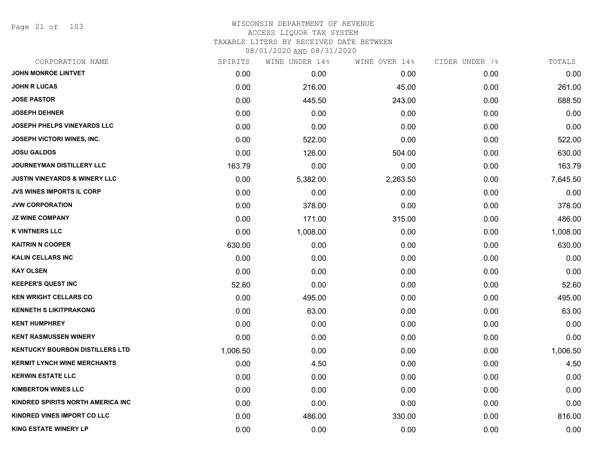Page 21 of 103

| CORPORATION NAME                         | SPIRITS  | WINE UNDER 14% | WINE OVER 14% | CIDER UNDER 7% | TOTALS   |
|------------------------------------------|----------|----------------|---------------|----------------|----------|
| <b>JOHN MONROE LINTVET</b>               | 0.00     | 0.00           | 0.00          | 0.00           | 0.00     |
| <b>JOHN R LUCAS</b>                      | 0.00     | 216.00         | 45.00         | 0.00           | 261.00   |
| <b>JOSE PASTOR</b>                       | 0.00     | 445.50         | 243.00        | 0.00           | 688.50   |
| <b>JOSEPH DEHNER</b>                     | 0.00     | 0.00           | 0.00          | 0.00           | 0.00     |
| <b>JOSEPH PHELPS VINEYARDS LLC</b>       | 0.00     | 0.00           | 0.00          | 0.00           | 0.00     |
| JOSEPH VICTORI WINES, INC.               | 0.00     | 522.00         | 0.00          | 0.00           | 522.00   |
| <b>JOSU GALDOS</b>                       | 0.00     | 126.00         | 504.00        | 0.00           | 630.00   |
| <b>JOURNEYMAN DISTILLERY LLC</b>         | 163.79   | 0.00           | 0.00          | 0.00           | 163.79   |
| <b>JUSTIN VINEYARDS &amp; WINERY LLC</b> | 0.00     | 5,382.00       | 2,263.50      | 0.00           | 7,645.50 |
| JVS WINES IMPORTS IL CORP                | 0.00     | 0.00           | 0.00          | 0.00           | 0.00     |
| <b>JVW CORPORATION</b>                   | 0.00     | 378.00         | 0.00          | 0.00           | 378.00   |
| <b>JZ WINE COMPANY</b>                   | 0.00     | 171.00         | 315.00        | 0.00           | 486.00   |
| <b>K VINTNERS LLC</b>                    | 0.00     | 1,008.00       | 0.00          | 0.00           | 1,008.00 |
| <b>KAITRIN N COOPER</b>                  | 630.00   | 0.00           | 0.00          | 0.00           | 630.00   |
| <b>KALIN CELLARS INC</b>                 | 0.00     | 0.00           | 0.00          | 0.00           | 0.00     |
| <b>KAY OLSEN</b>                         | 0.00     | 0.00           | 0.00          | 0.00           | 0.00     |
| <b>KEEPER'S QUEST INC</b>                | 52.60    | 0.00           | 0.00          | 0.00           | 52.60    |
| <b>KEN WRIGHT CELLARS CO</b>             | 0.00     | 495.00         | 0.00          | 0.00           | 495.00   |
| <b>KENNETH S LIKITPRAKONG</b>            | 0.00     | 63.00          | 0.00          | 0.00           | 63.00    |
| <b>KENT HUMPHREY</b>                     | 0.00     | 0.00           | 0.00          | 0.00           | 0.00     |
| <b>KENT RASMUSSEN WINERY</b>             | 0.00     | 0.00           | 0.00          | 0.00           | 0.00     |
| <b>KENTUCKY BOURBON DISTILLERS LTD</b>   | 1,006.50 | 0.00           | 0.00          | 0.00           | 1,006.50 |
| <b>KERMIT LYNCH WINE MERCHANTS</b>       | 0.00     | 4.50           | 0.00          | 0.00           | 4.50     |
| <b>KERWIN ESTATE LLC</b>                 | 0.00     | 0.00           | 0.00          | 0.00           | 0.00     |
| <b>KIMBERTON WINES LLC</b>               | 0.00     | 0.00           | 0.00          | 0.00           | 0.00     |
| KINDRED SPIRITS NORTH AMERICA INC        | 0.00     | 0.00           | 0.00          | 0.00           | 0.00     |
| KINDRED VINES IMPORT CO LLC              | 0.00     | 486.00         | 330.00        | 0.00           | 816.00   |
| <b>KING ESTATE WINERY LP</b>             | 0.00     | 0.00           | 0.00          | 0.00           | 0.00     |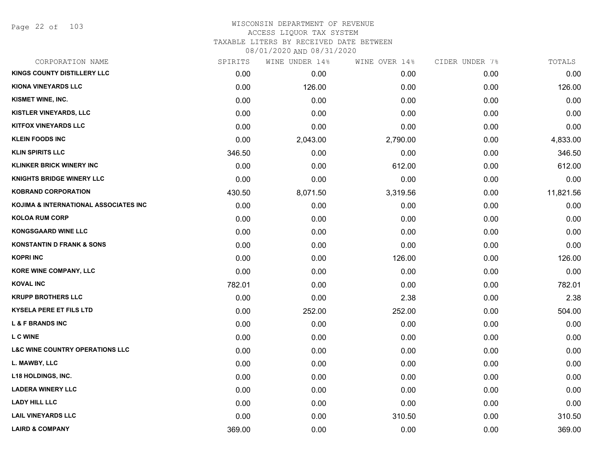Page 22 of 103

# WISCONSIN DEPARTMENT OF REVENUE ACCESS LIQUOR TAX SYSTEM TAXABLE LITERS BY RECEIVED DATE BETWEEN

| CORPORATION NAME                           | SPIRITS | WINE UNDER 14% | WINE OVER 14% | CIDER UNDER 7% | TOTALS    |
|--------------------------------------------|---------|----------------|---------------|----------------|-----------|
| KINGS COUNTY DISTILLERY LLC                | 0.00    | 0.00           | 0.00          | 0.00           | 0.00      |
| <b>KIONA VINEYARDS LLC</b>                 | 0.00    | 126.00         | 0.00          | 0.00           | 126.00    |
| KISMET WINE, INC.                          | 0.00    | 0.00           | 0.00          | 0.00           | 0.00      |
| <b>KISTLER VINEYARDS, LLC</b>              | 0.00    | 0.00           | 0.00          | 0.00           | 0.00      |
| <b>KITFOX VINEYARDS LLC</b>                | 0.00    | 0.00           | 0.00          | 0.00           | 0.00      |
| <b>KLEIN FOODS INC</b>                     | 0.00    | 2,043.00       | 2,790.00      | 0.00           | 4,833.00  |
| <b>KLIN SPIRITS LLC</b>                    | 346.50  | 0.00           | 0.00          | 0.00           | 346.50    |
| <b>KLINKER BRICK WINERY INC</b>            | 0.00    | 0.00           | 612.00        | 0.00           | 612.00    |
| <b>KNIGHTS BRIDGE WINERY LLC</b>           | 0.00    | 0.00           | 0.00          | 0.00           | 0.00      |
| <b>KOBRAND CORPORATION</b>                 | 430.50  | 8,071.50       | 3,319.56      | 0.00           | 11,821.56 |
| KOJIMA & INTERNATIONAL ASSOCIATES INC      | 0.00    | 0.00           | 0.00          | 0.00           | 0.00      |
| <b>KOLOA RUM CORP</b>                      | 0.00    | 0.00           | 0.00          | 0.00           | 0.00      |
| <b>KONGSGAARD WINE LLC</b>                 | 0.00    | 0.00           | 0.00          | 0.00           | 0.00      |
| <b>KONSTANTIN D FRANK &amp; SONS</b>       | 0.00    | 0.00           | 0.00          | 0.00           | 0.00      |
| <b>KOPRI INC</b>                           | 0.00    | 0.00           | 126.00        | 0.00           | 126.00    |
| KORE WINE COMPANY, LLC                     | 0.00    | 0.00           | 0.00          | 0.00           | 0.00      |
| <b>KOVAL INC</b>                           | 782.01  | 0.00           | 0.00          | 0.00           | 782.01    |
| <b>KRUPP BROTHERS LLC</b>                  | 0.00    | 0.00           | 2.38          | 0.00           | 2.38      |
| <b>KYSELA PERE ET FILS LTD</b>             | 0.00    | 252.00         | 252.00        | 0.00           | 504.00    |
| <b>L &amp; F BRANDS INC</b>                | 0.00    | 0.00           | 0.00          | 0.00           | 0.00      |
| <b>LC WINE</b>                             | 0.00    | 0.00           | 0.00          | 0.00           | 0.00      |
| <b>L&amp;C WINE COUNTRY OPERATIONS LLC</b> | 0.00    | 0.00           | 0.00          | 0.00           | 0.00      |
| L. MAWBY, LLC                              | 0.00    | 0.00           | 0.00          | 0.00           | 0.00      |
| L18 HOLDINGS, INC.                         | 0.00    | 0.00           | 0.00          | 0.00           | 0.00      |
| <b>LADERA WINERY LLC</b>                   | 0.00    | 0.00           | 0.00          | 0.00           | 0.00      |
| <b>LADY HILL LLC</b>                       | 0.00    | 0.00           | 0.00          | 0.00           | 0.00      |
| <b>LAIL VINEYARDS LLC</b>                  | 0.00    | 0.00           | 310.50        | 0.00           | 310.50    |
| <b>LAIRD &amp; COMPANY</b>                 | 369.00  | 0.00           | 0.00          | 0.00           | 369.00    |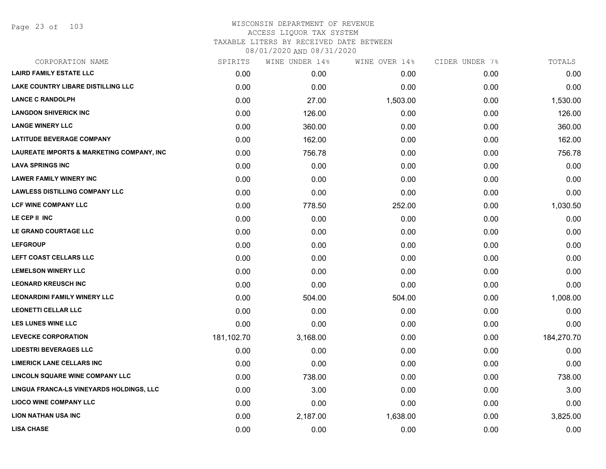Page 23 of 103

| SPIRITS    | WINE UNDER 14% | WINE OVER 14% | CIDER UNDER 7% | TOTALS     |
|------------|----------------|---------------|----------------|------------|
| 0.00       | 0.00           | 0.00          | 0.00           | 0.00       |
| 0.00       | 0.00           | 0.00          | 0.00           | 0.00       |
| 0.00       | 27.00          | 1,503.00      | 0.00           | 1,530.00   |
| 0.00       | 126.00         | 0.00          | 0.00           | 126.00     |
| 0.00       | 360.00         | 0.00          | 0.00           | 360.00     |
| 0.00       | 162.00         | 0.00          | 0.00           | 162.00     |
| 0.00       | 756.78         | 0.00          | 0.00           | 756.78     |
| 0.00       | 0.00           | 0.00          | 0.00           | 0.00       |
| 0.00       | 0.00           | 0.00          | 0.00           | 0.00       |
| 0.00       | 0.00           | 0.00          | 0.00           | 0.00       |
| 0.00       | 778.50         | 252.00        | 0.00           | 1,030.50   |
| 0.00       | 0.00           | 0.00          | 0.00           | 0.00       |
| 0.00       | 0.00           | 0.00          | 0.00           | 0.00       |
| 0.00       | 0.00           | 0.00          | 0.00           | 0.00       |
| 0.00       | 0.00           | 0.00          | 0.00           | 0.00       |
| 0.00       | 0.00           | 0.00          | 0.00           | 0.00       |
| 0.00       | 0.00           | 0.00          | 0.00           | 0.00       |
| 0.00       | 504.00         | 504.00        | 0.00           | 1,008.00   |
| 0.00       | 0.00           | 0.00          | 0.00           | 0.00       |
| 0.00       | 0.00           | 0.00          | 0.00           | 0.00       |
| 181,102.70 | 3,168.00       | 0.00          | 0.00           | 184,270.70 |
| 0.00       | 0.00           | 0.00          | 0.00           | 0.00       |
| 0.00       | 0.00           | 0.00          | 0.00           | 0.00       |
| 0.00       | 738.00         | 0.00          | 0.00           | 738.00     |
| 0.00       | 3.00           | 0.00          | 0.00           | 3.00       |
| 0.00       | 0.00           | 0.00          | 0.00           | 0.00       |
| 0.00       | 2,187.00       | 1,638.00      | 0.00           | 3,825.00   |
| 0.00       | 0.00           | 0.00          | 0.00           | 0.00       |
|            |                |               |                |            |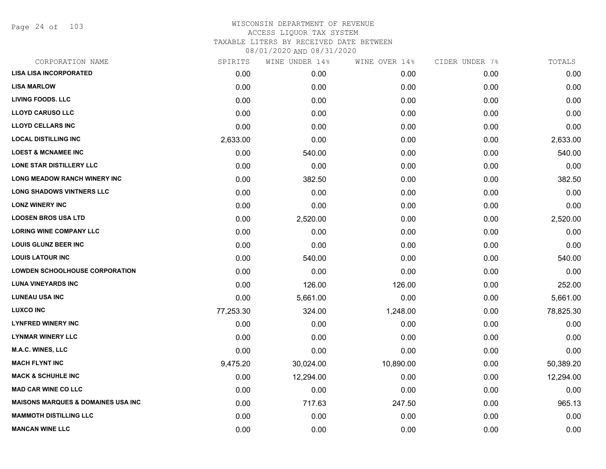Page 24 of 103

| CORPORATION NAME                              | SPIRITS   | WINE UNDER 14% | WINE OVER 14% | CIDER UNDER 7% | TOTALS    |
|-----------------------------------------------|-----------|----------------|---------------|----------------|-----------|
| <b>LISA LISA INCORPORATED</b>                 | 0.00      | 0.00           | 0.00          | 0.00           | 0.00      |
| <b>LISA MARLOW</b>                            | 0.00      | 0.00           | 0.00          | 0.00           | 0.00      |
| <b>LIVING FOODS. LLC</b>                      | 0.00      | 0.00           | 0.00          | 0.00           | 0.00      |
| <b>LLOYD CARUSO LLC</b>                       | 0.00      | 0.00           | 0.00          | 0.00           | 0.00      |
| <b>LLOYD CELLARS INC</b>                      | 0.00      | 0.00           | 0.00          | 0.00           | 0.00      |
| <b>LOCAL DISTILLING INC</b>                   | 2,633.00  | 0.00           | 0.00          | 0.00           | 2,633.00  |
| <b>LOEST &amp; MCNAMEE INC</b>                | 0.00      | 540.00         | 0.00          | 0.00           | 540.00    |
| LONE STAR DISTILLERY LLC                      | 0.00      | 0.00           | 0.00          | 0.00           | 0.00      |
| <b>LONG MEADOW RANCH WINERY INC</b>           | 0.00      | 382.50         | 0.00          | 0.00           | 382.50    |
| <b>LONG SHADOWS VINTNERS LLC</b>              | 0.00      | 0.00           | 0.00          | 0.00           | 0.00      |
| <b>LONZ WINERY INC</b>                        | 0.00      | 0.00           | 0.00          | 0.00           | 0.00      |
| <b>LOOSEN BROS USA LTD</b>                    | 0.00      | 2,520.00       | 0.00          | 0.00           | 2,520.00  |
| <b>LORING WINE COMPANY LLC</b>                | 0.00      | 0.00           | 0.00          | 0.00           | 0.00      |
| <b>LOUIS GLUNZ BEER INC</b>                   | 0.00      | 0.00           | 0.00          | 0.00           | 0.00      |
| <b>LOUIS LATOUR INC</b>                       | 0.00      | 540.00         | 0.00          | 0.00           | 540.00    |
| <b>LOWDEN SCHOOLHOUSE CORPORATION</b>         | 0.00      | 0.00           | 0.00          | 0.00           | 0.00      |
| <b>LUNA VINEYARDS INC</b>                     | 0.00      | 126.00         | 126.00        | 0.00           | 252.00    |
| <b>LUNEAU USA INC</b>                         | 0.00      | 5,661.00       | 0.00          | 0.00           | 5,661.00  |
| <b>LUXCO INC</b>                              | 77,253.30 | 324.00         | 1,248.00      | 0.00           | 78,825.30 |
| <b>LYNFRED WINERY INC</b>                     | 0.00      | 0.00           | 0.00          | 0.00           | 0.00      |
| <b>LYNMAR WINERY LLC</b>                      | 0.00      | 0.00           | 0.00          | 0.00           | 0.00      |
| <b>M.A.C. WINES, LLC</b>                      | 0.00      | 0.00           | 0.00          | 0.00           | 0.00      |
| <b>MACH FLYNT INC</b>                         | 9,475.20  | 30,024.00      | 10,890.00     | 0.00           | 50,389.20 |
| <b>MACK &amp; SCHUHLE INC</b>                 | 0.00      | 12,294.00      | 0.00          | 0.00           | 12,294.00 |
| <b>MAD CAR WINE CO LLC</b>                    | 0.00      | 0.00           | 0.00          | 0.00           | 0.00      |
| <b>MAISONS MARQUES &amp; DOMAINES USA INC</b> | 0.00      | 717.63         | 247.50        | 0.00           | 965.13    |
| <b>MAMMOTH DISTILLING LLC</b>                 | 0.00      | 0.00           | 0.00          | 0.00           | 0.00      |
| <b>MANCAN WINE LLC</b>                        | 0.00      | 0.00           | 0.00          | 0.00           | 0.00      |
|                                               |           |                |               |                |           |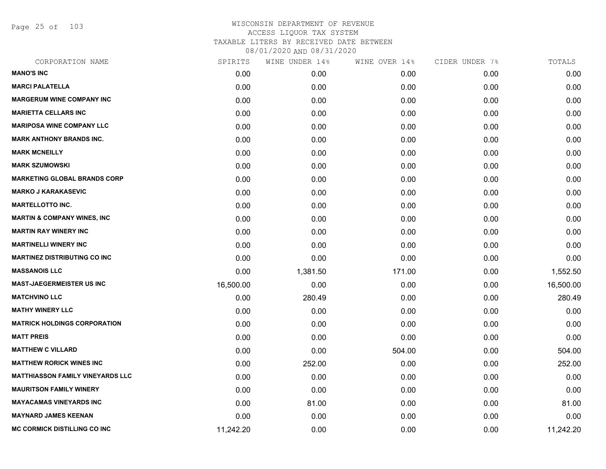Page 25 of 103

| CORPORATION NAME                        | SPIRITS   | WINE UNDER 14% | WINE OVER 14% | CIDER UNDER 7% | TOTALS    |
|-----------------------------------------|-----------|----------------|---------------|----------------|-----------|
| <b>MANO'S INC</b>                       | 0.00      | 0.00           | 0.00          | 0.00           | 0.00      |
| <b>MARCI PALATELLA</b>                  | 0.00      | 0.00           | 0.00          | 0.00           | 0.00      |
| <b>MARGERUM WINE COMPANY INC</b>        | 0.00      | 0.00           | 0.00          | 0.00           | 0.00      |
| <b>MARIETTA CELLARS INC</b>             | 0.00      | 0.00           | 0.00          | 0.00           | 0.00      |
| <b>MARIPOSA WINE COMPANY LLC</b>        | 0.00      | 0.00           | 0.00          | 0.00           | 0.00      |
| <b>MARK ANTHONY BRANDS INC.</b>         | 0.00      | 0.00           | 0.00          | 0.00           | 0.00      |
| <b>MARK MCNEILLY</b>                    | 0.00      | 0.00           | 0.00          | 0.00           | 0.00      |
| <b>MARK SZUMOWSKI</b>                   | 0.00      | 0.00           | 0.00          | 0.00           | 0.00      |
| <b>MARKETING GLOBAL BRANDS CORP</b>     | 0.00      | 0.00           | 0.00          | 0.00           | 0.00      |
| <b>MARKO J KARAKASEVIC</b>              | 0.00      | 0.00           | 0.00          | 0.00           | 0.00      |
| <b>MARTELLOTTO INC.</b>                 | 0.00      | 0.00           | 0.00          | 0.00           | 0.00      |
| <b>MARTIN &amp; COMPANY WINES, INC</b>  | 0.00      | 0.00           | 0.00          | 0.00           | 0.00      |
| <b>MARTIN RAY WINERY INC</b>            | 0.00      | 0.00           | 0.00          | 0.00           | 0.00      |
| <b>MARTINELLI WINERY INC</b>            | 0.00      | 0.00           | 0.00          | 0.00           | 0.00      |
| <b>MARTINEZ DISTRIBUTING CO INC</b>     | 0.00      | 0.00           | 0.00          | 0.00           | 0.00      |
| <b>MASSANOIS LLC</b>                    | 0.00      | 1,381.50       | 171.00        | 0.00           | 1,552.50  |
| <b>MAST-JAEGERMEISTER US INC</b>        | 16,500.00 | 0.00           | 0.00          | 0.00           | 16,500.00 |
| <b>MATCHVINO LLC</b>                    | 0.00      | 280.49         | 0.00          | 0.00           | 280.49    |
| <b>MATHY WINERY LLC</b>                 | 0.00      | 0.00           | 0.00          | 0.00           | 0.00      |
| <b>MATRICK HOLDINGS CORPORATION</b>     | 0.00      | 0.00           | 0.00          | 0.00           | 0.00      |
| <b>MATT PREIS</b>                       | 0.00      | 0.00           | 0.00          | 0.00           | 0.00      |
| <b>MATTHEW C VILLARD</b>                | 0.00      | 0.00           | 504.00        | 0.00           | 504.00    |
| <b>MATTHEW RORICK WINES INC</b>         | 0.00      | 252.00         | 0.00          | 0.00           | 252.00    |
| <b>MATTHIASSON FAMILY VINEYARDS LLC</b> | 0.00      | 0.00           | 0.00          | 0.00           | 0.00      |
| <b>MAURITSON FAMILY WINERY</b>          | 0.00      | 0.00           | 0.00          | 0.00           | 0.00      |
| <b>MAYACAMAS VINEYARDS INC</b>          | 0.00      | 81.00          | 0.00          | 0.00           | 81.00     |
| <b>MAYNARD JAMES KEENAN</b>             | 0.00      | 0.00           | 0.00          | 0.00           | 0.00      |
| <b>MC CORMICK DISTILLING CO INC</b>     | 11,242.20 | 0.00           | 0.00          | 0.00           | 11,242.20 |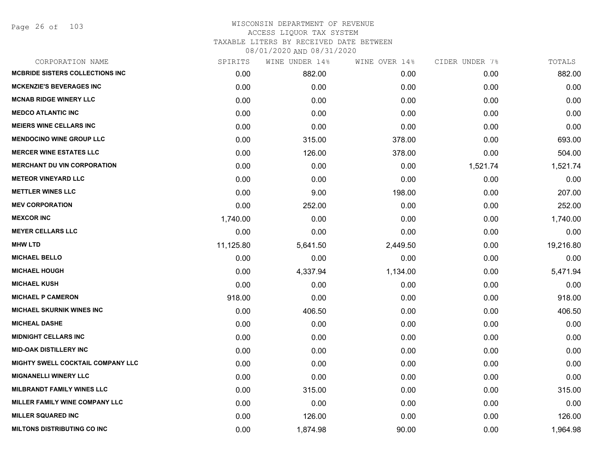Page 26 of 103

| CORPORATION NAME                       | SPIRITS   | WINE UNDER 14% | WINE OVER 14% | CIDER UNDER 7% | TOTALS    |
|----------------------------------------|-----------|----------------|---------------|----------------|-----------|
| <b>MCBRIDE SISTERS COLLECTIONS INC</b> | 0.00      | 882.00         | 0.00          | 0.00           | 882.00    |
| <b>MCKENZIE'S BEVERAGES INC</b>        | 0.00      | 0.00           | 0.00          | 0.00           | 0.00      |
| <b>MCNAB RIDGE WINERY LLC</b>          | 0.00      | 0.00           | 0.00          | 0.00           | 0.00      |
| <b>MEDCO ATLANTIC INC</b>              | 0.00      | 0.00           | 0.00          | 0.00           | 0.00      |
| <b>MEIERS WINE CELLARS INC</b>         | 0.00      | 0.00           | 0.00          | 0.00           | 0.00      |
| <b>MENDOCINO WINE GROUP LLC</b>        | 0.00      | 315.00         | 378.00        | 0.00           | 693.00    |
| <b>MERCER WINE ESTATES LLC</b>         | 0.00      | 126.00         | 378.00        | 0.00           | 504.00    |
| <b>MERCHANT DU VIN CORPORATION</b>     | 0.00      | 0.00           | 0.00          | 1,521.74       | 1,521.74  |
| <b>METEOR VINEYARD LLC</b>             | 0.00      | 0.00           | 0.00          | 0.00           | 0.00      |
| <b>METTLER WINES LLC</b>               | 0.00      | 9.00           | 198.00        | 0.00           | 207.00    |
| <b>MEV CORPORATION</b>                 | 0.00      | 252.00         | 0.00          | 0.00           | 252.00    |
| <b>MEXCOR INC</b>                      | 1,740.00  | 0.00           | 0.00          | 0.00           | 1,740.00  |
| <b>MEYER CELLARS LLC</b>               | 0.00      | 0.00           | 0.00          | 0.00           | 0.00      |
| <b>MHW LTD</b>                         | 11,125.80 | 5,641.50       | 2,449.50      | 0.00           | 19,216.80 |
| <b>MICHAEL BELLO</b>                   | 0.00      | 0.00           | 0.00          | 0.00           | 0.00      |
| <b>MICHAEL HOUGH</b>                   | 0.00      | 4,337.94       | 1,134.00      | 0.00           | 5,471.94  |
| <b>MICHAEL KUSH</b>                    | 0.00      | 0.00           | 0.00          | 0.00           | 0.00      |
| <b>MICHAEL P CAMERON</b>               | 918.00    | 0.00           | 0.00          | 0.00           | 918.00    |
| <b>MICHAEL SKURNIK WINES INC</b>       | 0.00      | 406.50         | 0.00          | 0.00           | 406.50    |
| <b>MICHEAL DASHE</b>                   | 0.00      | 0.00           | 0.00          | 0.00           | 0.00      |
| <b>MIDNIGHT CELLARS INC</b>            | 0.00      | 0.00           | 0.00          | 0.00           | 0.00      |
| <b>MID-OAK DISTILLERY INC</b>          | 0.00      | 0.00           | 0.00          | 0.00           | 0.00      |
| MIGHTY SWELL COCKTAIL COMPANY LLC      | 0.00      | 0.00           | 0.00          | 0.00           | 0.00      |
| <b>MIGNANELLI WINERY LLC</b>           | 0.00      | 0.00           | 0.00          | 0.00           | 0.00      |
| <b>MILBRANDT FAMILY WINES LLC</b>      | 0.00      | 315.00         | 0.00          | 0.00           | 315.00    |
| MILLER FAMILY WINE COMPANY LLC         | 0.00      | 0.00           | 0.00          | 0.00           | 0.00      |
| <b>MILLER SQUARED INC</b>              | 0.00      | 126.00         | 0.00          | 0.00           | 126.00    |
| <b>MILTONS DISTRIBUTING CO INC</b>     | 0.00      | 1,874.98       | 90.00         | 0.00           | 1,964.98  |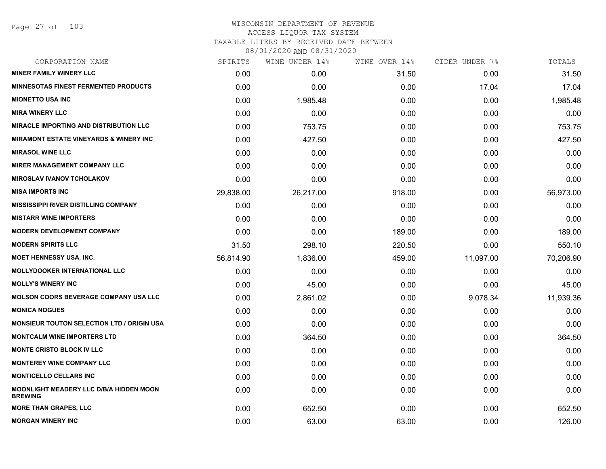Page 27 of 103

## WISCONSIN DEPARTMENT OF REVENUE ACCESS LIQUOR TAX SYSTEM TAXABLE LITERS BY RECEIVED DATE BETWEEN

| CORPORATION NAME                                                 | SPIRITS   | WINE UNDER 14% | WINE OVER 14% | CIDER UNDER 7% | TOTALS    |
|------------------------------------------------------------------|-----------|----------------|---------------|----------------|-----------|
| <b>MINER FAMILY WINERY LLC</b>                                   | 0.00      | 0.00           | 31.50         | 0.00           | 31.50     |
| <b>MINNESOTAS FINEST FERMENTED PRODUCTS</b>                      | 0.00      | 0.00           | 0.00          | 17.04          | 17.04     |
| <b>MIONETTO USA INC</b>                                          | 0.00      | 1,985.48       | 0.00          | 0.00           | 1,985.48  |
| <b>MIRA WINERY LLC</b>                                           | 0.00      | 0.00           | 0.00          | 0.00           | 0.00      |
| <b>MIRACLE IMPORTING AND DISTRIBUTION LLC</b>                    | 0.00      | 753.75         | 0.00          | 0.00           | 753.75    |
| <b>MIRAMONT ESTATE VINEYARDS &amp; WINERY INC</b>                | 0.00      | 427.50         | 0.00          | 0.00           | 427.50    |
| <b>MIRASOL WINE LLC</b>                                          | 0.00      | 0.00           | 0.00          | 0.00           | 0.00      |
| <b>MIRER MANAGEMENT COMPANY LLC</b>                              | 0.00      | 0.00           | 0.00          | 0.00           | 0.00      |
| <b>MIROSLAV IVANOV TCHOLAKOV</b>                                 | 0.00      | 0.00           | 0.00          | 0.00           | 0.00      |
| <b>MISA IMPORTS INC</b>                                          | 29,838.00 | 26,217.00      | 918.00        | 0.00           | 56,973.00 |
| <b>MISSISSIPPI RIVER DISTILLING COMPANY</b>                      | 0.00      | 0.00           | 0.00          | 0.00           | 0.00      |
| <b>MISTARR WINE IMPORTERS</b>                                    | 0.00      | 0.00           | 0.00          | 0.00           | 0.00      |
| <b>MODERN DEVELOPMENT COMPANY</b>                                | 0.00      | 0.00           | 189.00        | 0.00           | 189.00    |
| <b>MODERN SPIRITS LLC</b>                                        | 31.50     | 298.10         | 220.50        | 0.00           | 550.10    |
| <b>MOET HENNESSY USA, INC.</b>                                   | 56,814.90 | 1,836.00       | 459.00        | 11,097.00      | 70,206.90 |
| <b>MOLLYDOOKER INTERNATIONAL LLC</b>                             | 0.00      | 0.00           | 0.00          | 0.00           | 0.00      |
| <b>MOLLY'S WINERY INC</b>                                        | 0.00      | 45.00          | 0.00          | 0.00           | 45.00     |
| <b>MOLSON COORS BEVERAGE COMPANY USA LLC</b>                     | 0.00      | 2,861.02       | 0.00          | 9,078.34       | 11,939.36 |
| <b>MONICA NOGUES</b>                                             | 0.00      | 0.00           | 0.00          | 0.00           | 0.00      |
| <b>MONSIEUR TOUTON SELECTION LTD / ORIGIN USA</b>                | 0.00      | 0.00           | 0.00          | 0.00           | 0.00      |
| <b>MONTCALM WINE IMPORTERS LTD</b>                               | 0.00      | 364.50         | 0.00          | 0.00           | 364.50    |
| <b>MONTE CRISTO BLOCK IV LLC</b>                                 | 0.00      | 0.00           | 0.00          | 0.00           | 0.00      |
| <b>MONTEREY WINE COMPANY LLC</b>                                 | 0.00      | 0.00           | 0.00          | 0.00           | 0.00      |
| <b>MONTICELLO CELLARS INC</b>                                    | 0.00      | 0.00           | 0.00          | 0.00           | 0.00      |
| <b>MOONLIGHT MEADERY LLC D/B/A HIDDEN MOON</b><br><b>BREWING</b> | 0.00      | 0.00           | 0.00          | 0.00           | 0.00      |
| <b>MORE THAN GRAPES, LLC</b>                                     | 0.00      | 652.50         | 0.00          | 0.00           | 652.50    |
| <b>MORGAN WINERY INC</b>                                         | 0.00      | 63.00          | 63.00         | 0.00           | 126.00    |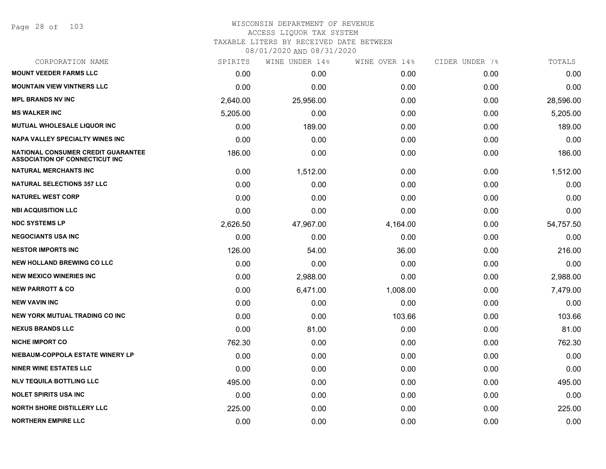Page 28 of 103

| CORPORATION NAME                                                                   | SPIRITS  | WINE UNDER 14% | WINE OVER 14% | CIDER UNDER 7% | TOTALS    |
|------------------------------------------------------------------------------------|----------|----------------|---------------|----------------|-----------|
| <b>MOUNT VEEDER FARMS LLC</b>                                                      | 0.00     | 0.00           | 0.00          | 0.00           | 0.00      |
| <b>MOUNTAIN VIEW VINTNERS LLC</b>                                                  | 0.00     | 0.00           | 0.00          | 0.00           | 0.00      |
| <b>MPL BRANDS NV INC</b>                                                           | 2,640.00 | 25,956.00      | 0.00          | 0.00           | 28,596.00 |
| <b>MS WALKER INC</b>                                                               | 5,205.00 | 0.00           | 0.00          | 0.00           | 5,205.00  |
| <b>MUTUAL WHOLESALE LIQUOR INC</b>                                                 | 0.00     | 189.00         | 0.00          | 0.00           | 189.00    |
| <b>NAPA VALLEY SPECIALTY WINES INC</b>                                             | 0.00     | 0.00           | 0.00          | 0.00           | 0.00      |
| <b>NATIONAL CONSUMER CREDIT GUARANTEE</b><br><b>ASSOCIATION OF CONNECTICUT INC</b> | 186.00   | 0.00           | 0.00          | 0.00           | 186.00    |
| <b>NATURAL MERCHANTS INC</b>                                                       | 0.00     | 1,512.00       | 0.00          | 0.00           | 1,512.00  |
| <b>NATURAL SELECTIONS 357 LLC</b>                                                  | 0.00     | 0.00           | 0.00          | 0.00           | 0.00      |
| <b>NATUREL WEST CORP</b>                                                           | 0.00     | 0.00           | 0.00          | 0.00           | 0.00      |
| <b>NBI ACQUISITION LLC</b>                                                         | 0.00     | 0.00           | 0.00          | 0.00           | 0.00      |
| <b>NDC SYSTEMS LP</b>                                                              | 2,626.50 | 47,967.00      | 4,164.00      | 0.00           | 54,757.50 |
| <b>NEGOCIANTS USA INC</b>                                                          | 0.00     | 0.00           | 0.00          | 0.00           | 0.00      |
| <b>NESTOR IMPORTS INC</b>                                                          | 126.00   | 54.00          | 36.00         | 0.00           | 216.00    |
| <b>NEW HOLLAND BREWING CO LLC</b>                                                  | 0.00     | 0.00           | 0.00          | 0.00           | 0.00      |
| <b>NEW MEXICO WINERIES INC</b>                                                     | 0.00     | 2,988.00       | 0.00          | 0.00           | 2,988.00  |
| <b>NEW PARROTT &amp; CO</b>                                                        | 0.00     | 6,471.00       | 1,008.00      | 0.00           | 7,479.00  |
| <b>NEW VAVIN INC</b>                                                               | 0.00     | 0.00           | 0.00          | 0.00           | 0.00      |
| NEW YORK MUTUAL TRADING CO INC                                                     | 0.00     | 0.00           | 103.66        | 0.00           | 103.66    |
| <b>NEXUS BRANDS LLC</b>                                                            | 0.00     | 81.00          | 0.00          | 0.00           | 81.00     |
| <b>NICHE IMPORT CO</b>                                                             | 762.30   | 0.00           | 0.00          | 0.00           | 762.30    |
| NIEBAUM-COPPOLA ESTATE WINERY LP                                                   | 0.00     | 0.00           | 0.00          | 0.00           | 0.00      |
| <b>NINER WINE ESTATES LLC</b>                                                      | 0.00     | 0.00           | 0.00          | 0.00           | 0.00      |
| <b>NLV TEQUILA BOTTLING LLC</b>                                                    | 495.00   | 0.00           | 0.00          | 0.00           | 495.00    |
| <b>NOLET SPIRITS USA INC</b>                                                       | 0.00     | 0.00           | 0.00          | 0.00           | 0.00      |
| <b>NORTH SHORE DISTILLERY LLC</b>                                                  | 225.00   | 0.00           | 0.00          | 0.00           | 225.00    |
| <b>NORTHERN EMPIRE LLC</b>                                                         | 0.00     | 0.00           | 0.00          | 0.00           | 0.00      |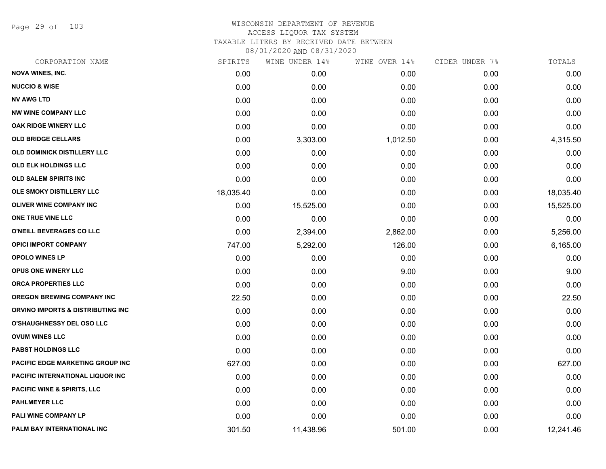Page 29 of 103

| CORPORATION NAME                       | SPIRITS   | WINE UNDER 14% | WINE OVER 14% | CIDER UNDER 7% | TOTALS    |
|----------------------------------------|-----------|----------------|---------------|----------------|-----------|
| <b>NOVA WINES, INC.</b>                | 0.00      | 0.00           | 0.00          | 0.00           | 0.00      |
| <b>NUCCIO &amp; WISE</b>               | 0.00      | 0.00           | 0.00          | 0.00           | 0.00      |
| <b>NV AWG LTD</b>                      | 0.00      | 0.00           | 0.00          | 0.00           | 0.00      |
| <b>NW WINE COMPANY LLC</b>             | 0.00      | 0.00           | 0.00          | 0.00           | 0.00      |
| OAK RIDGE WINERY LLC                   | 0.00      | 0.00           | 0.00          | 0.00           | 0.00      |
| <b>OLD BRIDGE CELLARS</b>              | 0.00      | 3,303.00       | 1,012.50      | 0.00           | 4,315.50  |
| OLD DOMINICK DISTILLERY LLC            | 0.00      | 0.00           | 0.00          | 0.00           | 0.00      |
| <b>OLD ELK HOLDINGS LLC</b>            | 0.00      | 0.00           | 0.00          | 0.00           | 0.00      |
| OLD SALEM SPIRITS INC                  | 0.00      | 0.00           | 0.00          | 0.00           | 0.00      |
| OLE SMOKY DISTILLERY LLC               | 18,035.40 | 0.00           | 0.00          | 0.00           | 18,035.40 |
| <b>OLIVER WINE COMPANY INC</b>         | 0.00      | 15,525.00      | 0.00          | 0.00           | 15,525.00 |
| ONE TRUE VINE LLC                      | 0.00      | 0.00           | 0.00          | 0.00           | 0.00      |
| O'NEILL BEVERAGES CO LLC               | 0.00      | 2,394.00       | 2,862.00      | 0.00           | 5,256.00  |
| <b>OPICI IMPORT COMPANY</b>            | 747.00    | 5,292.00       | 126.00        | 0.00           | 6,165.00  |
| <b>OPOLO WINES LP</b>                  | 0.00      | 0.00           | 0.00          | 0.00           | 0.00      |
| <b>OPUS ONE WINERY LLC</b>             | 0.00      | 0.00           | 9.00          | 0.00           | 9.00      |
| <b>ORCA PROPERTIES LLC</b>             | 0.00      | 0.00           | 0.00          | 0.00           | 0.00      |
| <b>OREGON BREWING COMPANY INC</b>      | 22.50     | 0.00           | 0.00          | 0.00           | 22.50     |
| ORVINO IMPORTS & DISTRIBUTING INC      | 0.00      | 0.00           | 0.00          | 0.00           | 0.00      |
| <b>O'SHAUGHNESSY DEL OSO LLC</b>       | 0.00      | 0.00           | 0.00          | 0.00           | 0.00      |
| <b>OVUM WINES LLC</b>                  | 0.00      | 0.00           | 0.00          | 0.00           | 0.00      |
| PABST HOLDINGS LLC                     | 0.00      | 0.00           | 0.00          | 0.00           | 0.00      |
| PACIFIC EDGE MARKETING GROUP INC       | 627.00    | 0.00           | 0.00          | 0.00           | 627.00    |
| PACIFIC INTERNATIONAL LIQUOR INC       | 0.00      | 0.00           | 0.00          | 0.00           | 0.00      |
| <b>PACIFIC WINE &amp; SPIRITS, LLC</b> | 0.00      | 0.00           | 0.00          | 0.00           | 0.00      |
| <b>PAHLMEYER LLC</b>                   | 0.00      | 0.00           | 0.00          | 0.00           | 0.00      |
| PALI WINE COMPANY LP                   | 0.00      | 0.00           | 0.00          | 0.00           | 0.00      |
| PALM BAY INTERNATIONAL INC             | 301.50    | 11,438.96      | 501.00        | 0.00           | 12,241.46 |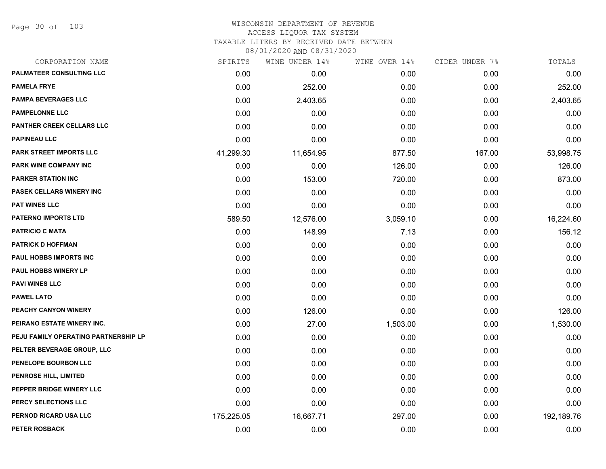Page 30 of 103

### WISCONSIN DEPARTMENT OF REVENUE ACCESS LIQUOR TAX SYSTEM TAXABLE LITERS BY RECEIVED DATE BETWEEN

| CORPORATION NAME                     | SPIRITS    | WINE UNDER 14% | WINE OVER 14% | CIDER UNDER 7% | TOTALS     |
|--------------------------------------|------------|----------------|---------------|----------------|------------|
| PALMATEER CONSULTING LLC             | 0.00       | 0.00           | 0.00          | 0.00           | 0.00       |
| <b>PAMELA FRYE</b>                   | 0.00       | 252.00         | 0.00          | 0.00           | 252.00     |
| <b>PAMPA BEVERAGES LLC</b>           | 0.00       | 2,403.65       | 0.00          | 0.00           | 2,403.65   |
| <b>PAMPELONNE LLC</b>                | 0.00       | 0.00           | 0.00          | 0.00           | 0.00       |
| <b>PANTHER CREEK CELLARS LLC</b>     | 0.00       | 0.00           | 0.00          | 0.00           | 0.00       |
| <b>PAPINEAU LLC</b>                  | 0.00       | 0.00           | 0.00          | 0.00           | 0.00       |
| PARK STREET IMPORTS LLC              | 41,299.30  | 11,654.95      | 877.50        | 167.00         | 53,998.75  |
| PARK WINE COMPANY INC                | 0.00       | 0.00           | 126.00        | 0.00           | 126.00     |
| <b>PARKER STATION INC</b>            | 0.00       | 153.00         | 720.00        | 0.00           | 873.00     |
| <b>PASEK CELLARS WINERY INC</b>      | 0.00       | 0.00           | 0.00          | 0.00           | 0.00       |
| <b>PAT WINES LLC</b>                 | 0.00       | 0.00           | 0.00          | 0.00           | 0.00       |
| <b>PATERNO IMPORTS LTD</b>           | 589.50     | 12,576.00      | 3,059.10      | 0.00           | 16,224.60  |
| <b>PATRICIO C MATA</b>               | 0.00       | 148.99         | 7.13          | 0.00           | 156.12     |
| <b>PATRICK D HOFFMAN</b>             | 0.00       | 0.00           | 0.00          | 0.00           | 0.00       |
| PAUL HOBBS IMPORTS INC               | 0.00       | 0.00           | 0.00          | 0.00           | 0.00       |
| PAUL HOBBS WINERY LP                 | 0.00       | 0.00           | 0.00          | 0.00           | 0.00       |
| <b>PAVI WINES LLC</b>                | 0.00       | 0.00           | 0.00          | 0.00           | 0.00       |
| <b>PAWEL LATO</b>                    | 0.00       | 0.00           | 0.00          | 0.00           | 0.00       |
| PEACHY CANYON WINERY                 | 0.00       | 126.00         | 0.00          | 0.00           | 126.00     |
| PEIRANO ESTATE WINERY INC.           | 0.00       | 27.00          | 1,503.00      | 0.00           | 1,530.00   |
| PEJU FAMILY OPERATING PARTNERSHIP LP | 0.00       | 0.00           | 0.00          | 0.00           | 0.00       |
| PELTER BEVERAGE GROUP, LLC           | 0.00       | 0.00           | 0.00          | 0.00           | 0.00       |
| PENELOPE BOURBON LLC                 | 0.00       | 0.00           | 0.00          | 0.00           | 0.00       |
| <b>PENROSE HILL, LIMITED</b>         | 0.00       | 0.00           | 0.00          | 0.00           | 0.00       |
| PEPPER BRIDGE WINERY LLC             | 0.00       | 0.00           | 0.00          | 0.00           | 0.00       |
| PERCY SELECTIONS LLC                 | 0.00       | 0.00           | 0.00          | 0.00           | 0.00       |
| PERNOD RICARD USA LLC                | 175,225.05 | 16,667.71      | 297.00        | 0.00           | 192,189.76 |
| <b>PETER ROSBACK</b>                 | 0.00       | 0.00           | 0.00          | 0.00           | 0.00       |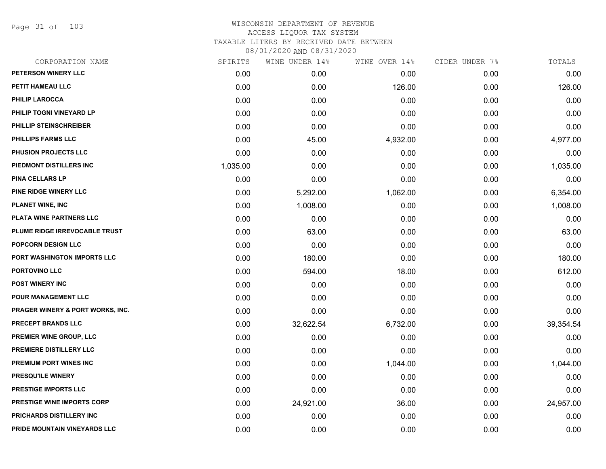Page 31 of 103

| CORPORATION NAME                  | SPIRITS  | WINE UNDER 14% | WINE OVER 14% | CIDER UNDER 7% | TOTALS    |
|-----------------------------------|----------|----------------|---------------|----------------|-----------|
| PETERSON WINERY LLC               | 0.00     | 0.00           | 0.00          | 0.00           | 0.00      |
| PETIT HAMEAU LLC                  | 0.00     | 0.00           | 126.00        | 0.00           | 126.00    |
| PHILIP LAROCCA                    | 0.00     | 0.00           | 0.00          | 0.00           | 0.00      |
| PHILIP TOGNI VINEYARD LP          | 0.00     | 0.00           | 0.00          | 0.00           | 0.00      |
| PHILLIP STEINSCHREIBER            | 0.00     | 0.00           | 0.00          | 0.00           | 0.00      |
| <b>PHILLIPS FARMS LLC</b>         | 0.00     | 45.00          | 4,932.00      | 0.00           | 4,977.00  |
| PHUSION PROJECTS LLC              | 0.00     | 0.00           | 0.00          | 0.00           | 0.00      |
| PIEDMONT DISTILLERS INC           | 1,035.00 | 0.00           | 0.00          | 0.00           | 1,035.00  |
| <b>PINA CELLARS LP</b>            | 0.00     | 0.00           | 0.00          | 0.00           | 0.00      |
| PINE RIDGE WINERY LLC             | 0.00     | 5,292.00       | 1,062.00      | 0.00           | 6,354.00  |
| <b>PLANET WINE, INC</b>           | 0.00     | 1,008.00       | 0.00          | 0.00           | 1,008.00  |
| PLATA WINE PARTNERS LLC           | 0.00     | 0.00           | 0.00          | 0.00           | 0.00      |
| PLUME RIDGE IRREVOCABLE TRUST     | 0.00     | 63.00          | 0.00          | 0.00           | 63.00     |
| POPCORN DESIGN LLC                | 0.00     | 0.00           | 0.00          | 0.00           | 0.00      |
| PORT WASHINGTON IMPORTS LLC       | 0.00     | 180.00         | 0.00          | 0.00           | 180.00    |
| PORTOVINO LLC                     | 0.00     | 594.00         | 18.00         | 0.00           | 612.00    |
| <b>POST WINERY INC</b>            | 0.00     | 0.00           | 0.00          | 0.00           | 0.00      |
| POUR MANAGEMENT LLC               | 0.00     | 0.00           | 0.00          | 0.00           | 0.00      |
| PRAGER WINERY & PORT WORKS, INC.  | 0.00     | 0.00           | 0.00          | 0.00           | 0.00      |
| PRECEPT BRANDS LLC                | 0.00     | 32,622.54      | 6,732.00      | 0.00           | 39,354.54 |
| PREMIER WINE GROUP, LLC           | 0.00     | 0.00           | 0.00          | 0.00           | 0.00      |
| PREMIERE DISTILLERY LLC           | 0.00     | 0.00           | 0.00          | 0.00           | 0.00      |
| PREMIUM PORT WINES INC            | 0.00     | 0.00           | 1,044.00      | 0.00           | 1,044.00  |
| <b>PRESQU'ILE WINERY</b>          | 0.00     | 0.00           | 0.00          | 0.00           | 0.00      |
| <b>PRESTIGE IMPORTS LLC</b>       | 0.00     | 0.00           | 0.00          | 0.00           | 0.00      |
| <b>PRESTIGE WINE IMPORTS CORP</b> | 0.00     | 24,921.00      | 36.00         | 0.00           | 24,957.00 |
| PRICHARDS DISTILLERY INC          | 0.00     | 0.00           | 0.00          | 0.00           | 0.00      |
| PRIDE MOUNTAIN VINEYARDS LLC      | 0.00     | 0.00           | 0.00          | 0.00           | 0.00      |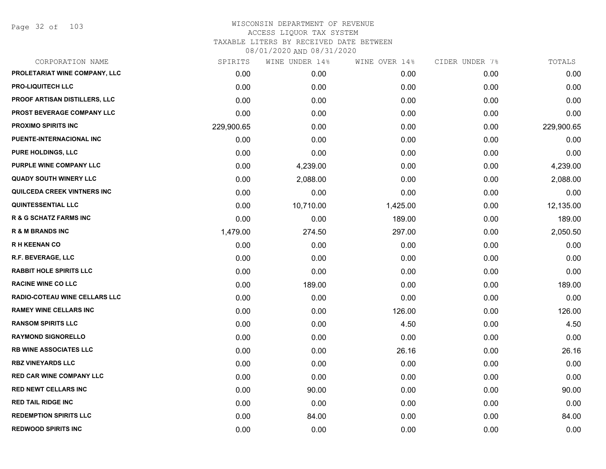Page 32 of 103

| CORPORATION NAME                   | SPIRITS    | WINE UNDER 14% | WINE OVER 14% | CIDER UNDER 7% | TOTALS     |
|------------------------------------|------------|----------------|---------------|----------------|------------|
| PROLETARIAT WINE COMPANY, LLC      | 0.00       | 0.00           | 0.00          | 0.00           | 0.00       |
| <b>PRO-LIQUITECH LLC</b>           | 0.00       | 0.00           | 0.00          | 0.00           | 0.00       |
| PROOF ARTISAN DISTILLERS, LLC      | 0.00       | 0.00           | 0.00          | 0.00           | 0.00       |
| PROST BEVERAGE COMPANY LLC         | 0.00       | 0.00           | 0.00          | 0.00           | 0.00       |
| <b>PROXIMO SPIRITS INC</b>         | 229,900.65 | 0.00           | 0.00          | 0.00           | 229,900.65 |
| PUENTE-INTERNACIONAL INC           | 0.00       | 0.00           | 0.00          | 0.00           | 0.00       |
| <b>PURE HOLDINGS, LLC</b>          | 0.00       | 0.00           | 0.00          | 0.00           | 0.00       |
| PURPLE WINE COMPANY LLC            | 0.00       | 4,239.00       | 0.00          | 0.00           | 4,239.00   |
| <b>QUADY SOUTH WINERY LLC</b>      | 0.00       | 2,088.00       | 0.00          | 0.00           | 2,088.00   |
| <b>QUILCEDA CREEK VINTNERS INC</b> | 0.00       | 0.00           | 0.00          | 0.00           | 0.00       |
| <b>QUINTESSENTIAL LLC</b>          | 0.00       | 10,710.00      | 1,425.00      | 0.00           | 12,135.00  |
| <b>R &amp; G SCHATZ FARMS INC</b>  | 0.00       | 0.00           | 189.00        | 0.00           | 189.00     |
| <b>R &amp; M BRANDS INC</b>        | 1,479.00   | 274.50         | 297.00        | 0.00           | 2,050.50   |
| <b>RH KEENAN CO</b>                | 0.00       | 0.00           | 0.00          | 0.00           | 0.00       |
| <b>R.F. BEVERAGE, LLC</b>          | 0.00       | 0.00           | 0.00          | 0.00           | 0.00       |
| <b>RABBIT HOLE SPIRITS LLC</b>     | 0.00       | 0.00           | 0.00          | 0.00           | 0.00       |
| <b>RACINE WINE CO LLC</b>          | 0.00       | 189.00         | 0.00          | 0.00           | 189.00     |
| RADIO-COTEAU WINE CELLARS LLC      | 0.00       | 0.00           | 0.00          | 0.00           | 0.00       |
| <b>RAMEY WINE CELLARS INC</b>      | 0.00       | 0.00           | 126.00        | 0.00           | 126.00     |
| <b>RANSOM SPIRITS LLC</b>          | 0.00       | 0.00           | 4.50          | 0.00           | 4.50       |
| <b>RAYMOND SIGNORELLO</b>          | 0.00       | 0.00           | 0.00          | 0.00           | 0.00       |
| <b>RB WINE ASSOCIATES LLC</b>      | 0.00       | 0.00           | 26.16         | 0.00           | 26.16      |
| <b>RBZ VINEYARDS LLC</b>           | 0.00       | 0.00           | 0.00          | 0.00           | 0.00       |
| <b>RED CAR WINE COMPANY LLC</b>    | 0.00       | 0.00           | 0.00          | 0.00           | 0.00       |
| <b>RED NEWT CELLARS INC</b>        | 0.00       | 90.00          | 0.00          | 0.00           | 90.00      |
| <b>RED TAIL RIDGE INC</b>          | 0.00       | 0.00           | 0.00          | 0.00           | 0.00       |
| <b>REDEMPTION SPIRITS LLC</b>      | 0.00       | 84.00          | 0.00          | 0.00           | 84.00      |
| <b>REDWOOD SPIRITS INC</b>         | 0.00       | 0.00           | 0.00          | 0.00           | 0.00       |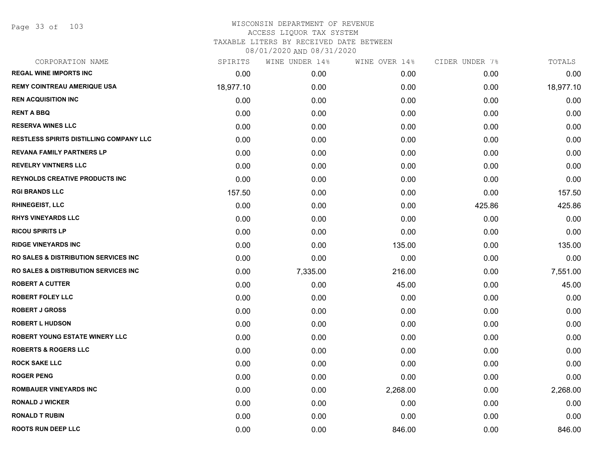| CORPORATION NAME                                | SPIRITS   | WINE UNDER 14% | WINE OVER 14% | CIDER UNDER 7% | TOTALS    |
|-------------------------------------------------|-----------|----------------|---------------|----------------|-----------|
| <b>REGAL WINE IMPORTS INC</b>                   | 0.00      | 0.00           | 0.00          | 0.00           | 0.00      |
| <b>REMY COINTREAU AMERIQUE USA</b>              | 18,977.10 | 0.00           | 0.00          | 0.00           | 18,977.10 |
| <b>REN ACQUISITION INC</b>                      | 0.00      | 0.00           | 0.00          | 0.00           | 0.00      |
| <b>RENT A BBQ</b>                               | 0.00      | 0.00           | 0.00          | 0.00           | 0.00      |
| <b>RESERVA WINES LLC</b>                        | 0.00      | 0.00           | 0.00          | 0.00           | 0.00      |
| <b>RESTLESS SPIRITS DISTILLING COMPANY LLC</b>  | 0.00      | 0.00           | 0.00          | 0.00           | 0.00      |
| <b>REVANA FAMILY PARTNERS LP</b>                | 0.00      | 0.00           | 0.00          | 0.00           | 0.00      |
| <b>REVELRY VINTNERS LLC</b>                     | 0.00      | 0.00           | 0.00          | 0.00           | 0.00      |
| <b>REYNOLDS CREATIVE PRODUCTS INC</b>           | 0.00      | 0.00           | 0.00          | 0.00           | 0.00      |
| <b>RGI BRANDS LLC</b>                           | 157.50    | 0.00           | 0.00          | 0.00           | 157.50    |
| <b>RHINEGEIST, LLC</b>                          | 0.00      | 0.00           | 0.00          | 425.86         | 425.86    |
| <b>RHYS VINEYARDS LLC</b>                       | 0.00      | 0.00           | 0.00          | 0.00           | 0.00      |
| <b>RICOU SPIRITS LP</b>                         | 0.00      | 0.00           | 0.00          | 0.00           | 0.00      |
| <b>RIDGE VINEYARDS INC</b>                      | 0.00      | 0.00           | 135.00        | 0.00           | 135.00    |
| RO SALES & DISTRIBUTION SERVICES INC            | 0.00      | 0.00           | 0.00          | 0.00           | 0.00      |
| <b>RO SALES &amp; DISTRIBUTION SERVICES INC</b> | 0.00      | 7,335.00       | 216.00        | 0.00           | 7,551.00  |
| <b>ROBERT A CUTTER</b>                          | 0.00      | 0.00           | 45.00         | 0.00           | 45.00     |
| <b>ROBERT FOLEY LLC</b>                         | 0.00      | 0.00           | 0.00          | 0.00           | 0.00      |
| <b>ROBERT J GROSS</b>                           | 0.00      | 0.00           | 0.00          | 0.00           | 0.00      |
| <b>ROBERT L HUDSON</b>                          | 0.00      | 0.00           | 0.00          | 0.00           | 0.00      |
| ROBERT YOUNG ESTATE WINERY LLC                  | 0.00      | 0.00           | 0.00          | 0.00           | 0.00      |
| <b>ROBERTS &amp; ROGERS LLC</b>                 | 0.00      | 0.00           | 0.00          | 0.00           | 0.00      |
| <b>ROCK SAKE LLC</b>                            | 0.00      | 0.00           | 0.00          | 0.00           | 0.00      |
| <b>ROGER PENG</b>                               | 0.00      | 0.00           | 0.00          | 0.00           | 0.00      |
| <b>ROMBAUER VINEYARDS INC</b>                   | 0.00      | 0.00           | 2,268.00      | 0.00           | 2,268.00  |
| <b>RONALD J WICKER</b>                          | 0.00      | 0.00           | 0.00          | 0.00           | 0.00      |
| <b>RONALD T RUBIN</b>                           | 0.00      | 0.00           | 0.00          | 0.00           | 0.00      |
| <b>ROOTS RUN DEEP LLC</b>                       | 0.00      | 0.00           | 846.00        | 0.00           | 846.00    |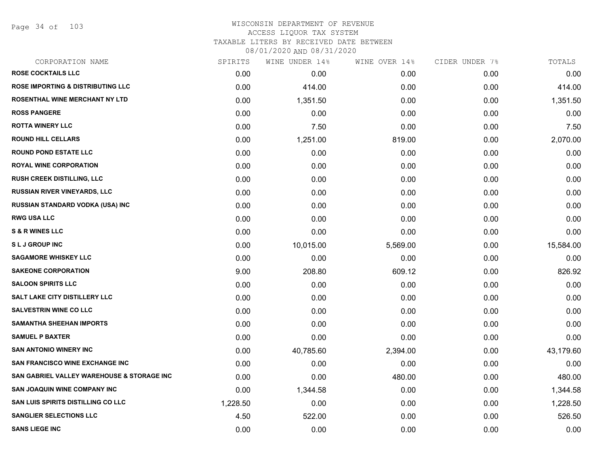Page 34 of 103

| CORPORATION NAME                                      | SPIRITS  | WINE UNDER 14% | WINE OVER 14% | CIDER UNDER 7% | TOTALS    |
|-------------------------------------------------------|----------|----------------|---------------|----------------|-----------|
| <b>ROSE COCKTAILS LLC</b>                             | 0.00     | 0.00           | 0.00          | 0.00           | 0.00      |
| <b>ROSE IMPORTING &amp; DISTRIBUTING LLC</b>          | 0.00     | 414.00         | 0.00          | 0.00           | 414.00    |
| ROSENTHAL WINE MERCHANT NY LTD                        | 0.00     | 1,351.50       | 0.00          | 0.00           | 1,351.50  |
| <b>ROSS PANGERE</b>                                   | 0.00     | 0.00           | 0.00          | 0.00           | 0.00      |
| <b>ROTTA WINERY LLC</b>                               | 0.00     | 7.50           | 0.00          | 0.00           | 7.50      |
| <b>ROUND HILL CELLARS</b>                             | 0.00     | 1,251.00       | 819.00        | 0.00           | 2,070.00  |
| <b>ROUND POND ESTATE LLC</b>                          | 0.00     | 0.00           | 0.00          | 0.00           | 0.00      |
| <b>ROYAL WINE CORPORATION</b>                         | 0.00     | 0.00           | 0.00          | 0.00           | 0.00      |
| RUSH CREEK DISTILLING, LLC                            | 0.00     | 0.00           | 0.00          | 0.00           | 0.00      |
| <b>RUSSIAN RIVER VINEYARDS, LLC</b>                   | 0.00     | 0.00           | 0.00          | 0.00           | 0.00      |
| RUSSIAN STANDARD VODKA (USA) INC                      | 0.00     | 0.00           | 0.00          | 0.00           | 0.00      |
| <b>RWG USA LLC</b>                                    | 0.00     | 0.00           | 0.00          | 0.00           | 0.00      |
| <b>S &amp; R WINES LLC</b>                            | 0.00     | 0.00           | 0.00          | 0.00           | 0.00      |
| <b>SLJ GROUP INC</b>                                  | 0.00     | 10,015.00      | 5,569.00      | 0.00           | 15,584.00 |
| <b>SAGAMORE WHISKEY LLC</b>                           | 0.00     | 0.00           | 0.00          | 0.00           | 0.00      |
| <b>SAKEONE CORPORATION</b>                            | 9.00     | 208.80         | 609.12        | 0.00           | 826.92    |
| <b>SALOON SPIRITS LLC</b>                             | 0.00     | 0.00           | 0.00          | 0.00           | 0.00      |
| SALT LAKE CITY DISTILLERY LLC                         | 0.00     | 0.00           | 0.00          | 0.00           | 0.00      |
| <b>SALVESTRIN WINE CO LLC</b>                         | 0.00     | 0.00           | 0.00          | 0.00           | 0.00      |
| <b>SAMANTHA SHEEHAN IMPORTS</b>                       | 0.00     | 0.00           | 0.00          | 0.00           | 0.00      |
| <b>SAMUEL P BAXTER</b>                                | 0.00     | 0.00           | 0.00          | 0.00           | 0.00      |
| <b>SAN ANTONIO WINERY INC</b>                         | 0.00     | 40,785.60      | 2,394.00      | 0.00           | 43,179.60 |
| <b>SAN FRANCISCO WINE EXCHANGE INC</b>                | 0.00     | 0.00           | 0.00          | 0.00           | 0.00      |
| <b>SAN GABRIEL VALLEY WAREHOUSE &amp; STORAGE INC</b> | 0.00     | 0.00           | 480.00        | 0.00           | 480.00    |
| <b>SAN JOAQUIN WINE COMPANY INC</b>                   | 0.00     | 1,344.58       | 0.00          | 0.00           | 1,344.58  |
| SAN LUIS SPIRITS DISTILLING CO LLC                    | 1,228.50 | 0.00           | 0.00          | 0.00           | 1,228.50  |
| <b>SANGLIER SELECTIONS LLC</b>                        | 4.50     | 522.00         | 0.00          | 0.00           | 526.50    |
| <b>SANS LIEGE INC</b>                                 | 0.00     | 0.00           | 0.00          | 0.00           | 0.00      |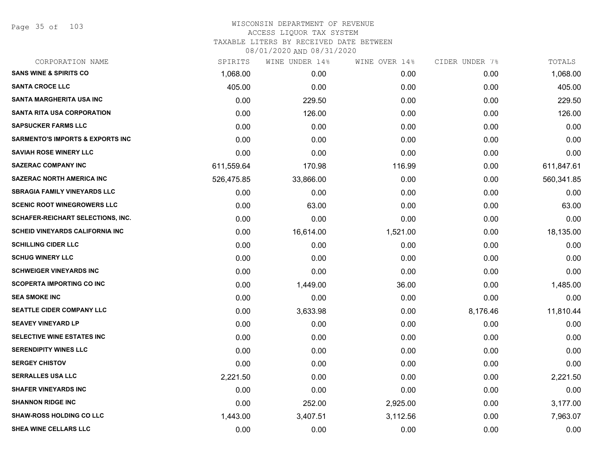Page 35 of 103

# WISCONSIN DEPARTMENT OF REVENUE ACCESS LIQUOR TAX SYSTEM TAXABLE LITERS BY RECEIVED DATE BETWEEN

| CORPORATION NAME                            | SPIRITS    | WINE UNDER 14% | WINE OVER 14% | CIDER UNDER 7% | TOTALS     |
|---------------------------------------------|------------|----------------|---------------|----------------|------------|
| <b>SANS WINE &amp; SPIRITS CO</b>           | 1,068.00   | 0.00           | 0.00          | 0.00           | 1,068.00   |
| <b>SANTA CROCE LLC</b>                      | 405.00     | 0.00           | 0.00          | 0.00           | 405.00     |
| SANTA MARGHERITA USA INC                    | 0.00       | 229.50         | 0.00          | 0.00           | 229.50     |
| <b>SANTA RITA USA CORPORATION</b>           | 0.00       | 126.00         | 0.00          | 0.00           | 126.00     |
| <b>SAPSUCKER FARMS LLC</b>                  | 0.00       | 0.00           | 0.00          | 0.00           | 0.00       |
| <b>SARMENTO'S IMPORTS &amp; EXPORTS INC</b> | 0.00       | 0.00           | 0.00          | 0.00           | 0.00       |
| <b>SAVIAH ROSE WINERY LLC</b>               | 0.00       | 0.00           | 0.00          | 0.00           | 0.00       |
| <b>SAZERAC COMPANY INC</b>                  | 611,559.64 | 170.98         | 116.99        | 0.00           | 611,847.61 |
| <b>SAZERAC NORTH AMERICA INC</b>            | 526,475.85 | 33,866.00      | 0.00          | 0.00           | 560,341.85 |
| <b>SBRAGIA FAMILY VINEYARDS LLC</b>         | 0.00       | 0.00           | 0.00          | 0.00           | 0.00       |
| <b>SCENIC ROOT WINEGROWERS LLC</b>          | 0.00       | 63.00          | 0.00          | 0.00           | 63.00      |
| <b>SCHAFER-REICHART SELECTIONS, INC.</b>    | 0.00       | 0.00           | 0.00          | 0.00           | 0.00       |
| <b>SCHEID VINEYARDS CALIFORNIA INC</b>      | 0.00       | 16,614.00      | 1,521.00      | 0.00           | 18,135.00  |
| <b>SCHILLING CIDER LLC</b>                  | 0.00       | 0.00           | 0.00          | 0.00           | 0.00       |
| <b>SCHUG WINERY LLC</b>                     | 0.00       | 0.00           | 0.00          | 0.00           | 0.00       |
| <b>SCHWEIGER VINEYARDS INC</b>              | 0.00       | 0.00           | 0.00          | 0.00           | 0.00       |
| <b>SCOPERTA IMPORTING CO INC</b>            | 0.00       | 1,449.00       | 36.00         | 0.00           | 1,485.00   |
| <b>SEA SMOKE INC</b>                        | 0.00       | 0.00           | 0.00          | 0.00           | 0.00       |
| SEATTLE CIDER COMPANY LLC                   | 0.00       | 3,633.98       | 0.00          | 8,176.46       | 11,810.44  |
| <b>SEAVEY VINEYARD LP</b>                   | 0.00       | 0.00           | 0.00          | 0.00           | 0.00       |
| SELECTIVE WINE ESTATES INC                  | 0.00       | 0.00           | 0.00          | 0.00           | 0.00       |
| <b>SERENDIPITY WINES LLC</b>                | 0.00       | 0.00           | 0.00          | 0.00           | 0.00       |
| <b>SERGEY CHISTOV</b>                       | 0.00       | 0.00           | 0.00          | 0.00           | 0.00       |
| <b>SERRALLES USA LLC</b>                    | 2,221.50   | 0.00           | 0.00          | 0.00           | 2,221.50   |
| <b>SHAFER VINEYARDS INC</b>                 | 0.00       | 0.00           | 0.00          | 0.00           | 0.00       |
| <b>SHANNON RIDGE INC</b>                    | 0.00       | 252.00         | 2,925.00      | 0.00           | 3,177.00   |
| <b>SHAW-ROSS HOLDING CO LLC</b>             | 1,443.00   | 3,407.51       | 3,112.56      | 0.00           | 7,963.07   |
| SHEA WINE CELLARS LLC                       | 0.00       | 0.00           | 0.00          | 0.00           | 0.00       |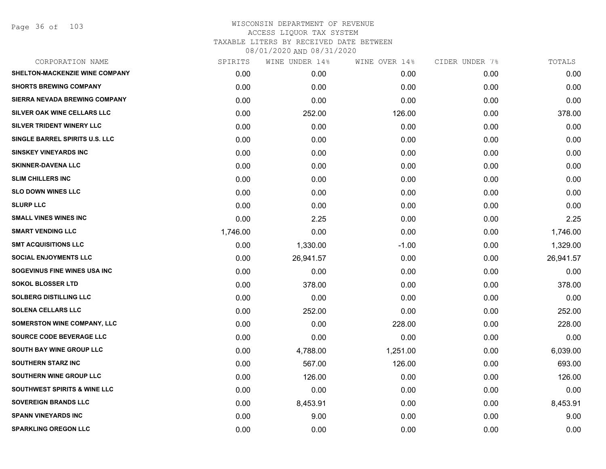Page 36 of 103

|          | WINE UNDER 14% |          |               | TOTALS         |
|----------|----------------|----------|---------------|----------------|
| 0.00     | 0.00           | 0.00     | 0.00          | 0.00           |
| 0.00     | 0.00           | 0.00     | 0.00          | 0.00           |
| 0.00     | 0.00           | 0.00     | 0.00          | 0.00           |
| 0.00     | 252.00         | 126.00   | 0.00          | 378.00         |
| 0.00     | 0.00           | 0.00     | 0.00          | 0.00           |
| 0.00     | 0.00           | 0.00     | 0.00          | 0.00           |
| 0.00     | 0.00           | 0.00     | 0.00          | 0.00           |
| 0.00     | 0.00           | 0.00     | 0.00          | 0.00           |
| 0.00     | 0.00           | 0.00     | 0.00          | 0.00           |
| 0.00     | 0.00           | 0.00     | 0.00          | 0.00           |
| 0.00     | 0.00           | 0.00     | 0.00          | 0.00           |
| 0.00     | 2.25           | 0.00     | 0.00          | 2.25           |
| 1,746.00 | 0.00           | 0.00     | 0.00          | 1,746.00       |
| 0.00     | 1,330.00       | $-1.00$  | 0.00          | 1,329.00       |
| 0.00     | 26,941.57      | 0.00     | 0.00          | 26,941.57      |
| 0.00     | 0.00           | 0.00     | 0.00          | 0.00           |
| 0.00     | 378.00         | 0.00     | 0.00          | 378.00         |
| 0.00     | 0.00           | 0.00     | 0.00          | 0.00           |
| 0.00     | 252.00         | 0.00     | 0.00          | 252.00         |
| 0.00     | 0.00           | 228.00   | 0.00          | 228.00         |
| 0.00     | 0.00           | 0.00     | 0.00          | 0.00           |
| 0.00     | 4,788.00       | 1,251.00 | 0.00          | 6,039.00       |
| 0.00     | 567.00         | 126.00   | 0.00          | 693.00         |
| 0.00     | 126.00         | 0.00     | 0.00          | 126.00         |
| 0.00     | 0.00           | 0.00     | 0.00          | 0.00           |
| 0.00     | 8,453.91       | 0.00     | 0.00          | 8,453.91       |
| 0.00     | 9.00           | 0.00     | 0.00          | 9.00           |
| 0.00     | 0.00           | 0.00     | 0.00          | 0.00           |
|          | SPIRITS        |          | WINE OVER 14% | CIDER UNDER 7% |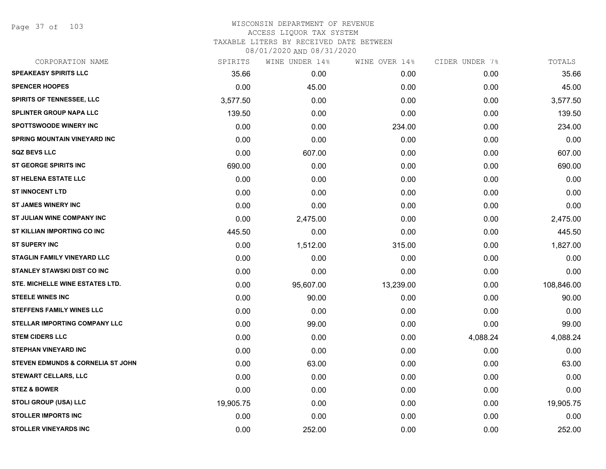Page 37 of 103

| CORPORATION NAME                     | SPIRITS   | WINE UNDER 14% | WINE OVER 14% | CIDER UNDER 7% | TOTALS     |
|--------------------------------------|-----------|----------------|---------------|----------------|------------|
| <b>SPEAKEASY SPIRITS LLC</b>         | 35.66     | 0.00           | 0.00          | 0.00           | 35.66      |
| <b>SPENCER HOOPES</b>                | 0.00      | 45.00          | 0.00          | 0.00           | 45.00      |
| SPIRITS OF TENNESSEE, LLC            | 3,577.50  | 0.00           | 0.00          | 0.00           | 3,577.50   |
| <b>SPLINTER GROUP NAPA LLC</b>       | 139.50    | 0.00           | 0.00          | 0.00           | 139.50     |
| <b>SPOTTSWOODE WINERY INC</b>        | 0.00      | 0.00           | 234.00        | 0.00           | 234.00     |
| <b>SPRING MOUNTAIN VINEYARD INC</b>  | 0.00      | 0.00           | 0.00          | 0.00           | 0.00       |
| <b>SQZ BEVS LLC</b>                  | 0.00      | 607.00         | 0.00          | 0.00           | 607.00     |
| <b>ST GEORGE SPIRITS INC</b>         | 690.00    | 0.00           | 0.00          | 0.00           | 690.00     |
| <b>ST HELENA ESTATE LLC</b>          | 0.00      | 0.00           | 0.00          | 0.00           | 0.00       |
| <b>ST INNOCENT LTD</b>               | 0.00      | 0.00           | 0.00          | 0.00           | 0.00       |
| <b>ST JAMES WINERY INC</b>           | 0.00      | 0.00           | 0.00          | 0.00           | 0.00       |
| ST JULIAN WINE COMPANY INC           | 0.00      | 2,475.00       | 0.00          | 0.00           | 2,475.00   |
| ST KILLIAN IMPORTING CO INC          | 445.50    | 0.00           | 0.00          | 0.00           | 445.50     |
| <b>ST SUPERY INC</b>                 | 0.00      | 1,512.00       | 315.00        | 0.00           | 1,827.00   |
| <b>STAGLIN FAMILY VINEYARD LLC</b>   | 0.00      | 0.00           | 0.00          | 0.00           | 0.00       |
| <b>STANLEY STAWSKI DIST CO INC</b>   | 0.00      | 0.00           | 0.00          | 0.00           | 0.00       |
| STE. MICHELLE WINE ESTATES LTD.      | 0.00      | 95,607.00      | 13,239.00     | 0.00           | 108,846.00 |
| <b>STEELE WINES INC</b>              | 0.00      | 90.00          | 0.00          | 0.00           | 90.00      |
| <b>STEFFENS FAMILY WINES LLC</b>     | 0.00      | 0.00           | 0.00          | 0.00           | 0.00       |
| <b>STELLAR IMPORTING COMPANY LLC</b> | 0.00      | 99.00          | 0.00          | 0.00           | 99.00      |
| <b>STEM CIDERS LLC</b>               | 0.00      | 0.00           | 0.00          | 4,088.24       | 4,088.24   |
| <b>STEPHAN VINEYARD INC</b>          | 0.00      | 0.00           | 0.00          | 0.00           | 0.00       |
| STEVEN EDMUNDS & CORNELIA ST JOHN    | 0.00      | 63.00          | 0.00          | 0.00           | 63.00      |
| <b>STEWART CELLARS, LLC</b>          | 0.00      | 0.00           | 0.00          | 0.00           | 0.00       |
| <b>STEZ &amp; BOWER</b>              | 0.00      | 0.00           | 0.00          | 0.00           | 0.00       |
| STOLI GROUP (USA) LLC                | 19,905.75 | 0.00           | 0.00          | 0.00           | 19,905.75  |
| <b>STOLLER IMPORTS INC</b>           | 0.00      | 0.00           | 0.00          | 0.00           | 0.00       |
| <b>STOLLER VINEYARDS INC</b>         | 0.00      | 252.00         | 0.00          | 0.00           | 252.00     |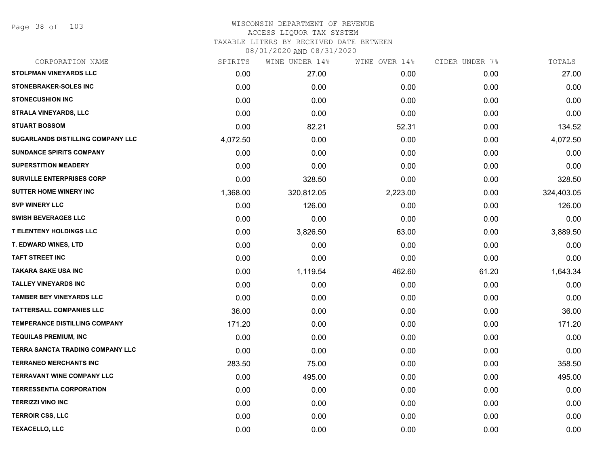Page 38 of 103

| CORPORATION NAME                  | SPIRITS  | WINE UNDER 14% | WINE OVER 14% | CIDER UNDER 7% | TOTALS     |
|-----------------------------------|----------|----------------|---------------|----------------|------------|
| <b>STOLPMAN VINEYARDS LLC</b>     | 0.00     | 27.00          | 0.00          | 0.00           | 27.00      |
| <b>STONEBRAKER-SOLES INC</b>      | 0.00     | 0.00           | 0.00          | 0.00           | 0.00       |
| <b>STONECUSHION INC</b>           | 0.00     | 0.00           | 0.00          | 0.00           | 0.00       |
| <b>STRALA VINEYARDS, LLC</b>      | 0.00     | 0.00           | 0.00          | 0.00           | 0.00       |
| <b>STUART BOSSOM</b>              | 0.00     | 82.21          | 52.31         | 0.00           | 134.52     |
| SUGARLANDS DISTILLING COMPANY LLC | 4,072.50 | 0.00           | 0.00          | 0.00           | 4,072.50   |
| <b>SUNDANCE SPIRITS COMPANY</b>   | 0.00     | 0.00           | 0.00          | 0.00           | 0.00       |
| <b>SUPERSTITION MEADERY</b>       | 0.00     | 0.00           | 0.00          | 0.00           | 0.00       |
| SURVILLE ENTERPRISES CORP         | 0.00     | 328.50         | 0.00          | 0.00           | 328.50     |
| <b>SUTTER HOME WINERY INC</b>     | 1,368.00 | 320,812.05     | 2,223.00      | 0.00           | 324,403.05 |
| <b>SVP WINERY LLC</b>             | 0.00     | 126.00         | 0.00          | 0.00           | 126.00     |
| <b>SWISH BEVERAGES LLC</b>        | 0.00     | 0.00           | 0.00          | 0.00           | 0.00       |
| <b>T ELENTENY HOLDINGS LLC</b>    | 0.00     | 3,826.50       | 63.00         | 0.00           | 3,889.50   |
| <b>T. EDWARD WINES, LTD</b>       | 0.00     | 0.00           | 0.00          | 0.00           | 0.00       |
| <b>TAFT STREET INC</b>            | 0.00     | 0.00           | 0.00          | 0.00           | 0.00       |
| <b>TAKARA SAKE USA INC</b>        | 0.00     | 1,119.54       | 462.60        | 61.20          | 1,643.34   |
| <b>TALLEY VINEYARDS INC</b>       | 0.00     | 0.00           | 0.00          | 0.00           | 0.00       |
| <b>TAMBER BEY VINEYARDS LLC</b>   | 0.00     | 0.00           | 0.00          | 0.00           | 0.00       |
| <b>TATTERSALL COMPANIES LLC</b>   | 36.00    | 0.00           | 0.00          | 0.00           | 36.00      |
| TEMPERANCE DISTILLING COMPANY     | 171.20   | 0.00           | 0.00          | 0.00           | 171.20     |
| <b>TEQUILAS PREMIUM, INC</b>      | 0.00     | 0.00           | 0.00          | 0.00           | 0.00       |
| TERRA SANCTA TRADING COMPANY LLC  | 0.00     | 0.00           | 0.00          | 0.00           | 0.00       |
| <b>TERRANEO MERCHANTS INC</b>     | 283.50   | 75.00          | 0.00          | 0.00           | 358.50     |
| <b>TERRAVANT WINE COMPANY LLC</b> | 0.00     | 495.00         | 0.00          | 0.00           | 495.00     |
| <b>TERRESSENTIA CORPORATION</b>   | 0.00     | 0.00           | 0.00          | 0.00           | 0.00       |
| <b>TERRIZZI VINO INC</b>          | 0.00     | 0.00           | 0.00          | 0.00           | 0.00       |
| <b>TERROIR CSS, LLC</b>           | 0.00     | 0.00           | 0.00          | 0.00           | 0.00       |
| <b>TEXACELLO, LLC</b>             | 0.00     | 0.00           | 0.00          | 0.00           | 0.00       |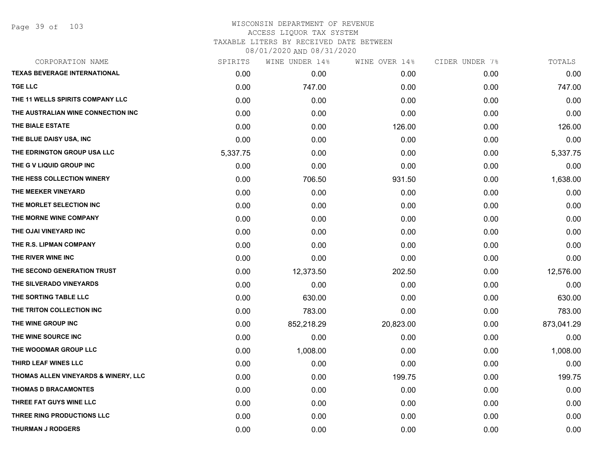| CORPORATION NAME                     | SPIRITS  | WINE UNDER 14% | WINE OVER 14% | CIDER UNDER 7% | TOTALS     |
|--------------------------------------|----------|----------------|---------------|----------------|------------|
| <b>TEXAS BEVERAGE INTERNATIONAL</b>  | 0.00     | 0.00           | 0.00          | 0.00           | 0.00       |
| <b>TGE LLC</b>                       | 0.00     | 747.00         | 0.00          | 0.00           | 747.00     |
| THE 11 WELLS SPIRITS COMPANY LLC     | 0.00     | 0.00           | 0.00          | 0.00           | 0.00       |
| THE AUSTRALIAN WINE CONNECTION INC   | 0.00     | 0.00           | 0.00          | 0.00           | 0.00       |
| THE BIALE ESTATE                     | 0.00     | 0.00           | 126.00        | 0.00           | 126.00     |
| THE BLUE DAISY USA, INC              | 0.00     | 0.00           | 0.00          | 0.00           | 0.00       |
| THE EDRINGTON GROUP USA LLC          | 5,337.75 | 0.00           | 0.00          | 0.00           | 5,337.75   |
| THE G V LIQUID GROUP INC             | 0.00     | 0.00           | 0.00          | 0.00           | 0.00       |
| THE HESS COLLECTION WINERY           | 0.00     | 706.50         | 931.50        | 0.00           | 1,638.00   |
| THE MEEKER VINEYARD                  | 0.00     | 0.00           | 0.00          | 0.00           | 0.00       |
| THE MORLET SELECTION INC             | 0.00     | 0.00           | 0.00          | 0.00           | 0.00       |
| THE MORNE WINE COMPANY               | 0.00     | 0.00           | 0.00          | 0.00           | 0.00       |
| THE OJAI VINEYARD INC                | 0.00     | 0.00           | 0.00          | 0.00           | 0.00       |
| THE R.S. LIPMAN COMPANY              | 0.00     | 0.00           | 0.00          | 0.00           | 0.00       |
| THE RIVER WINE INC                   | 0.00     | 0.00           | 0.00          | 0.00           | 0.00       |
| THE SECOND GENERATION TRUST          | 0.00     | 12,373.50      | 202.50        | 0.00           | 12,576.00  |
| THE SILVERADO VINEYARDS              | 0.00     | 0.00           | 0.00          | 0.00           | 0.00       |
| THE SORTING TABLE LLC                | 0.00     | 630.00         | 0.00          | 0.00           | 630.00     |
| THE TRITON COLLECTION INC            | 0.00     | 783.00         | 0.00          | 0.00           | 783.00     |
| THE WINE GROUP INC                   | 0.00     | 852,218.29     | 20,823.00     | 0.00           | 873,041.29 |
| THE WINE SOURCE INC                  | 0.00     | 0.00           | 0.00          | 0.00           | 0.00       |
| THE WOODMAR GROUP LLC                | 0.00     | 1,008.00       | 0.00          | 0.00           | 1,008.00   |
| THIRD LEAF WINES LLC                 | 0.00     | 0.00           | 0.00          | 0.00           | 0.00       |
| THOMAS ALLEN VINEYARDS & WINERY, LLC | 0.00     | 0.00           | 199.75        | 0.00           | 199.75     |
| <b>THOMAS D BRACAMONTES</b>          | 0.00     | 0.00           | 0.00          | 0.00           | 0.00       |
| THREE FAT GUYS WINE LLC              | 0.00     | 0.00           | 0.00          | 0.00           | 0.00       |
| THREE RING PRODUCTIONS LLC           | 0.00     | 0.00           | 0.00          | 0.00           | 0.00       |
| <b>THURMAN J RODGERS</b>             | 0.00     | 0.00           | 0.00          | 0.00           | 0.00       |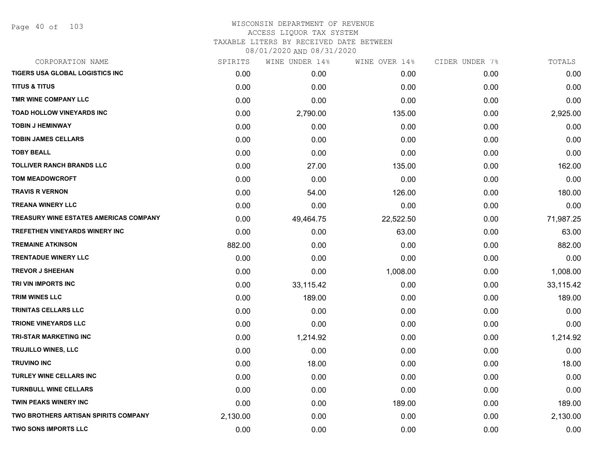Page 40 of 103

| CORPORATION NAME                       | SPIRITS  | WINE UNDER 14% | WINE OVER 14% | CIDER UNDER 7% | TOTALS    |
|----------------------------------------|----------|----------------|---------------|----------------|-----------|
| TIGERS USA GLOBAL LOGISTICS INC        | 0.00     | 0.00           | 0.00          | 0.00           | 0.00      |
| <b>TITUS &amp; TITUS</b>               | 0.00     | 0.00           | 0.00          | 0.00           | 0.00      |
| TMR WINE COMPANY LLC                   | 0.00     | 0.00           | 0.00          | 0.00           | 0.00      |
| <b>TOAD HOLLOW VINEYARDS INC</b>       | 0.00     | 2,790.00       | 135.00        | 0.00           | 2,925.00  |
| <b>TOBIN J HEMINWAY</b>                | 0.00     | 0.00           | 0.00          | 0.00           | 0.00      |
| <b>TOBIN JAMES CELLARS</b>             | 0.00     | 0.00           | 0.00          | 0.00           | 0.00      |
| <b>TOBY BEALL</b>                      | 0.00     | 0.00           | 0.00          | 0.00           | 0.00      |
| TOLLIVER RANCH BRANDS LLC              | 0.00     | 27.00          | 135.00        | 0.00           | 162.00    |
| <b>TOM MEADOWCROFT</b>                 | 0.00     | 0.00           | 0.00          | 0.00           | 0.00      |
| <b>TRAVIS R VERNON</b>                 | 0.00     | 54.00          | 126.00        | 0.00           | 180.00    |
| <b>TREANA WINERY LLC</b>               | 0.00     | 0.00           | 0.00          | 0.00           | 0.00      |
| TREASURY WINE ESTATES AMERICAS COMPANY | 0.00     | 49,464.75      | 22,522.50     | 0.00           | 71,987.25 |
| TREFETHEN VINEYARDS WINERY INC         | 0.00     | 0.00           | 63.00         | 0.00           | 63.00     |
| <b>TREMAINE ATKINSON</b>               | 882.00   | 0.00           | 0.00          | 0.00           | 882.00    |
| <b>TRENTADUE WINERY LLC</b>            | 0.00     | 0.00           | 0.00          | 0.00           | 0.00      |
| <b>TREVOR J SHEEHAN</b>                | 0.00     | 0.00           | 1,008.00      | 0.00           | 1,008.00  |
| TRI VIN IMPORTS INC                    | 0.00     | 33,115.42      | 0.00          | 0.00           | 33,115.42 |
| <b>TRIM WINES LLC</b>                  | 0.00     | 189.00         | 0.00          | 0.00           | 189.00    |
| <b>TRINITAS CELLARS LLC</b>            | 0.00     | 0.00           | 0.00          | 0.00           | 0.00      |
| <b>TRIONE VINEYARDS LLC</b>            | 0.00     | 0.00           | 0.00          | 0.00           | 0.00      |
| TRI-STAR MARKETING INC                 | 0.00     | 1,214.92       | 0.00          | 0.00           | 1,214.92  |
| <b>TRUJILLO WINES, LLC</b>             | 0.00     | 0.00           | 0.00          | 0.00           | 0.00      |
| <b>TRUVINO INC</b>                     | 0.00     | 18.00          | 0.00          | 0.00           | 18.00     |
| TURLEY WINE CELLARS INC                | 0.00     | 0.00           | 0.00          | 0.00           | 0.00      |
| <b>TURNBULL WINE CELLARS</b>           | 0.00     | 0.00           | 0.00          | 0.00           | 0.00      |
| <b>TWIN PEAKS WINERY INC</b>           | 0.00     | 0.00           | 189.00        | 0.00           | 189.00    |
| TWO BROTHERS ARTISAN SPIRITS COMPANY   | 2,130.00 | 0.00           | 0.00          | 0.00           | 2,130.00  |
| <b>TWO SONS IMPORTS LLC</b>            | 0.00     | 0.00           | 0.00          | 0.00           | 0.00      |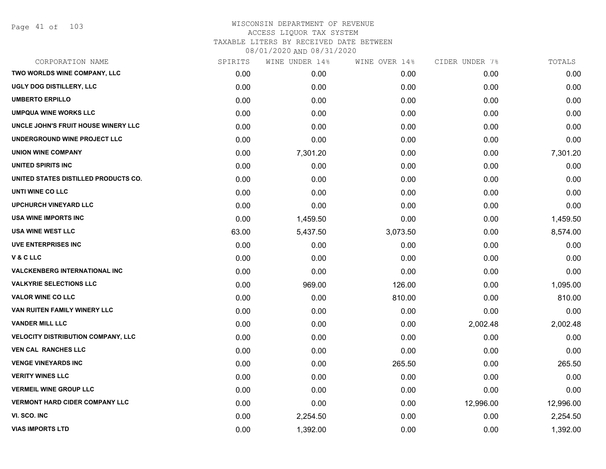| CORPORATION NAME                          | SPIRITS | WINE UNDER 14% | WINE OVER 14% | CIDER UNDER 7% | TOTALS    |
|-------------------------------------------|---------|----------------|---------------|----------------|-----------|
| TWO WORLDS WINE COMPANY, LLC              | 0.00    | 0.00           | 0.00          | 0.00           | 0.00      |
| UGLY DOG DISTILLERY, LLC                  | 0.00    | 0.00           | 0.00          | 0.00           | 0.00      |
| <b>UMBERTO ERPILLO</b>                    | 0.00    | 0.00           | 0.00          | 0.00           | 0.00      |
| <b>UMPQUA WINE WORKS LLC</b>              | 0.00    | 0.00           | 0.00          | 0.00           | 0.00      |
| UNCLE JOHN'S FRUIT HOUSE WINERY LLC       | 0.00    | 0.00           | 0.00          | 0.00           | 0.00      |
| UNDERGROUND WINE PROJECT LLC              | 0.00    | 0.00           | 0.00          | 0.00           | 0.00      |
| <b>UNION WINE COMPANY</b>                 | 0.00    | 7,301.20       | 0.00          | 0.00           | 7,301.20  |
| UNITED SPIRITS INC                        | 0.00    | 0.00           | 0.00          | 0.00           | 0.00      |
| UNITED STATES DISTILLED PRODUCTS CO.      | 0.00    | 0.00           | 0.00          | 0.00           | 0.00      |
| UNTI WINE CO LLC                          | 0.00    | 0.00           | 0.00          | 0.00           | 0.00      |
| <b>UPCHURCH VINEYARD LLC</b>              | 0.00    | 0.00           | 0.00          | 0.00           | 0.00      |
| <b>USA WINE IMPORTS INC</b>               | 0.00    | 1,459.50       | 0.00          | 0.00           | 1,459.50  |
| <b>USA WINE WEST LLC</b>                  | 63.00   | 5,437.50       | 3,073.50      | 0.00           | 8,574.00  |
| <b>UVE ENTERPRISES INC</b>                | 0.00    | 0.00           | 0.00          | 0.00           | 0.00      |
| V&CLLC                                    | 0.00    | 0.00           | 0.00          | 0.00           | 0.00      |
| <b>VALCKENBERG INTERNATIONAL INC</b>      | 0.00    | 0.00           | 0.00          | 0.00           | 0.00      |
| <b>VALKYRIE SELECTIONS LLC</b>            | 0.00    | 969.00         | 126.00        | 0.00           | 1,095.00  |
| <b>VALOR WINE CO LLC</b>                  | 0.00    | 0.00           | 810.00        | 0.00           | 810.00    |
| VAN RUITEN FAMILY WINERY LLC              | 0.00    | 0.00           | 0.00          | 0.00           | 0.00      |
| <b>VANDER MILL LLC</b>                    | 0.00    | 0.00           | 0.00          | 2,002.48       | 2,002.48  |
| <b>VELOCITY DISTRIBUTION COMPANY, LLC</b> | 0.00    | 0.00           | 0.00          | 0.00           | 0.00      |
| <b>VEN CAL RANCHES LLC</b>                | 0.00    | 0.00           | 0.00          | 0.00           | 0.00      |
| <b>VENGE VINEYARDS INC</b>                | 0.00    | 0.00           | 265.50        | 0.00           | 265.50    |
| <b>VERITY WINES LLC</b>                   | 0.00    | 0.00           | 0.00          | 0.00           | 0.00      |
| <b>VERMEIL WINE GROUP LLC</b>             | 0.00    | 0.00           | 0.00          | 0.00           | 0.00      |
| <b>VERMONT HARD CIDER COMPANY LLC</b>     | 0.00    | 0.00           | 0.00          | 12,996.00      | 12,996.00 |
| VI. SCO. INC                              | 0.00    | 2,254.50       | 0.00          | 0.00           | 2,254.50  |
| <b>VIAS IMPORTS LTD</b>                   | 0.00    | 1,392.00       | 0.00          | 0.00           | 1,392.00  |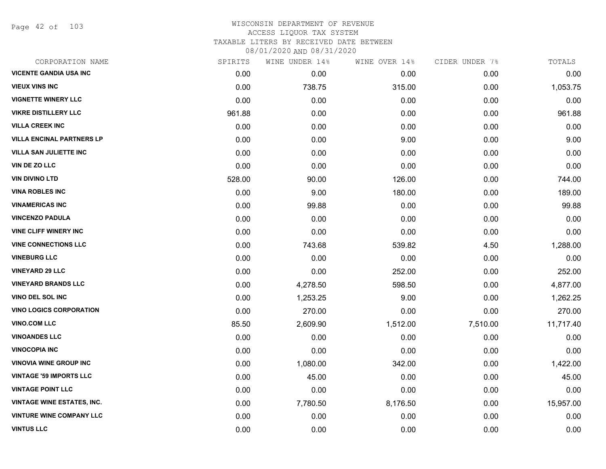Page 42 of 103

| CORPORATION NAME                  | SPIRITS | WINE UNDER 14% | WINE OVER 14% | CIDER UNDER 7% | TOTALS    |
|-----------------------------------|---------|----------------|---------------|----------------|-----------|
| <b>VICENTE GANDIA USA INC</b>     | 0.00    | 0.00           | 0.00          | 0.00           | 0.00      |
| <b>VIEUX VINS INC</b>             | 0.00    | 738.75         | 315.00        | 0.00           | 1,053.75  |
| <b>VIGNETTE WINERY LLC</b>        | 0.00    | 0.00           | 0.00          | 0.00           | 0.00      |
| <b>VIKRE DISTILLERY LLC</b>       | 961.88  | 0.00           | 0.00          | 0.00           | 961.88    |
| <b>VILLA CREEK INC</b>            | 0.00    | 0.00           | 0.00          | 0.00           | 0.00      |
| <b>VILLA ENCINAL PARTNERS LP</b>  | 0.00    | 0.00           | 9.00          | 0.00           | 9.00      |
| <b>VILLA SAN JULIETTE INC</b>     | 0.00    | 0.00           | 0.00          | 0.00           | 0.00      |
| VIN DE ZO LLC                     | 0.00    | 0.00           | 0.00          | 0.00           | 0.00      |
| <b>VIN DIVINO LTD</b>             | 528.00  | 90.00          | 126.00        | 0.00           | 744.00    |
| <b>VINA ROBLES INC</b>            | 0.00    | 9.00           | 180.00        | 0.00           | 189.00    |
| <b>VINAMERICAS INC</b>            | 0.00    | 99.88          | 0.00          | 0.00           | 99.88     |
| <b>VINCENZO PADULA</b>            | 0.00    | 0.00           | 0.00          | 0.00           | 0.00      |
| <b>VINE CLIFF WINERY INC</b>      | 0.00    | 0.00           | 0.00          | 0.00           | 0.00      |
| <b>VINE CONNECTIONS LLC</b>       | 0.00    | 743.68         | 539.82        | 4.50           | 1,288.00  |
| <b>VINEBURG LLC</b>               | 0.00    | 0.00           | 0.00          | 0.00           | 0.00      |
| <b>VINEYARD 29 LLC</b>            | 0.00    | 0.00           | 252.00        | 0.00           | 252.00    |
| <b>VINEYARD BRANDS LLC</b>        | 0.00    | 4,278.50       | 598.50        | 0.00           | 4,877.00  |
| <b>VINO DEL SOL INC</b>           | 0.00    | 1,253.25       | 9.00          | 0.00           | 1,262.25  |
| <b>VINO LOGICS CORPORATION</b>    | 0.00    | 270.00         | 0.00          | 0.00           | 270.00    |
| <b>VINO.COM LLC</b>               | 85.50   | 2,609.90       | 1,512.00      | 7,510.00       | 11,717.40 |
| <b>VINOANDES LLC</b>              | 0.00    | 0.00           | 0.00          | 0.00           | 0.00      |
| <b>VINOCOPIA INC</b>              | 0.00    | 0.00           | 0.00          | 0.00           | 0.00      |
| <b>VINOVIA WINE GROUP INC</b>     | 0.00    | 1,080.00       | 342.00        | 0.00           | 1,422.00  |
| <b>VINTAGE '59 IMPORTS LLC</b>    | 0.00    | 45.00          | 0.00          | 0.00           | 45.00     |
| <b>VINTAGE POINT LLC</b>          | 0.00    | 0.00           | 0.00          | 0.00           | 0.00      |
| <b>VINTAGE WINE ESTATES, INC.</b> | 0.00    | 7,780.50       | 8,176.50      | 0.00           | 15,957.00 |
| <b>VINTURE WINE COMPANY LLC</b>   | 0.00    | 0.00           | 0.00          | 0.00           | 0.00      |
| <b>VINTUS LLC</b>                 | 0.00    | 0.00           | 0.00          | 0.00           | 0.00      |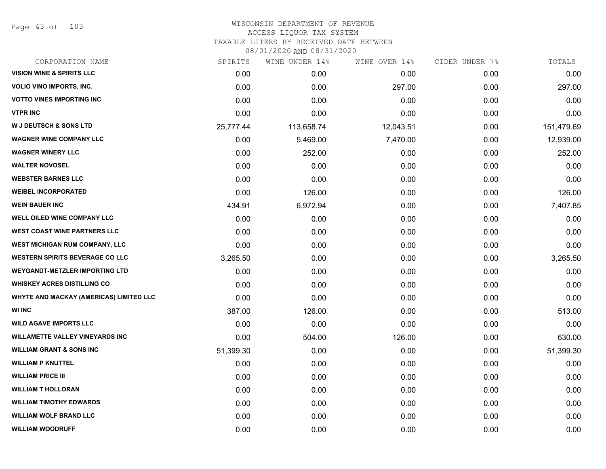Page 43 of 103

#### WISCONSIN DEPARTMENT OF REVENUE ACCESS LIQUOR TAX SYSTEM TAXABLE LITERS BY RECEIVED DATE BETWEEN

| CORPORATION NAME                        | SPIRITS   | WINE UNDER 14% | WINE OVER 14% | CIDER UNDER 7% | TOTALS     |
|-----------------------------------------|-----------|----------------|---------------|----------------|------------|
| <b>VISION WINE &amp; SPIRITS LLC</b>    | 0.00      | 0.00           | 0.00          | 0.00           | 0.00       |
| VOLIO VINO IMPORTS, INC.                | 0.00      | 0.00           | 297.00        | 0.00           | 297.00     |
| <b>VOTTO VINES IMPORTING INC</b>        | 0.00      | 0.00           | 0.00          | 0.00           | 0.00       |
| <b>VTPR INC</b>                         | 0.00      | 0.00           | 0.00          | 0.00           | 0.00       |
| <b>W J DEUTSCH &amp; SONS LTD</b>       | 25,777.44 | 113,658.74     | 12,043.51     | 0.00           | 151,479.69 |
| <b>WAGNER WINE COMPANY LLC</b>          | 0.00      | 5,469.00       | 7,470.00      | 0.00           | 12,939.00  |
| <b>WAGNER WINERY LLC</b>                | 0.00      | 252.00         | 0.00          | 0.00           | 252.00     |
| <b>WALTER NOVOSEL</b>                   | 0.00      | 0.00           | 0.00          | 0.00           | 0.00       |
| <b>WEBSTER BARNES LLC</b>               | 0.00      | 0.00           | 0.00          | 0.00           | 0.00       |
| <b>WEIBEL INCORPORATED</b>              | 0.00      | 126.00         | 0.00          | 0.00           | 126.00     |
| <b>WEIN BAUER INC</b>                   | 434.91    | 6,972.94       | 0.00          | 0.00           | 7,407.85   |
| WELL OILED WINE COMPANY LLC             | 0.00      | 0.00           | 0.00          | 0.00           | 0.00       |
| <b>WEST COAST WINE PARTNERS LLC</b>     | 0.00      | 0.00           | 0.00          | 0.00           | 0.00       |
| WEST MICHIGAN RUM COMPANY, LLC          | 0.00      | 0.00           | 0.00          | 0.00           | 0.00       |
| <b>WESTERN SPIRITS BEVERAGE CO LLC</b>  | 3,265.50  | 0.00           | 0.00          | 0.00           | 3,265.50   |
| <b>WEYGANDT-METZLER IMPORTING LTD</b>   | 0.00      | 0.00           | 0.00          | 0.00           | 0.00       |
| <b>WHISKEY ACRES DISTILLING CO</b>      | 0.00      | 0.00           | 0.00          | 0.00           | 0.00       |
| WHYTE AND MACKAY (AMERICAS) LIMITED LLC | 0.00      | 0.00           | 0.00          | 0.00           | 0.00       |
| <b>WI INC</b>                           | 387.00    | 126.00         | 0.00          | 0.00           | 513.00     |
| <b>WILD AGAVE IMPORTS LLC</b>           | 0.00      | 0.00           | 0.00          | 0.00           | 0.00       |
| <b>WILLAMETTE VALLEY VINEYARDS INC</b>  | 0.00      | 504.00         | 126.00        | 0.00           | 630.00     |
| <b>WILLIAM GRANT &amp; SONS INC</b>     | 51,399.30 | 0.00           | 0.00          | 0.00           | 51,399.30  |
| <b>WILLIAM P KNUTTEL</b>                | 0.00      | 0.00           | 0.00          | 0.00           | 0.00       |
| <b>WILLIAM PRICE III</b>                | 0.00      | 0.00           | 0.00          | 0.00           | 0.00       |
| <b>WILLIAM T HOLLORAN</b>               | 0.00      | 0.00           | 0.00          | 0.00           | 0.00       |
| <b>WILLIAM TIMOTHY EDWARDS</b>          | 0.00      | 0.00           | 0.00          | 0.00           | 0.00       |
| <b>WILLIAM WOLF BRAND LLC</b>           | 0.00      | 0.00           | 0.00          | 0.00           | 0.00       |
| <b>WILLIAM WOODRUFF</b>                 | 0.00      | 0.00           | 0.00          | 0.00           | 0.00       |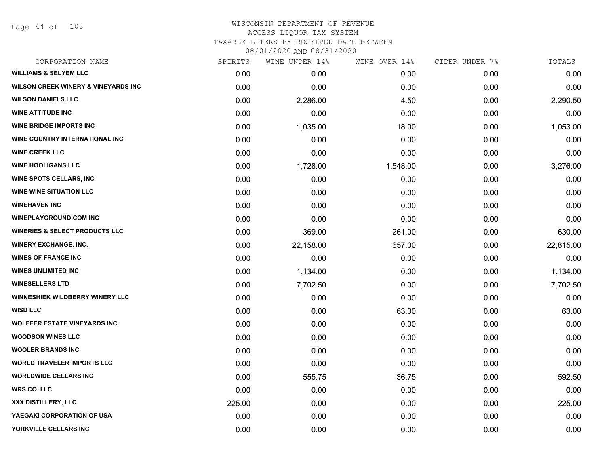Page 44 of 103

## WISCONSIN DEPARTMENT OF REVENUE ACCESS LIQUOR TAX SYSTEM TAXABLE LITERS BY RECEIVED DATE BETWEEN

| CORPORATION NAME                               | SPIRITS | WINE UNDER 14% | WINE OVER 14% | CIDER UNDER 7% | TOTALS    |
|------------------------------------------------|---------|----------------|---------------|----------------|-----------|
| <b>WILLIAMS &amp; SELYEM LLC</b>               | 0.00    | 0.00           | 0.00          | 0.00           | 0.00      |
| <b>WILSON CREEK WINERY &amp; VINEYARDS INC</b> | 0.00    | 0.00           | 0.00          | 0.00           | 0.00      |
| <b>WILSON DANIELS LLC</b>                      | 0.00    | 2,286.00       | 4.50          | 0.00           | 2,290.50  |
| <b>WINE ATTITUDE INC</b>                       | 0.00    | 0.00           | 0.00          | 0.00           | 0.00      |
| <b>WINE BRIDGE IMPORTS INC</b>                 | 0.00    | 1,035.00       | 18.00         | 0.00           | 1,053.00  |
| WINE COUNTRY INTERNATIONAL INC                 | 0.00    | 0.00           | 0.00          | 0.00           | 0.00      |
| <b>WINE CREEK LLC</b>                          | 0.00    | 0.00           | 0.00          | 0.00           | 0.00      |
| <b>WINE HOOLIGANS LLC</b>                      | 0.00    | 1,728.00       | 1,548.00      | 0.00           | 3,276.00  |
| <b>WINE SPOTS CELLARS, INC</b>                 | 0.00    | 0.00           | 0.00          | 0.00           | 0.00      |
| <b>WINE WINE SITUATION LLC</b>                 | 0.00    | 0.00           | 0.00          | 0.00           | 0.00      |
| <b>WINEHAVEN INC</b>                           | 0.00    | 0.00           | 0.00          | 0.00           | 0.00      |
| <b>WINEPLAYGROUND.COM INC</b>                  | 0.00    | 0.00           | 0.00          | 0.00           | 0.00      |
| <b>WINERIES &amp; SELECT PRODUCTS LLC</b>      | 0.00    | 369.00         | 261.00        | 0.00           | 630.00    |
| <b>WINERY EXCHANGE, INC.</b>                   | 0.00    | 22,158.00      | 657.00        | 0.00           | 22,815.00 |
| <b>WINES OF FRANCE INC</b>                     | 0.00    | 0.00           | 0.00          | 0.00           | 0.00      |
| <b>WINES UNLIMITED INC</b>                     | 0.00    | 1,134.00       | 0.00          | 0.00           | 1,134.00  |
| <b>WINESELLERS LTD</b>                         | 0.00    | 7,702.50       | 0.00          | 0.00           | 7,702.50  |
| WINNESHIEK WILDBERRY WINERY LLC                | 0.00    | 0.00           | 0.00          | 0.00           | 0.00      |
| <b>WISD LLC</b>                                | 0.00    | 0.00           | 63.00         | 0.00           | 63.00     |
| <b>WOLFFER ESTATE VINEYARDS INC</b>            | 0.00    | 0.00           | 0.00          | 0.00           | 0.00      |
| <b>WOODSON WINES LLC</b>                       | 0.00    | 0.00           | 0.00          | 0.00           | 0.00      |
| <b>WOOLER BRANDS INC</b>                       | 0.00    | 0.00           | 0.00          | 0.00           | 0.00      |
| <b>WORLD TRAVELER IMPORTS LLC</b>              | 0.00    | 0.00           | 0.00          | 0.00           | 0.00      |
| <b>WORLDWIDE CELLARS INC</b>                   | 0.00    | 555.75         | 36.75         | 0.00           | 592.50    |
| <b>WRS CO. LLC</b>                             | 0.00    | 0.00           | 0.00          | 0.00           | 0.00      |
| XXX DISTILLERY, LLC                            | 225.00  | 0.00           | 0.00          | 0.00           | 225.00    |
| YAEGAKI CORPORATION OF USA                     | 0.00    | 0.00           | 0.00          | 0.00           | 0.00      |
| YORKVILLE CELLARS INC                          | 0.00    | 0.00           | 0.00          | 0.00           | 0.00      |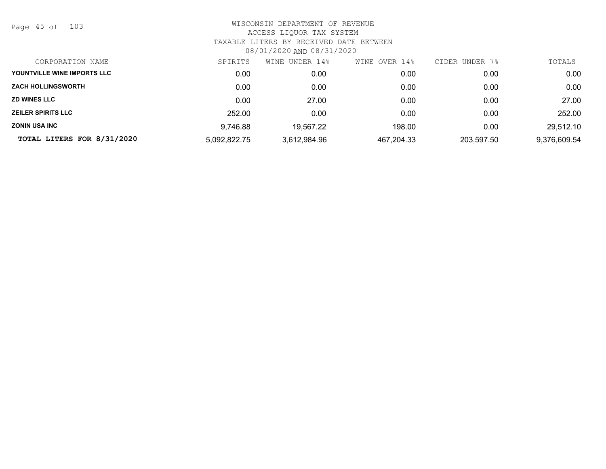Page 45 of 103

| CORPORATION NAME            | SPIRITS      | WINE UNDER 14% | OVER 14%<br>WINE | CIDER UNDER 7% | TOTALS       |
|-----------------------------|--------------|----------------|------------------|----------------|--------------|
| YOUNTVILLE WINE IMPORTS LLC | 0.00         | 0.00           | 0.00             | 0.00           | 0.00         |
| <b>ZACH HOLLINGSWORTH</b>   | 0.00         | 0.00           | 0.00             | 0.00           | 0.00         |
| <b>ZD WINES LLC</b>         | 0.00         | 27.00          | 0.00             | 0.00           | 27.00        |
| <b>ZEILER SPIRITS LLC</b>   | 252.00       | 0.00           | 0.00             | 0.00           | 252.00       |
| <b>ZONIN USA INC</b>        | 9.746.88     | 19,567.22      | 198.00           | 0.00           | 29,512.10    |
| TOTAL LITERS FOR 8/31/2020  | 5,092,822.75 | 3,612,984.96   | 467,204.33       | 203,597.50     | 9,376,609.54 |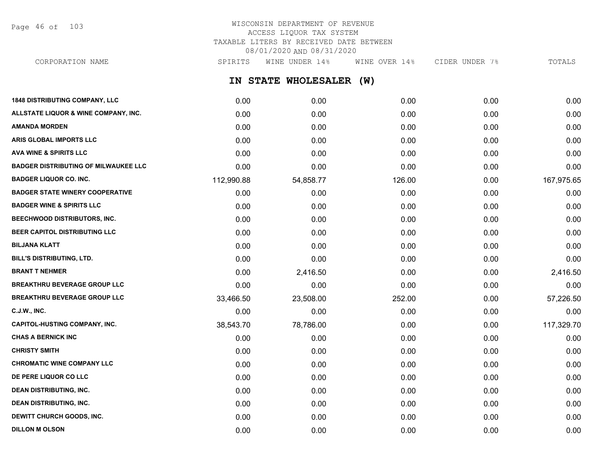Page 46 of 103

## WISCONSIN DEPARTMENT OF REVENUE ACCESS LIQUOR TAX SYSTEM TAXABLE LITERS BY RECEIVED DATE BETWEEN 08/01/2020 AND 08/31/2020

**IN STATE WHOLESALER (W) 1848 DISTRIBUTING COMPANY, LLC** 0.00 0.00 0.00 0.00 0.00 **ALLSTATE LIQUOR & WINE COMPANY, INC.** 0.00 0.00 0.00 0.00 0.00 **AMANDA MORDEN** 0.00 0.00 0.00 0.00 0.00 **ARIS GLOBAL IMPORTS LLC** 0.00 0.00 0.00 0.00 0.00 **AVA WINE & SPIRITS LLC** 0.00 0.00 0.00 0.00 0.00 **BADGER DISTRIBUTING OF MILWAUKEE LLC** 0.00 0.00 0.00 0.00 0.00 **BADGER LIQUOR CO. INC.** 112,990.88 54,858.77 126.00 0.00 167,975.65 **BADGER STATE WINERY COOPERATIVE** 0.00 0.00 0.00 0.00 0.00 **BADGER WINE & SPIRITS LLC** 0.00 0.00 0.00 0.00 0.00 **BEECHWOOD DISTRIBUTORS, INC.** 0.00 0.00 0.00 0.00 0.00 **BEER CAPITOL DISTRIBUTING LLC** 0.00 0.00 0.00 0.00 0.00 **BILJANA KLATT** 0.00 0.00 0.00 0.00 0.00 **BILL'S DISTRIBUTING, LTD.** 0.00 0.00 0.00 0.00 0.00 **BRANT T NEHMER** 0.00 2,416.50 0.00 0.00 2,416.50 **BREAKTHRU BEVERAGE GROUP LLC**  $0.00$   $0.00$   $0.00$   $0.00$   $0.00$   $0.00$   $0.00$   $0.00$   $0.00$   $0.00$   $0.00$   $0.00$   $0.00$   $0.00$   $0.00$   $0.00$   $0.00$   $0.00$   $0.00$   $0.00$   $0.00$   $0.00$   $0.00$   $0.00$   $0.00$   $0.00$   $0.00$   $0$ **BREAKTHRU BEVERAGE GROUP LLC** 33,466.50 23,508.00 252.00 0.00 57,226.50 **C.J.W., INC.** 6.00 **0.00 0.00 0.00 0.00 0.00 0.00 0.00 0.00 0.00 0.00 0.00 0.00 0.00 0.00 CAPITOL-HUSTING COMPANY, INC.** 38,543.70 78,786.00 0.00 0.00 117,329.70 **CHAS A BERNICK INC** 0.00 0.00 0.00 0.00 0.00 **CHRISTY SMITH** 0.00 0.00 0.00 0.00 0.00 **CHROMATIC WINE COMPANY LLC** 0.00 0.00 0.00 0.00 0.00 **DE PERE LIQUOR CO LLC** 0.00 0.00 0.00 0.00 0.00 **DEAN DISTRIBUTING, INC.** 0.00 0.00 0.00 0.00 0.00 **DEAN DISTRIBUTING, INC.** 0.00 0.00 0.00 0.00 0.00 CORPORATION NAME SPIRITS WINE UNDER 14% WINE OVER 14% CIDER UNDER 7% TOTALS

**DEWITT CHURCH GOODS, INC.** 0.00 0.00 0.00 0.00 0.00 **DILLON M OLSON** 0.00 0.00 0.00 0.00 0.00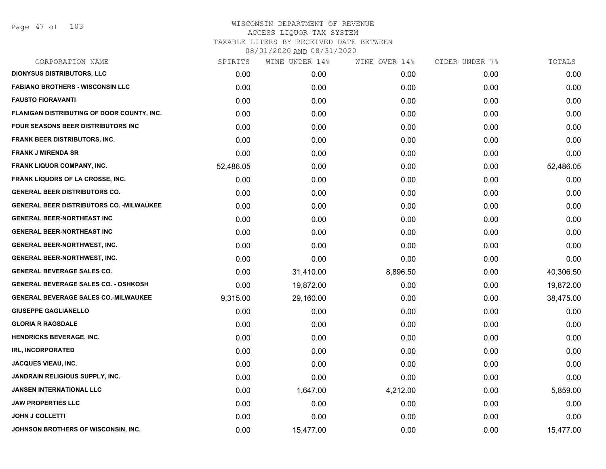| CORPORATION NAME                                 | SPIRITS   | WINE UNDER 14% | WINE OVER 14% | CIDER UNDER 7% | TOTALS    |
|--------------------------------------------------|-----------|----------------|---------------|----------------|-----------|
| <b>DIONYSUS DISTRIBUTORS, LLC</b>                | 0.00      | 0.00           | 0.00          | 0.00           | 0.00      |
| <b>FABIANO BROTHERS - WISCONSIN LLC</b>          | 0.00      | 0.00           | 0.00          | 0.00           | 0.00      |
| <b>FAUSTO FIORAVANTI</b>                         | 0.00      | 0.00           | 0.00          | 0.00           | 0.00      |
| FLANIGAN DISTRIBUTING OF DOOR COUNTY, INC.       | 0.00      | 0.00           | 0.00          | 0.00           | 0.00      |
| <b>FOUR SEASONS BEER DISTRIBUTORS INC.</b>       | 0.00      | 0.00           | 0.00          | 0.00           | 0.00      |
| <b>FRANK BEER DISTRIBUTORS, INC.</b>             | 0.00      | 0.00           | 0.00          | 0.00           | 0.00      |
| <b>FRANK J MIRENDA SR</b>                        | 0.00      | 0.00           | 0.00          | 0.00           | 0.00      |
| <b>FRANK LIQUOR COMPANY, INC.</b>                | 52,486.05 | 0.00           | 0.00          | 0.00           | 52,486.05 |
| FRANK LIQUORS OF LA CROSSE, INC.                 | 0.00      | 0.00           | 0.00          | 0.00           | 0.00      |
| <b>GENERAL BEER DISTRIBUTORS CO.</b>             | 0.00      | 0.00           | 0.00          | 0.00           | 0.00      |
| <b>GENERAL BEER DISTRIBUTORS CO. - MILWAUKEE</b> | 0.00      | 0.00           | 0.00          | 0.00           | 0.00      |
| <b>GENERAL BEER-NORTHEAST INC</b>                | 0.00      | 0.00           | 0.00          | 0.00           | 0.00      |
| <b>GENERAL BEER-NORTHEAST INC</b>                | 0.00      | 0.00           | 0.00          | 0.00           | 0.00      |
| <b>GENERAL BEER-NORTHWEST, INC.</b>              | 0.00      | 0.00           | 0.00          | 0.00           | 0.00      |
| <b>GENERAL BEER-NORTHWEST, INC.</b>              | 0.00      | 0.00           | 0.00          | 0.00           | 0.00      |
| <b>GENERAL BEVERAGE SALES CO.</b>                | 0.00      | 31,410.00      | 8,896.50      | 0.00           | 40,306.50 |
| <b>GENERAL BEVERAGE SALES CO. - OSHKOSH</b>      | 0.00      | 19,872.00      | 0.00          | 0.00           | 19,872.00 |
| <b>GENERAL BEVERAGE SALES CO.-MILWAUKEE</b>      | 9,315.00  | 29,160.00      | 0.00          | 0.00           | 38,475.00 |
| <b>GIUSEPPE GAGLIANELLO</b>                      | 0.00      | 0.00           | 0.00          | 0.00           | 0.00      |
| <b>GLORIA R RAGSDALE</b>                         | 0.00      | 0.00           | 0.00          | 0.00           | 0.00      |
| <b>HENDRICKS BEVERAGE, INC.</b>                  | 0.00      | 0.00           | 0.00          | 0.00           | 0.00      |
| <b>IRL, INCORPORATED</b>                         | 0.00      | 0.00           | 0.00          | 0.00           | 0.00      |
| <b>JACQUES VIEAU, INC.</b>                       | 0.00      | 0.00           | 0.00          | 0.00           | 0.00      |
| JANDRAIN RELIGIOUS SUPPLY, INC.                  | 0.00      | 0.00           | 0.00          | 0.00           | 0.00      |
| <b>JANSEN INTERNATIONAL LLC</b>                  | 0.00      | 1,647.00       | 4,212.00      | 0.00           | 5,859.00  |
| <b>JAW PROPERTIES LLC</b>                        | 0.00      | 0.00           | 0.00          | 0.00           | 0.00      |
| <b>JOHN J COLLETTI</b>                           | 0.00      | 0.00           | 0.00          | 0.00           | 0.00      |
| JOHNSON BROTHERS OF WISCONSIN, INC.              | 0.00      | 15,477.00      | 0.00          | 0.00           | 15,477.00 |
|                                                  |           |                |               |                |           |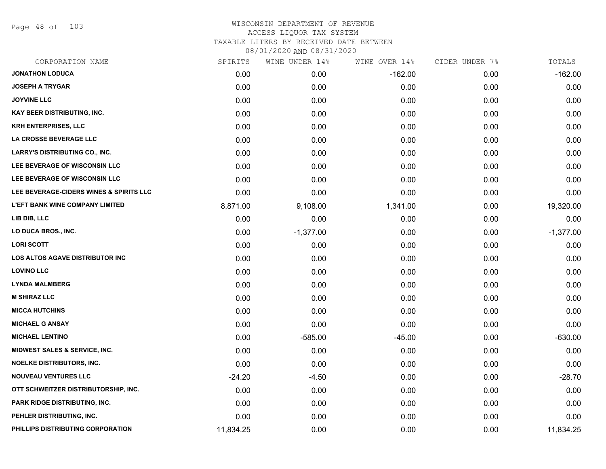Page 48 of 103

| CORPORATION NAME                        | SPIRITS   | WINE UNDER 14% | WINE OVER 14% | CIDER UNDER 7% | TOTALS      |
|-----------------------------------------|-----------|----------------|---------------|----------------|-------------|
| <b>JONATHON LODUCA</b>                  | 0.00      | 0.00           | $-162.00$     | 0.00           | $-162.00$   |
| <b>JOSEPH A TRYGAR</b>                  | 0.00      | 0.00           | 0.00          | 0.00           | 0.00        |
| <b>JOYVINE LLC</b>                      | 0.00      | 0.00           | 0.00          | 0.00           | 0.00        |
| <b>KAY BEER DISTRIBUTING, INC.</b>      | 0.00      | 0.00           | 0.00          | 0.00           | 0.00        |
| <b>KRH ENTERPRISES, LLC</b>             | 0.00      | 0.00           | 0.00          | 0.00           | 0.00        |
| LA CROSSE BEVERAGE LLC                  | 0.00      | 0.00           | 0.00          | 0.00           | 0.00        |
| <b>LARRY'S DISTRIBUTING CO., INC.</b>   | 0.00      | 0.00           | 0.00          | 0.00           | 0.00        |
| LEE BEVERAGE OF WISCONSIN LLC           | 0.00      | 0.00           | 0.00          | 0.00           | 0.00        |
| LEE BEVERAGE OF WISCONSIN LLC           | 0.00      | 0.00           | 0.00          | 0.00           | 0.00        |
| LEE BEVERAGE-CIDERS WINES & SPIRITS LLC | 0.00      | 0.00           | 0.00          | 0.00           | 0.00        |
| <b>L'EFT BANK WINE COMPANY LIMITED</b>  | 8,871.00  | 9,108.00       | 1,341.00      | 0.00           | 19,320.00   |
| LIB DIB, LLC                            | 0.00      | 0.00           | 0.00          | 0.00           | 0.00        |
| LO DUCA BROS., INC.                     | 0.00      | $-1,377.00$    | 0.00          | 0.00           | $-1,377.00$ |
| <b>LORI SCOTT</b>                       | 0.00      | 0.00           | 0.00          | 0.00           | 0.00        |
| <b>LOS ALTOS AGAVE DISTRIBUTOR INC</b>  | 0.00      | 0.00           | 0.00          | 0.00           | 0.00        |
| <b>LOVINO LLC</b>                       | 0.00      | 0.00           | 0.00          | 0.00           | 0.00        |
| <b>LYNDA MALMBERG</b>                   | 0.00      | 0.00           | 0.00          | 0.00           | 0.00        |
| <b>M SHIRAZ LLC</b>                     | 0.00      | 0.00           | 0.00          | 0.00           | 0.00        |
| <b>MICCA HUTCHINS</b>                   | 0.00      | 0.00           | 0.00          | 0.00           | 0.00        |
| <b>MICHAEL G ANSAY</b>                  | 0.00      | 0.00           | 0.00          | 0.00           | 0.00        |
| <b>MICHAEL LENTINO</b>                  | 0.00      | $-585.00$      | $-45.00$      | 0.00           | $-630.00$   |
| MIDWEST SALES & SERVICE, INC.           | 0.00      | 0.00           | 0.00          | 0.00           | 0.00        |
| NOELKE DISTRIBUTORS, INC.               | 0.00      | 0.00           | 0.00          | 0.00           | 0.00        |
| <b>NOUVEAU VENTURES LLC</b>             | $-24.20$  | $-4.50$        | 0.00          | 0.00           | $-28.70$    |
| OTT SCHWEITZER DISTRIBUTORSHIP, INC.    | 0.00      | 0.00           | 0.00          | 0.00           | 0.00        |
| PARK RIDGE DISTRIBUTING, INC.           | 0.00      | 0.00           | 0.00          | 0.00           | 0.00        |
| PEHLER DISTRIBUTING, INC.               | 0.00      | 0.00           | 0.00          | 0.00           | 0.00        |
| PHILLIPS DISTRIBUTING CORPORATION       | 11,834.25 | 0.00           | 0.00          | 0.00           | 11,834.25   |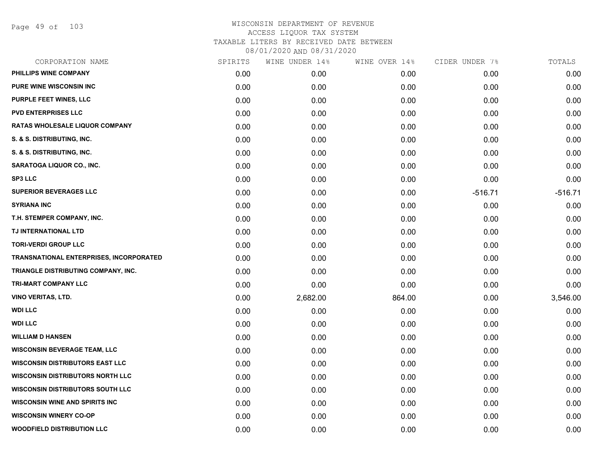Page 49 of 103

| CORPORATION NAME                        | SPIRITS | WINE UNDER 14% | WINE OVER 14% | CIDER UNDER 7% | TOTALS    |
|-----------------------------------------|---------|----------------|---------------|----------------|-----------|
| PHILLIPS WINE COMPANY                   | 0.00    | 0.00           | 0.00          | 0.00           | 0.00      |
| <b>PURE WINE WISCONSIN INC</b>          | 0.00    | 0.00           | 0.00          | 0.00           | 0.00      |
| PURPLE FEET WINES, LLC                  | 0.00    | 0.00           | 0.00          | 0.00           | 0.00      |
| <b>PVD ENTERPRISES LLC</b>              | 0.00    | 0.00           | 0.00          | 0.00           | 0.00      |
| <b>RATAS WHOLESALE LIQUOR COMPANY</b>   | 0.00    | 0.00           | 0.00          | 0.00           | 0.00      |
| S. & S. DISTRIBUTING, INC.              | 0.00    | 0.00           | 0.00          | 0.00           | 0.00      |
| S. & S. DISTRIBUTING, INC.              | 0.00    | 0.00           | 0.00          | 0.00           | 0.00      |
| SARATOGA LIQUOR CO., INC.               | 0.00    | 0.00           | 0.00          | 0.00           | 0.00      |
| <b>SP3 LLC</b>                          | 0.00    | 0.00           | 0.00          | 0.00           | 0.00      |
| <b>SUPERIOR BEVERAGES LLC</b>           | 0.00    | 0.00           | 0.00          | $-516.71$      | $-516.71$ |
| <b>SYRIANA INC</b>                      | 0.00    | 0.00           | 0.00          | 0.00           | 0.00      |
| T.H. STEMPER COMPANY, INC.              | 0.00    | 0.00           | 0.00          | 0.00           | 0.00      |
| TJ INTERNATIONAL LTD                    | 0.00    | 0.00           | 0.00          | 0.00           | 0.00      |
| <b>TORI-VERDI GROUP LLC</b>             | 0.00    | 0.00           | 0.00          | 0.00           | 0.00      |
| TRANSNATIONAL ENTERPRISES, INCORPORATED | 0.00    | 0.00           | 0.00          | 0.00           | 0.00      |
| TRIANGLE DISTRIBUTING COMPANY, INC.     | 0.00    | 0.00           | 0.00          | 0.00           | 0.00      |
| TRI-MART COMPANY LLC                    | 0.00    | 0.00           | 0.00          | 0.00           | 0.00      |
| VINO VERITAS, LTD.                      | 0.00    | 2,682.00       | 864.00        | 0.00           | 3,546.00  |
| <b>WDI LLC</b>                          | 0.00    | 0.00           | 0.00          | 0.00           | 0.00      |
| <b>WDI LLC</b>                          | 0.00    | 0.00           | 0.00          | 0.00           | 0.00      |
| <b>WILLIAM D HANSEN</b>                 | 0.00    | 0.00           | 0.00          | 0.00           | 0.00      |
| <b>WISCONSIN BEVERAGE TEAM, LLC</b>     | 0.00    | 0.00           | 0.00          | 0.00           | 0.00      |
| <b>WISCONSIN DISTRIBUTORS EAST LLC</b>  | 0.00    | 0.00           | 0.00          | 0.00           | 0.00      |
| <b>WISCONSIN DISTRIBUTORS NORTH LLC</b> | 0.00    | 0.00           | 0.00          | 0.00           | 0.00      |
| <b>WISCONSIN DISTRIBUTORS SOUTH LLC</b> | 0.00    | 0.00           | 0.00          | 0.00           | 0.00      |
| <b>WISCONSIN WINE AND SPIRITS INC</b>   | 0.00    | 0.00           | 0.00          | 0.00           | 0.00      |
| <b>WISCONSIN WINERY CO-OP</b>           | 0.00    | 0.00           | 0.00          | 0.00           | 0.00      |
| <b>WOODFIELD DISTRIBUTION LLC</b>       | 0.00    | 0.00           | 0.00          | 0.00           | 0.00      |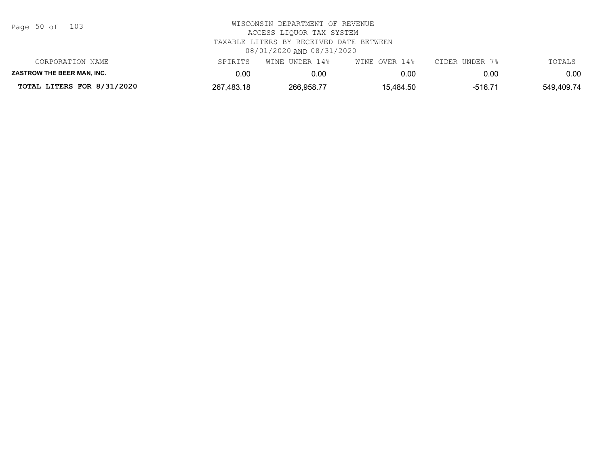| Page 50 of |  |  | 103 |
|------------|--|--|-----|
|------------|--|--|-----|

| TOTAL LITERS FOR 8/31/2020        | 267,483.18 | 266,958.77     | 15,484.50     | $-516.71$      | 549,409.74 |
|-----------------------------------|------------|----------------|---------------|----------------|------------|
| <b>ZASTROW THE BEER MAN. INC.</b> | 0.00       | 0.00           | 0.00          | 0.00           | 0.00       |
| CORPORATION NAME                  | SPIRITS    | WINE UNDER 14% | WINE OVER 14% | CIDER UNDER 7% | TOTALS     |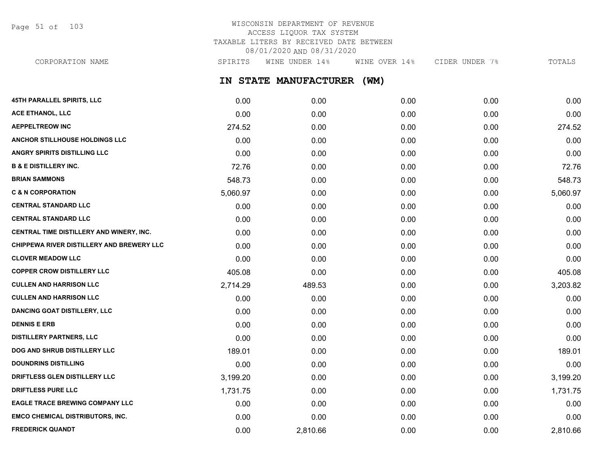Page 51 of 103

## WISCONSIN DEPARTMENT OF REVENUE ACCESS LIQUOR TAX SYSTEM TAXABLE LITERS BY RECEIVED DATE BETWEEN 08/01/2020 AND 08/31/2020

**IN STATE MANUFACTURER (WM) 45TH PARALLEL SPIRITS, LLC** 0.00 0.00 0.00 0.00 0.00 **ACE ETHANOL, LLC** 0.00 0.00 0.00 0.00 0.00 **AEPPELTREOW INC** 274.52 0.00 0.00 0.00 274.52 **ANCHOR STILLHOUSE HOLDINGS LLC** 0.00 0.00 0.00 0.00 0.00 **ANGRY SPIRITS DISTILLING LLC** 0.00 0.00 0.00 0.00 0.00 **B & E DISTILLERY INC.** 72.76 0.00 0.00 0.00 72.76 **BRIAN SAMMONS** 548.73 0.00 0.00 0.00 548.73 **C & N CORPORATION** 5,060.97 0.00 0.00 0.00 5,060.97 **CENTRAL STANDARD LLC** 0.00 0.00 0.00 0.00 0.00 **CENTRAL STANDARD LLC** 0.00 0.00 0.00 0.00 0.00 **CENTRAL TIME DISTILLERY AND WINERY, INC.**  $0.00$   $0.00$   $0.00$   $0.00$   $0.00$   $0.00$   $0.00$   $0.00$   $0.00$   $0.00$   $0.00$ **CHIPPEWA RIVER DISTILLERY AND BREWERY LLC** 0.00 0.00 0.00 0.00 0.00 **CLOVER MEADOW LLC** 0.00 0.00 0.00 0.00 0.00 **COPPER CROW DISTILLERY LLC** 405.08 0.00 0.00 0.00 405.08 **CULLEN AND HARRISON LLC** 2,714.29 489.53 0.00 0.00 3,203.82 **CULLEN AND HARRISON LLC** 0.00 0.00 0.00 0.00 0.00 **DANCING GOAT DISTILLERY, LLC** 0.00 0.00 0.00 0.00 0.00 **DENNIS E ERB** 0.00 0.00 0.00 0.00 0.00 **DISTILLERY PARTNERS, LLC** 0.00 0.00 0.00 0.00 0.00 **DOG AND SHRUB DISTILLERY LLC** 189.01 0.00 0.00 0.00 189.01 **DOUNDRINS DISTILLING** 0.00 0.00 0.00 0.00 0.00 **DRIFTLESS GLEN DISTILLERY LLC** 3,199.20 0.00 0.00 0.00 3,199.20 **DRIFTLESS PURE LLC** 1,731.75 0.00 0.00 0.00 1,731.75 **EAGLE TRACE BREWING COMPANY LLC** 0.00 0.00 0.00 0.00 0.00 **EMCO CHEMICAL DISTRIBUTORS, INC.** 0.00 0.00 0.00 0.00 0.00 CORPORATION NAME SPIRITS WINE UNDER 14% WINE OVER 14% CIDER UNDER 7% TOTALS

**FREDERICK QUANDT** 0.00 2,810.66 0.00 0.00 2,810.66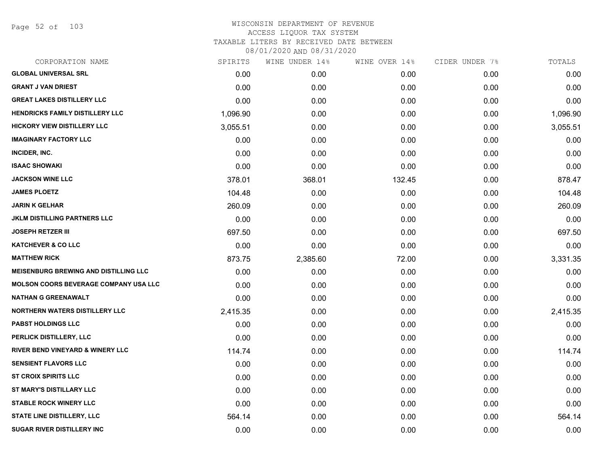Page 52 of 103

| CORPORATION NAME                             | SPIRITS  | WINE UNDER 14% | WINE OVER 14% | CIDER UNDER 7% | TOTALS   |
|----------------------------------------------|----------|----------------|---------------|----------------|----------|
| <b>GLOBAL UNIVERSAL SRL</b>                  | 0.00     | 0.00           | 0.00          | 0.00           | 0.00     |
| <b>GRANT J VAN DRIEST</b>                    | 0.00     | 0.00           | 0.00          | 0.00           | 0.00     |
| <b>GREAT LAKES DISTILLERY LLC</b>            | 0.00     | 0.00           | 0.00          | 0.00           | 0.00     |
| <b>HENDRICKS FAMILY DISTILLERY LLC</b>       | 1,096.90 | 0.00           | 0.00          | 0.00           | 1,096.90 |
| <b>HICKORY VIEW DISTILLERY LLC</b>           | 3,055.51 | 0.00           | 0.00          | 0.00           | 3,055.51 |
| <b>IMAGINARY FACTORY LLC</b>                 | 0.00     | 0.00           | 0.00          | 0.00           | 0.00     |
| INCIDER, INC.                                | 0.00     | 0.00           | 0.00          | 0.00           | 0.00     |
| <b>ISAAC SHOWAKI</b>                         | 0.00     | 0.00           | 0.00          | 0.00           | 0.00     |
| <b>JACKSON WINE LLC</b>                      | 378.01   | 368.01         | 132.45        | 0.00           | 878.47   |
| <b>JAMES PLOETZ</b>                          | 104.48   | 0.00           | 0.00          | 0.00           | 104.48   |
| <b>JARIN K GELHAR</b>                        | 260.09   | 0.00           | 0.00          | 0.00           | 260.09   |
| <b>JKLM DISTILLING PARTNERS LLC</b>          | 0.00     | 0.00           | 0.00          | 0.00           | 0.00     |
| <b>JOSEPH RETZER III</b>                     | 697.50   | 0.00           | 0.00          | 0.00           | 697.50   |
| <b>KATCHEVER &amp; CO LLC</b>                | 0.00     | 0.00           | 0.00          | 0.00           | 0.00     |
| <b>MATTHEW RICK</b>                          | 873.75   | 2,385.60       | 72.00         | 0.00           | 3,331.35 |
| <b>MEISENBURG BREWING AND DISTILLING LLC</b> | 0.00     | 0.00           | 0.00          | 0.00           | 0.00     |
| <b>MOLSON COORS BEVERAGE COMPANY USA LLC</b> | 0.00     | 0.00           | 0.00          | 0.00           | 0.00     |
| <b>NATHAN G GREENAWALT</b>                   | 0.00     | 0.00           | 0.00          | 0.00           | 0.00     |
| <b>NORTHERN WATERS DISTILLERY LLC</b>        | 2,415.35 | 0.00           | 0.00          | 0.00           | 2,415.35 |
| <b>PABST HOLDINGS LLC</b>                    | 0.00     | 0.00           | 0.00          | 0.00           | 0.00     |
| PERLICK DISTILLERY, LLC                      | 0.00     | 0.00           | 0.00          | 0.00           | 0.00     |
| RIVER BEND VINEYARD & WINERY LLC             | 114.74   | 0.00           | 0.00          | 0.00           | 114.74   |
| <b>SENSIENT FLAVORS LLC</b>                  | 0.00     | 0.00           | 0.00          | 0.00           | 0.00     |
| <b>ST CROIX SPIRITS LLC</b>                  | 0.00     | 0.00           | 0.00          | 0.00           | 0.00     |
| ST MARY'S DISTILLARY LLC                     | 0.00     | 0.00           | 0.00          | 0.00           | 0.00     |
| <b>STABLE ROCK WINERY LLC</b>                | 0.00     | 0.00           | 0.00          | 0.00           | 0.00     |
| <b>STATE LINE DISTILLERY, LLC</b>            | 564.14   | 0.00           | 0.00          | 0.00           | 564.14   |
| <b>SUGAR RIVER DISTILLERY INC</b>            | 0.00     | 0.00           | 0.00          | 0.00           | 0.00     |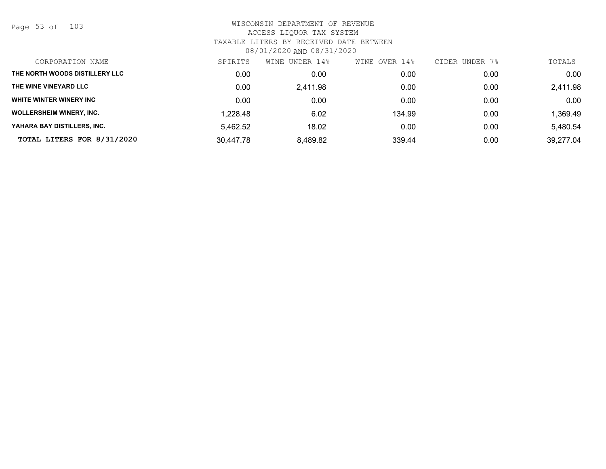Page 53 of 103

| CORPORATION NAME                | SPIRITS   | UNDER 14%<br>WINE | OVER 14%<br>WINE | CIDER UNDER 7% | TOTALS    |
|---------------------------------|-----------|-------------------|------------------|----------------|-----------|
| THE NORTH WOODS DISTILLERY LLC  | 0.00      | 0.00              | 0.00             | 0.00           | 0.00      |
| THE WINE VINEYARD LLC           | 0.00      | 2.411.98          | 0.00             | 0.00           | 2,411.98  |
| WHITE WINTER WINERY INC         | 0.00      | 0.00              | 0.00             | 0.00           | 0.00      |
| <b>WOLLERSHEIM WINERY, INC.</b> | 1,228.48  | 6.02              | 134.99           | 0.00           | 1,369.49  |
| YAHARA BAY DISTILLERS, INC.     | 5,462.52  | 18.02             | 0.00             | 0.00           | 5,480.54  |
| TOTAL LITERS FOR 8/31/2020      | 30,447.78 | 8,489.82          | 339.44           | 0.00           | 39,277.04 |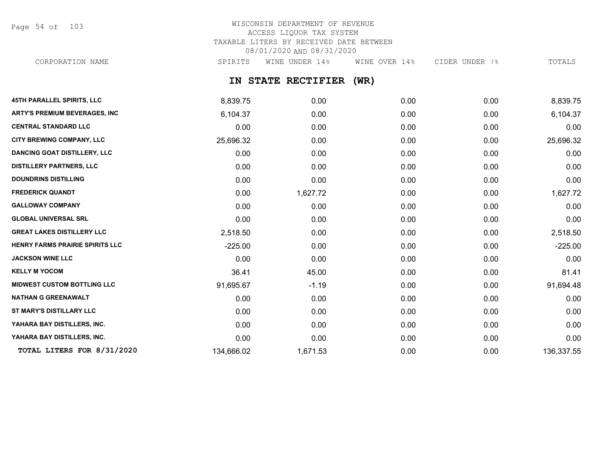Page 54 of 103

## WISCONSIN DEPARTMENT OF REVENUE ACCESS LIQUOR TAX SYSTEM TAXABLE LITERS BY RECEIVED DATE BETWEEN 08/01/2020 AND 08/31/2020

CORPORATION NAME SPIRITS WINE UNDER 14% WINE OVER 14% CIDER UNDER 7% TOTALS

## **IN STATE RECTIFIER (WR)**

| <b>45TH PARALLEL SPIRITS, LLC</b>    | 8,839.75   | 0.00     | 0.00 | 0.00 | 8,839.75   |
|--------------------------------------|------------|----------|------|------|------------|
| <b>ARTY'S PREMIUM BEVERAGES, INC</b> | 6,104.37   | 0.00     | 0.00 | 0.00 | 6,104.37   |
| <b>CENTRAL STANDARD LLC</b>          | 0.00       | 0.00     | 0.00 | 0.00 | 0.00       |
| CITY BREWING COMPANY, LLC            | 25,696.32  | 0.00     | 0.00 | 0.00 | 25,696.32  |
| <b>DANCING GOAT DISTILLERY, LLC</b>  | 0.00       | 0.00     | 0.00 | 0.00 | 0.00       |
| <b>DISTILLERY PARTNERS, LLC</b>      | 0.00       | 0.00     | 0.00 | 0.00 | 0.00       |
| <b>DOUNDRINS DISTILLING</b>          | 0.00       | 0.00     | 0.00 | 0.00 | 0.00       |
| <b>FREDERICK QUANDT</b>              | 0.00       | 1,627.72 | 0.00 | 0.00 | 1,627.72   |
| <b>GALLOWAY COMPANY</b>              | 0.00       | 0.00     | 0.00 | 0.00 | 0.00       |
| <b>GLOBAL UNIVERSAL SRL</b>          | 0.00       | 0.00     | 0.00 | 0.00 | 0.00       |
| <b>GREAT LAKES DISTILLERY LLC</b>    | 2,518.50   | 0.00     | 0.00 | 0.00 | 2,518.50   |
| HENRY FARMS PRAIRIE SPIRITS LLC      | $-225.00$  | 0.00     | 0.00 | 0.00 | $-225.00$  |
| <b>JACKSON WINE LLC</b>              | 0.00       | 0.00     | 0.00 | 0.00 | 0.00       |
| <b>KELLY M YOCOM</b>                 | 36.41      | 45.00    | 0.00 | 0.00 | 81.41      |
| <b>MIDWEST CUSTOM BOTTLING LLC</b>   | 91,695.67  | $-1.19$  | 0.00 | 0.00 | 91,694.48  |
| <b>NATHAN G GREENAWALT</b>           | 0.00       | 0.00     | 0.00 | 0.00 | 0.00       |
| ST MARY'S DISTILLARY LLC             | 0.00       | 0.00     | 0.00 | 0.00 | 0.00       |
| YAHARA BAY DISTILLERS, INC.          | 0.00       | 0.00     | 0.00 | 0.00 | 0.00       |
| YAHARA BAY DISTILLERS, INC.          | 0.00       | 0.00     | 0.00 | 0.00 | 0.00       |
| TOTAL LITERS FOR 8/31/2020           | 134,666.02 | 1,671.53 | 0.00 | 0.00 | 136,337.55 |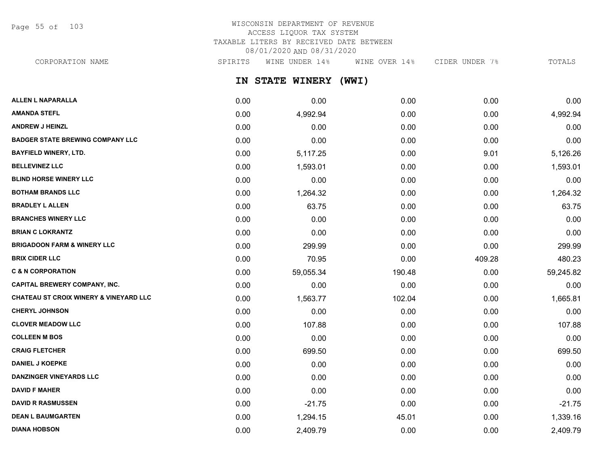Page 55 of 103

## WISCONSIN DEPARTMENT OF REVENUE ACCESS LIQUOR TAX SYSTEM TAXABLE LITERS BY RECEIVED DATE BETWEEN 08/01/2020 AND 08/31/2020

CORPORATION NAME SPIRITS WINE UNDER 14% WINE OVER 14% CIDER UNDER 7% TOTALS

**IN STATE WINERY (WWI)**

| <b>ALLEN L NAPARALLA</b>                          | 0.00 | 0.00      | 0.00   | 0.00   | 0.00      |
|---------------------------------------------------|------|-----------|--------|--------|-----------|
| <b>AMANDA STEFL</b>                               | 0.00 | 4,992.94  | 0.00   | 0.00   | 4,992.94  |
| <b>ANDREW J HEINZL</b>                            | 0.00 | 0.00      | 0.00   | 0.00   | 0.00      |
| <b>BADGER STATE BREWING COMPANY LLC</b>           | 0.00 | 0.00      | 0.00   | 0.00   | 0.00      |
| <b>BAYFIELD WINERY, LTD.</b>                      | 0.00 | 5,117.25  | 0.00   | 9.01   | 5,126.26  |
| <b>BELLEVINEZ LLC</b>                             | 0.00 | 1,593.01  | 0.00   | 0.00   | 1,593.01  |
| <b>BLIND HORSE WINERY LLC</b>                     | 0.00 | 0.00      | 0.00   | 0.00   | 0.00      |
| <b>BOTHAM BRANDS LLC</b>                          | 0.00 | 1,264.32  | 0.00   | 0.00   | 1,264.32  |
| <b>BRADLEY L ALLEN</b>                            | 0.00 | 63.75     | 0.00   | 0.00   | 63.75     |
| <b>BRANCHES WINERY LLC</b>                        | 0.00 | 0.00      | 0.00   | 0.00   | 0.00      |
| <b>BRIAN C LOKRANTZ</b>                           | 0.00 | 0.00      | 0.00   | 0.00   | 0.00      |
| <b>BRIGADOON FARM &amp; WINERY LLC</b>            | 0.00 | 299.99    | 0.00   | 0.00   | 299.99    |
| <b>BRIX CIDER LLC</b>                             | 0.00 | 70.95     | 0.00   | 409.28 | 480.23    |
| <b>C &amp; N CORPORATION</b>                      | 0.00 | 59,055.34 | 190.48 | 0.00   | 59,245.82 |
| <b>CAPITAL BREWERY COMPANY, INC.</b>              | 0.00 | 0.00      | 0.00   | 0.00   | 0.00      |
| <b>CHATEAU ST CROIX WINERY &amp; VINEYARD LLC</b> | 0.00 | 1,563.77  | 102.04 | 0.00   | 1,665.81  |
| <b>CHERYL JOHNSON</b>                             | 0.00 | 0.00      | 0.00   | 0.00   | 0.00      |
| <b>CLOVER MEADOW LLC</b>                          | 0.00 | 107.88    | 0.00   | 0.00   | 107.88    |
| <b>COLLEEN M BOS</b>                              | 0.00 | 0.00      | 0.00   | 0.00   | 0.00      |
| <b>CRAIG FLETCHER</b>                             | 0.00 | 699.50    | 0.00   | 0.00   | 699.50    |
| <b>DANIEL J KOEPKE</b>                            | 0.00 | 0.00      | 0.00   | 0.00   | 0.00      |
| <b>DANZINGER VINEYARDS LLC</b>                    | 0.00 | 0.00      | 0.00   | 0.00   | 0.00      |
| <b>DAVID F MAHER</b>                              | 0.00 | 0.00      | 0.00   | 0.00   | 0.00      |
| <b>DAVID R RASMUSSEN</b>                          | 0.00 | $-21.75$  | 0.00   | 0.00   | $-21.75$  |
| <b>DEAN L BAUMGARTEN</b>                          | 0.00 | 1,294.15  | 45.01  | 0.00   | 1,339.16  |
| <b>DIANA HOBSON</b>                               | 0.00 | 2,409.79  | 0.00   | 0.00   | 2,409.79  |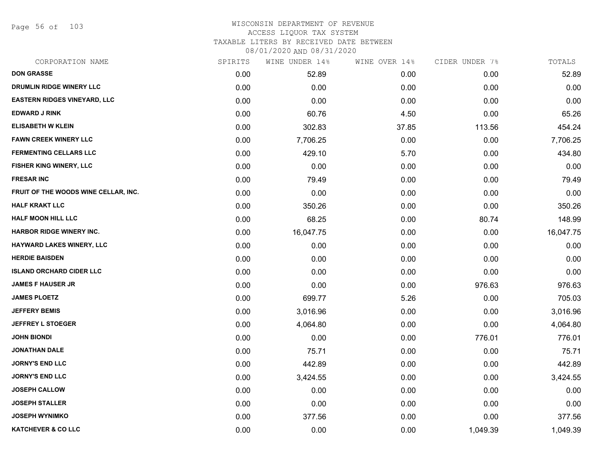Page 56 of 103

### WISCONSIN DEPARTMENT OF REVENUE ACCESS LIQUOR TAX SYSTEM TAXABLE LITERS BY RECEIVED DATE BETWEEN

| CORPORATION NAME                     | SPIRITS | WINE UNDER 14% | WINE OVER 14% | CIDER UNDER 7% | TOTALS    |
|--------------------------------------|---------|----------------|---------------|----------------|-----------|
| <b>DON GRASSE</b>                    | 0.00    | 52.89          | 0.00          | 0.00           | 52.89     |
| DRUMLIN RIDGE WINERY LLC             | 0.00    | 0.00           | 0.00          | 0.00           | 0.00      |
| <b>EASTERN RIDGES VINEYARD, LLC</b>  | 0.00    | 0.00           | 0.00          | 0.00           | 0.00      |
| <b>EDWARD J RINK</b>                 | 0.00    | 60.76          | 4.50          | 0.00           | 65.26     |
| <b>ELISABETH W KLEIN</b>             | 0.00    | 302.83         | 37.85         | 113.56         | 454.24    |
| <b>FAWN CREEK WINERY LLC</b>         | 0.00    | 7,706.25       | 0.00          | 0.00           | 7,706.25  |
| <b>FERMENTING CELLARS LLC</b>        | 0.00    | 429.10         | 5.70          | 0.00           | 434.80    |
| <b>FISHER KING WINERY, LLC</b>       | 0.00    | 0.00           | 0.00          | 0.00           | 0.00      |
| <b>FRESAR INC</b>                    | 0.00    | 79.49          | 0.00          | 0.00           | 79.49     |
| FRUIT OF THE WOODS WINE CELLAR, INC. | 0.00    | 0.00           | 0.00          | 0.00           | 0.00      |
| <b>HALF KRAKT LLC</b>                | 0.00    | 350.26         | 0.00          | 0.00           | 350.26    |
| <b>HALF MOON HILL LLC</b>            | 0.00    | 68.25          | 0.00          | 80.74          | 148.99    |
| <b>HARBOR RIDGE WINERY INC.</b>      | 0.00    | 16,047.75      | 0.00          | 0.00           | 16,047.75 |
| HAYWARD LAKES WINERY, LLC            | 0.00    | 0.00           | 0.00          | 0.00           | 0.00      |
| <b>HERDIE BAISDEN</b>                | 0.00    | 0.00           | 0.00          | 0.00           | 0.00      |
| <b>ISLAND ORCHARD CIDER LLC</b>      | 0.00    | 0.00           | 0.00          | 0.00           | 0.00      |
| <b>JAMES F HAUSER JR</b>             | 0.00    | 0.00           | 0.00          | 976.63         | 976.63    |
| <b>JAMES PLOETZ</b>                  | 0.00    | 699.77         | 5.26          | 0.00           | 705.03    |
| <b>JEFFERY BEMIS</b>                 | 0.00    | 3,016.96       | 0.00          | 0.00           | 3,016.96  |
| <b>JEFFREY L STOEGER</b>             | 0.00    | 4,064.80       | 0.00          | 0.00           | 4,064.80  |
| <b>JOHN BIONDI</b>                   | 0.00    | 0.00           | 0.00          | 776.01         | 776.01    |
| <b>JONATHAN DALE</b>                 | 0.00    | 75.71          | 0.00          | 0.00           | 75.71     |
| <b>JORNY'S END LLC</b>               | 0.00    | 442.89         | 0.00          | 0.00           | 442.89    |
| <b>JORNY'S END LLC</b>               | 0.00    | 3,424.55       | 0.00          | 0.00           | 3,424.55  |
| <b>JOSEPH CALLOW</b>                 | 0.00    | 0.00           | 0.00          | 0.00           | 0.00      |
| <b>JOSEPH STALLER</b>                | 0.00    | 0.00           | 0.00          | 0.00           | 0.00      |
| <b>JOSEPH WYNIMKO</b>                | 0.00    | 377.56         | 0.00          | 0.00           | 377.56    |
| <b>KATCHEVER &amp; CO LLC</b>        | 0.00    | 0.00           | 0.00          | 1,049.39       | 1,049.39  |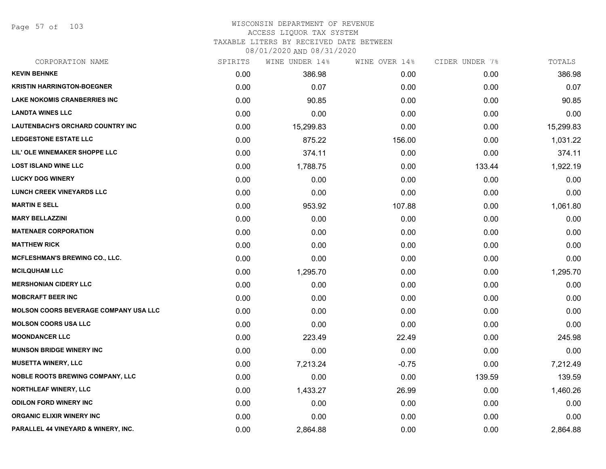Page 57 of 103

## WISCONSIN DEPARTMENT OF REVENUE ACCESS LIQUOR TAX SYSTEM

TAXABLE LITERS BY RECEIVED DATE BETWEEN

| CORPORATION NAME                             | SPIRITS | WINE UNDER 14% | WINE OVER 14% | CIDER UNDER 7% | TOTALS    |
|----------------------------------------------|---------|----------------|---------------|----------------|-----------|
| <b>KEVIN BEHNKE</b>                          | 0.00    | 386.98         | 0.00          | 0.00           | 386.98    |
| <b>KRISTIN HARRINGTON-BOEGNER</b>            | 0.00    | 0.07           | 0.00          | 0.00           | 0.07      |
| <b>LAKE NOKOMIS CRANBERRIES INC</b>          | 0.00    | 90.85          | 0.00          | 0.00           | 90.85     |
| <b>LANDTA WINES LLC</b>                      | 0.00    | 0.00           | 0.00          | 0.00           | 0.00      |
| LAUTENBACH'S ORCHARD COUNTRY INC             | 0.00    | 15,299.83      | 0.00          | 0.00           | 15,299.83 |
| <b>LEDGESTONE ESTATE LLC</b>                 | 0.00    | 875.22         | 156.00        | 0.00           | 1,031.22  |
| LIL' OLE WINEMAKER SHOPPE LLC                | 0.00    | 374.11         | 0.00          | 0.00           | 374.11    |
| <b>LOST ISLAND WINE LLC</b>                  | 0.00    | 1,788.75       | 0.00          | 133.44         | 1,922.19  |
| <b>LUCKY DOG WINERY</b>                      | 0.00    | 0.00           | 0.00          | 0.00           | 0.00      |
| <b>LUNCH CREEK VINEYARDS LLC</b>             | 0.00    | 0.00           | 0.00          | 0.00           | 0.00      |
| <b>MARTIN E SELL</b>                         | 0.00    | 953.92         | 107.88        | 0.00           | 1,061.80  |
| <b>MARY BELLAZZINI</b>                       | 0.00    | 0.00           | 0.00          | 0.00           | 0.00      |
| <b>MATENAER CORPORATION</b>                  | 0.00    | 0.00           | 0.00          | 0.00           | 0.00      |
| <b>MATTHEW RICK</b>                          | 0.00    | 0.00           | 0.00          | 0.00           | 0.00      |
| <b>MCFLESHMAN'S BREWING CO., LLC.</b>        | 0.00    | 0.00           | 0.00          | 0.00           | 0.00      |
| <b>MCILQUHAM LLC</b>                         | 0.00    | 1,295.70       | 0.00          | 0.00           | 1,295.70  |
| <b>MERSHONIAN CIDERY LLC</b>                 | 0.00    | 0.00           | 0.00          | 0.00           | 0.00      |
| <b>MOBCRAFT BEER INC</b>                     | 0.00    | 0.00           | 0.00          | 0.00           | 0.00      |
| <b>MOLSON COORS BEVERAGE COMPANY USA LLC</b> | 0.00    | 0.00           | 0.00          | 0.00           | 0.00      |
| <b>MOLSON COORS USA LLC</b>                  | 0.00    | 0.00           | 0.00          | 0.00           | 0.00      |
| <b>MOONDANCER LLC</b>                        | 0.00    | 223.49         | 22.49         | 0.00           | 245.98    |
| <b>MUNSON BRIDGE WINERY INC</b>              | 0.00    | 0.00           | 0.00          | 0.00           | 0.00      |
| <b>MUSETTA WINERY, LLC</b>                   | 0.00    | 7,213.24       | $-0.75$       | 0.00           | 7,212.49  |
| <b>NOBLE ROOTS BREWING COMPANY, LLC</b>      | 0.00    | 0.00           | 0.00          | 139.59         | 139.59    |
| <b>NORTHLEAF WINERY, LLC</b>                 | 0.00    | 1,433.27       | 26.99         | 0.00           | 1,460.26  |
| <b>ODILON FORD WINERY INC</b>                | 0.00    | 0.00           | 0.00          | 0.00           | 0.00      |
| <b>ORGANIC ELIXIR WINERY INC</b>             | 0.00    | 0.00           | 0.00          | 0.00           | 0.00      |
| PARALLEL 44 VINEYARD & WINERY, INC.          | 0.00    | 2,864.88       | 0.00          | 0.00           | 2,864.88  |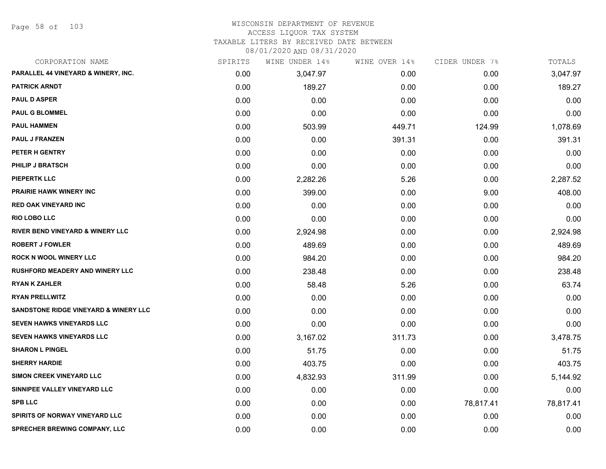Page 58 of 103

#### WISCONSIN DEPARTMENT OF REVENUE ACCESS LIQUOR TAX SYSTEM TAXABLE LITERS BY RECEIVED DATE BETWEEN

| CORPORATION NAME                                 | SPIRITS | WINE UNDER 14% | WINE OVER 14% | CIDER UNDER 7% | TOTALS    |
|--------------------------------------------------|---------|----------------|---------------|----------------|-----------|
| PARALLEL 44 VINEYARD & WINERY, INC.              | 0.00    | 3,047.97       | 0.00          | 0.00           | 3,047.97  |
| <b>PATRICK ARNDT</b>                             | 0.00    | 189.27         | 0.00          | 0.00           | 189.27    |
| <b>PAUL D ASPER</b>                              | 0.00    | 0.00           | 0.00          | 0.00           | 0.00      |
| <b>PAUL G BLOMMEL</b>                            | 0.00    | 0.00           | 0.00          | 0.00           | 0.00      |
| <b>PAUL HAMMEN</b>                               | 0.00    | 503.99         | 449.71        | 124.99         | 1,078.69  |
| <b>PAUL J FRANZEN</b>                            | 0.00    | 0.00           | 391.31        | 0.00           | 391.31    |
| PETER H GENTRY                                   | 0.00    | 0.00           | 0.00          | 0.00           | 0.00      |
| PHILIP J BRATSCH                                 | 0.00    | 0.00           | 0.00          | 0.00           | 0.00      |
| <b>PIEPERTK LLC</b>                              | 0.00    | 2,282.26       | 5.26          | 0.00           | 2,287.52  |
| <b>PRAIRIE HAWK WINERY INC</b>                   | 0.00    | 399.00         | 0.00          | 9.00           | 408.00    |
| <b>RED OAK VINEYARD INC</b>                      | 0.00    | 0.00           | 0.00          | 0.00           | 0.00      |
| <b>RIO LOBO LLC</b>                              | 0.00    | 0.00           | 0.00          | 0.00           | 0.00      |
| RIVER BEND VINEYARD & WINERY LLC                 | 0.00    | 2,924.98       | 0.00          | 0.00           | 2,924.98  |
| <b>ROBERT J FOWLER</b>                           | 0.00    | 489.69         | 0.00          | 0.00           | 489.69    |
| <b>ROCK N WOOL WINERY LLC</b>                    | 0.00    | 984.20         | 0.00          | 0.00           | 984.20    |
| <b>RUSHFORD MEADERY AND WINERY LLC</b>           | 0.00    | 238.48         | 0.00          | 0.00           | 238.48    |
| <b>RYAN K ZAHLER</b>                             | 0.00    | 58.48          | 5.26          | 0.00           | 63.74     |
| <b>RYAN PRELLWITZ</b>                            | 0.00    | 0.00           | 0.00          | 0.00           | 0.00      |
| <b>SANDSTONE RIDGE VINEYARD &amp; WINERY LLC</b> | 0.00    | 0.00           | 0.00          | 0.00           | 0.00      |
| <b>SEVEN HAWKS VINEYARDS LLC</b>                 | 0.00    | 0.00           | 0.00          | 0.00           | 0.00      |
| <b>SEVEN HAWKS VINEYARDS LLC</b>                 | 0.00    | 3,167.02       | 311.73        | 0.00           | 3,478.75  |
| <b>SHARON L PINGEL</b>                           | 0.00    | 51.75          | 0.00          | 0.00           | 51.75     |
| <b>SHERRY HARDIE</b>                             | 0.00    | 403.75         | 0.00          | 0.00           | 403.75    |
| SIMON CREEK VINEYARD LLC                         | 0.00    | 4,832.93       | 311.99        | 0.00           | 5,144.92  |
| SINNIPEE VALLEY VINEYARD LLC                     | 0.00    | 0.00           | 0.00          | 0.00           | 0.00      |
| <b>SPB LLC</b>                                   | 0.00    | 0.00           | 0.00          | 78,817.41      | 78,817.41 |
| <b>SPIRITS OF NORWAY VINEYARD LLC</b>            | 0.00    | 0.00           | 0.00          | 0.00           | 0.00      |
| <b>SPRECHER BREWING COMPANY, LLC</b>             | 0.00    | 0.00           | 0.00          | 0.00           | 0.00      |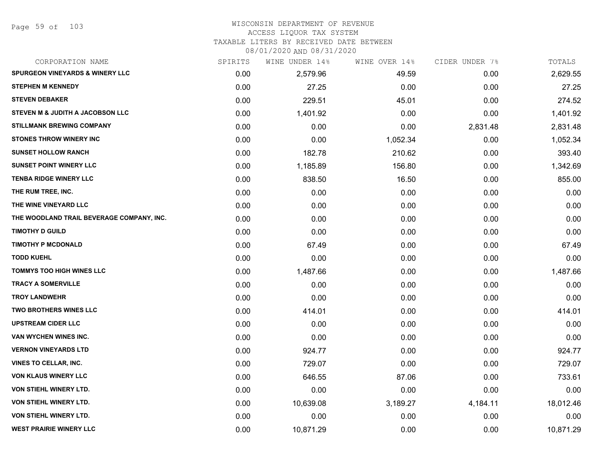#### WISCONSIN DEPARTMENT OF REVENUE ACCESS LIQUOR TAX SYSTEM

TAXABLE LITERS BY RECEIVED DATE BETWEEN

| CORPORATION NAME                           | SPIRITS | WINE UNDER 14% | WINE OVER 14% | CIDER UNDER 7% | TOTALS    |
|--------------------------------------------|---------|----------------|---------------|----------------|-----------|
| <b>SPURGEON VINEYARDS &amp; WINERY LLC</b> | 0.00    | 2,579.96       | 49.59         | 0.00           | 2,629.55  |
| <b>STEPHEN M KENNEDY</b>                   | 0.00    | 27.25          | 0.00          | 0.00           | 27.25     |
| <b>STEVEN DEBAKER</b>                      | 0.00    | 229.51         | 45.01         | 0.00           | 274.52    |
| STEVEN M & JUDITH A JACOBSON LLC           | 0.00    | 1,401.92       | 0.00          | 0.00           | 1,401.92  |
| <b>STILLMANK BREWING COMPANY</b>           | 0.00    | 0.00           | 0.00          | 2,831.48       | 2,831.48  |
| <b>STONES THROW WINERY INC</b>             | 0.00    | 0.00           | 1,052.34      | 0.00           | 1,052.34  |
| <b>SUNSET HOLLOW RANCH</b>                 | 0.00    | 182.78         | 210.62        | 0.00           | 393.40    |
| <b>SUNSET POINT WINERY LLC</b>             | 0.00    | 1,185.89       | 156.80        | 0.00           | 1,342.69  |
| <b>TENBA RIDGE WINERY LLC</b>              | 0.00    | 838.50         | 16.50         | 0.00           | 855.00    |
| THE RUM TREE, INC.                         | 0.00    | 0.00           | 0.00          | 0.00           | 0.00      |
| THE WINE VINEYARD LLC                      | 0.00    | 0.00           | 0.00          | 0.00           | 0.00      |
| THE WOODLAND TRAIL BEVERAGE COMPANY, INC.  | 0.00    | 0.00           | 0.00          | 0.00           | 0.00      |
| <b>TIMOTHY D GUILD</b>                     | 0.00    | 0.00           | 0.00          | 0.00           | 0.00      |
| <b>TIMOTHY P MCDONALD</b>                  | 0.00    | 67.49          | 0.00          | 0.00           | 67.49     |
| <b>TODD KUEHL</b>                          | 0.00    | 0.00           | 0.00          | 0.00           | 0.00      |
| <b>TOMMYS TOO HIGH WINES LLC</b>           | 0.00    | 1,487.66       | 0.00          | 0.00           | 1,487.66  |
| <b>TRACY A SOMERVILLE</b>                  | 0.00    | 0.00           | 0.00          | 0.00           | 0.00      |
| <b>TROY LANDWEHR</b>                       | 0.00    | 0.00           | 0.00          | 0.00           | 0.00      |
| <b>TWO BROTHERS WINES LLC</b>              | 0.00    | 414.01         | 0.00          | 0.00           | 414.01    |
| <b>UPSTREAM CIDER LLC</b>                  | 0.00    | 0.00           | 0.00          | 0.00           | 0.00      |
| VAN WYCHEN WINES INC.                      | 0.00    | 0.00           | 0.00          | 0.00           | 0.00      |
| <b>VERNON VINEYARDS LTD</b>                | 0.00    | 924.77         | 0.00          | 0.00           | 924.77    |
| <b>VINES TO CELLAR, INC.</b>               | 0.00    | 729.07         | 0.00          | 0.00           | 729.07    |
| VON KLAUS WINERY LLC                       | 0.00    | 646.55         | 87.06         | 0.00           | 733.61    |
| <b>VON STIEHL WINERY LTD.</b>              | 0.00    | 0.00           | 0.00          | 0.00           | 0.00      |
| VON STIEHL WINERY LTD.                     | 0.00    | 10,639.08      | 3,189.27      | 4,184.11       | 18,012.46 |
| VON STIEHL WINERY LTD.                     | 0.00    | 0.00           | 0.00          | 0.00           | 0.00      |
| <b>WEST PRAIRIE WINERY LLC</b>             | 0.00    | 10,871.29      | 0.00          | 0.00           | 10,871.29 |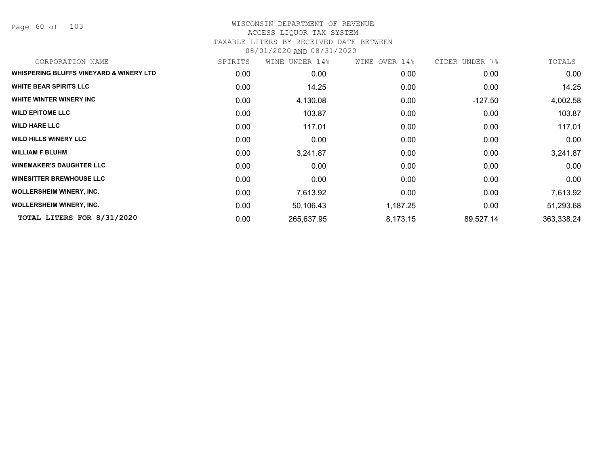Page 60 of 103

| CORPORATION NAME                        | SPIRITS | WINE UNDER 14% | WINE OVER 14% | CIDER UNDER 7% | TOTALS     |
|-----------------------------------------|---------|----------------|---------------|----------------|------------|
| WHISPERING BLUFFS VINEYARD & WINERY LTD | 0.00    | 0.00           | 0.00          | 0.00           | 0.00       |
| <b>WHITE BEAR SPIRITS LLC</b>           | 0.00    | 14.25          | 0.00          | 0.00           | 14.25      |
| WHITE WINTER WINERY INC                 | 0.00    | 4,130.08       | 0.00          | $-127.50$      | 4,002.58   |
| <b>WILD EPITOME LLC</b>                 | 0.00    | 103.87         | 0.00          | 0.00           | 103.87     |
| <b>WILD HARE LLC</b>                    | 0.00    | 117.01         | 0.00          | 0.00           | 117.01     |
| <b>WILD HILLS WINERY LLC</b>            | 0.00    | 0.00           | 0.00          | 0.00           | 0.00       |
| <b>WILLIAM F BLUHM</b>                  | 0.00    | 3,241.87       | 0.00          | 0.00           | 3,241.87   |
| <b>WINEMAKER'S DAUGHTER LLC</b>         | 0.00    | 0.00           | 0.00          | 0.00           | 0.00       |
| <b>WINESITTER BREWHOUSE LLC</b>         | 0.00    | 0.00           | 0.00          | 0.00           | 0.00       |
| <b>WOLLERSHEIM WINERY, INC.</b>         | 0.00    | 7,613.92       | 0.00          | 0.00           | 7,613.92   |
| <b>WOLLERSHEIM WINERY, INC.</b>         | 0.00    | 50,106.43      | 1,187.25      | 0.00           | 51,293.68  |
| TOTAL LITERS FOR 8/31/2020              | 0.00    | 265,637.95     | 8,173.15      | 89,527.14      | 363,338.24 |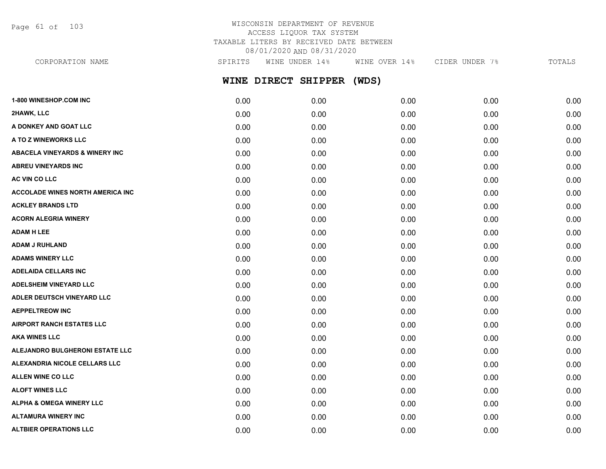Page 61 of 103

| CORPORATION NAME              | SPIRITS | WINE UNDER 14%      | WINE OVER 14% | CIDER UNDER 7% | TOTALS |
|-------------------------------|---------|---------------------|---------------|----------------|--------|
|                               |         | WINE DIRECT SHIPPER | (WDS)         |                |        |
| <b>1-800 WINESHOP.COM INC</b> | 0.00    | 0.00                | 0.00          | 0.00           | 0.00   |
| 2HAWK, LLC                    | 0.00    | 0.00                | 0.00          | 0.00           | 0.00   |
| A DONKEY AND GOAT LLC         | 0.00    | 0.00                | 0.00          | 0.00           | 0.00   |
| A TO Z WINEWORKS LLC          | 0.00    | 0.00                | 0.00          | 0.00           | 0.00   |

| 0.00 | 0.00 | 0.00 | 0.00 | 0.00 |
|------|------|------|------|------|
| 0.00 | 0.00 | 0.00 | 0.00 | 0.00 |
| 0.00 | 0.00 | 0.00 | 0.00 | 0.00 |
| 0.00 | 0.00 | 0.00 | 0.00 | 0.00 |
| 0.00 | 0.00 | 0.00 | 0.00 | 0.00 |
| 0.00 | 0.00 | 0.00 | 0.00 | 0.00 |
| 0.00 | 0.00 | 0.00 | 0.00 | 0.00 |
| 0.00 | 0.00 | 0.00 | 0.00 | 0.00 |
| 0.00 | 0.00 | 0.00 | 0.00 | 0.00 |
| 0.00 | 0.00 | 0.00 | 0.00 | 0.00 |
| 0.00 | 0.00 | 0.00 | 0.00 | 0.00 |
| 0.00 | 0.00 | 0.00 | 0.00 | 0.00 |
| 0.00 | 0.00 | 0.00 | 0.00 | 0.00 |
| 0.00 | 0.00 | 0.00 | 0.00 | 0.00 |
| 0.00 | 0.00 | 0.00 | 0.00 | 0.00 |
| 0.00 | 0.00 | 0.00 | 0.00 | 0.00 |
| 0.00 | 0.00 | 0.00 | 0.00 | 0.00 |
| 0.00 | 0.00 | 0.00 | 0.00 | 0.00 |
| 0.00 | 0.00 | 0.00 | 0.00 | 0.00 |
| 0.00 | 0.00 | 0.00 | 0.00 | 0.00 |
| 0.00 | 0.00 | 0.00 | 0.00 | 0.00 |
| 0.00 | 0.00 | 0.00 | 0.00 | 0.00 |
| 0.00 | 0.00 | 0.00 | 0.00 | 0.00 |
| 0.00 | 0.00 | 0.00 | 0.00 | 0.00 |
| 0.00 | 0.00 | 0.00 | 0.00 | 0.00 |
| 0.00 | 0.00 | 0.00 | 0.00 | 0.00 |
|      |      |      |      |      |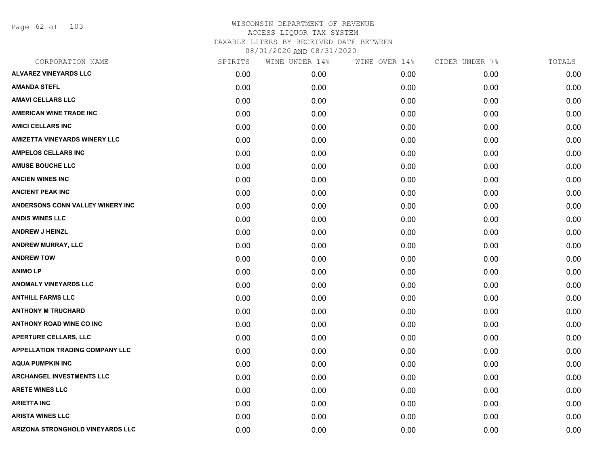Page 62 of 103

| CORPORATION NAME                       | SPIRITS | WINE UNDER 14% | WINE OVER 14% | CIDER UNDER 7% | TOTALS |
|----------------------------------------|---------|----------------|---------------|----------------|--------|
| <b>ALVAREZ VINEYARDS LLC</b>           | 0.00    | 0.00           | 0.00          | 0.00           | 0.00   |
| <b>AMANDA STEFL</b>                    | 0.00    | 0.00           | 0.00          | 0.00           | 0.00   |
| <b>AMAVI CELLARS LLC</b>               | 0.00    | 0.00           | 0.00          | 0.00           | 0.00   |
| <b>AMERICAN WINE TRADE INC</b>         | 0.00    | 0.00           | 0.00          | 0.00           | 0.00   |
| <b>AMICI CELLARS INC</b>               | 0.00    | 0.00           | 0.00          | 0.00           | 0.00   |
| <b>AMIZETTA VINEYARDS WINERY LLC</b>   | 0.00    | 0.00           | 0.00          | 0.00           | 0.00   |
| <b>AMPELOS CELLARS INC</b>             | 0.00    | 0.00           | 0.00          | 0.00           | 0.00   |
| <b>AMUSE BOUCHE LLC</b>                | 0.00    | 0.00           | 0.00          | 0.00           | 0.00   |
| <b>ANCIEN WINES INC</b>                | 0.00    | 0.00           | 0.00          | 0.00           | 0.00   |
| <b>ANCIENT PEAK INC</b>                | 0.00    | 0.00           | 0.00          | 0.00           | 0.00   |
| ANDERSONS CONN VALLEY WINERY INC       | 0.00    | 0.00           | 0.00          | 0.00           | 0.00   |
| <b>ANDIS WINES LLC</b>                 | 0.00    | 0.00           | 0.00          | 0.00           | 0.00   |
| <b>ANDREW J HEINZL</b>                 | 0.00    | 0.00           | 0.00          | 0.00           | 0.00   |
| <b>ANDREW MURRAY, LLC</b>              | 0.00    | 0.00           | 0.00          | 0.00           | 0.00   |
| <b>ANDREW TOW</b>                      | 0.00    | 0.00           | 0.00          | 0.00           | 0.00   |
| <b>ANIMOLP</b>                         | 0.00    | 0.00           | 0.00          | 0.00           | 0.00   |
| <b>ANOMALY VINEYARDS LLC</b>           | 0.00    | 0.00           | 0.00          | 0.00           | 0.00   |
| <b>ANTHILL FARMS LLC</b>               | 0.00    | 0.00           | 0.00          | 0.00           | 0.00   |
| <b>ANTHONY M TRUCHARD</b>              | 0.00    | 0.00           | 0.00          | 0.00           | 0.00   |
| <b>ANTHONY ROAD WINE CO INC</b>        | 0.00    | 0.00           | 0.00          | 0.00           | 0.00   |
| <b>APERTURE CELLARS, LLC</b>           | 0.00    | 0.00           | 0.00          | 0.00           | 0.00   |
| <b>APPELLATION TRADING COMPANY LLC</b> | 0.00    | 0.00           | 0.00          | 0.00           | 0.00   |
| <b>AQUA PUMPKIN INC</b>                | 0.00    | 0.00           | 0.00          | 0.00           | 0.00   |
| <b>ARCHANGEL INVESTMENTS LLC</b>       | 0.00    | 0.00           | 0.00          | 0.00           | 0.00   |
| <b>ARETE WINES LLC</b>                 | 0.00    | 0.00           | 0.00          | 0.00           | 0.00   |
| <b>ARIETTA INC</b>                     | 0.00    | 0.00           | 0.00          | 0.00           | 0.00   |
| <b>ARISTA WINES LLC</b>                | 0.00    | 0.00           | 0.00          | 0.00           | 0.00   |
| ARIZONA STRONGHOLD VINEYARDS LLC       | 0.00    | 0.00           | 0.00          | 0.00           | 0.00   |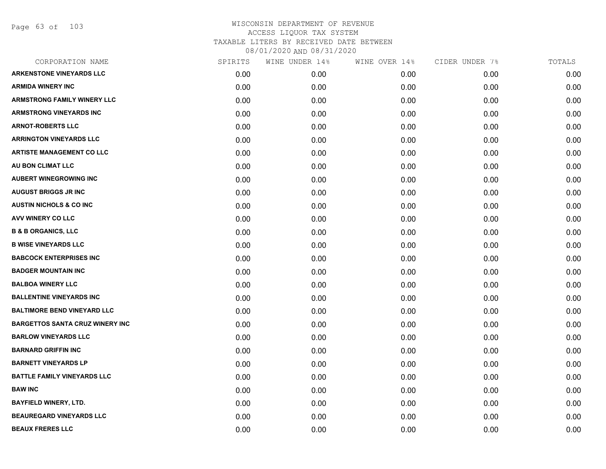Page 63 of 103

| CORPORATION NAME                       | SPIRITS | WINE UNDER 14% | WINE OVER 14% | CIDER UNDER 7% | TOTALS |
|----------------------------------------|---------|----------------|---------------|----------------|--------|
| <b>ARKENSTONE VINEYARDS LLC</b>        | 0.00    | 0.00           | 0.00          | 0.00           | 0.00   |
| <b>ARMIDA WINERY INC</b>               | 0.00    | 0.00           | 0.00          | 0.00           | 0.00   |
| <b>ARMSTRONG FAMILY WINERY LLC</b>     | 0.00    | 0.00           | 0.00          | 0.00           | 0.00   |
| <b>ARMSTRONG VINEYARDS INC</b>         | 0.00    | 0.00           | 0.00          | 0.00           | 0.00   |
| <b>ARNOT-ROBERTS LLC</b>               | 0.00    | 0.00           | 0.00          | 0.00           | 0.00   |
| <b>ARRINGTON VINEYARDS LLC</b>         | 0.00    | 0.00           | 0.00          | 0.00           | 0.00   |
| <b>ARTISTE MANAGEMENT CO LLC</b>       | 0.00    | 0.00           | 0.00          | 0.00           | 0.00   |
| AU BON CLIMAT LLC                      | 0.00    | 0.00           | 0.00          | 0.00           | 0.00   |
| <b>AUBERT WINEGROWING INC</b>          | 0.00    | 0.00           | 0.00          | 0.00           | 0.00   |
| <b>AUGUST BRIGGS JR INC</b>            | 0.00    | 0.00           | 0.00          | 0.00           | 0.00   |
| <b>AUSTIN NICHOLS &amp; CO INC</b>     | 0.00    | 0.00           | 0.00          | 0.00           | 0.00   |
| <b>AVV WINERY CO LLC</b>               | 0.00    | 0.00           | 0.00          | 0.00           | 0.00   |
| <b>B &amp; B ORGANICS, LLC</b>         | 0.00    | 0.00           | 0.00          | 0.00           | 0.00   |
| <b>B WISE VINEYARDS LLC</b>            | 0.00    | 0.00           | 0.00          | 0.00           | 0.00   |
| <b>BABCOCK ENTERPRISES INC</b>         | 0.00    | 0.00           | 0.00          | 0.00           | 0.00   |
| <b>BADGER MOUNTAIN INC</b>             | 0.00    | 0.00           | 0.00          | 0.00           | 0.00   |
| <b>BALBOA WINERY LLC</b>               | 0.00    | 0.00           | 0.00          | 0.00           | 0.00   |
| <b>BALLENTINE VINEYARDS INC</b>        | 0.00    | 0.00           | 0.00          | 0.00           | 0.00   |
| <b>BALTIMORE BEND VINEYARD LLC</b>     | 0.00    | 0.00           | 0.00          | 0.00           | 0.00   |
| <b>BARGETTOS SANTA CRUZ WINERY INC</b> | 0.00    | 0.00           | 0.00          | 0.00           | 0.00   |
| <b>BARLOW VINEYARDS LLC</b>            | 0.00    | 0.00           | 0.00          | 0.00           | 0.00   |
| <b>BARNARD GRIFFIN INC</b>             | 0.00    | 0.00           | 0.00          | 0.00           | 0.00   |
| <b>BARNETT VINEYARDS LP</b>            | 0.00    | 0.00           | 0.00          | 0.00           | 0.00   |
| <b>BATTLE FAMILY VINEYARDS LLC</b>     | 0.00    | 0.00           | 0.00          | 0.00           | 0.00   |
| <b>BAW INC</b>                         | 0.00    | 0.00           | 0.00          | 0.00           | 0.00   |
| <b>BAYFIELD WINERY, LTD.</b>           | 0.00    | 0.00           | 0.00          | 0.00           | 0.00   |
| <b>BEAUREGARD VINEYARDS LLC</b>        | 0.00    | 0.00           | 0.00          | 0.00           | 0.00   |
| <b>BEAUX FRERES LLC</b>                | 0.00    | 0.00           | 0.00          | 0.00           | 0.00   |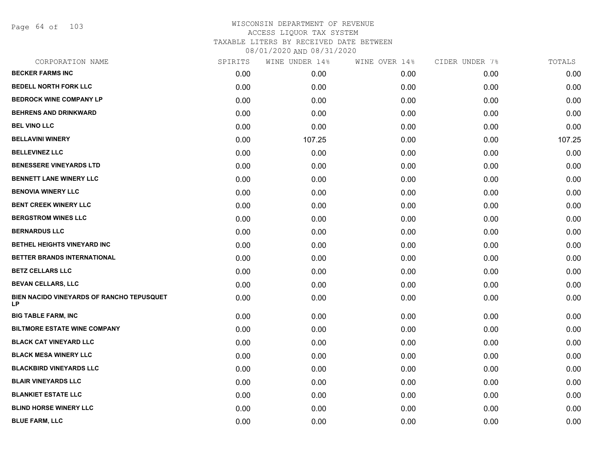Page 64 of 103

| CORPORATION NAME                                | SPIRITS | WINE UNDER 14% | WINE OVER 14% | CIDER UNDER 7% | TOTALS |
|-------------------------------------------------|---------|----------------|---------------|----------------|--------|
| <b>BECKER FARMS INC</b>                         | 0.00    | 0.00           | 0.00          | 0.00           | 0.00   |
| <b>BEDELL NORTH FORK LLC</b>                    | 0.00    | 0.00           | 0.00          | 0.00           | 0.00   |
| <b>BEDROCK WINE COMPANY LP</b>                  | 0.00    | 0.00           | 0.00          | 0.00           | 0.00   |
| <b>BEHRENS AND DRINKWARD</b>                    | 0.00    | 0.00           | 0.00          | 0.00           | 0.00   |
| <b>BEL VINO LLC</b>                             | 0.00    | 0.00           | 0.00          | 0.00           | 0.00   |
| <b>BELLAVINI WINERY</b>                         | 0.00    | 107.25         | 0.00          | 0.00           | 107.25 |
| <b>BELLEVINEZ LLC</b>                           | 0.00    | 0.00           | 0.00          | 0.00           | 0.00   |
| <b>BENESSERE VINEYARDS LTD</b>                  | 0.00    | 0.00           | 0.00          | 0.00           | 0.00   |
| BENNETT LANE WINERY LLC                         | 0.00    | 0.00           | 0.00          | 0.00           | 0.00   |
| <b>BENOVIA WINERY LLC</b>                       | 0.00    | 0.00           | 0.00          | 0.00           | 0.00   |
| BENT CREEK WINERY LLC                           | 0.00    | 0.00           | 0.00          | 0.00           | 0.00   |
| <b>BERGSTROM WINES LLC</b>                      | 0.00    | 0.00           | 0.00          | 0.00           | 0.00   |
| <b>BERNARDUS LLC</b>                            | 0.00    | 0.00           | 0.00          | 0.00           | 0.00   |
| BETHEL HEIGHTS VINEYARD INC                     | 0.00    | 0.00           | 0.00          | 0.00           | 0.00   |
| BETTER BRANDS INTERNATIONAL                     | 0.00    | 0.00           | 0.00          | 0.00           | 0.00   |
| <b>BETZ CELLARS LLC</b>                         | 0.00    | 0.00           | 0.00          | 0.00           | 0.00   |
| <b>BEVAN CELLARS, LLC</b>                       | 0.00    | 0.00           | 0.00          | 0.00           | 0.00   |
| BIEN NACIDO VINEYARDS OF RANCHO TEPUSQUET<br>LP | 0.00    | 0.00           | 0.00          | 0.00           | 0.00   |
| <b>BIG TABLE FARM, INC</b>                      | 0.00    | 0.00           | 0.00          | 0.00           | 0.00   |
| <b>BILTMORE ESTATE WINE COMPANY</b>             | 0.00    | 0.00           | 0.00          | 0.00           | 0.00   |
| <b>BLACK CAT VINEYARD LLC</b>                   | 0.00    | 0.00           | 0.00          | 0.00           | 0.00   |
| <b>BLACK MESA WINERY LLC</b>                    | 0.00    | 0.00           | 0.00          | 0.00           | 0.00   |
| <b>BLACKBIRD VINEYARDS LLC</b>                  | 0.00    | 0.00           | 0.00          | 0.00           | 0.00   |
| <b>BLAIR VINEYARDS LLC</b>                      | 0.00    | 0.00           | 0.00          | 0.00           | 0.00   |
| <b>BLANKIET ESTATE LLC</b>                      | 0.00    | 0.00           | 0.00          | 0.00           | 0.00   |
| <b>BLIND HORSE WINERY LLC</b>                   | 0.00    | 0.00           | 0.00          | 0.00           | 0.00   |
| <b>BLUE FARM, LLC</b>                           | 0.00    | 0.00           | 0.00          | 0.00           | 0.00   |
|                                                 |         |                |               |                |        |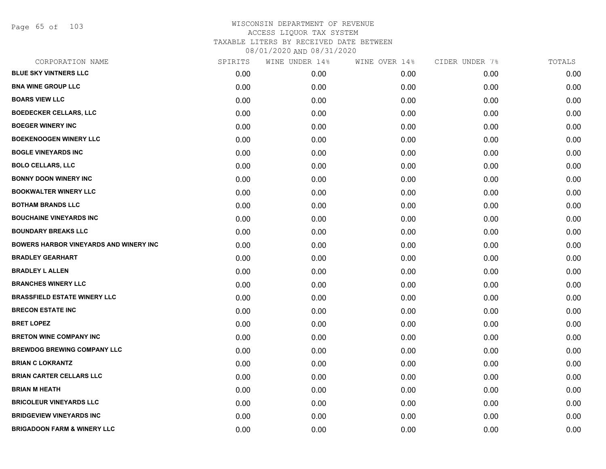Page 65 of 103

| CORPORATION NAME                              | SPIRITS | WINE UNDER 14% | WINE OVER 14% | CIDER UNDER 7% | TOTALS |
|-----------------------------------------------|---------|----------------|---------------|----------------|--------|
| <b>BLUE SKY VINTNERS LLC</b>                  | 0.00    | 0.00           | 0.00          | 0.00           | 0.00   |
| <b>BNA WINE GROUP LLC</b>                     | 0.00    | 0.00           | 0.00          | 0.00           | 0.00   |
| <b>BOARS VIEW LLC</b>                         | 0.00    | 0.00           | 0.00          | 0.00           | 0.00   |
| <b>BOEDECKER CELLARS, LLC</b>                 | 0.00    | 0.00           | 0.00          | 0.00           | 0.00   |
| <b>BOEGER WINERY INC</b>                      | 0.00    | 0.00           | 0.00          | 0.00           | 0.00   |
| <b>BOEKENOOGEN WINERY LLC</b>                 | 0.00    | 0.00           | 0.00          | 0.00           | 0.00   |
| <b>BOGLE VINEYARDS INC</b>                    | 0.00    | 0.00           | 0.00          | 0.00           | 0.00   |
| <b>BOLO CELLARS, LLC</b>                      | 0.00    | 0.00           | 0.00          | 0.00           | 0.00   |
| <b>BONNY DOON WINERY INC</b>                  | 0.00    | 0.00           | 0.00          | 0.00           | 0.00   |
| <b>BOOKWALTER WINERY LLC</b>                  | 0.00    | 0.00           | 0.00          | 0.00           | 0.00   |
| <b>BOTHAM BRANDS LLC</b>                      | 0.00    | 0.00           | 0.00          | 0.00           | 0.00   |
| <b>BOUCHAINE VINEYARDS INC</b>                | 0.00    | 0.00           | 0.00          | 0.00           | 0.00   |
| <b>BOUNDARY BREAKS LLC</b>                    | 0.00    | 0.00           | 0.00          | 0.00           | 0.00   |
| <b>BOWERS HARBOR VINEYARDS AND WINERY INC</b> | 0.00    | 0.00           | 0.00          | 0.00           | 0.00   |
| <b>BRADLEY GEARHART</b>                       | 0.00    | 0.00           | 0.00          | 0.00           | 0.00   |
| <b>BRADLEY L ALLEN</b>                        | 0.00    | 0.00           | 0.00          | 0.00           | 0.00   |
| <b>BRANCHES WINERY LLC</b>                    | 0.00    | 0.00           | 0.00          | 0.00           | 0.00   |
| <b>BRASSFIELD ESTATE WINERY LLC</b>           | 0.00    | 0.00           | 0.00          | 0.00           | 0.00   |
| <b>BRECON ESTATE INC</b>                      | 0.00    | 0.00           | 0.00          | 0.00           | 0.00   |
| <b>BRET LOPEZ</b>                             | 0.00    | 0.00           | 0.00          | 0.00           | 0.00   |
| <b>BRETON WINE COMPANY INC</b>                | 0.00    | 0.00           | 0.00          | 0.00           | 0.00   |
| <b>BREWDOG BREWING COMPANY LLC</b>            | 0.00    | 0.00           | 0.00          | 0.00           | 0.00   |
| <b>BRIAN C LOKRANTZ</b>                       | 0.00    | 0.00           | 0.00          | 0.00           | 0.00   |
| <b>BRIAN CARTER CELLARS LLC</b>               | 0.00    | 0.00           | 0.00          | 0.00           | 0.00   |
| <b>BRIAN M HEATH</b>                          | 0.00    | 0.00           | 0.00          | 0.00           | 0.00   |
| <b>BRICOLEUR VINEYARDS LLC</b>                | 0.00    | 0.00           | 0.00          | 0.00           | 0.00   |
| <b>BRIDGEVIEW VINEYARDS INC</b>               | 0.00    | 0.00           | 0.00          | 0.00           | 0.00   |
| <b>BRIGADOON FARM &amp; WINERY LLC</b>        | 0.00    | 0.00           | 0.00          | 0.00           | 0.00   |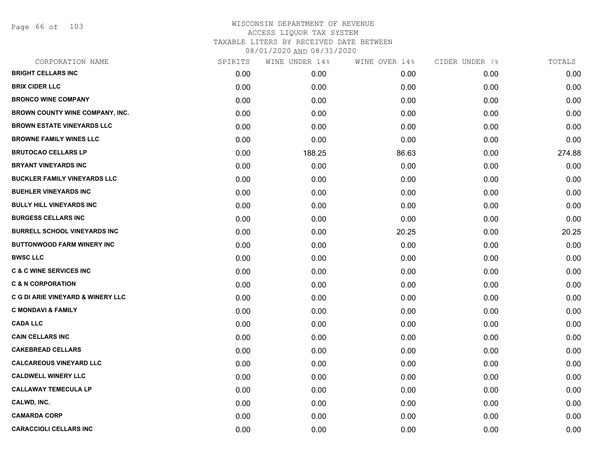Page 66 of 103

| CORPORATION NAME                    | SPIRITS | WINE UNDER 14% | WINE OVER 14% | CIDER UNDER 7% | TOTALS |
|-------------------------------------|---------|----------------|---------------|----------------|--------|
| <b>BRIGHT CELLARS INC</b>           | 0.00    | 0.00           | 0.00          | 0.00           | 0.00   |
| <b>BRIX CIDER LLC</b>               | 0.00    | 0.00           | 0.00          | 0.00           | 0.00   |
| <b>BRONCO WINE COMPANY</b>          | 0.00    | 0.00           | 0.00          | 0.00           | 0.00   |
| BROWN COUNTY WINE COMPANY, INC.     | 0.00    | 0.00           | 0.00          | 0.00           | 0.00   |
| <b>BROWN ESTATE VINEYARDS LLC</b>   | 0.00    | 0.00           | 0.00          | 0.00           | 0.00   |
| <b>BROWNE FAMILY WINES LLC</b>      | 0.00    | 0.00           | 0.00          | 0.00           | 0.00   |
| <b>BRUTOCAO CELLARS LP</b>          | 0.00    | 188.25         | 86.63         | 0.00           | 274.88 |
| <b>BRYANT VINEYARDS INC</b>         | 0.00    | 0.00           | 0.00          | 0.00           | 0.00   |
| <b>BUCKLER FAMILY VINEYARDS LLC</b> | 0.00    | 0.00           | 0.00          | 0.00           | 0.00   |
| <b>BUEHLER VINEYARDS INC</b>        | 0.00    | 0.00           | 0.00          | 0.00           | 0.00   |
| <b>BULLY HILL VINEYARDS INC</b>     | 0.00    | 0.00           | 0.00          | 0.00           | 0.00   |
| <b>BURGESS CELLARS INC</b>          | 0.00    | 0.00           | 0.00          | 0.00           | 0.00   |
| <b>BURRELL SCHOOL VINEYARDS INC</b> | 0.00    | 0.00           | 20.25         | 0.00           | 20.25  |
| <b>BUTTONWOOD FARM WINERY INC</b>   | 0.00    | 0.00           | 0.00          | 0.00           | 0.00   |
| <b>BWSC LLC</b>                     | 0.00    | 0.00           | 0.00          | 0.00           | 0.00   |
| <b>C &amp; C WINE SERVICES INC</b>  | 0.00    | 0.00           | 0.00          | 0.00           | 0.00   |
| <b>C &amp; N CORPORATION</b>        | 0.00    | 0.00           | 0.00          | 0.00           | 0.00   |
| C G DI ARIE VINEYARD & WINERY LLC   | 0.00    | 0.00           | 0.00          | 0.00           | 0.00   |
| <b>C MONDAVI &amp; FAMILY</b>       | 0.00    | 0.00           | 0.00          | 0.00           | 0.00   |
| <b>CADA LLC</b>                     | 0.00    | 0.00           | 0.00          | 0.00           | 0.00   |
| <b>CAIN CELLARS INC</b>             | 0.00    | 0.00           | 0.00          | 0.00           | 0.00   |
| <b>CAKEBREAD CELLARS</b>            | 0.00    | 0.00           | 0.00          | 0.00           | 0.00   |
| <b>CALCAREOUS VINEYARD LLC</b>      | 0.00    | 0.00           | 0.00          | 0.00           | 0.00   |
| <b>CALDWELL WINERY LLC</b>          | 0.00    | 0.00           | 0.00          | 0.00           | 0.00   |
| <b>CALLAWAY TEMECULA LP</b>         | 0.00    | 0.00           | 0.00          | 0.00           | 0.00   |
| CALWD, INC.                         | 0.00    | 0.00           | 0.00          | 0.00           | 0.00   |
| <b>CAMARDA CORP</b>                 | 0.00    | 0.00           | 0.00          | 0.00           | 0.00   |
| <b>CARACCIOLI CELLARS INC</b>       | 0.00    | 0.00           | 0.00          | 0.00           | 0.00   |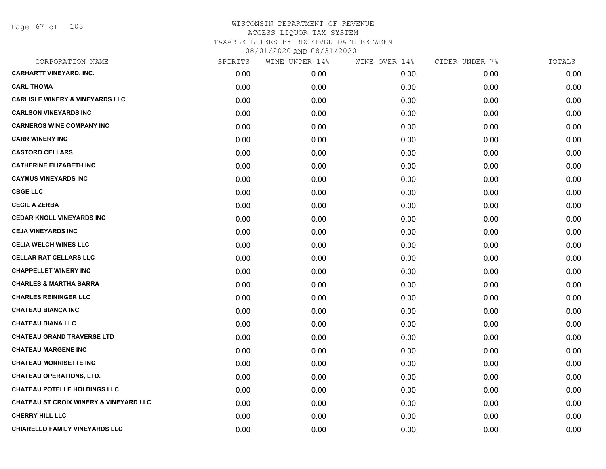Page 67 of 103

| SPIRITS | WINE UNDER 14% | WINE OVER 14% | CIDER UNDER 7% | TOTALS |
|---------|----------------|---------------|----------------|--------|
| 0.00    | 0.00           | 0.00          | 0.00           | 0.00   |
| 0.00    | 0.00           | 0.00          | 0.00           | 0.00   |
| 0.00    | 0.00           | 0.00          | 0.00           | 0.00   |
| 0.00    | 0.00           | 0.00          | 0.00           | 0.00   |
| 0.00    | 0.00           | 0.00          | 0.00           | 0.00   |
| 0.00    | 0.00           | 0.00          | 0.00           | 0.00   |
| 0.00    | 0.00           | 0.00          | 0.00           | 0.00   |
| 0.00    | 0.00           | 0.00          | 0.00           | 0.00   |
| 0.00    | 0.00           | 0.00          | 0.00           | 0.00   |
| 0.00    | 0.00           | 0.00          | 0.00           | 0.00   |
| 0.00    | 0.00           | 0.00          | 0.00           | 0.00   |
| 0.00    | 0.00           | 0.00          | 0.00           | 0.00   |
| 0.00    | 0.00           | 0.00          | 0.00           | 0.00   |
| 0.00    | 0.00           | 0.00          | 0.00           | 0.00   |
| 0.00    | 0.00           | 0.00          | 0.00           | 0.00   |
| 0.00    | 0.00           | 0.00          | 0.00           | 0.00   |
| 0.00    | 0.00           | 0.00          | 0.00           | 0.00   |
| 0.00    | 0.00           | 0.00          | 0.00           | 0.00   |
| 0.00    | 0.00           | 0.00          | 0.00           | 0.00   |
| 0.00    | 0.00           | 0.00          | 0.00           | 0.00   |
| 0.00    | 0.00           | 0.00          | 0.00           | 0.00   |
| 0.00    | 0.00           | 0.00          | 0.00           | 0.00   |
| 0.00    | 0.00           | 0.00          | 0.00           | 0.00   |
| 0.00    | 0.00           | 0.00          | 0.00           | 0.00   |
| 0.00    | 0.00           | 0.00          | 0.00           | 0.00   |
| 0.00    | 0.00           | 0.00          | 0.00           | 0.00   |
| 0.00    | 0.00           | 0.00          | 0.00           | 0.00   |
| 0.00    | 0.00           | 0.00          | 0.00           | 0.00   |
|         |                |               |                |        |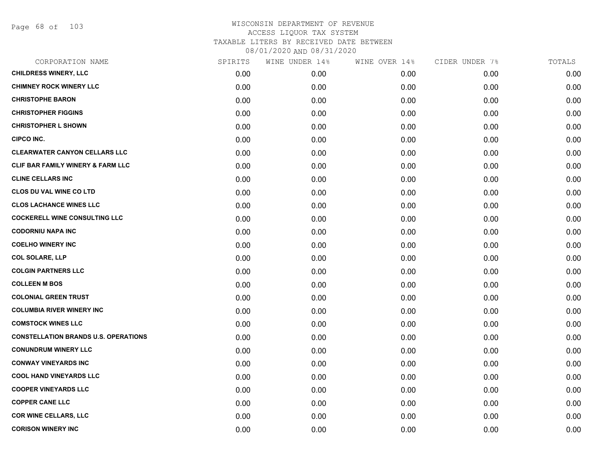Page 68 of 103

| CORPORATION NAME                             | SPIRITS | WINE UNDER 14% | WINE OVER 14% | CIDER UNDER 7% | TOTALS |
|----------------------------------------------|---------|----------------|---------------|----------------|--------|
| <b>CHILDRESS WINERY, LLC</b>                 | 0.00    | 0.00           | 0.00          | 0.00           | 0.00   |
| <b>CHIMNEY ROCK WINERY LLC</b>               | 0.00    | 0.00           | 0.00          | 0.00           | 0.00   |
| <b>CHRISTOPHE BARON</b>                      | 0.00    | 0.00           | 0.00          | 0.00           | 0.00   |
| <b>CHRISTOPHER FIGGINS</b>                   | 0.00    | 0.00           | 0.00          | 0.00           | 0.00   |
| <b>CHRISTOPHER L SHOWN</b>                   | 0.00    | 0.00           | 0.00          | 0.00           | 0.00   |
| <b>CIPCO INC.</b>                            | 0.00    | 0.00           | 0.00          | 0.00           | 0.00   |
| <b>CLEARWATER CANYON CELLARS LLC</b>         | 0.00    | 0.00           | 0.00          | 0.00           | 0.00   |
| <b>CLIF BAR FAMILY WINERY &amp; FARM LLC</b> | 0.00    | 0.00           | 0.00          | 0.00           | 0.00   |
| <b>CLINE CELLARS INC</b>                     | 0.00    | 0.00           | 0.00          | 0.00           | 0.00   |
| <b>CLOS DU VAL WINE CO LTD</b>               | 0.00    | 0.00           | 0.00          | 0.00           | 0.00   |
| <b>CLOS LACHANCE WINES LLC</b>               | 0.00    | 0.00           | 0.00          | 0.00           | 0.00   |
| <b>COCKERELL WINE CONSULTING LLC</b>         | 0.00    | 0.00           | 0.00          | 0.00           | 0.00   |
| <b>CODORNIU NAPA INC</b>                     | 0.00    | 0.00           | 0.00          | 0.00           | 0.00   |
| <b>COELHO WINERY INC</b>                     | 0.00    | 0.00           | 0.00          | 0.00           | 0.00   |
| <b>COL SOLARE, LLP</b>                       | 0.00    | 0.00           | 0.00          | 0.00           | 0.00   |
| <b>COLGIN PARTNERS LLC</b>                   | 0.00    | 0.00           | 0.00          | 0.00           | 0.00   |
| <b>COLLEEN M BOS</b>                         | 0.00    | 0.00           | 0.00          | 0.00           | 0.00   |
| <b>COLONIAL GREEN TRUST</b>                  | 0.00    | 0.00           | 0.00          | 0.00           | 0.00   |
| <b>COLUMBIA RIVER WINERY INC</b>             | 0.00    | 0.00           | 0.00          | 0.00           | 0.00   |
| <b>COMSTOCK WINES LLC</b>                    | 0.00    | 0.00           | 0.00          | 0.00           | 0.00   |
| <b>CONSTELLATION BRANDS U.S. OPERATIONS</b>  | 0.00    | 0.00           | 0.00          | 0.00           | 0.00   |
| <b>CONUNDRUM WINERY LLC</b>                  | 0.00    | 0.00           | 0.00          | 0.00           | 0.00   |
| <b>CONWAY VINEYARDS INC</b>                  | 0.00    | 0.00           | 0.00          | 0.00           | 0.00   |
| <b>COOL HAND VINEYARDS LLC</b>               | 0.00    | 0.00           | 0.00          | 0.00           | 0.00   |
| <b>COOPER VINEYARDS LLC</b>                  | 0.00    | 0.00           | 0.00          | 0.00           | 0.00   |
| <b>COPPER CANE LLC</b>                       | 0.00    | 0.00           | 0.00          | 0.00           | 0.00   |
| <b>COR WINE CELLARS, LLC</b>                 | 0.00    | 0.00           | 0.00          | 0.00           | 0.00   |
| <b>CORISON WINERY INC</b>                    | 0.00    | 0.00           | 0.00          | 0.00           | 0.00   |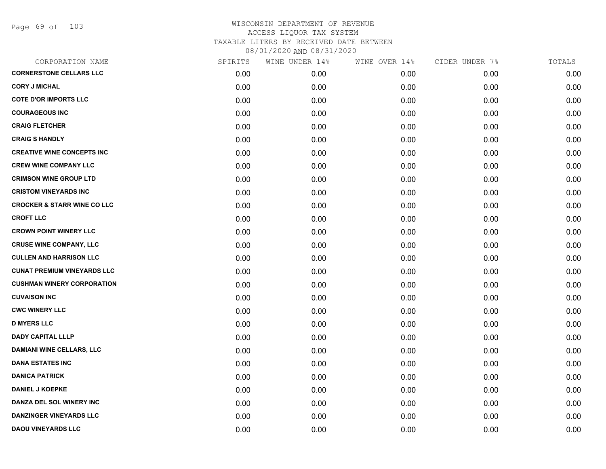Page 69 of 103

| CORPORATION NAME                       | SPIRITS | WINE UNDER 14% | WINE OVER 14% | CIDER UNDER 7% | TOTALS |
|----------------------------------------|---------|----------------|---------------|----------------|--------|
| <b>CORNERSTONE CELLARS LLC</b>         | 0.00    | 0.00           | 0.00          | 0.00           | 0.00   |
| <b>CORY J MICHAL</b>                   | 0.00    | 0.00           | 0.00          | 0.00           | 0.00   |
| <b>COTE D'OR IMPORTS LLC</b>           | 0.00    | 0.00           | 0.00          | 0.00           | 0.00   |
| <b>COURAGEOUS INC</b>                  | 0.00    | 0.00           | 0.00          | 0.00           | 0.00   |
| <b>CRAIG FLETCHER</b>                  | 0.00    | 0.00           | 0.00          | 0.00           | 0.00   |
| <b>CRAIG S HANDLY</b>                  | 0.00    | 0.00           | 0.00          | 0.00           | 0.00   |
| <b>CREATIVE WINE CONCEPTS INC</b>      | 0.00    | 0.00           | 0.00          | 0.00           | 0.00   |
| <b>CREW WINE COMPANY LLC</b>           | 0.00    | 0.00           | 0.00          | 0.00           | 0.00   |
| <b>CRIMSON WINE GROUP LTD</b>          | 0.00    | 0.00           | 0.00          | 0.00           | 0.00   |
| <b>CRISTOM VINEYARDS INC</b>           | 0.00    | 0.00           | 0.00          | 0.00           | 0.00   |
| <b>CROCKER &amp; STARR WINE CO LLC</b> | 0.00    | 0.00           | 0.00          | 0.00           | 0.00   |
| <b>CROFT LLC</b>                       | 0.00    | 0.00           | 0.00          | 0.00           | 0.00   |
| <b>CROWN POINT WINERY LLC</b>          | 0.00    | 0.00           | 0.00          | 0.00           | 0.00   |
| <b>CRUSE WINE COMPANY, LLC</b>         | 0.00    | 0.00           | 0.00          | 0.00           | 0.00   |
| <b>CULLEN AND HARRISON LLC</b>         | 0.00    | 0.00           | 0.00          | 0.00           | 0.00   |
| <b>CUNAT PREMIUM VINEYARDS LLC</b>     | 0.00    | 0.00           | 0.00          | 0.00           | 0.00   |
| <b>CUSHMAN WINERY CORPORATION</b>      | 0.00    | 0.00           | 0.00          | 0.00           | 0.00   |
| <b>CUVAISON INC</b>                    | 0.00    | 0.00           | 0.00          | 0.00           | 0.00   |
| <b>CWC WINERY LLC</b>                  | 0.00    | 0.00           | 0.00          | 0.00           | 0.00   |
| <b>D MYERS LLC</b>                     | 0.00    | 0.00           | 0.00          | 0.00           | 0.00   |
| <b>DADY CAPITAL LLLP</b>               | 0.00    | 0.00           | 0.00          | 0.00           | 0.00   |
| <b>DAMIANI WINE CELLARS, LLC</b>       | 0.00    | 0.00           | 0.00          | 0.00           | 0.00   |
| <b>DANA ESTATES INC</b>                | 0.00    | 0.00           | 0.00          | 0.00           | 0.00   |
| <b>DANICA PATRICK</b>                  | 0.00    | 0.00           | 0.00          | 0.00           | 0.00   |
| <b>DANIEL J KOEPKE</b>                 | 0.00    | 0.00           | 0.00          | 0.00           | 0.00   |
| DANZA DEL SOL WINERY INC               | 0.00    | 0.00           | 0.00          | 0.00           | 0.00   |
| <b>DANZINGER VINEYARDS LLC</b>         | 0.00    | 0.00           | 0.00          | 0.00           | 0.00   |
| <b>DAOU VINEYARDS LLC</b>              | 0.00    | 0.00           | 0.00          | 0.00           | 0.00   |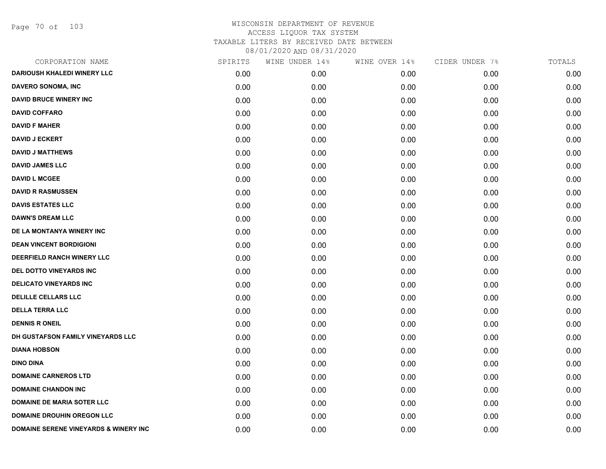Page 70 of 103

| CORPORATION NAME                                 | SPIRITS | WINE UNDER 14% | WINE OVER 14% | CIDER UNDER 7% | TOTALS |
|--------------------------------------------------|---------|----------------|---------------|----------------|--------|
| <b>DARIOUSH KHALEDI WINERY LLC</b>               | 0.00    | 0.00           | 0.00          | 0.00           | 0.00   |
| <b>DAVERO SONOMA, INC</b>                        | 0.00    | 0.00           | 0.00          | 0.00           | 0.00   |
| <b>DAVID BRUCE WINERY INC</b>                    | 0.00    | 0.00           | 0.00          | 0.00           | 0.00   |
| <b>DAVID COFFARO</b>                             | 0.00    | 0.00           | 0.00          | 0.00           | 0.00   |
| <b>DAVID F MAHER</b>                             | 0.00    | 0.00           | 0.00          | 0.00           | 0.00   |
| <b>DAVID J ECKERT</b>                            | 0.00    | 0.00           | 0.00          | 0.00           | 0.00   |
| <b>DAVID J MATTHEWS</b>                          | 0.00    | 0.00           | 0.00          | 0.00           | 0.00   |
| <b>DAVID JAMES LLC</b>                           | 0.00    | 0.00           | 0.00          | 0.00           | 0.00   |
| <b>DAVID L MCGEE</b>                             | 0.00    | 0.00           | 0.00          | 0.00           | 0.00   |
| <b>DAVID R RASMUSSEN</b>                         | 0.00    | 0.00           | 0.00          | 0.00           | 0.00   |
| <b>DAVIS ESTATES LLC</b>                         | 0.00    | 0.00           | 0.00          | 0.00           | 0.00   |
| <b>DAWN'S DREAM LLC</b>                          | 0.00    | 0.00           | 0.00          | 0.00           | 0.00   |
| DE LA MONTANYA WINERY INC                        | 0.00    | 0.00           | 0.00          | 0.00           | 0.00   |
| <b>DEAN VINCENT BORDIGIONI</b>                   | 0.00    | 0.00           | 0.00          | 0.00           | 0.00   |
| <b>DEERFIELD RANCH WINERY LLC</b>                | 0.00    | 0.00           | 0.00          | 0.00           | 0.00   |
| DEL DOTTO VINEYARDS INC                          | 0.00    | 0.00           | 0.00          | 0.00           | 0.00   |
| <b>DELICATO VINEYARDS INC</b>                    | 0.00    | 0.00           | 0.00          | 0.00           | 0.00   |
| <b>DELILLE CELLARS LLC</b>                       | 0.00    | 0.00           | 0.00          | 0.00           | 0.00   |
| <b>DELLA TERRA LLC</b>                           | 0.00    | 0.00           | 0.00          | 0.00           | 0.00   |
| <b>DENNIS R ONEIL</b>                            | 0.00    | 0.00           | 0.00          | 0.00           | 0.00   |
| DH GUSTAFSON FAMILY VINEYARDS LLC                | 0.00    | 0.00           | 0.00          | 0.00           | 0.00   |
| <b>DIANA HOBSON</b>                              | 0.00    | 0.00           | 0.00          | 0.00           | 0.00   |
| <b>DINO DINA</b>                                 | 0.00    | 0.00           | 0.00          | 0.00           | 0.00   |
| <b>DOMAINE CARNEROS LTD</b>                      | 0.00    | 0.00           | 0.00          | 0.00           | 0.00   |
| <b>DOMAINE CHANDON INC</b>                       | 0.00    | 0.00           | 0.00          | 0.00           | 0.00   |
| <b>DOMAINE DE MARIA SOTER LLC</b>                | 0.00    | 0.00           | 0.00          | 0.00           | 0.00   |
| <b>DOMAINE DROUHIN OREGON LLC</b>                | 0.00    | 0.00           | 0.00          | 0.00           | 0.00   |
| <b>DOMAINE SERENE VINEYARDS &amp; WINERY INC</b> | 0.00    | 0.00           | 0.00          | 0.00           | 0.00   |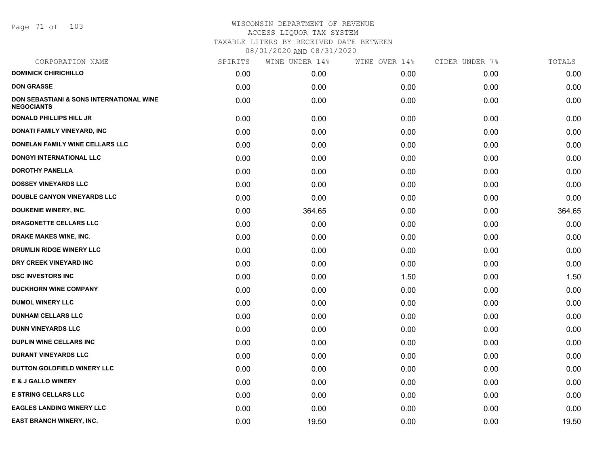Page 71 of 103

| SPIRITS | WINE UNDER 14% | WINE OVER 14% | CIDER UNDER 7% | TOTALS |
|---------|----------------|---------------|----------------|--------|
| 0.00    | 0.00           | 0.00          | 0.00           | 0.00   |
| 0.00    | 0.00           | 0.00          | 0.00           | 0.00   |
| 0.00    | 0.00           | 0.00          | 0.00           | 0.00   |
| 0.00    | 0.00           | 0.00          | 0.00           | 0.00   |
| 0.00    | 0.00           | 0.00          | 0.00           | 0.00   |
| 0.00    | 0.00           | 0.00          | 0.00           | 0.00   |
| 0.00    | 0.00           | 0.00          | 0.00           | 0.00   |
| 0.00    | 0.00           | 0.00          | 0.00           | 0.00   |
| 0.00    | 0.00           | 0.00          | 0.00           | 0.00   |
| 0.00    | 0.00           | 0.00          | 0.00           | 0.00   |
| 0.00    | 364.65         | 0.00          | 0.00           | 364.65 |
| 0.00    | 0.00           | 0.00          | 0.00           | 0.00   |
| 0.00    | 0.00           | 0.00          | 0.00           | 0.00   |
| 0.00    | 0.00           | 0.00          | 0.00           | 0.00   |
| 0.00    | 0.00           | 0.00          | 0.00           | 0.00   |
| 0.00    | 0.00           | 1.50          | 0.00           | 1.50   |
| 0.00    | 0.00           | 0.00          | 0.00           | 0.00   |
| 0.00    | 0.00           | 0.00          | 0.00           | 0.00   |
| 0.00    | 0.00           | 0.00          | 0.00           | 0.00   |
| 0.00    | 0.00           | 0.00          | 0.00           | 0.00   |
| 0.00    | 0.00           | 0.00          | 0.00           | 0.00   |
| 0.00    | 0.00           | 0.00          | 0.00           | 0.00   |
| 0.00    | 0.00           | 0.00          | 0.00           | 0.00   |
| 0.00    | 0.00           | 0.00          | 0.00           | 0.00   |
| 0.00    | 0.00           | 0.00          | 0.00           | 0.00   |
| 0.00    | 0.00           | 0.00          | 0.00           | 0.00   |
| 0.00    | 19.50          | 0.00          | 0.00           | 19.50  |
|         |                |               |                |        |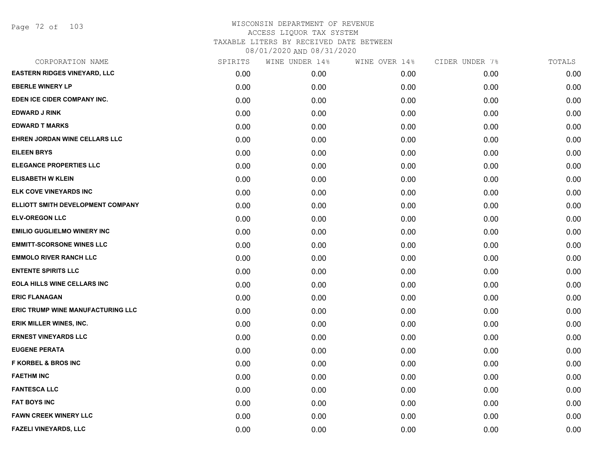Page 72 of 103

| CORPORATION NAME                         | SPIRITS | WINE UNDER 14% | WINE OVER 14% | CIDER UNDER 7% | TOTALS |
|------------------------------------------|---------|----------------|---------------|----------------|--------|
| <b>EASTERN RIDGES VINEYARD, LLC</b>      | 0.00    | 0.00           | 0.00          | 0.00           | 0.00   |
| <b>EBERLE WINERY LP</b>                  | 0.00    | 0.00           | 0.00          | 0.00           | 0.00   |
| EDEN ICE CIDER COMPANY INC.              | 0.00    | 0.00           | 0.00          | 0.00           | 0.00   |
| <b>EDWARD J RINK</b>                     | 0.00    | 0.00           | 0.00          | 0.00           | 0.00   |
| <b>EDWARD T MARKS</b>                    | 0.00    | 0.00           | 0.00          | 0.00           | 0.00   |
| EHREN JORDAN WINE CELLARS LLC            | 0.00    | 0.00           | 0.00          | 0.00           | 0.00   |
| <b>EILEEN BRYS</b>                       | 0.00    | 0.00           | 0.00          | 0.00           | 0.00   |
| <b>ELEGANCE PROPERTIES LLC</b>           | 0.00    | 0.00           | 0.00          | 0.00           | 0.00   |
| <b>ELISABETH W KLEIN</b>                 | 0.00    | 0.00           | 0.00          | 0.00           | 0.00   |
| ELK COVE VINEYARDS INC                   | 0.00    | 0.00           | 0.00          | 0.00           | 0.00   |
| ELLIOTT SMITH DEVELOPMENT COMPANY        | 0.00    | 0.00           | 0.00          | 0.00           | 0.00   |
| <b>ELV-OREGON LLC</b>                    | 0.00    | 0.00           | 0.00          | 0.00           | 0.00   |
| <b>EMILIO GUGLIELMO WINERY INC</b>       | 0.00    | 0.00           | 0.00          | 0.00           | 0.00   |
| <b>EMMITT-SCORSONE WINES LLC</b>         | 0.00    | 0.00           | 0.00          | 0.00           | 0.00   |
| <b>EMMOLO RIVER RANCH LLC</b>            | 0.00    | 0.00           | 0.00          | 0.00           | 0.00   |
| <b>ENTENTE SPIRITS LLC</b>               | 0.00    | 0.00           | 0.00          | 0.00           | 0.00   |
| <b>EOLA HILLS WINE CELLARS INC</b>       | 0.00    | 0.00           | 0.00          | 0.00           | 0.00   |
| <b>ERIC FLANAGAN</b>                     | 0.00    | 0.00           | 0.00          | 0.00           | 0.00   |
| <b>ERIC TRUMP WINE MANUFACTURING LLC</b> | 0.00    | 0.00           | 0.00          | 0.00           | 0.00   |
| ERIK MILLER WINES, INC.                  | 0.00    | 0.00           | 0.00          | 0.00           | 0.00   |
| <b>ERNEST VINEYARDS LLC</b>              | 0.00    | 0.00           | 0.00          | 0.00           | 0.00   |
| <b>EUGENE PERATA</b>                     | 0.00    | 0.00           | 0.00          | 0.00           | 0.00   |
| <b>F KORBEL &amp; BROS INC</b>           | 0.00    | 0.00           | 0.00          | 0.00           | 0.00   |
| <b>FAETHM INC</b>                        | 0.00    | 0.00           | 0.00          | 0.00           | 0.00   |
| <b>FANTESCA LLC</b>                      | 0.00    | 0.00           | 0.00          | 0.00           | 0.00   |
| <b>FAT BOYS INC</b>                      | 0.00    | 0.00           | 0.00          | 0.00           | 0.00   |
| <b>FAWN CREEK WINERY LLC</b>             | 0.00    | 0.00           | 0.00          | 0.00           | 0.00   |
| <b>FAZELI VINEYARDS, LLC</b>             | 0.00    | 0.00           | 0.00          | 0.00           | 0.00   |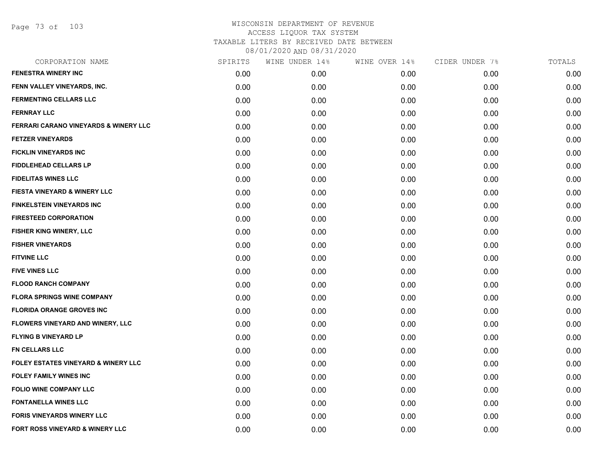Page 73 of 103

| CORPORATION NAME                        | SPIRITS | WINE UNDER 14% | WINE OVER 14% | CIDER UNDER 7% | TOTALS |
|-----------------------------------------|---------|----------------|---------------|----------------|--------|
| <b>FENESTRA WINERY INC</b>              | 0.00    | 0.00           | 0.00          | 0.00           | 0.00   |
| FENN VALLEY VINEYARDS, INC.             | 0.00    | 0.00           | 0.00          | 0.00           | 0.00   |
| <b>FERMENTING CELLARS LLC</b>           | 0.00    | 0.00           | 0.00          | 0.00           | 0.00   |
| <b>FERNRAY LLC</b>                      | 0.00    | 0.00           | 0.00          | 0.00           | 0.00   |
| FERRARI CARANO VINEYARDS & WINERY LLC   | 0.00    | 0.00           | 0.00          | 0.00           | 0.00   |
| <b>FETZER VINEYARDS</b>                 | 0.00    | 0.00           | 0.00          | 0.00           | 0.00   |
| <b>FICKLIN VINEYARDS INC</b>            | 0.00    | 0.00           | 0.00          | 0.00           | 0.00   |
| <b>FIDDLEHEAD CELLARS LP</b>            | 0.00    | 0.00           | 0.00          | 0.00           | 0.00   |
| <b>FIDELITAS WINES LLC</b>              | 0.00    | 0.00           | 0.00          | 0.00           | 0.00   |
| <b>FIESTA VINEYARD &amp; WINERY LLC</b> | 0.00    | 0.00           | 0.00          | 0.00           | 0.00   |
| <b>FINKELSTEIN VINEYARDS INC</b>        | 0.00    | 0.00           | 0.00          | 0.00           | 0.00   |
| <b>FIRESTEED CORPORATION</b>            | 0.00    | 0.00           | 0.00          | 0.00           | 0.00   |
| FISHER KING WINERY, LLC                 | 0.00    | 0.00           | 0.00          | 0.00           | 0.00   |
| <b>FISHER VINEYARDS</b>                 | 0.00    | 0.00           | 0.00          | 0.00           | 0.00   |
| <b>FITVINE LLC</b>                      | 0.00    | 0.00           | 0.00          | 0.00           | 0.00   |
| <b>FIVE VINES LLC</b>                   | 0.00    | 0.00           | 0.00          | 0.00           | 0.00   |
| <b>FLOOD RANCH COMPANY</b>              | 0.00    | 0.00           | 0.00          | 0.00           | 0.00   |
| <b>FLORA SPRINGS WINE COMPANY</b>       | 0.00    | 0.00           | 0.00          | 0.00           | 0.00   |
| <b>FLORIDA ORANGE GROVES INC</b>        | 0.00    | 0.00           | 0.00          | 0.00           | 0.00   |
| FLOWERS VINEYARD AND WINERY, LLC        | 0.00    | 0.00           | 0.00          | 0.00           | 0.00   |
| <b>FLYING B VINEYARD LP</b>             | 0.00    | 0.00           | 0.00          | 0.00           | 0.00   |
| FN CELLARS LLC                          | 0.00    | 0.00           | 0.00          | 0.00           | 0.00   |
| FOLEY ESTATES VINEYARD & WINERY LLC     | 0.00    | 0.00           | 0.00          | 0.00           | 0.00   |
| <b>FOLEY FAMILY WINES INC</b>           | 0.00    | 0.00           | 0.00          | 0.00           | 0.00   |
| <b>FOLIO WINE COMPANY LLC</b>           | 0.00    | 0.00           | 0.00          | 0.00           | 0.00   |
| <b>FONTANELLA WINES LLC</b>             | 0.00    | 0.00           | 0.00          | 0.00           | 0.00   |
| <b>FORIS VINEYARDS WINERY LLC</b>       | 0.00    | 0.00           | 0.00          | 0.00           | 0.00   |
| FORT ROSS VINEYARD & WINERY LLC         | 0.00    | 0.00           | 0.00          | 0.00           | 0.00   |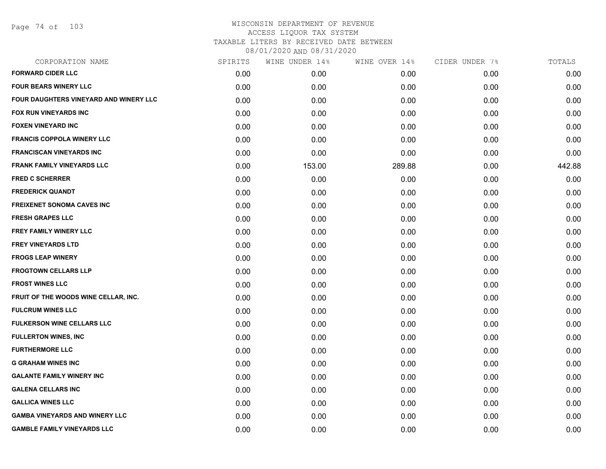Page 74 of 103

| CORPORATION NAME                              | SPIRITS | WINE UNDER 14% | WINE OVER 14% | CIDER UNDER 7% | TOTALS |
|-----------------------------------------------|---------|----------------|---------------|----------------|--------|
| <b>FORWARD CIDER LLC</b>                      | 0.00    | 0.00           | 0.00          | 0.00           | 0.00   |
| <b>FOUR BEARS WINERY LLC</b>                  | 0.00    | 0.00           | 0.00          | 0.00           | 0.00   |
| <b>FOUR DAUGHTERS VINEYARD AND WINERY LLC</b> | 0.00    | 0.00           | 0.00          | 0.00           | 0.00   |
| FOX RUN VINEYARDS INC                         | 0.00    | 0.00           | 0.00          | 0.00           | 0.00   |
| <b>FOXEN VINEYARD INC</b>                     | 0.00    | 0.00           | 0.00          | 0.00           | 0.00   |
| <b>FRANCIS COPPOLA WINERY LLC</b>             | 0.00    | 0.00           | 0.00          | 0.00           | 0.00   |
| <b>FRANCISCAN VINEYARDS INC</b>               | 0.00    | 0.00           | 0.00          | 0.00           | 0.00   |
| <b>FRANK FAMILY VINEYARDS LLC</b>             | 0.00    | 153.00         | 289.88        | 0.00           | 442.88 |
| <b>FRED C SCHERRER</b>                        | 0.00    | 0.00           | 0.00          | 0.00           | 0.00   |
| <b>FREDERICK QUANDT</b>                       | 0.00    | 0.00           | 0.00          | 0.00           | 0.00   |
| <b>FREIXENET SONOMA CAVES INC</b>             | 0.00    | 0.00           | 0.00          | 0.00           | 0.00   |
| <b>FRESH GRAPES LLC</b>                       | 0.00    | 0.00           | 0.00          | 0.00           | 0.00   |
| <b>FREY FAMILY WINERY LLC</b>                 | 0.00    | 0.00           | 0.00          | 0.00           | 0.00   |
| <b>FREY VINEYARDS LTD</b>                     | 0.00    | 0.00           | 0.00          | 0.00           | 0.00   |
| <b>FROGS LEAP WINERY</b>                      | 0.00    | 0.00           | 0.00          | 0.00           | 0.00   |
| <b>FROGTOWN CELLARS LLP</b>                   | 0.00    | 0.00           | 0.00          | 0.00           | 0.00   |
| <b>FROST WINES LLC</b>                        | 0.00    | 0.00           | 0.00          | 0.00           | 0.00   |
| FRUIT OF THE WOODS WINE CELLAR, INC.          | 0.00    | 0.00           | 0.00          | 0.00           | 0.00   |
| <b>FULCRUM WINES LLC</b>                      | 0.00    | 0.00           | 0.00          | 0.00           | 0.00   |
| <b>FULKERSON WINE CELLARS LLC</b>             | 0.00    | 0.00           | 0.00          | 0.00           | 0.00   |
| <b>FULLERTON WINES, INC</b>                   | 0.00    | 0.00           | 0.00          | 0.00           | 0.00   |
| <b>FURTHERMORE LLC</b>                        | 0.00    | 0.00           | 0.00          | 0.00           | 0.00   |
| <b>G GRAHAM WINES INC</b>                     | 0.00    | 0.00           | 0.00          | 0.00           | 0.00   |
| <b>GALANTE FAMILY WINERY INC</b>              | 0.00    | 0.00           | 0.00          | 0.00           | 0.00   |
| <b>GALENA CELLARS INC</b>                     | 0.00    | 0.00           | 0.00          | 0.00           | 0.00   |
| <b>GALLICA WINES LLC</b>                      | 0.00    | 0.00           | 0.00          | 0.00           | 0.00   |
| <b>GAMBA VINEYARDS AND WINERY LLC</b>         | 0.00    | 0.00           | 0.00          | 0.00           | 0.00   |
| <b>GAMBLE FAMILY VINEYARDS LLC</b>            | 0.00    | 0.00           | 0.00          | 0.00           | 0.00   |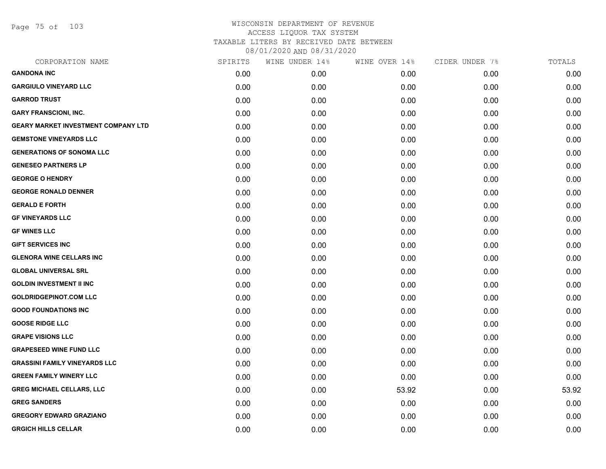Page 75 of 103

| CORPORATION NAME                           | SPIRITS | WINE UNDER 14% | WINE OVER 14% | CIDER UNDER 7% | TOTALS |
|--------------------------------------------|---------|----------------|---------------|----------------|--------|
| <b>GANDONA INC</b>                         | 0.00    | 0.00           | 0.00          | 0.00           | 0.00   |
| <b>GARGIULO VINEYARD LLC</b>               | 0.00    | 0.00           | 0.00          | 0.00           | 0.00   |
| <b>GARROD TRUST</b>                        | 0.00    | 0.00           | 0.00          | 0.00           | 0.00   |
| <b>GARY FRANSCIONI, INC.</b>               | 0.00    | 0.00           | 0.00          | 0.00           | 0.00   |
| <b>GEARY MARKET INVESTMENT COMPANY LTD</b> | 0.00    | 0.00           | 0.00          | 0.00           | 0.00   |
| <b>GEMSTONE VINEYARDS LLC</b>              | 0.00    | 0.00           | 0.00          | 0.00           | 0.00   |
| <b>GENERATIONS OF SONOMA LLC</b>           | 0.00    | 0.00           | 0.00          | 0.00           | 0.00   |
| <b>GENESEO PARTNERS LP</b>                 | 0.00    | 0.00           | 0.00          | 0.00           | 0.00   |
| <b>GEORGE O HENDRY</b>                     | 0.00    | 0.00           | 0.00          | 0.00           | 0.00   |
| <b>GEORGE RONALD DENNER</b>                | 0.00    | 0.00           | 0.00          | 0.00           | 0.00   |
| <b>GERALD E FORTH</b>                      | 0.00    | 0.00           | 0.00          | 0.00           | 0.00   |
| <b>GF VINEYARDS LLC</b>                    | 0.00    | 0.00           | 0.00          | 0.00           | 0.00   |
| <b>GF WINES LLC</b>                        | 0.00    | 0.00           | 0.00          | 0.00           | 0.00   |
| <b>GIFT SERVICES INC</b>                   | 0.00    | 0.00           | 0.00          | 0.00           | 0.00   |
| <b>GLENORA WINE CELLARS INC</b>            | 0.00    | 0.00           | 0.00          | 0.00           | 0.00   |
| <b>GLOBAL UNIVERSAL SRL</b>                | 0.00    | 0.00           | 0.00          | 0.00           | 0.00   |
| <b>GOLDIN INVESTMENT II INC</b>            | 0.00    | 0.00           | 0.00          | 0.00           | 0.00   |
| <b>GOLDRIDGEPINOT.COM LLC</b>              | 0.00    | 0.00           | 0.00          | 0.00           | 0.00   |
| <b>GOOD FOUNDATIONS INC</b>                | 0.00    | 0.00           | 0.00          | 0.00           | 0.00   |
| <b>GOOSE RIDGE LLC</b>                     | 0.00    | 0.00           | 0.00          | 0.00           | 0.00   |
| <b>GRAPE VISIONS LLC</b>                   | 0.00    | 0.00           | 0.00          | 0.00           | 0.00   |
| <b>GRAPESEED WINE FUND LLC</b>             | 0.00    | 0.00           | 0.00          | 0.00           | 0.00   |
| <b>GRASSINI FAMILY VINEYARDS LLC</b>       | 0.00    | 0.00           | 0.00          | 0.00           | 0.00   |
| <b>GREEN FAMILY WINERY LLC</b>             | 0.00    | 0.00           | 0.00          | 0.00           | 0.00   |
| <b>GREG MICHAEL CELLARS, LLC</b>           | 0.00    | 0.00           | 53.92         | 0.00           | 53.92  |
| <b>GREG SANDERS</b>                        | 0.00    | 0.00           | 0.00          | 0.00           | 0.00   |
| <b>GREGORY EDWARD GRAZIANO</b>             | 0.00    | 0.00           | 0.00          | 0.00           | 0.00   |
| <b>GRGICH HILLS CELLAR</b>                 | 0.00    | 0.00           | 0.00          | 0.00           | 0.00   |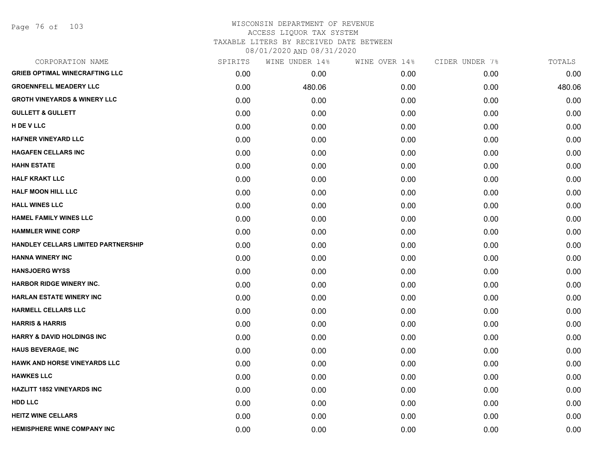Page 76 of 103

| CORPORATION NAME                        | SPIRITS | WINE UNDER 14% | WINE OVER 14% | CIDER UNDER 7% | TOTALS |
|-----------------------------------------|---------|----------------|---------------|----------------|--------|
| <b>GRIEB OPTIMAL WINECRAFTING LLC</b>   | 0.00    | 0.00           | 0.00          | 0.00           | 0.00   |
| <b>GROENNFELL MEADERY LLC</b>           | 0.00    | 480.06         | 0.00          | 0.00           | 480.06 |
| <b>GROTH VINEYARDS &amp; WINERY LLC</b> | 0.00    | 0.00           | 0.00          | 0.00           | 0.00   |
| <b>GULLETT &amp; GULLETT</b>            | 0.00    | 0.00           | 0.00          | 0.00           | 0.00   |
| H DE V LLC                              | 0.00    | 0.00           | 0.00          | 0.00           | 0.00   |
| HAFNER VINEYARD LLC                     | 0.00    | 0.00           | 0.00          | 0.00           | 0.00   |
| <b>HAGAFEN CELLARS INC</b>              | 0.00    | 0.00           | 0.00          | 0.00           | 0.00   |
| <b>HAHN ESTATE</b>                      | 0.00    | 0.00           | 0.00          | 0.00           | 0.00   |
| <b>HALF KRAKT LLC</b>                   | 0.00    | 0.00           | 0.00          | 0.00           | 0.00   |
| <b>HALF MOON HILL LLC</b>               | 0.00    | 0.00           | 0.00          | 0.00           | 0.00   |
| <b>HALL WINES LLC</b>                   | 0.00    | 0.00           | 0.00          | 0.00           | 0.00   |
| <b>HAMEL FAMILY WINES LLC</b>           | 0.00    | 0.00           | 0.00          | 0.00           | 0.00   |
| <b>HAMMLER WINE CORP</b>                | 0.00    | 0.00           | 0.00          | 0.00           | 0.00   |
| HANDLEY CELLARS LIMITED PARTNERSHIP     | 0.00    | 0.00           | 0.00          | 0.00           | 0.00   |
| <b>HANNA WINERY INC</b>                 | 0.00    | 0.00           | 0.00          | 0.00           | 0.00   |
| <b>HANSJOERG WYSS</b>                   | 0.00    | 0.00           | 0.00          | 0.00           | 0.00   |
| <b>HARBOR RIDGE WINERY INC.</b>         | 0.00    | 0.00           | 0.00          | 0.00           | 0.00   |
| <b>HARLAN ESTATE WINERY INC</b>         | 0.00    | 0.00           | 0.00          | 0.00           | 0.00   |
| <b>HARMELL CELLARS LLC</b>              | 0.00    | 0.00           | 0.00          | 0.00           | 0.00   |
| <b>HARRIS &amp; HARRIS</b>              | 0.00    | 0.00           | 0.00          | 0.00           | 0.00   |
| <b>HARRY &amp; DAVID HOLDINGS INC</b>   | 0.00    | 0.00           | 0.00          | 0.00           | 0.00   |
| <b>HAUS BEVERAGE, INC</b>               | 0.00    | 0.00           | 0.00          | 0.00           | 0.00   |
| HAWK AND HORSE VINEYARDS LLC            | 0.00    | 0.00           | 0.00          | 0.00           | 0.00   |
| <b>HAWKES LLC</b>                       | 0.00    | 0.00           | 0.00          | 0.00           | 0.00   |
| <b>HAZLITT 1852 VINEYARDS INC</b>       | 0.00    | 0.00           | 0.00          | 0.00           | 0.00   |
| <b>HDD LLC</b>                          | 0.00    | 0.00           | 0.00          | 0.00           | 0.00   |
| <b>HEITZ WINE CELLARS</b>               | 0.00    | 0.00           | 0.00          | 0.00           | 0.00   |
| <b>HEMISPHERE WINE COMPANY INC</b>      | 0.00    | 0.00           | 0.00          | 0.00           | 0.00   |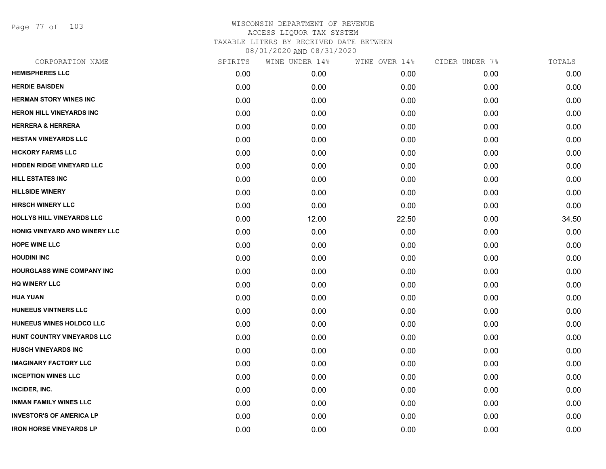Page 77 of 103

| CORPORATION NAME                  | SPIRITS | WINE UNDER 14% | WINE OVER 14% | CIDER UNDER 7% | TOTALS |
|-----------------------------------|---------|----------------|---------------|----------------|--------|
| <b>HEMISPHERES LLC</b>            | 0.00    | 0.00           | 0.00          | 0.00           | 0.00   |
| <b>HERDIE BAISDEN</b>             | 0.00    | 0.00           | 0.00          | 0.00           | 0.00   |
| <b>HERMAN STORY WINES INC</b>     | 0.00    | 0.00           | 0.00          | 0.00           | 0.00   |
| <b>HERON HILL VINEYARDS INC</b>   | 0.00    | 0.00           | 0.00          | 0.00           | 0.00   |
| <b>HERRERA &amp; HERRERA</b>      | 0.00    | 0.00           | 0.00          | 0.00           | 0.00   |
| <b>HESTAN VINEYARDS LLC</b>       | 0.00    | 0.00           | 0.00          | 0.00           | 0.00   |
| <b>HICKORY FARMS LLC</b>          | 0.00    | 0.00           | 0.00          | 0.00           | 0.00   |
| <b>HIDDEN RIDGE VINEYARD LLC</b>  | 0.00    | 0.00           | 0.00          | 0.00           | 0.00   |
| HILL ESTATES INC                  | 0.00    | 0.00           | 0.00          | 0.00           | 0.00   |
| <b>HILLSIDE WINERY</b>            | 0.00    | 0.00           | 0.00          | 0.00           | 0.00   |
| <b>HIRSCH WINERY LLC</b>          | 0.00    | 0.00           | 0.00          | 0.00           | 0.00   |
| HOLLYS HILL VINEYARDS LLC         | 0.00    | 12.00          | 22.50         | 0.00           | 34.50  |
| HONIG VINEYARD AND WINERY LLC     | 0.00    | 0.00           | 0.00          | 0.00           | 0.00   |
| <b>HOPE WINE LLC</b>              | 0.00    | 0.00           | 0.00          | 0.00           | 0.00   |
| <b>HOUDINI INC</b>                | 0.00    | 0.00           | 0.00          | 0.00           | 0.00   |
| <b>HOURGLASS WINE COMPANY INC</b> | 0.00    | 0.00           | 0.00          | 0.00           | 0.00   |
| <b>HQ WINERY LLC</b>              | 0.00    | 0.00           | 0.00          | 0.00           | 0.00   |
| <b>HUA YUAN</b>                   | 0.00    | 0.00           | 0.00          | 0.00           | 0.00   |
| <b>HUNEEUS VINTNERS LLC</b>       | 0.00    | 0.00           | 0.00          | 0.00           | 0.00   |
| HUNEEUS WINES HOLDCO LLC          | 0.00    | 0.00           | 0.00          | 0.00           | 0.00   |
| HUNT COUNTRY VINEYARDS LLC        | 0.00    | 0.00           | 0.00          | 0.00           | 0.00   |
| <b>HUSCH VINEYARDS INC</b>        | 0.00    | 0.00           | 0.00          | 0.00           | 0.00   |
| <b>IMAGINARY FACTORY LLC</b>      | 0.00    | 0.00           | 0.00          | 0.00           | 0.00   |
| <b>INCEPTION WINES LLC</b>        | 0.00    | 0.00           | 0.00          | 0.00           | 0.00   |
| INCIDER, INC.                     | 0.00    | 0.00           | 0.00          | 0.00           | 0.00   |
| <b>INMAN FAMILY WINES LLC</b>     | 0.00    | 0.00           | 0.00          | 0.00           | 0.00   |
| <b>INVESTOR'S OF AMERICA LP</b>   | 0.00    | 0.00           | 0.00          | 0.00           | 0.00   |
| <b>IRON HORSE VINEYARDS LP</b>    | 0.00    | 0.00           | 0.00          | 0.00           | 0.00   |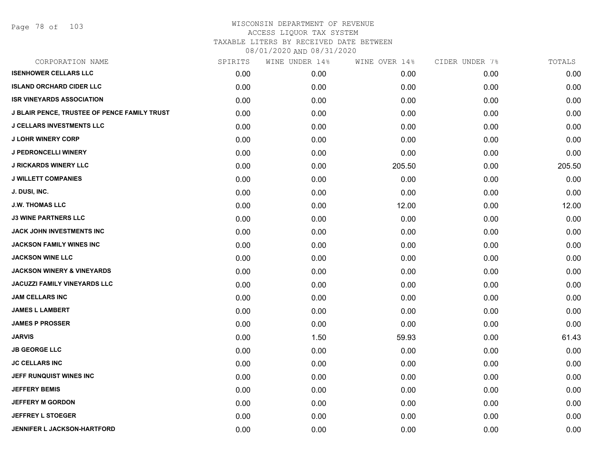| CORPORATION NAME                             | SPIRITS | WINE UNDER 14% | WINE OVER 14% | CIDER UNDER 7% | TOTALS |
|----------------------------------------------|---------|----------------|---------------|----------------|--------|
| <b>ISENHOWER CELLARS LLC</b>                 | 0.00    | 0.00           | 0.00          | 0.00           | 0.00   |
| <b>ISLAND ORCHARD CIDER LLC</b>              | 0.00    | 0.00           | 0.00          | 0.00           | 0.00   |
| <b>ISR VINEYARDS ASSOCIATION</b>             | 0.00    | 0.00           | 0.00          | 0.00           | 0.00   |
| J BLAIR PENCE, TRUSTEE OF PENCE FAMILY TRUST | 0.00    | 0.00           | 0.00          | 0.00           | 0.00   |
| <b>J CELLARS INVESTMENTS LLC</b>             | 0.00    | 0.00           | 0.00          | 0.00           | 0.00   |
| <b>J LOHR WINERY CORP</b>                    | 0.00    | 0.00           | 0.00          | 0.00           | 0.00   |
| <b>J PEDRONCELLI WINERY</b>                  | 0.00    | 0.00           | 0.00          | 0.00           | 0.00   |
| <b>J RICKARDS WINERY LLC</b>                 | 0.00    | 0.00           | 205.50        | 0.00           | 205.50 |
| <b>J WILLETT COMPANIES</b>                   | 0.00    | 0.00           | 0.00          | 0.00           | 0.00   |
| J. DUSI, INC.                                | 0.00    | 0.00           | 0.00          | 0.00           | 0.00   |
| <b>J.W. THOMAS LLC</b>                       | 0.00    | 0.00           | 12.00         | 0.00           | 12.00  |
| <b>J3 WINE PARTNERS LLC</b>                  | 0.00    | 0.00           | 0.00          | 0.00           | 0.00   |
| JACK JOHN INVESTMENTS INC                    | 0.00    | 0.00           | 0.00          | 0.00           | 0.00   |
| <b>JACKSON FAMILY WINES INC</b>              | 0.00    | 0.00           | 0.00          | 0.00           | 0.00   |
| <b>JACKSON WINE LLC</b>                      | 0.00    | 0.00           | 0.00          | 0.00           | 0.00   |
| <b>JACKSON WINERY &amp; VINEYARDS</b>        | 0.00    | 0.00           | 0.00          | 0.00           | 0.00   |
| <b>JACUZZI FAMILY VINEYARDS LLC</b>          | 0.00    | 0.00           | 0.00          | 0.00           | 0.00   |
| <b>JAM CELLARS INC</b>                       | 0.00    | 0.00           | 0.00          | 0.00           | 0.00   |
| <b>JAMES L LAMBERT</b>                       | 0.00    | 0.00           | 0.00          | 0.00           | 0.00   |
| <b>JAMES P PROSSER</b>                       | 0.00    | 0.00           | 0.00          | 0.00           | 0.00   |
| <b>JARVIS</b>                                | 0.00    | 1.50           | 59.93         | 0.00           | 61.43  |
| <b>JB GEORGE LLC</b>                         | 0.00    | 0.00           | 0.00          | 0.00           | 0.00   |
| <b>JC CELLARS INC</b>                        | 0.00    | 0.00           | 0.00          | 0.00           | 0.00   |
| JEFF RUNQUIST WINES INC                      | 0.00    | 0.00           | 0.00          | 0.00           | 0.00   |
| <b>JEFFERY BEMIS</b>                         | 0.00    | 0.00           | 0.00          | 0.00           | 0.00   |
| <b>JEFFERY M GORDON</b>                      | 0.00    | 0.00           | 0.00          | 0.00           | 0.00   |
| <b>JEFFREY L STOEGER</b>                     | 0.00    | 0.00           | 0.00          | 0.00           | 0.00   |
| JENNIFER L JACKSON-HARTFORD                  | 0.00    | 0.00           | 0.00          | 0.00           | 0.00   |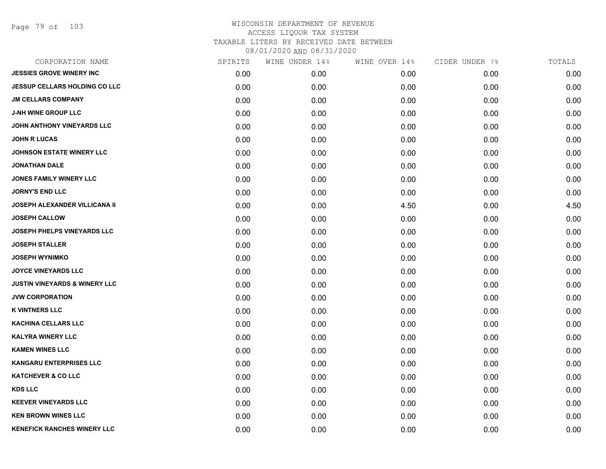Page 79 of 103

| CORPORATION NAME                         | SPIRITS | WINE UNDER 14% | WINE OVER 14% | CIDER UNDER 7% | TOTALS |
|------------------------------------------|---------|----------------|---------------|----------------|--------|
| <b>JESSIES GROVE WINERY INC</b>          | 0.00    | 0.00           | 0.00          | 0.00           | 0.00   |
| <b>JESSUP CELLARS HOLDING CO LLC</b>     | 0.00    | 0.00           | 0.00          | 0.00           | 0.00   |
| <b>JM CELLARS COMPANY</b>                | 0.00    | 0.00           | 0.00          | 0.00           | 0.00   |
| <b>J-NH WINE GROUP LLC</b>               | 0.00    | 0.00           | 0.00          | 0.00           | 0.00   |
| JOHN ANTHONY VINEYARDS LLC               | 0.00    | 0.00           | 0.00          | 0.00           | 0.00   |
| <b>JOHN R LUCAS</b>                      | 0.00    | 0.00           | 0.00          | 0.00           | 0.00   |
| <b>JOHNSON ESTATE WINERY LLC</b>         | 0.00    | 0.00           | 0.00          | 0.00           | 0.00   |
| <b>JONATHAN DALE</b>                     | 0.00    | 0.00           | 0.00          | 0.00           | 0.00   |
| <b>JONES FAMILY WINERY LLC</b>           | 0.00    | 0.00           | 0.00          | 0.00           | 0.00   |
| <b>JORNY'S END LLC</b>                   | 0.00    | 0.00           | 0.00          | 0.00           | 0.00   |
| <b>JOSEPH ALEXANDER VILLICANA II</b>     | 0.00    | 0.00           | 4.50          | 0.00           | 4.50   |
| <b>JOSEPH CALLOW</b>                     | 0.00    | 0.00           | 0.00          | 0.00           | 0.00   |
| JOSEPH PHELPS VINEYARDS LLC              | 0.00    | 0.00           | 0.00          | 0.00           | 0.00   |
| <b>JOSEPH STALLER</b>                    | 0.00    | 0.00           | 0.00          | 0.00           | 0.00   |
| <b>JOSEPH WYNIMKO</b>                    | 0.00    | 0.00           | 0.00          | 0.00           | 0.00   |
| <b>JOYCE VINEYARDS LLC</b>               | 0.00    | 0.00           | 0.00          | 0.00           | 0.00   |
| <b>JUSTIN VINEYARDS &amp; WINERY LLC</b> | 0.00    | 0.00           | 0.00          | 0.00           | 0.00   |
| <b>JVW CORPORATION</b>                   | 0.00    | 0.00           | 0.00          | 0.00           | 0.00   |
| <b>K VINTNERS LLC</b>                    | 0.00    | 0.00           | 0.00          | 0.00           | 0.00   |
| <b>KACHINA CELLARS LLC</b>               | 0.00    | 0.00           | 0.00          | 0.00           | 0.00   |
| <b>KALYRA WINERY LLC</b>                 | 0.00    | 0.00           | 0.00          | 0.00           | 0.00   |
| <b>KAMEN WINES LLC</b>                   | 0.00    | 0.00           | 0.00          | 0.00           | 0.00   |
| <b>KANGARU ENTERPRISES LLC</b>           | 0.00    | 0.00           | 0.00          | 0.00           | 0.00   |
| <b>KATCHEVER &amp; CO LLC</b>            | 0.00    | 0.00           | 0.00          | 0.00           | 0.00   |
| <b>KDS LLC</b>                           | 0.00    | 0.00           | 0.00          | 0.00           | 0.00   |
| <b>KEEVER VINEYARDS LLC</b>              | 0.00    | 0.00           | 0.00          | 0.00           | 0.00   |
| <b>KEN BROWN WINES LLC</b>               | 0.00    | 0.00           | 0.00          | 0.00           | 0.00   |
| <b>KENEFICK RANCHES WINERY LLC</b>       | 0.00    | 0.00           | 0.00          | 0.00           | 0.00   |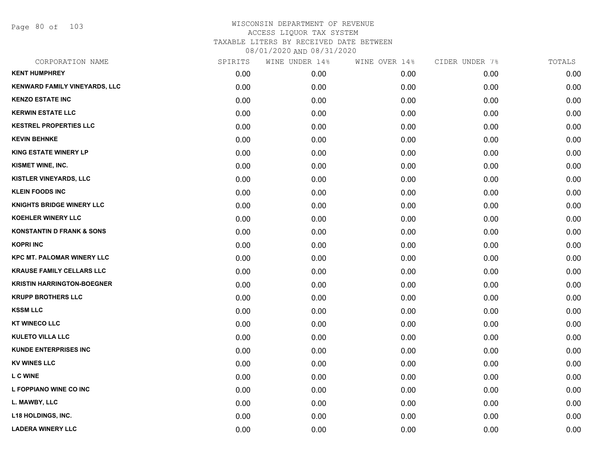Page 80 of 103

| CORPORATION NAME                     | SPIRITS | WINE UNDER 14% | WINE OVER 14% | CIDER UNDER 7% | TOTALS |
|--------------------------------------|---------|----------------|---------------|----------------|--------|
| <b>KENT HUMPHREY</b>                 | 0.00    | 0.00           | 0.00          | 0.00           | 0.00   |
| <b>KENWARD FAMILY VINEYARDS, LLC</b> | 0.00    | 0.00           | 0.00          | 0.00           | 0.00   |
| <b>KENZO ESTATE INC</b>              | 0.00    | 0.00           | 0.00          | 0.00           | 0.00   |
| <b>KERWIN ESTATE LLC</b>             | 0.00    | 0.00           | 0.00          | 0.00           | 0.00   |
| <b>KESTREL PROPERTIES LLC</b>        | 0.00    | 0.00           | 0.00          | 0.00           | 0.00   |
| <b>KEVIN BEHNKE</b>                  | 0.00    | 0.00           | 0.00          | 0.00           | 0.00   |
| <b>KING ESTATE WINERY LP</b>         | 0.00    | 0.00           | 0.00          | 0.00           | 0.00   |
| KISMET WINE, INC.                    | 0.00    | 0.00           | 0.00          | 0.00           | 0.00   |
| <b>KISTLER VINEYARDS, LLC</b>        | 0.00    | 0.00           | 0.00          | 0.00           | 0.00   |
| <b>KLEIN FOODS INC</b>               | 0.00    | 0.00           | 0.00          | 0.00           | 0.00   |
| <b>KNIGHTS BRIDGE WINERY LLC</b>     | 0.00    | 0.00           | 0.00          | 0.00           | 0.00   |
| <b>KOEHLER WINERY LLC</b>            | 0.00    | 0.00           | 0.00          | 0.00           | 0.00   |
| <b>KONSTANTIN D FRANK &amp; SONS</b> | 0.00    | 0.00           | 0.00          | 0.00           | 0.00   |
| <b>KOPRI INC</b>                     | 0.00    | 0.00           | 0.00          | 0.00           | 0.00   |
| <b>KPC MT. PALOMAR WINERY LLC</b>    | 0.00    | 0.00           | 0.00          | 0.00           | 0.00   |
| <b>KRAUSE FAMILY CELLARS LLC</b>     | 0.00    | 0.00           | 0.00          | 0.00           | 0.00   |
| <b>KRISTIN HARRINGTON-BOEGNER</b>    | 0.00    | 0.00           | 0.00          | 0.00           | 0.00   |
| <b>KRUPP BROTHERS LLC</b>            | 0.00    | 0.00           | 0.00          | 0.00           | 0.00   |
| <b>KSSM LLC</b>                      | 0.00    | 0.00           | 0.00          | 0.00           | 0.00   |
| <b>KT WINECO LLC</b>                 | 0.00    | 0.00           | 0.00          | 0.00           | 0.00   |
| <b>KULETO VILLA LLC</b>              | 0.00    | 0.00           | 0.00          | 0.00           | 0.00   |
| <b>KUNDE ENTERPRISES INC</b>         | 0.00    | 0.00           | 0.00          | 0.00           | 0.00   |
| <b>KV WINES LLC</b>                  | 0.00    | 0.00           | 0.00          | 0.00           | 0.00   |
| <b>L C WINE</b>                      | 0.00    | 0.00           | 0.00          | 0.00           | 0.00   |
| L FOPPIANO WINE CO INC               | 0.00    | 0.00           | 0.00          | 0.00           | 0.00   |
| L. MAWBY, LLC                        | 0.00    | 0.00           | 0.00          | 0.00           | 0.00   |
| <b>L18 HOLDINGS, INC.</b>            | 0.00    | 0.00           | 0.00          | 0.00           | 0.00   |
| <b>LADERA WINERY LLC</b>             | 0.00    | 0.00           | 0.00          | 0.00           | 0.00   |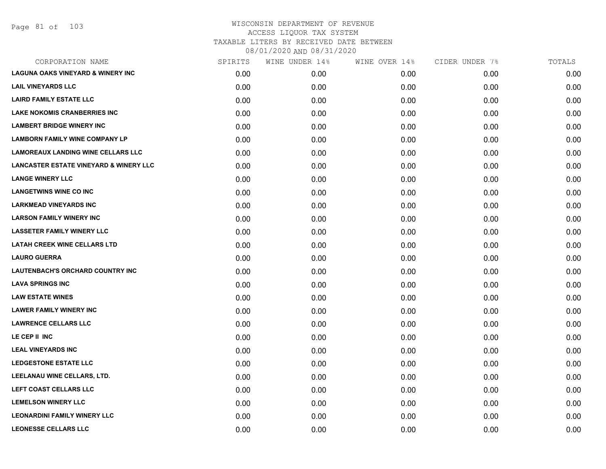| CORPORATION NAME                                  | SPIRITS | WINE UNDER 14% | WINE OVER 14% | CIDER UNDER 7% | TOTALS |
|---------------------------------------------------|---------|----------------|---------------|----------------|--------|
| <b>LAGUNA OAKS VINEYARD &amp; WINERY INC</b>      | 0.00    | 0.00           | 0.00          | 0.00           | 0.00   |
| <b>LAIL VINEYARDS LLC</b>                         | 0.00    | 0.00           | 0.00          | 0.00           | 0.00   |
| <b>LAIRD FAMILY ESTATE LLC</b>                    | 0.00    | 0.00           | 0.00          | 0.00           | 0.00   |
| <b>LAKE NOKOMIS CRANBERRIES INC</b>               | 0.00    | 0.00           | 0.00          | 0.00           | 0.00   |
| <b>LAMBERT BRIDGE WINERY INC</b>                  | 0.00    | 0.00           | 0.00          | 0.00           | 0.00   |
| <b>LAMBORN FAMILY WINE COMPANY LP</b>             | 0.00    | 0.00           | 0.00          | 0.00           | 0.00   |
| <b>LAMOREAUX LANDING WINE CELLARS LLC</b>         | 0.00    | 0.00           | 0.00          | 0.00           | 0.00   |
| <b>LANCASTER ESTATE VINEYARD &amp; WINERY LLC</b> | 0.00    | 0.00           | 0.00          | 0.00           | 0.00   |
| <b>LANGE WINERY LLC</b>                           | 0.00    | 0.00           | 0.00          | 0.00           | 0.00   |
| <b>LANGETWINS WINE CO INC</b>                     | 0.00    | 0.00           | 0.00          | 0.00           | 0.00   |
| <b>LARKMEAD VINEYARDS INC</b>                     | 0.00    | 0.00           | 0.00          | 0.00           | 0.00   |
| <b>LARSON FAMILY WINERY INC</b>                   | 0.00    | 0.00           | 0.00          | 0.00           | 0.00   |
| <b>LASSETER FAMILY WINERY LLC</b>                 | 0.00    | 0.00           | 0.00          | 0.00           | 0.00   |
| <b>LATAH CREEK WINE CELLARS LTD</b>               | 0.00    | 0.00           | 0.00          | 0.00           | 0.00   |
| <b>LAURO GUERRA</b>                               | 0.00    | 0.00           | 0.00          | 0.00           | 0.00   |
| <b>LAUTENBACH'S ORCHARD COUNTRY INC</b>           | 0.00    | 0.00           | 0.00          | 0.00           | 0.00   |
| <b>LAVA SPRINGS INC</b>                           | 0.00    | 0.00           | 0.00          | 0.00           | 0.00   |
| <b>LAW ESTATE WINES</b>                           | 0.00    | 0.00           | 0.00          | 0.00           | 0.00   |
| <b>LAWER FAMILY WINERY INC</b>                    | 0.00    | 0.00           | 0.00          | 0.00           | 0.00   |
| <b>LAWRENCE CELLARS LLC</b>                       | 0.00    | 0.00           | 0.00          | 0.00           | 0.00   |
| LE CEP II INC                                     | 0.00    | 0.00           | 0.00          | 0.00           | 0.00   |
| <b>LEAL VINEYARDS INC</b>                         | 0.00    | 0.00           | 0.00          | 0.00           | 0.00   |
| <b>LEDGESTONE ESTATE LLC</b>                      | 0.00    | 0.00           | 0.00          | 0.00           | 0.00   |
| LEELANAU WINE CELLARS, LTD.                       | 0.00    | 0.00           | 0.00          | 0.00           | 0.00   |
| LEFT COAST CELLARS LLC                            | 0.00    | 0.00           | 0.00          | 0.00           | 0.00   |
| <b>LEMELSON WINERY LLC</b>                        | 0.00    | 0.00           | 0.00          | 0.00           | 0.00   |
| <b>LEONARDINI FAMILY WINERY LLC</b>               | 0.00    | 0.00           | 0.00          | 0.00           | 0.00   |
| <b>LEONESSE CELLARS LLC</b>                       | 0.00    | 0.00           | 0.00          | 0.00           | 0.00   |
|                                                   |         |                |               |                |        |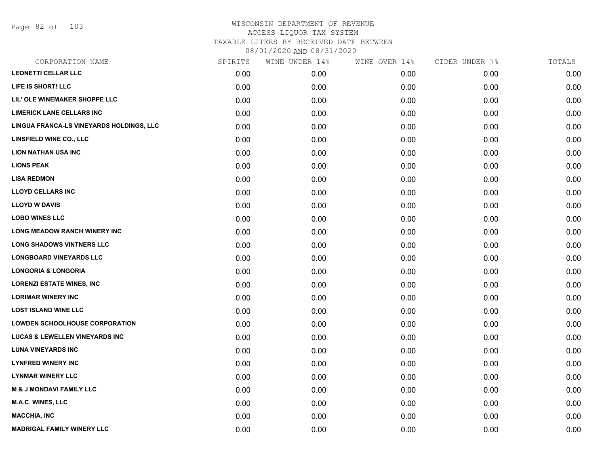Page 82 of 103

| CORPORATION NAME                          | SPIRITS | WINE UNDER 14% | WINE OVER 14% | CIDER UNDER 7% | TOTALS |
|-------------------------------------------|---------|----------------|---------------|----------------|--------|
| <b>LEONETTI CELLAR LLC</b>                | 0.00    | 0.00           | 0.00          | 0.00           | 0.00   |
| LIFE IS SHORT! LLC                        | 0.00    | 0.00           | 0.00          | 0.00           | 0.00   |
| LIL' OLE WINEMAKER SHOPPE LLC             | 0.00    | 0.00           | 0.00          | 0.00           | 0.00   |
| <b>LIMERICK LANE CELLARS INC</b>          | 0.00    | 0.00           | 0.00          | 0.00           | 0.00   |
| LINGUA FRANCA-LS VINEYARDS HOLDINGS, LLC  | 0.00    | 0.00           | 0.00          | 0.00           | 0.00   |
| <b>LINSFIELD WINE CO., LLC</b>            | 0.00    | 0.00           | 0.00          | 0.00           | 0.00   |
| <b>LION NATHAN USA INC</b>                | 0.00    | 0.00           | 0.00          | 0.00           | 0.00   |
| <b>LIONS PEAK</b>                         | 0.00    | 0.00           | 0.00          | 0.00           | 0.00   |
| <b>LISA REDMON</b>                        | 0.00    | 0.00           | 0.00          | 0.00           | 0.00   |
| <b>LLOYD CELLARS INC</b>                  | 0.00    | 0.00           | 0.00          | 0.00           | 0.00   |
| <b>LLOYD W DAVIS</b>                      | 0.00    | 0.00           | 0.00          | 0.00           | 0.00   |
| <b>LOBO WINES LLC</b>                     | 0.00    | 0.00           | 0.00          | 0.00           | 0.00   |
| LONG MEADOW RANCH WINERY INC              | 0.00    | 0.00           | 0.00          | 0.00           | 0.00   |
| <b>LONG SHADOWS VINTNERS LLC</b>          | 0.00    | 0.00           | 0.00          | 0.00           | 0.00   |
| <b>LONGBOARD VINEYARDS LLC</b>            | 0.00    | 0.00           | 0.00          | 0.00           | 0.00   |
| <b>LONGORIA &amp; LONGORIA</b>            | 0.00    | 0.00           | 0.00          | 0.00           | 0.00   |
| <b>LORENZI ESTATE WINES, INC.</b>         | 0.00    | 0.00           | 0.00          | 0.00           | 0.00   |
| <b>LORIMAR WINERY INC</b>                 | 0.00    | 0.00           | 0.00          | 0.00           | 0.00   |
| <b>LOST ISLAND WINE LLC</b>               | 0.00    | 0.00           | 0.00          | 0.00           | 0.00   |
| <b>LOWDEN SCHOOLHOUSE CORPORATION</b>     | 0.00    | 0.00           | 0.00          | 0.00           | 0.00   |
| <b>LUCAS &amp; LEWELLEN VINEYARDS INC</b> | 0.00    | 0.00           | 0.00          | 0.00           | 0.00   |
| <b>LUNA VINEYARDS INC</b>                 | 0.00    | 0.00           | 0.00          | 0.00           | 0.00   |
| <b>LYNFRED WINERY INC</b>                 | 0.00    | 0.00           | 0.00          | 0.00           | 0.00   |
| <b>LYNMAR WINERY LLC</b>                  | 0.00    | 0.00           | 0.00          | 0.00           | 0.00   |
| <b>M &amp; J MONDAVI FAMILY LLC</b>       | 0.00    | 0.00           | 0.00          | 0.00           | 0.00   |
| <b>M.A.C. WINES, LLC</b>                  | 0.00    | 0.00           | 0.00          | 0.00           | 0.00   |
| <b>MACCHIA, INC</b>                       | 0.00    | 0.00           | 0.00          | 0.00           | 0.00   |
| <b>MADRIGAL FAMILY WINERY LLC</b>         | 0.00    | 0.00           | 0.00          | 0.00           | 0.00   |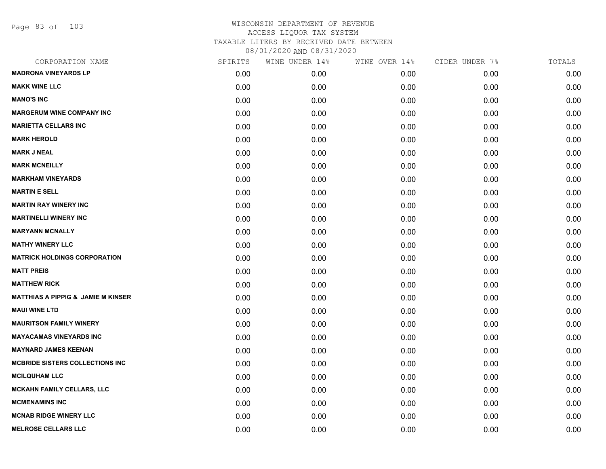Page 83 of 103

| CORPORATION NAME                              | SPIRITS | WINE UNDER 14% | WINE OVER 14% | CIDER UNDER 7% | TOTALS |
|-----------------------------------------------|---------|----------------|---------------|----------------|--------|
| <b>MADRONA VINEYARDS LP</b>                   | 0.00    | 0.00           | 0.00          | 0.00           | 0.00   |
| <b>MAKK WINE LLC</b>                          | 0.00    | 0.00           | 0.00          | 0.00           | 0.00   |
| <b>MANO'S INC</b>                             | 0.00    | 0.00           | 0.00          | 0.00           | 0.00   |
| <b>MARGERUM WINE COMPANY INC</b>              | 0.00    | 0.00           | 0.00          | 0.00           | 0.00   |
| <b>MARIETTA CELLARS INC</b>                   | 0.00    | 0.00           | 0.00          | 0.00           | 0.00   |
| <b>MARK HEROLD</b>                            | 0.00    | 0.00           | 0.00          | 0.00           | 0.00   |
| <b>MARK J NEAL</b>                            | 0.00    | 0.00           | 0.00          | 0.00           | 0.00   |
| <b>MARK MCNEILLY</b>                          | 0.00    | 0.00           | 0.00          | 0.00           | 0.00   |
| <b>MARKHAM VINEYARDS</b>                      | 0.00    | 0.00           | 0.00          | 0.00           | 0.00   |
| <b>MARTIN E SELL</b>                          | 0.00    | 0.00           | 0.00          | 0.00           | 0.00   |
| <b>MARTIN RAY WINERY INC</b>                  | 0.00    | 0.00           | 0.00          | 0.00           | 0.00   |
| <b>MARTINELLI WINERY INC</b>                  | 0.00    | 0.00           | 0.00          | 0.00           | 0.00   |
| <b>MARYANN MCNALLY</b>                        | 0.00    | 0.00           | 0.00          | 0.00           | 0.00   |
| <b>MATHY WINERY LLC</b>                       | 0.00    | 0.00           | 0.00          | 0.00           | 0.00   |
| <b>MATRICK HOLDINGS CORPORATION</b>           | 0.00    | 0.00           | 0.00          | 0.00           | 0.00   |
| <b>MATT PREIS</b>                             | 0.00    | 0.00           | 0.00          | 0.00           | 0.00   |
| <b>MATTHEW RICK</b>                           | 0.00    | 0.00           | 0.00          | 0.00           | 0.00   |
| <b>MATTHIAS A PIPPIG &amp; JAMIE M KINSER</b> | 0.00    | 0.00           | 0.00          | 0.00           | 0.00   |
| <b>MAUI WINE LTD</b>                          | 0.00    | 0.00           | 0.00          | 0.00           | 0.00   |
| <b>MAURITSON FAMILY WINERY</b>                | 0.00    | 0.00           | 0.00          | 0.00           | 0.00   |
| <b>MAYACAMAS VINEYARDS INC</b>                | 0.00    | 0.00           | 0.00          | 0.00           | 0.00   |
| <b>MAYNARD JAMES KEENAN</b>                   | 0.00    | 0.00           | 0.00          | 0.00           | 0.00   |
| <b>MCBRIDE SISTERS COLLECTIONS INC.</b>       | 0.00    | 0.00           | 0.00          | 0.00           | 0.00   |
| <b>MCILQUHAM LLC</b>                          | 0.00    | 0.00           | 0.00          | 0.00           | 0.00   |
| <b>MCKAHN FAMILY CELLARS, LLC</b>             | 0.00    | 0.00           | 0.00          | 0.00           | 0.00   |
| <b>MCMENAMINS INC</b>                         | 0.00    | 0.00           | 0.00          | 0.00           | 0.00   |
| <b>MCNAB RIDGE WINERY LLC</b>                 | 0.00    | 0.00           | 0.00          | 0.00           | 0.00   |
| <b>MELROSE CELLARS LLC</b>                    | 0.00    | 0.00           | 0.00          | 0.00           | 0.00   |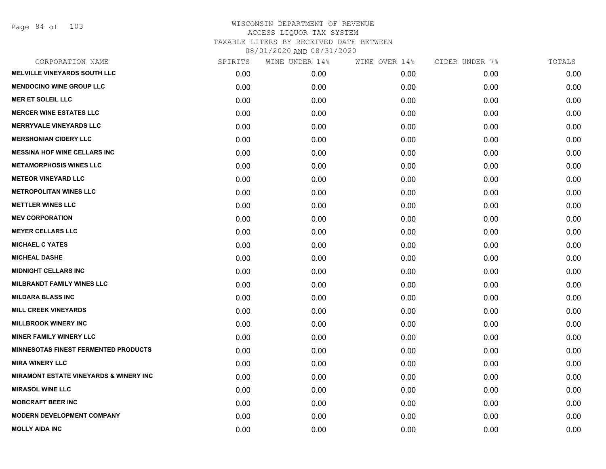Page 84 of 103

| CORPORATION NAME                                  | SPIRITS | WINE UNDER 14% | WINE OVER 14% | CIDER UNDER 7% | TOTALS |
|---------------------------------------------------|---------|----------------|---------------|----------------|--------|
| <b>MELVILLE VINEYARDS SOUTH LLC</b>               | 0.00    | 0.00           | 0.00          | 0.00           | 0.00   |
| <b>MENDOCINO WINE GROUP LLC</b>                   | 0.00    | 0.00           | 0.00          | 0.00           | 0.00   |
| <b>MER ET SOLEIL LLC</b>                          | 0.00    | 0.00           | 0.00          | 0.00           | 0.00   |
| <b>MERCER WINE ESTATES LLC</b>                    | 0.00    | 0.00           | 0.00          | 0.00           | 0.00   |
| <b>MERRYVALE VINEYARDS LLC</b>                    | 0.00    | 0.00           | 0.00          | 0.00           | 0.00   |
| <b>MERSHONIAN CIDERY LLC</b>                      | 0.00    | 0.00           | 0.00          | 0.00           | 0.00   |
| <b>MESSINA HOF WINE CELLARS INC</b>               | 0.00    | 0.00           | 0.00          | 0.00           | 0.00   |
| <b>METAMORPHOSIS WINES LLC</b>                    | 0.00    | 0.00           | 0.00          | 0.00           | 0.00   |
| <b>METEOR VINEYARD LLC</b>                        | 0.00    | 0.00           | 0.00          | 0.00           | 0.00   |
| <b>METROPOLITAN WINES LLC</b>                     | 0.00    | 0.00           | 0.00          | 0.00           | 0.00   |
| <b>METTLER WINES LLC</b>                          | 0.00    | 0.00           | 0.00          | 0.00           | 0.00   |
| <b>MEV CORPORATION</b>                            | 0.00    | 0.00           | 0.00          | 0.00           | 0.00   |
| <b>MEYER CELLARS LLC</b>                          | 0.00    | 0.00           | 0.00          | 0.00           | 0.00   |
| <b>MICHAEL C YATES</b>                            | 0.00    | 0.00           | 0.00          | 0.00           | 0.00   |
| <b>MICHEAL DASHE</b>                              | 0.00    | 0.00           | 0.00          | 0.00           | 0.00   |
| <b>MIDNIGHT CELLARS INC</b>                       | 0.00    | 0.00           | 0.00          | 0.00           | 0.00   |
| <b>MILBRANDT FAMILY WINES LLC</b>                 | 0.00    | 0.00           | 0.00          | 0.00           | 0.00   |
| <b>MILDARA BLASS INC</b>                          | 0.00    | 0.00           | 0.00          | 0.00           | 0.00   |
| <b>MILL CREEK VINEYARDS</b>                       | 0.00    | 0.00           | 0.00          | 0.00           | 0.00   |
| <b>MILLBROOK WINERY INC</b>                       | 0.00    | 0.00           | 0.00          | 0.00           | 0.00   |
| <b>MINER FAMILY WINERY LLC</b>                    | 0.00    | 0.00           | 0.00          | 0.00           | 0.00   |
| <b>MINNESOTAS FINEST FERMENTED PRODUCTS</b>       | 0.00    | 0.00           | 0.00          | 0.00           | 0.00   |
| <b>MIRA WINERY LLC</b>                            | 0.00    | 0.00           | 0.00          | 0.00           | 0.00   |
| <b>MIRAMONT ESTATE VINEYARDS &amp; WINERY INC</b> | 0.00    | 0.00           | 0.00          | 0.00           | 0.00   |
| <b>MIRASOL WINE LLC</b>                           | 0.00    | 0.00           | 0.00          | 0.00           | 0.00   |
| <b>MOBCRAFT BEER INC</b>                          | 0.00    | 0.00           | 0.00          | 0.00           | 0.00   |
| <b>MODERN DEVELOPMENT COMPANY</b>                 | 0.00    | 0.00           | 0.00          | 0.00           | 0.00   |
| <b>MOLLY AIDA INC</b>                             | 0.00    | 0.00           | 0.00          | 0.00           | 0.00   |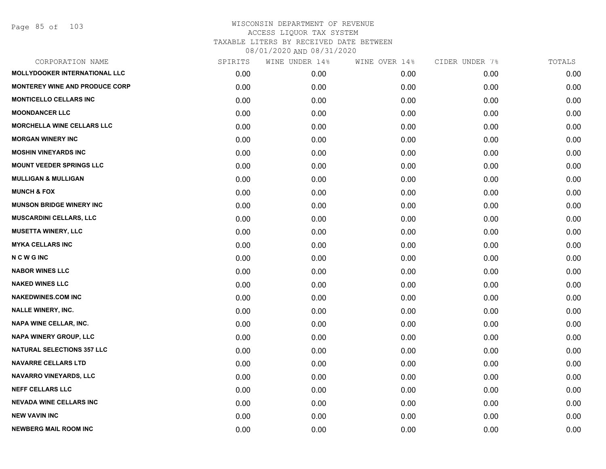| SPIRITS | WINE UNDER 14% | WINE OVER 14% | CIDER UNDER 7% | TOTALS |
|---------|----------------|---------------|----------------|--------|
| 0.00    | 0.00           | 0.00          | 0.00           | 0.00   |
| 0.00    | 0.00           | 0.00          | 0.00           | 0.00   |
| 0.00    | 0.00           | 0.00          | 0.00           | 0.00   |
| 0.00    | 0.00           | 0.00          | 0.00           | 0.00   |
| 0.00    | 0.00           | 0.00          | 0.00           | 0.00   |
| 0.00    | 0.00           | 0.00          | 0.00           | 0.00   |
| 0.00    | 0.00           | 0.00          | 0.00           | 0.00   |
| 0.00    | 0.00           | 0.00          | 0.00           | 0.00   |
| 0.00    | 0.00           | 0.00          | 0.00           | 0.00   |
| 0.00    | 0.00           | 0.00          | 0.00           | 0.00   |
| 0.00    | 0.00           | 0.00          | 0.00           | 0.00   |
| 0.00    | 0.00           | 0.00          | 0.00           | 0.00   |
| 0.00    | 0.00           | 0.00          | 0.00           | 0.00   |
| 0.00    | 0.00           | 0.00          | 0.00           | 0.00   |
| 0.00    | 0.00           | 0.00          | 0.00           | 0.00   |
| 0.00    | 0.00           | 0.00          | 0.00           | 0.00   |
| 0.00    | 0.00           | 0.00          | 0.00           | 0.00   |
| 0.00    | 0.00           | 0.00          | 0.00           | 0.00   |
| 0.00    | 0.00           | 0.00          | 0.00           | 0.00   |
| 0.00    | 0.00           | 0.00          | 0.00           | 0.00   |
| 0.00    | 0.00           | 0.00          | 0.00           | 0.00   |
| 0.00    | 0.00           | 0.00          | 0.00           | 0.00   |
| 0.00    | 0.00           | 0.00          | 0.00           | 0.00   |
| 0.00    | 0.00           | 0.00          | 0.00           | 0.00   |
| 0.00    | 0.00           | 0.00          | 0.00           | 0.00   |
| 0.00    | 0.00           | 0.00          | 0.00           | 0.00   |
| 0.00    | 0.00           | 0.00          | 0.00           | 0.00   |
| 0.00    | 0.00           | 0.00          | 0.00           | 0.00   |
|         |                |               |                |        |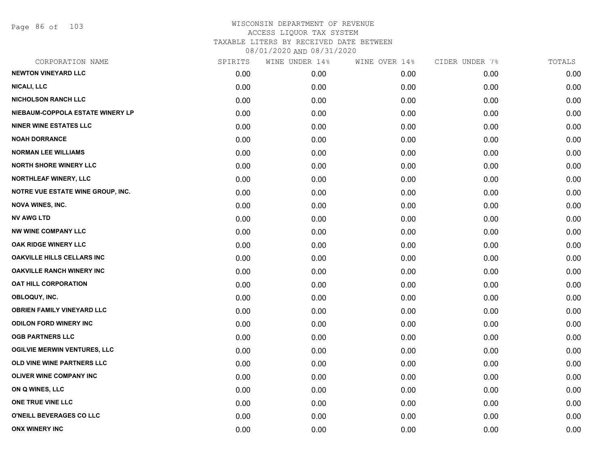Page 86 of 103

| CORPORATION NAME                         | SPIRITS | WINE UNDER 14% | WINE OVER 14% | CIDER UNDER 7% | TOTALS |
|------------------------------------------|---------|----------------|---------------|----------------|--------|
| <b>NEWTON VINEYARD LLC</b>               | 0.00    | 0.00           | 0.00          | 0.00           | 0.00   |
| <b>NICALI, LLC</b>                       | 0.00    | 0.00           | 0.00          | 0.00           | 0.00   |
| <b>NICHOLSON RANCH LLC</b>               | 0.00    | 0.00           | 0.00          | 0.00           | 0.00   |
| NIEBAUM-COPPOLA ESTATE WINERY LP         | 0.00    | 0.00           | 0.00          | 0.00           | 0.00   |
| <b>NINER WINE ESTATES LLC</b>            | 0.00    | 0.00           | 0.00          | 0.00           | 0.00   |
| <b>NOAH DORRANCE</b>                     | 0.00    | 0.00           | 0.00          | 0.00           | 0.00   |
| <b>NORMAN LEE WILLIAMS</b>               | 0.00    | 0.00           | 0.00          | 0.00           | 0.00   |
| <b>NORTH SHORE WINERY LLC</b>            | 0.00    | 0.00           | 0.00          | 0.00           | 0.00   |
| NORTHLEAF WINERY, LLC                    | 0.00    | 0.00           | 0.00          | 0.00           | 0.00   |
| <b>NOTRE VUE ESTATE WINE GROUP, INC.</b> | 0.00    | 0.00           | 0.00          | 0.00           | 0.00   |
| <b>NOVA WINES, INC.</b>                  | 0.00    | 0.00           | 0.00          | 0.00           | 0.00   |
| <b>NV AWG LTD</b>                        | 0.00    | 0.00           | 0.00          | 0.00           | 0.00   |
| <b>NW WINE COMPANY LLC</b>               | 0.00    | 0.00           | 0.00          | 0.00           | 0.00   |
| OAK RIDGE WINERY LLC                     | 0.00    | 0.00           | 0.00          | 0.00           | 0.00   |
| <b>OAKVILLE HILLS CELLARS INC</b>        | 0.00    | 0.00           | 0.00          | 0.00           | 0.00   |
| <b>OAKVILLE RANCH WINERY INC</b>         | 0.00    | 0.00           | 0.00          | 0.00           | 0.00   |
| <b>OAT HILL CORPORATION</b>              | 0.00    | 0.00           | 0.00          | 0.00           | 0.00   |
| OBLOQUY, INC.                            | 0.00    | 0.00           | 0.00          | 0.00           | 0.00   |
| <b>OBRIEN FAMILY VINEYARD LLC</b>        | 0.00    | 0.00           | 0.00          | 0.00           | 0.00   |
| <b>ODILON FORD WINERY INC</b>            | 0.00    | 0.00           | 0.00          | 0.00           | 0.00   |
| <b>OGB PARTNERS LLC</b>                  | 0.00    | 0.00           | 0.00          | 0.00           | 0.00   |
| <b>OGILVIE MERWIN VENTURES, LLC</b>      | 0.00    | 0.00           | 0.00          | 0.00           | 0.00   |
| OLD VINE WINE PARTNERS LLC               | 0.00    | 0.00           | 0.00          | 0.00           | 0.00   |
| <b>OLIVER WINE COMPANY INC</b>           | 0.00    | 0.00           | 0.00          | 0.00           | 0.00   |
| ON Q WINES, LLC                          | 0.00    | 0.00           | 0.00          | 0.00           | 0.00   |
| ONE TRUE VINE LLC                        | 0.00    | 0.00           | 0.00          | 0.00           | 0.00   |
| O'NEILL BEVERAGES CO LLC                 | 0.00    | 0.00           | 0.00          | 0.00           | 0.00   |
| <b>ONX WINERY INC</b>                    | 0.00    | 0.00           | 0.00          | 0.00           | 0.00   |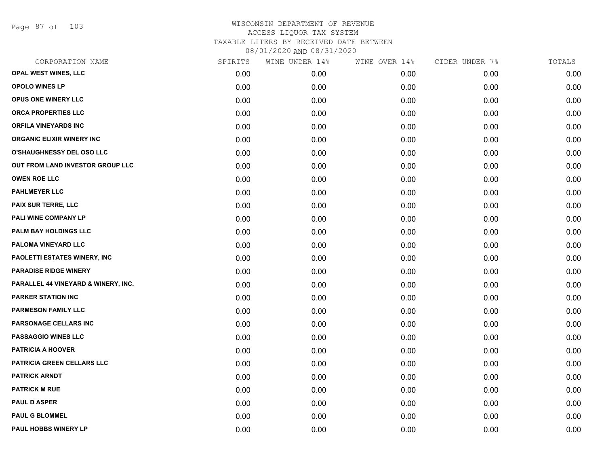Page 87 of 103

| CORPORATION NAME                    | SPIRITS | WINE UNDER 14% | WINE OVER 14% | CIDER UNDER 7% | TOTALS |
|-------------------------------------|---------|----------------|---------------|----------------|--------|
| <b>OPAL WEST WINES, LLC</b>         | 0.00    | 0.00           | 0.00          | 0.00           | 0.00   |
| <b>OPOLO WINES LP</b>               | 0.00    | 0.00           | 0.00          | 0.00           | 0.00   |
| OPUS ONE WINERY LLC                 | 0.00    | 0.00           | 0.00          | 0.00           | 0.00   |
| ORCA PROPERTIES LLC                 | 0.00    | 0.00           | 0.00          | 0.00           | 0.00   |
| <b>ORFILA VINEYARDS INC</b>         | 0.00    | 0.00           | 0.00          | 0.00           | 0.00   |
| <b>ORGANIC ELIXIR WINERY INC</b>    | 0.00    | 0.00           | 0.00          | 0.00           | 0.00   |
| O'SHAUGHNESSY DEL OSO LLC           | 0.00    | 0.00           | 0.00          | 0.00           | 0.00   |
| OUT FROM LAND INVESTOR GROUP LLC    | 0.00    | 0.00           | 0.00          | 0.00           | 0.00   |
| <b>OWEN ROE LLC</b>                 | 0.00    | 0.00           | 0.00          | 0.00           | 0.00   |
| <b>PAHLMEYER LLC</b>                | 0.00    | 0.00           | 0.00          | 0.00           | 0.00   |
| <b>PAIX SUR TERRE, LLC</b>          | 0.00    | 0.00           | 0.00          | 0.00           | 0.00   |
| PALI WINE COMPANY LP                | 0.00    | 0.00           | 0.00          | 0.00           | 0.00   |
| PALM BAY HOLDINGS LLC               | 0.00    | 0.00           | 0.00          | 0.00           | 0.00   |
| PALOMA VINEYARD LLC                 | 0.00    | 0.00           | 0.00          | 0.00           | 0.00   |
| PAOLETTI ESTATES WINERY, INC        | 0.00    | 0.00           | 0.00          | 0.00           | 0.00   |
| <b>PARADISE RIDGE WINERY</b>        | 0.00    | 0.00           | 0.00          | 0.00           | 0.00   |
| PARALLEL 44 VINEYARD & WINERY, INC. | 0.00    | 0.00           | 0.00          | 0.00           | 0.00   |
| <b>PARKER STATION INC</b>           | 0.00    | 0.00           | 0.00          | 0.00           | 0.00   |
| PARMESON FAMILY LLC                 | 0.00    | 0.00           | 0.00          | 0.00           | 0.00   |
| PARSONAGE CELLARS INC               | 0.00    | 0.00           | 0.00          | 0.00           | 0.00   |
| <b>PASSAGGIO WINES LLC</b>          | 0.00    | 0.00           | 0.00          | 0.00           | 0.00   |
| <b>PATRICIA A HOOVER</b>            | 0.00    | 0.00           | 0.00          | 0.00           | 0.00   |
| PATRICIA GREEN CELLARS LLC          | 0.00    | 0.00           | 0.00          | 0.00           | 0.00   |
| <b>PATRICK ARNDT</b>                | 0.00    | 0.00           | 0.00          | 0.00           | 0.00   |
| <b>PATRICK M RUE</b>                | 0.00    | 0.00           | 0.00          | 0.00           | 0.00   |
| <b>PAUL D ASPER</b>                 | 0.00    | 0.00           | 0.00          | 0.00           | 0.00   |
| <b>PAUL G BLOMMEL</b>               | 0.00    | 0.00           | 0.00          | 0.00           | 0.00   |
| <b>PAUL HOBBS WINERY LP</b>         | 0.00    | 0.00           | 0.00          | 0.00           | 0.00   |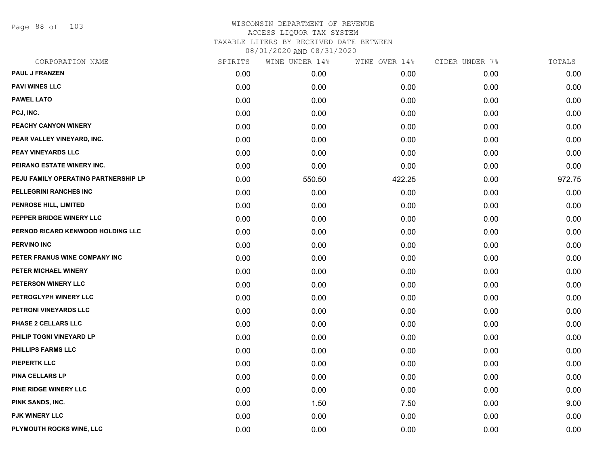Page 88 of 103

| CORPORATION NAME                     | SPIRITS | WINE UNDER 14% | WINE OVER 14% | CIDER UNDER 7% | TOTALS |
|--------------------------------------|---------|----------------|---------------|----------------|--------|
| <b>PAUL J FRANZEN</b>                | 0.00    | 0.00           | 0.00          | 0.00           | 0.00   |
| <b>PAVI WINES LLC</b>                | 0.00    | 0.00           | 0.00          | 0.00           | 0.00   |
| <b>PAWEL LATO</b>                    | 0.00    | 0.00           | 0.00          | 0.00           | 0.00   |
| PCJ, INC.                            | 0.00    | 0.00           | 0.00          | 0.00           | 0.00   |
| PEACHY CANYON WINERY                 | 0.00    | 0.00           | 0.00          | 0.00           | 0.00   |
| PEAR VALLEY VINEYARD, INC.           | 0.00    | 0.00           | 0.00          | 0.00           | 0.00   |
| <b>PEAY VINEYARDS LLC</b>            | 0.00    | 0.00           | 0.00          | 0.00           | 0.00   |
| PEIRANO ESTATE WINERY INC.           | 0.00    | 0.00           | 0.00          | 0.00           | 0.00   |
| PEJU FAMILY OPERATING PARTNERSHIP LP | 0.00    | 550.50         | 422.25        | 0.00           | 972.75 |
| PELLEGRINI RANCHES INC               | 0.00    | 0.00           | 0.00          | 0.00           | 0.00   |
| PENROSE HILL, LIMITED                | 0.00    | 0.00           | 0.00          | 0.00           | 0.00   |
| PEPPER BRIDGE WINERY LLC             | 0.00    | 0.00           | 0.00          | 0.00           | 0.00   |
| PERNOD RICARD KENWOOD HOLDING LLC    | 0.00    | 0.00           | 0.00          | 0.00           | 0.00   |
| <b>PERVINO INC</b>                   | 0.00    | 0.00           | 0.00          | 0.00           | 0.00   |
| PETER FRANUS WINE COMPANY INC        | 0.00    | 0.00           | 0.00          | 0.00           | 0.00   |
| PETER MICHAEL WINERY                 | 0.00    | 0.00           | 0.00          | 0.00           | 0.00   |
| PETERSON WINERY LLC                  | 0.00    | 0.00           | 0.00          | 0.00           | 0.00   |
| PETROGLYPH WINERY LLC                | 0.00    | 0.00           | 0.00          | 0.00           | 0.00   |
| PETRONI VINEYARDS LLC                | 0.00    | 0.00           | 0.00          | 0.00           | 0.00   |
| PHASE 2 CELLARS LLC                  | 0.00    | 0.00           | 0.00          | 0.00           | 0.00   |
| PHILIP TOGNI VINEYARD LP             | 0.00    | 0.00           | 0.00          | 0.00           | 0.00   |
| <b>PHILLIPS FARMS LLC</b>            | 0.00    | 0.00           | 0.00          | 0.00           | 0.00   |
| <b>PIEPERTK LLC</b>                  | 0.00    | 0.00           | 0.00          | 0.00           | 0.00   |
| PINA CELLARS LP                      | 0.00    | 0.00           | 0.00          | 0.00           | 0.00   |
| PINE RIDGE WINERY LLC                | 0.00    | 0.00           | 0.00          | 0.00           | 0.00   |
| PINK SANDS, INC.                     | 0.00    | 1.50           | 7.50          | 0.00           | 9.00   |
| <b>PJK WINERY LLC</b>                | 0.00    | 0.00           | 0.00          | 0.00           | 0.00   |
| PLYMOUTH ROCKS WINE, LLC             | 0.00    | 0.00           | 0.00          | 0.00           | 0.00   |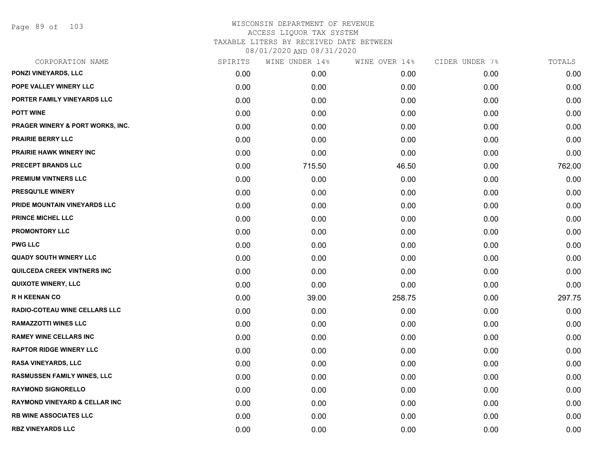Page 89 of 103

| CORPORATION NAME                         | SPIRITS | WINE UNDER 14% | WINE OVER 14% | CIDER UNDER 7% | TOTALS |
|------------------------------------------|---------|----------------|---------------|----------------|--------|
| PONZI VINEYARDS, LLC                     | 0.00    | 0.00           | 0.00          | 0.00           | 0.00   |
| POPE VALLEY WINERY LLC                   | 0.00    | 0.00           | 0.00          | 0.00           | 0.00   |
| PORTER FAMILY VINEYARDS LLC              | 0.00    | 0.00           | 0.00          | 0.00           | 0.00   |
| <b>POTT WINE</b>                         | 0.00    | 0.00           | 0.00          | 0.00           | 0.00   |
| PRAGER WINERY & PORT WORKS, INC.         | 0.00    | 0.00           | 0.00          | 0.00           | 0.00   |
| <b>PRAIRIE BERRY LLC</b>                 | 0.00    | 0.00           | 0.00          | 0.00           | 0.00   |
| PRAIRIE HAWK WINERY INC                  | 0.00    | 0.00           | 0.00          | 0.00           | 0.00   |
| PRECEPT BRANDS LLC                       | 0.00    | 715.50         | 46.50         | 0.00           | 762.00 |
| <b>PREMIUM VINTNERS LLC</b>              | 0.00    | 0.00           | 0.00          | 0.00           | 0.00   |
| PRESQU'ILE WINERY                        | 0.00    | 0.00           | 0.00          | 0.00           | 0.00   |
| PRIDE MOUNTAIN VINEYARDS LLC             | 0.00    | 0.00           | 0.00          | 0.00           | 0.00   |
| <b>PRINCE MICHEL LLC</b>                 | 0.00    | 0.00           | 0.00          | 0.00           | 0.00   |
| <b>PROMONTORY LLC</b>                    | 0.00    | 0.00           | 0.00          | 0.00           | 0.00   |
| <b>PWG LLC</b>                           | 0.00    | 0.00           | 0.00          | 0.00           | 0.00   |
| <b>QUADY SOUTH WINERY LLC</b>            | 0.00    | 0.00           | 0.00          | 0.00           | 0.00   |
| <b>QUILCEDA CREEK VINTNERS INC</b>       | 0.00    | 0.00           | 0.00          | 0.00           | 0.00   |
| <b>QUIXOTE WINERY, LLC</b>               | 0.00    | 0.00           | 0.00          | 0.00           | 0.00   |
| R H KEENAN CO                            | 0.00    | 39.00          | 258.75        | 0.00           | 297.75 |
| RADIO-COTEAU WINE CELLARS LLC            | 0.00    | 0.00           | 0.00          | 0.00           | 0.00   |
| <b>RAMAZZOTTI WINES LLC</b>              | 0.00    | 0.00           | 0.00          | 0.00           | 0.00   |
| <b>RAMEY WINE CELLARS INC</b>            | 0.00    | 0.00           | 0.00          | 0.00           | 0.00   |
| <b>RAPTOR RIDGE WINERY LLC</b>           | 0.00    | 0.00           | 0.00          | 0.00           | 0.00   |
| <b>RASA VINEYARDS, LLC</b>               | 0.00    | 0.00           | 0.00          | 0.00           | 0.00   |
| <b>RASMUSSEN FAMILY WINES, LLC</b>       | 0.00    | 0.00           | 0.00          | 0.00           | 0.00   |
| <b>RAYMOND SIGNORELLO</b>                | 0.00    | 0.00           | 0.00          | 0.00           | 0.00   |
| <b>RAYMOND VINEYARD &amp; CELLAR INC</b> | 0.00    | 0.00           | 0.00          | 0.00           | 0.00   |
| <b>RB WINE ASSOCIATES LLC</b>            | 0.00    | 0.00           | 0.00          | 0.00           | 0.00   |
| <b>RBZ VINEYARDS LLC</b>                 | 0.00    | 0.00           | 0.00          | 0.00           | 0.00   |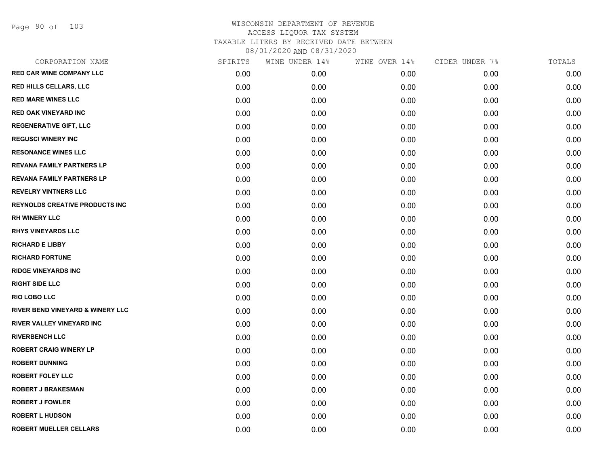Page 90 of 103

| CORPORATION NAME                      | SPIRITS | WINE UNDER 14% | WINE OVER 14% | CIDER UNDER 7% | TOTALS |
|---------------------------------------|---------|----------------|---------------|----------------|--------|
| <b>RED CAR WINE COMPANY LLC</b>       | 0.00    | 0.00           | 0.00          | 0.00           | 0.00   |
| RED HILLS CELLARS, LLC                | 0.00    | 0.00           | 0.00          | 0.00           | 0.00   |
| <b>RED MARE WINES LLC</b>             | 0.00    | 0.00           | 0.00          | 0.00           | 0.00   |
| <b>RED OAK VINEYARD INC</b>           | 0.00    | 0.00           | 0.00          | 0.00           | 0.00   |
| <b>REGENERATIVE GIFT, LLC</b>         | 0.00    | 0.00           | 0.00          | 0.00           | 0.00   |
| <b>REGUSCI WINERY INC</b>             | 0.00    | 0.00           | 0.00          | 0.00           | 0.00   |
| <b>RESONANCE WINES LLC</b>            | 0.00    | 0.00           | 0.00          | 0.00           | 0.00   |
| <b>REVANA FAMILY PARTNERS LP</b>      | 0.00    | 0.00           | 0.00          | 0.00           | 0.00   |
| <b>REVANA FAMILY PARTNERS LP</b>      | 0.00    | 0.00           | 0.00          | 0.00           | 0.00   |
| <b>REVELRY VINTNERS LLC</b>           | 0.00    | 0.00           | 0.00          | 0.00           | 0.00   |
| <b>REYNOLDS CREATIVE PRODUCTS INC</b> | 0.00    | 0.00           | 0.00          | 0.00           | 0.00   |
| <b>RH WINERY LLC</b>                  | 0.00    | 0.00           | 0.00          | 0.00           | 0.00   |
| <b>RHYS VINEYARDS LLC</b>             | 0.00    | 0.00           | 0.00          | 0.00           | 0.00   |
| <b>RICHARD E LIBBY</b>                | 0.00    | 0.00           | 0.00          | 0.00           | 0.00   |
| <b>RICHARD FORTUNE</b>                | 0.00    | 0.00           | 0.00          | 0.00           | 0.00   |
| <b>RIDGE VINEYARDS INC</b>            | 0.00    | 0.00           | 0.00          | 0.00           | 0.00   |
| <b>RIGHT SIDE LLC</b>                 | 0.00    | 0.00           | 0.00          | 0.00           | 0.00   |
| <b>RIO LOBO LLC</b>                   | 0.00    | 0.00           | 0.00          | 0.00           | 0.00   |
| RIVER BEND VINEYARD & WINERY LLC      | 0.00    | 0.00           | 0.00          | 0.00           | 0.00   |
| RIVER VALLEY VINEYARD INC             | 0.00    | 0.00           | 0.00          | 0.00           | 0.00   |
| <b>RIVERBENCH LLC</b>                 | 0.00    | 0.00           | 0.00          | 0.00           | 0.00   |
| <b>ROBERT CRAIG WINERY LP</b>         | 0.00    | 0.00           | 0.00          | 0.00           | 0.00   |
| <b>ROBERT DUNNING</b>                 | 0.00    | 0.00           | 0.00          | 0.00           | 0.00   |
| <b>ROBERT FOLEY LLC</b>               | 0.00    | 0.00           | 0.00          | 0.00           | 0.00   |
| <b>ROBERT J BRAKESMAN</b>             | 0.00    | 0.00           | 0.00          | 0.00           | 0.00   |
| <b>ROBERT J FOWLER</b>                | 0.00    | 0.00           | 0.00          | 0.00           | 0.00   |
| <b>ROBERT L HUDSON</b>                | 0.00    | 0.00           | 0.00          | 0.00           | 0.00   |
| <b>ROBERT MUELLER CELLARS</b>         | 0.00    | 0.00           | 0.00          | 0.00           | 0.00   |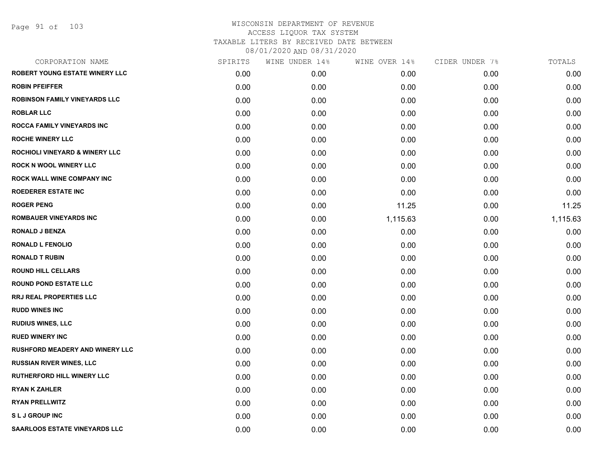Page 91 of 103

| CORPORATION NAME                          | SPIRITS | WINE UNDER 14% | WINE OVER 14% | CIDER UNDER 7% | TOTALS   |
|-------------------------------------------|---------|----------------|---------------|----------------|----------|
| <b>ROBERT YOUNG ESTATE WINERY LLC</b>     | 0.00    | 0.00           | 0.00          | 0.00           | 0.00     |
| <b>ROBIN PFEIFFER</b>                     | 0.00    | 0.00           | 0.00          | 0.00           | 0.00     |
| <b>ROBINSON FAMILY VINEYARDS LLC</b>      | 0.00    | 0.00           | 0.00          | 0.00           | 0.00     |
| <b>ROBLAR LLC</b>                         | 0.00    | 0.00           | 0.00          | 0.00           | 0.00     |
| <b>ROCCA FAMILY VINEYARDS INC</b>         | 0.00    | 0.00           | 0.00          | 0.00           | 0.00     |
| <b>ROCHE WINERY LLC</b>                   | 0.00    | 0.00           | 0.00          | 0.00           | 0.00     |
| <b>ROCHIOLI VINEYARD &amp; WINERY LLC</b> | 0.00    | 0.00           | 0.00          | 0.00           | 0.00     |
| <b>ROCK N WOOL WINERY LLC</b>             | 0.00    | 0.00           | 0.00          | 0.00           | 0.00     |
| <b>ROCK WALL WINE COMPANY INC</b>         | 0.00    | 0.00           | 0.00          | 0.00           | 0.00     |
| <b>ROEDERER ESTATE INC</b>                | 0.00    | 0.00           | 0.00          | 0.00           | 0.00     |
| <b>ROGER PENG</b>                         | 0.00    | 0.00           | 11.25         | 0.00           | 11.25    |
| <b>ROMBAUER VINEYARDS INC</b>             | 0.00    | 0.00           | 1,115.63      | 0.00           | 1,115.63 |
| <b>RONALD J BENZA</b>                     | 0.00    | 0.00           | 0.00          | 0.00           | 0.00     |
| <b>RONALD L FENOLIO</b>                   | 0.00    | 0.00           | 0.00          | 0.00           | 0.00     |
| <b>RONALD T RUBIN</b>                     | 0.00    | 0.00           | 0.00          | 0.00           | 0.00     |
| <b>ROUND HILL CELLARS</b>                 | 0.00    | 0.00           | 0.00          | 0.00           | 0.00     |
| <b>ROUND POND ESTATE LLC</b>              | 0.00    | 0.00           | 0.00          | 0.00           | 0.00     |
| RRJ REAL PROPERTIES LLC                   | 0.00    | 0.00           | 0.00          | 0.00           | 0.00     |
| <b>RUDD WINES INC</b>                     | 0.00    | 0.00           | 0.00          | 0.00           | 0.00     |
| <b>RUDIUS WINES, LLC</b>                  | 0.00    | 0.00           | 0.00          | 0.00           | 0.00     |
| <b>RUED WINERY INC</b>                    | 0.00    | 0.00           | 0.00          | 0.00           | 0.00     |
| <b>RUSHFORD MEADERY AND WINERY LLC</b>    | 0.00    | 0.00           | 0.00          | 0.00           | 0.00     |
| <b>RUSSIAN RIVER WINES, LLC</b>           | 0.00    | 0.00           | 0.00          | 0.00           | 0.00     |
| <b>RUTHERFORD HILL WINERY LLC</b>         | 0.00    | 0.00           | 0.00          | 0.00           | 0.00     |
| <b>RYAN K ZAHLER</b>                      | 0.00    | 0.00           | 0.00          | 0.00           | 0.00     |
| <b>RYAN PRELLWITZ</b>                     | 0.00    | 0.00           | 0.00          | 0.00           | 0.00     |
| <b>SLJ GROUP INC</b>                      | 0.00    | 0.00           | 0.00          | 0.00           | 0.00     |
| SAARLOOS ESTATE VINEYARDS LLC             | 0.00    | 0.00           | 0.00          | 0.00           | 0.00     |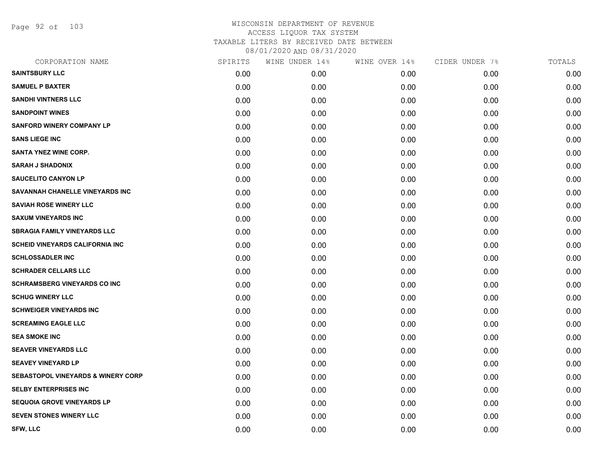Page 92 of 103

| CORPORATION NAME                              | SPIRITS | WINE UNDER 14% | WINE OVER 14% | CIDER UNDER 7% | TOTALS |
|-----------------------------------------------|---------|----------------|---------------|----------------|--------|
| <b>SAINTSBURY LLC</b>                         | 0.00    | 0.00           | 0.00          | 0.00           | 0.00   |
| <b>SAMUEL P BAXTER</b>                        | 0.00    | 0.00           | 0.00          | 0.00           | 0.00   |
| <b>SANDHI VINTNERS LLC</b>                    | 0.00    | 0.00           | 0.00          | 0.00           | 0.00   |
| <b>SANDPOINT WINES</b>                        | 0.00    | 0.00           | 0.00          | 0.00           | 0.00   |
| <b>SANFORD WINERY COMPANY LP</b>              | 0.00    | 0.00           | 0.00          | 0.00           | 0.00   |
| <b>SANS LIEGE INC</b>                         | 0.00    | 0.00           | 0.00          | 0.00           | 0.00   |
| <b>SANTA YNEZ WINE CORP.</b>                  | 0.00    | 0.00           | 0.00          | 0.00           | 0.00   |
| <b>SARAH J SHADONIX</b>                       | 0.00    | 0.00           | 0.00          | 0.00           | 0.00   |
| <b>SAUCELITO CANYON LP</b>                    | 0.00    | 0.00           | 0.00          | 0.00           | 0.00   |
| SAVANNAH CHANELLE VINEYARDS INC               | 0.00    | 0.00           | 0.00          | 0.00           | 0.00   |
| <b>SAVIAH ROSE WINERY LLC</b>                 | 0.00    | 0.00           | 0.00          | 0.00           | 0.00   |
| <b>SAXUM VINEYARDS INC</b>                    | 0.00    | 0.00           | 0.00          | 0.00           | 0.00   |
| <b>SBRAGIA FAMILY VINEYARDS LLC</b>           | 0.00    | 0.00           | 0.00          | 0.00           | 0.00   |
| SCHEID VINEYARDS CALIFORNIA INC               | 0.00    | 0.00           | 0.00          | 0.00           | 0.00   |
| <b>SCHLOSSADLER INC</b>                       | 0.00    | 0.00           | 0.00          | 0.00           | 0.00   |
| <b>SCHRADER CELLARS LLC</b>                   | 0.00    | 0.00           | 0.00          | 0.00           | 0.00   |
| <b>SCHRAMSBERG VINEYARDS CO INC</b>           | 0.00    | 0.00           | 0.00          | 0.00           | 0.00   |
| <b>SCHUG WINERY LLC</b>                       | 0.00    | 0.00           | 0.00          | 0.00           | 0.00   |
| <b>SCHWEIGER VINEYARDS INC</b>                | 0.00    | 0.00           | 0.00          | 0.00           | 0.00   |
| <b>SCREAMING EAGLE LLC</b>                    | 0.00    | 0.00           | 0.00          | 0.00           | 0.00   |
| <b>SEA SMOKE INC</b>                          | 0.00    | 0.00           | 0.00          | 0.00           | 0.00   |
| <b>SEAVER VINEYARDS LLC</b>                   | 0.00    | 0.00           | 0.00          | 0.00           | 0.00   |
| <b>SEAVEY VINEYARD LP</b>                     | 0.00    | 0.00           | 0.00          | 0.00           | 0.00   |
| <b>SEBASTOPOL VINEYARDS &amp; WINERY CORP</b> | 0.00    | 0.00           | 0.00          | 0.00           | 0.00   |
| <b>SELBY ENTERPRISES INC</b>                  | 0.00    | 0.00           | 0.00          | 0.00           | 0.00   |
| <b>SEQUOIA GROVE VINEYARDS LP</b>             | 0.00    | 0.00           | 0.00          | 0.00           | 0.00   |
| <b>SEVEN STONES WINERY LLC</b>                | 0.00    | 0.00           | 0.00          | 0.00           | 0.00   |
| <b>SFW, LLC</b>                               | 0.00    | 0.00           | 0.00          | 0.00           | 0.00   |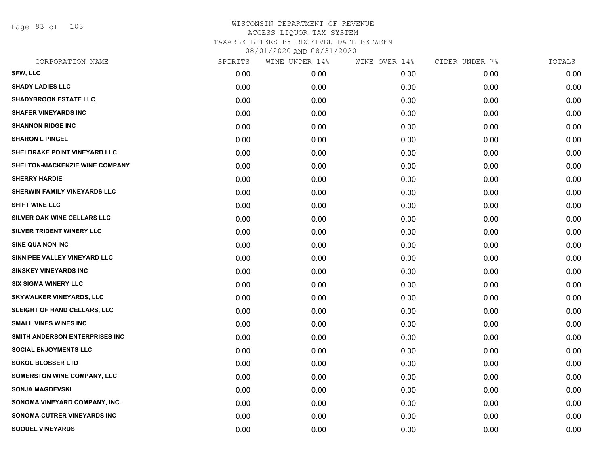Page 93 of 103

| CORPORATION NAME                   | SPIRITS | WINE UNDER 14% | WINE OVER 14% | CIDER UNDER 7% | TOTALS |
|------------------------------------|---------|----------------|---------------|----------------|--------|
| <b>SFW, LLC</b>                    | 0.00    | 0.00           | 0.00          | 0.00           | 0.00   |
| <b>SHADY LADIES LLC</b>            | 0.00    | 0.00           | 0.00          | 0.00           | 0.00   |
| <b>SHADYBROOK ESTATE LLC</b>       | 0.00    | 0.00           | 0.00          | 0.00           | 0.00   |
| <b>SHAFER VINEYARDS INC</b>        | 0.00    | 0.00           | 0.00          | 0.00           | 0.00   |
| <b>SHANNON RIDGE INC</b>           | 0.00    | 0.00           | 0.00          | 0.00           | 0.00   |
| <b>SHARON L PINGEL</b>             | 0.00    | 0.00           | 0.00          | 0.00           | 0.00   |
| SHELDRAKE POINT VINEYARD LLC       | 0.00    | 0.00           | 0.00          | 0.00           | 0.00   |
| SHELTON-MACKENZIE WINE COMPANY     | 0.00    | 0.00           | 0.00          | 0.00           | 0.00   |
| <b>SHERRY HARDIE</b>               | 0.00    | 0.00           | 0.00          | 0.00           | 0.00   |
| SHERWIN FAMILY VINEYARDS LLC       | 0.00    | 0.00           | 0.00          | 0.00           | 0.00   |
| SHIFT WINE LLC                     | 0.00    | 0.00           | 0.00          | 0.00           | 0.00   |
| SILVER OAK WINE CELLARS LLC        | 0.00    | 0.00           | 0.00          | 0.00           | 0.00   |
| SILVER TRIDENT WINERY LLC          | 0.00    | 0.00           | 0.00          | 0.00           | 0.00   |
| SINE QUA NON INC                   | 0.00    | 0.00           | 0.00          | 0.00           | 0.00   |
| SINNIPEE VALLEY VINEYARD LLC       | 0.00    | 0.00           | 0.00          | 0.00           | 0.00   |
| <b>SINSKEY VINEYARDS INC</b>       | 0.00    | 0.00           | 0.00          | 0.00           | 0.00   |
| <b>SIX SIGMA WINERY LLC</b>        | 0.00    | 0.00           | 0.00          | 0.00           | 0.00   |
| <b>SKYWALKER VINEYARDS, LLC</b>    | 0.00    | 0.00           | 0.00          | 0.00           | 0.00   |
| SLEIGHT OF HAND CELLARS, LLC       | 0.00    | 0.00           | 0.00          | 0.00           | 0.00   |
| <b>SMALL VINES WINES INC</b>       | 0.00    | 0.00           | 0.00          | 0.00           | 0.00   |
| SMITH ANDERSON ENTERPRISES INC     | 0.00    | 0.00           | 0.00          | 0.00           | 0.00   |
| <b>SOCIAL ENJOYMENTS LLC</b>       | 0.00    | 0.00           | 0.00          | 0.00           | 0.00   |
| <b>SOKOL BLOSSER LTD</b>           | 0.00    | 0.00           | 0.00          | 0.00           | 0.00   |
| <b>SOMERSTON WINE COMPANY, LLC</b> | 0.00    | 0.00           | 0.00          | 0.00           | 0.00   |
| <b>SONJA MAGDEVSKI</b>             | 0.00    | 0.00           | 0.00          | 0.00           | 0.00   |
| SONOMA VINEYARD COMPANY, INC.      | 0.00    | 0.00           | 0.00          | 0.00           | 0.00   |
| SONOMA-CUTRER VINEYARDS INC        | 0.00    | 0.00           | 0.00          | 0.00           | 0.00   |
| <b>SOQUEL VINEYARDS</b>            | 0.00    | 0.00           | 0.00          | 0.00           | 0.00   |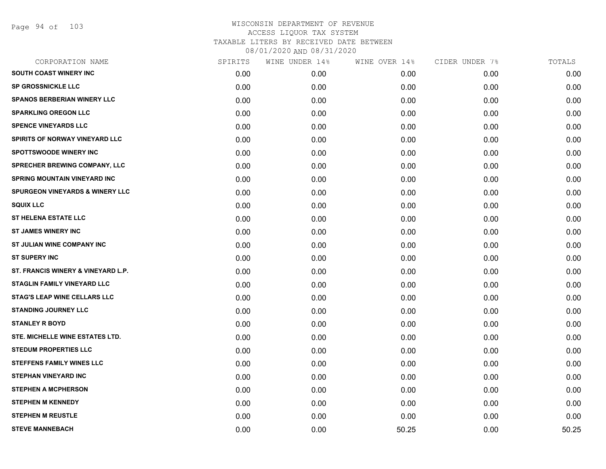Page 94 of 103

| CORPORATION NAME                           | SPIRITS | WINE UNDER 14% | WINE OVER 14% | CIDER UNDER 7% | TOTALS |
|--------------------------------------------|---------|----------------|---------------|----------------|--------|
| <b>SOUTH COAST WINERY INC</b>              | 0.00    | 0.00           | 0.00          | 0.00           | 0.00   |
| <b>SP GROSSNICKLE LLC</b>                  | 0.00    | 0.00           | 0.00          | 0.00           | 0.00   |
| <b>SPANOS BERBERIAN WINERY LLC</b>         | 0.00    | 0.00           | 0.00          | 0.00           | 0.00   |
| <b>SPARKLING OREGON LLC</b>                | 0.00    | 0.00           | 0.00          | 0.00           | 0.00   |
| <b>SPENCE VINEYARDS LLC</b>                | 0.00    | 0.00           | 0.00          | 0.00           | 0.00   |
| SPIRITS OF NORWAY VINEYARD LLC             | 0.00    | 0.00           | 0.00          | 0.00           | 0.00   |
| <b>SPOTTSWOODE WINERY INC</b>              | 0.00    | 0.00           | 0.00          | 0.00           | 0.00   |
| SPRECHER BREWING COMPANY, LLC              | 0.00    | 0.00           | 0.00          | 0.00           | 0.00   |
| <b>SPRING MOUNTAIN VINEYARD INC</b>        | 0.00    | 0.00           | 0.00          | 0.00           | 0.00   |
| <b>SPURGEON VINEYARDS &amp; WINERY LLC</b> | 0.00    | 0.00           | 0.00          | 0.00           | 0.00   |
| <b>SQUIX LLC</b>                           | 0.00    | 0.00           | 0.00          | 0.00           | 0.00   |
| <b>ST HELENA ESTATE LLC</b>                | 0.00    | 0.00           | 0.00          | 0.00           | 0.00   |
| <b>ST JAMES WINERY INC</b>                 | 0.00    | 0.00           | 0.00          | 0.00           | 0.00   |
| ST JULIAN WINE COMPANY INC                 | 0.00    | 0.00           | 0.00          | 0.00           | 0.00   |
| <b>ST SUPERY INC</b>                       | 0.00    | 0.00           | 0.00          | 0.00           | 0.00   |
| ST. FRANCIS WINERY & VINEYARD L.P.         | 0.00    | 0.00           | 0.00          | 0.00           | 0.00   |
| <b>STAGLIN FAMILY VINEYARD LLC</b>         | 0.00    | 0.00           | 0.00          | 0.00           | 0.00   |
| <b>STAG'S LEAP WINE CELLARS LLC</b>        | 0.00    | 0.00           | 0.00          | 0.00           | 0.00   |
| <b>STANDING JOURNEY LLC</b>                | 0.00    | 0.00           | 0.00          | 0.00           | 0.00   |
| <b>STANLEY R BOYD</b>                      | 0.00    | 0.00           | 0.00          | 0.00           | 0.00   |
| STE. MICHELLE WINE ESTATES LTD.            | 0.00    | 0.00           | 0.00          | 0.00           | 0.00   |
| <b>STEDUM PROPERTIES LLC</b>               | 0.00    | 0.00           | 0.00          | 0.00           | 0.00   |
| <b>STEFFENS FAMILY WINES LLC</b>           | 0.00    | 0.00           | 0.00          | 0.00           | 0.00   |
| <b>STEPHAN VINEYARD INC</b>                | 0.00    | 0.00           | 0.00          | 0.00           | 0.00   |
| <b>STEPHEN A MCPHERSON</b>                 | 0.00    | 0.00           | 0.00          | 0.00           | 0.00   |
| <b>STEPHEN M KENNEDY</b>                   | 0.00    | 0.00           | 0.00          | 0.00           | 0.00   |
| <b>STEPHEN M REUSTLE</b>                   | 0.00    | 0.00           | 0.00          | 0.00           | 0.00   |
| <b>STEVE MANNEBACH</b>                     | 0.00    | 0.00           | 50.25         | 0.00           | 50.25  |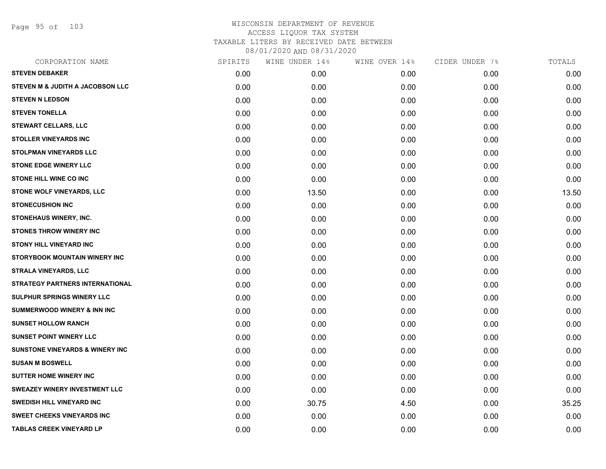Page 95 of 103

| CORPORATION NAME                           | SPIRITS | WINE UNDER 14% | WINE OVER 14% | CIDER UNDER 7% | TOTALS |
|--------------------------------------------|---------|----------------|---------------|----------------|--------|
| <b>STEVEN DEBAKER</b>                      | 0.00    | 0.00           | 0.00          | 0.00           | 0.00   |
| STEVEN M & JUDITH A JACOBSON LLC           | 0.00    | 0.00           | 0.00          | 0.00           | 0.00   |
| <b>STEVEN N LEDSON</b>                     | 0.00    | 0.00           | 0.00          | 0.00           | 0.00   |
| <b>STEVEN TONELLA</b>                      | 0.00    | 0.00           | 0.00          | 0.00           | 0.00   |
| <b>STEWART CELLARS, LLC</b>                | 0.00    | 0.00           | 0.00          | 0.00           | 0.00   |
| <b>STOLLER VINEYARDS INC</b>               | 0.00    | 0.00           | 0.00          | 0.00           | 0.00   |
| <b>STOLPMAN VINEYARDS LLC</b>              | 0.00    | 0.00           | 0.00          | 0.00           | 0.00   |
| <b>STONE EDGE WINERY LLC</b>               | 0.00    | 0.00           | 0.00          | 0.00           | 0.00   |
| <b>STONE HILL WINE CO INC</b>              | 0.00    | 0.00           | 0.00          | 0.00           | 0.00   |
| <b>STONE WOLF VINEYARDS, LLC</b>           | 0.00    | 13.50          | 0.00          | 0.00           | 13.50  |
| <b>STONECUSHION INC</b>                    | 0.00    | 0.00           | 0.00          | 0.00           | 0.00   |
| STONEHAUS WINERY, INC.                     | 0.00    | 0.00           | 0.00          | 0.00           | 0.00   |
| <b>STONES THROW WINERY INC</b>             | 0.00    | 0.00           | 0.00          | 0.00           | 0.00   |
| <b>STONY HILL VINEYARD INC</b>             | 0.00    | 0.00           | 0.00          | 0.00           | 0.00   |
| STORYBOOK MOUNTAIN WINERY INC              | 0.00    | 0.00           | 0.00          | 0.00           | 0.00   |
| <b>STRALA VINEYARDS, LLC</b>               | 0.00    | 0.00           | 0.00          | 0.00           | 0.00   |
| <b>STRATEGY PARTNERS INTERNATIONAL</b>     | 0.00    | 0.00           | 0.00          | 0.00           | 0.00   |
| <b>SULPHUR SPRINGS WINERY LLC</b>          | 0.00    | 0.00           | 0.00          | 0.00           | 0.00   |
| <b>SUMMERWOOD WINERY &amp; INN INC</b>     | 0.00    | 0.00           | 0.00          | 0.00           | 0.00   |
| <b>SUNSET HOLLOW RANCH</b>                 | 0.00    | 0.00           | 0.00          | 0.00           | 0.00   |
| <b>SUNSET POINT WINERY LLC</b>             | 0.00    | 0.00           | 0.00          | 0.00           | 0.00   |
| <b>SUNSTONE VINEYARDS &amp; WINERY INC</b> | 0.00    | 0.00           | 0.00          | 0.00           | 0.00   |
| <b>SUSAN M BOSWELL</b>                     | 0.00    | 0.00           | 0.00          | 0.00           | 0.00   |
| <b>SUTTER HOME WINERY INC</b>              | 0.00    | 0.00           | 0.00          | 0.00           | 0.00   |
| <b>SWEAZEY WINERY INVESTMENT LLC</b>       | 0.00    | 0.00           | 0.00          | 0.00           | 0.00   |
| <b>SWEDISH HILL VINEYARD INC</b>           | 0.00    | 30.75          | 4.50          | 0.00           | 35.25  |
| <b>SWEET CHEEKS VINEYARDS INC</b>          | 0.00    | 0.00           | 0.00          | 0.00           | 0.00   |
| <b>TABLAS CREEK VINEYARD LP</b>            | 0.00    | 0.00           | 0.00          | 0.00           | 0.00   |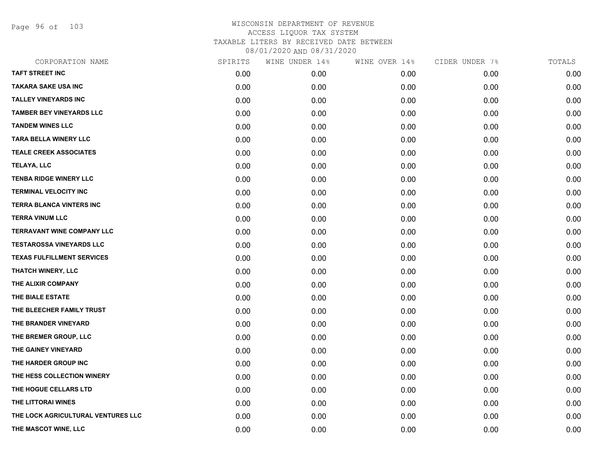Page 96 of 103

| SPIRITS | WINE UNDER 14% | WINE OVER 14% | CIDER UNDER 7% | TOTALS |
|---------|----------------|---------------|----------------|--------|
| 0.00    | 0.00           | 0.00          | 0.00           | 0.00   |
| 0.00    | 0.00           | 0.00          | 0.00           | 0.00   |
| 0.00    | 0.00           | 0.00          | 0.00           | 0.00   |
| 0.00    | 0.00           | 0.00          | 0.00           | 0.00   |
| 0.00    | 0.00           | 0.00          | 0.00           | 0.00   |
| 0.00    | 0.00           | 0.00          | 0.00           | 0.00   |
| 0.00    | 0.00           | 0.00          | 0.00           | 0.00   |
| 0.00    | 0.00           | 0.00          | 0.00           | 0.00   |
| 0.00    | 0.00           | 0.00          | 0.00           | 0.00   |
| 0.00    | 0.00           | 0.00          | 0.00           | 0.00   |
| 0.00    | 0.00           | 0.00          | 0.00           | 0.00   |
| 0.00    | 0.00           | 0.00          | 0.00           | 0.00   |
| 0.00    | 0.00           | 0.00          | 0.00           | 0.00   |
| 0.00    | 0.00           | 0.00          | 0.00           | 0.00   |
| 0.00    | 0.00           | 0.00          | 0.00           | 0.00   |
| 0.00    | 0.00           | 0.00          | 0.00           | 0.00   |
| 0.00    | 0.00           | 0.00          | 0.00           | 0.00   |
| 0.00    | 0.00           | 0.00          | 0.00           | 0.00   |
| 0.00    | 0.00           | 0.00          | 0.00           | 0.00   |
| 0.00    | 0.00           | 0.00          | 0.00           | 0.00   |
| 0.00    | 0.00           | 0.00          | 0.00           | 0.00   |
| 0.00    | 0.00           | 0.00          | 0.00           | 0.00   |
| 0.00    | 0.00           | 0.00          | 0.00           | 0.00   |
| 0.00    | 0.00           | 0.00          | 0.00           | 0.00   |
| 0.00    | 0.00           | 0.00          | 0.00           | 0.00   |
| 0.00    | 0.00           | 0.00          | 0.00           | 0.00   |
| 0.00    | 0.00           | 0.00          | 0.00           | 0.00   |
| 0.00    | 0.00           | 0.00          | 0.00           | 0.00   |
|         |                |               |                |        |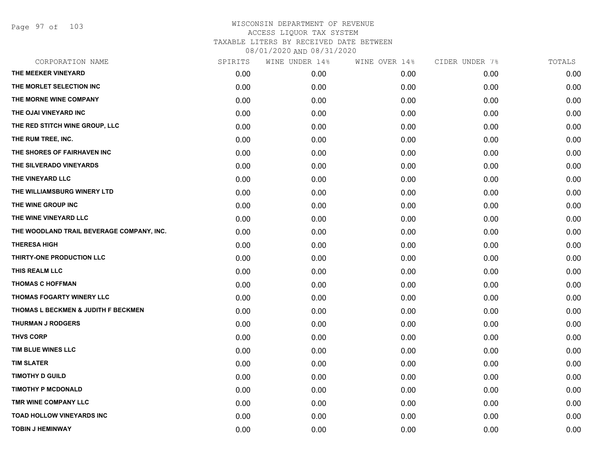Page 97 of 103

| CORPORATION NAME                          | SPIRITS | WINE UNDER 14% | WINE OVER 14% | CIDER UNDER 7% | TOTALS |
|-------------------------------------------|---------|----------------|---------------|----------------|--------|
| THE MEEKER VINEYARD                       | 0.00    | 0.00           | 0.00          | 0.00           | 0.00   |
| THE MORLET SELECTION INC                  | 0.00    | 0.00           | 0.00          | 0.00           | 0.00   |
| THE MORNE WINE COMPANY                    | 0.00    | 0.00           | 0.00          | 0.00           | 0.00   |
| THE OJAI VINEYARD INC                     | 0.00    | 0.00           | 0.00          | 0.00           | 0.00   |
| THE RED STITCH WINE GROUP, LLC            | 0.00    | 0.00           | 0.00          | 0.00           | 0.00   |
| THE RUM TREE, INC.                        | 0.00    | 0.00           | 0.00          | 0.00           | 0.00   |
| THE SHORES OF FAIRHAVEN INC               | 0.00    | 0.00           | 0.00          | 0.00           | 0.00   |
| THE SILVERADO VINEYARDS                   | 0.00    | 0.00           | 0.00          | 0.00           | 0.00   |
| THE VINEYARD LLC                          | 0.00    | 0.00           | 0.00          | 0.00           | 0.00   |
| THE WILLIAMSBURG WINERY LTD               | 0.00    | 0.00           | 0.00          | 0.00           | 0.00   |
| THE WINE GROUP INC                        | 0.00    | 0.00           | 0.00          | 0.00           | 0.00   |
| THE WINE VINEYARD LLC                     | 0.00    | 0.00           | 0.00          | 0.00           | 0.00   |
| THE WOODLAND TRAIL BEVERAGE COMPANY, INC. | 0.00    | 0.00           | 0.00          | 0.00           | 0.00   |
| <b>THERESA HIGH</b>                       | 0.00    | 0.00           | 0.00          | 0.00           | 0.00   |
| THIRTY-ONE PRODUCTION LLC                 | 0.00    | 0.00           | 0.00          | 0.00           | 0.00   |
| THIS REALM LLC                            | 0.00    | 0.00           | 0.00          | 0.00           | 0.00   |
| <b>THOMAS C HOFFMAN</b>                   | 0.00    | 0.00           | 0.00          | 0.00           | 0.00   |
| THOMAS FOGARTY WINERY LLC                 | 0.00    | 0.00           | 0.00          | 0.00           | 0.00   |
| THOMAS L BECKMEN & JUDITH F BECKMEN       | 0.00    | 0.00           | 0.00          | 0.00           | 0.00   |
| <b>THURMAN J RODGERS</b>                  | 0.00    | 0.00           | 0.00          | 0.00           | 0.00   |
| <b>THVS CORP</b>                          | 0.00    | 0.00           | 0.00          | 0.00           | 0.00   |
| TIM BLUE WINES LLC                        | 0.00    | 0.00           | 0.00          | 0.00           | 0.00   |
| <b>TIM SLATER</b>                         | 0.00    | 0.00           | 0.00          | 0.00           | 0.00   |
| <b>TIMOTHY D GUILD</b>                    | 0.00    | 0.00           | 0.00          | 0.00           | 0.00   |
| <b>TIMOTHY P MCDONALD</b>                 | 0.00    | 0.00           | 0.00          | 0.00           | 0.00   |
| TMR WINE COMPANY LLC                      | 0.00    | 0.00           | 0.00          | 0.00           | 0.00   |
| <b>TOAD HOLLOW VINEYARDS INC</b>          | 0.00    | 0.00           | 0.00          | 0.00           | 0.00   |
| <b>TOBIN J HEMINWAY</b>                   | 0.00    | 0.00           | 0.00          | 0.00           | 0.00   |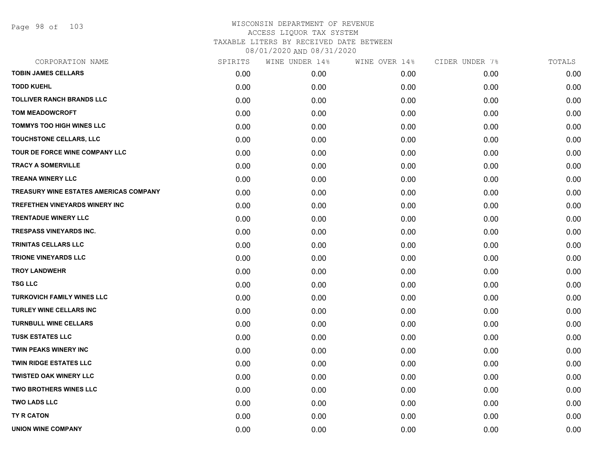Page 98 of 103

| CORPORATION NAME                       | SPIRITS | WINE UNDER 14% | WINE OVER 14% | CIDER UNDER 7% | TOTALS |
|----------------------------------------|---------|----------------|---------------|----------------|--------|
| <b>TOBIN JAMES CELLARS</b>             | 0.00    | 0.00           | 0.00          | 0.00           | 0.00   |
| <b>TODD KUEHL</b>                      | 0.00    | 0.00           | 0.00          | 0.00           | 0.00   |
| <b>TOLLIVER RANCH BRANDS LLC</b>       | 0.00    | 0.00           | 0.00          | 0.00           | 0.00   |
| <b>TOM MEADOWCROFT</b>                 | 0.00    | 0.00           | 0.00          | 0.00           | 0.00   |
| <b>TOMMYS TOO HIGH WINES LLC</b>       | 0.00    | 0.00           | 0.00          | 0.00           | 0.00   |
| TOUCHSTONE CELLARS, LLC                | 0.00    | 0.00           | 0.00          | 0.00           | 0.00   |
| TOUR DE FORCE WINE COMPANY LLC         | 0.00    | 0.00           | 0.00          | 0.00           | 0.00   |
| <b>TRACY A SOMERVILLE</b>              | 0.00    | 0.00           | 0.00          | 0.00           | 0.00   |
| <b>TREANA WINERY LLC</b>               | 0.00    | 0.00           | 0.00          | 0.00           | 0.00   |
| TREASURY WINE ESTATES AMERICAS COMPANY | 0.00    | 0.00           | 0.00          | 0.00           | 0.00   |
| <b>TREFETHEN VINEYARDS WINERY INC</b>  | 0.00    | 0.00           | 0.00          | 0.00           | 0.00   |
| <b>TRENTADUE WINERY LLC</b>            | 0.00    | 0.00           | 0.00          | 0.00           | 0.00   |
| <b>TRESPASS VINEYARDS INC.</b>         | 0.00    | 0.00           | 0.00          | 0.00           | 0.00   |
| <b>TRINITAS CELLARS LLC</b>            | 0.00    | 0.00           | 0.00          | 0.00           | 0.00   |
| <b>TRIONE VINEYARDS LLC</b>            | 0.00    | 0.00           | 0.00          | 0.00           | 0.00   |
| <b>TROY LANDWEHR</b>                   | 0.00    | 0.00           | 0.00          | 0.00           | 0.00   |
| <b>TSG LLC</b>                         | 0.00    | 0.00           | 0.00          | 0.00           | 0.00   |
| <b>TURKOVICH FAMILY WINES LLC</b>      | 0.00    | 0.00           | 0.00          | 0.00           | 0.00   |
| TURLEY WINE CELLARS INC                | 0.00    | 0.00           | 0.00          | 0.00           | 0.00   |
| <b>TURNBULL WINE CELLARS</b>           | 0.00    | 0.00           | 0.00          | 0.00           | 0.00   |
| <b>TUSK ESTATES LLC</b>                | 0.00    | 0.00           | 0.00          | 0.00           | 0.00   |
| <b>TWIN PEAKS WINERY INC</b>           | 0.00    | 0.00           | 0.00          | 0.00           | 0.00   |
| <b>TWIN RIDGE ESTATES LLC</b>          | 0.00    | 0.00           | 0.00          | 0.00           | 0.00   |
| <b>TWISTED OAK WINERY LLC</b>          | 0.00    | 0.00           | 0.00          | 0.00           | 0.00   |
| <b>TWO BROTHERS WINES LLC</b>          | 0.00    | 0.00           | 0.00          | 0.00           | 0.00   |
| <b>TWO LADS LLC</b>                    | 0.00    | 0.00           | 0.00          | 0.00           | 0.00   |
| <b>TY R CATON</b>                      | 0.00    | 0.00           | 0.00          | 0.00           | 0.00   |
| <b>UNION WINE COMPANY</b>              | 0.00    | 0.00           | 0.00          | 0.00           | 0.00   |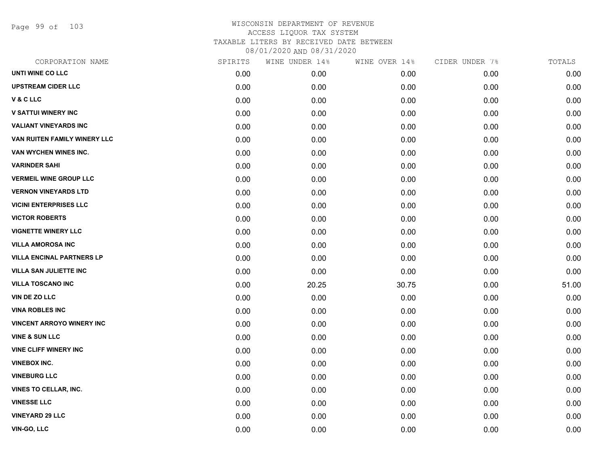Page 99 of 103

| UNTI WINE CO LLC<br>0.00<br>0.00<br>0.00<br>0.00<br><b>UPSTREAM CIDER LLC</b><br>0.00<br>0.00<br>0.00<br>0.00<br>V & C LLC<br>0.00<br>0.00<br>0.00<br>0.00<br><b>V SATTUI WINERY INC</b><br>0.00<br>0.00<br>0.00<br>0.00<br><b>VALIANT VINEYARDS INC</b><br>0.00<br>0.00<br>0.00<br>0.00<br>VAN RUITEN FAMILY WINERY LLC<br>0.00<br>0.00<br>0.00<br>0.00<br>VAN WYCHEN WINES INC.<br>0.00<br>0.00<br>0.00<br>0.00<br><b>VARINDER SAHI</b><br>0.00<br>0.00<br>0.00<br>0.00<br><b>VERMEIL WINE GROUP LLC</b><br>0.00<br>0.00<br>0.00<br>0.00<br><b>VERNON VINEYARDS LTD</b><br>0.00<br>0.00<br>0.00<br>0.00<br><b>VICINI ENTERPRISES LLC</b><br>0.00<br>0.00<br>0.00<br>0.00<br><b>VICTOR ROBERTS</b><br>0.00<br>0.00<br>0.00<br>0.00<br><b>VIGNETTE WINERY LLC</b><br>0.00<br>0.00<br>0.00<br>0.00<br><b>VILLA AMOROSA INC</b><br>0.00<br>0.00<br>0.00<br>0.00<br><b>VILLA ENCINAL PARTNERS LP</b><br>0.00<br>0.00<br>0.00<br>0.00<br><b>VILLA SAN JULIETTE INC</b><br>0.00<br>0.00<br>0.00<br>0.00<br><b>VILLA TOSCANO INC</b><br>0.00<br>20.25<br>0.00<br>30.75<br>VIN DE ZO LLC<br>0.00<br>0.00<br>0.00<br>0.00<br><b>VINA ROBLES INC</b><br>0.00<br>0.00<br>0.00<br>0.00<br><b>VINCENT ARROYO WINERY INC</b><br>0.00<br>0.00<br>0.00<br>0.00<br><b>VINE &amp; SUN LLC</b><br>0.00<br>0.00<br>0.00<br>0.00<br><b>VINE CLIFF WINERY INC</b><br>0.00<br>0.00<br>0.00<br>0.00<br><b>VINEBOX INC.</b><br>0.00<br>0.00<br>0.00<br>0.00<br><b>VINEBURG LLC</b><br>0.00<br>0.00<br>0.00<br>0.00<br><b>VINES TO CELLAR, INC.</b><br>0.00<br>0.00<br>0.00<br>0.00<br><b>VINESSE LLC</b><br>0.00<br>0.00<br>0.00<br>0.00<br><b>VINEYARD 29 LLC</b><br>0.00<br>0.00<br>0.00<br>0.00<br>VIN-GO, LLC | CORPORATION NAME | SPIRITS | WINE UNDER 14% | WINE OVER 14% | CIDER UNDER 7% | TOTALS |
|-------------------------------------------------------------------------------------------------------------------------------------------------------------------------------------------------------------------------------------------------------------------------------------------------------------------------------------------------------------------------------------------------------------------------------------------------------------------------------------------------------------------------------------------------------------------------------------------------------------------------------------------------------------------------------------------------------------------------------------------------------------------------------------------------------------------------------------------------------------------------------------------------------------------------------------------------------------------------------------------------------------------------------------------------------------------------------------------------------------------------------------------------------------------------------------------------------------------------------------------------------------------------------------------------------------------------------------------------------------------------------------------------------------------------------------------------------------------------------------------------------------------------------------------------------------------------------------------------------------------------------------------------------------------------------------------|------------------|---------|----------------|---------------|----------------|--------|
|                                                                                                                                                                                                                                                                                                                                                                                                                                                                                                                                                                                                                                                                                                                                                                                                                                                                                                                                                                                                                                                                                                                                                                                                                                                                                                                                                                                                                                                                                                                                                                                                                                                                                           |                  |         |                |               |                | 0.00   |
|                                                                                                                                                                                                                                                                                                                                                                                                                                                                                                                                                                                                                                                                                                                                                                                                                                                                                                                                                                                                                                                                                                                                                                                                                                                                                                                                                                                                                                                                                                                                                                                                                                                                                           |                  |         |                |               |                | 0.00   |
|                                                                                                                                                                                                                                                                                                                                                                                                                                                                                                                                                                                                                                                                                                                                                                                                                                                                                                                                                                                                                                                                                                                                                                                                                                                                                                                                                                                                                                                                                                                                                                                                                                                                                           |                  |         |                |               |                | 0.00   |
|                                                                                                                                                                                                                                                                                                                                                                                                                                                                                                                                                                                                                                                                                                                                                                                                                                                                                                                                                                                                                                                                                                                                                                                                                                                                                                                                                                                                                                                                                                                                                                                                                                                                                           |                  |         |                |               |                | 0.00   |
|                                                                                                                                                                                                                                                                                                                                                                                                                                                                                                                                                                                                                                                                                                                                                                                                                                                                                                                                                                                                                                                                                                                                                                                                                                                                                                                                                                                                                                                                                                                                                                                                                                                                                           |                  |         |                |               |                | 0.00   |
|                                                                                                                                                                                                                                                                                                                                                                                                                                                                                                                                                                                                                                                                                                                                                                                                                                                                                                                                                                                                                                                                                                                                                                                                                                                                                                                                                                                                                                                                                                                                                                                                                                                                                           |                  |         |                |               |                | 0.00   |
|                                                                                                                                                                                                                                                                                                                                                                                                                                                                                                                                                                                                                                                                                                                                                                                                                                                                                                                                                                                                                                                                                                                                                                                                                                                                                                                                                                                                                                                                                                                                                                                                                                                                                           |                  |         |                |               |                | 0.00   |
|                                                                                                                                                                                                                                                                                                                                                                                                                                                                                                                                                                                                                                                                                                                                                                                                                                                                                                                                                                                                                                                                                                                                                                                                                                                                                                                                                                                                                                                                                                                                                                                                                                                                                           |                  |         |                |               |                | 0.00   |
|                                                                                                                                                                                                                                                                                                                                                                                                                                                                                                                                                                                                                                                                                                                                                                                                                                                                                                                                                                                                                                                                                                                                                                                                                                                                                                                                                                                                                                                                                                                                                                                                                                                                                           |                  |         |                |               |                | 0.00   |
|                                                                                                                                                                                                                                                                                                                                                                                                                                                                                                                                                                                                                                                                                                                                                                                                                                                                                                                                                                                                                                                                                                                                                                                                                                                                                                                                                                                                                                                                                                                                                                                                                                                                                           |                  |         |                |               |                | 0.00   |
|                                                                                                                                                                                                                                                                                                                                                                                                                                                                                                                                                                                                                                                                                                                                                                                                                                                                                                                                                                                                                                                                                                                                                                                                                                                                                                                                                                                                                                                                                                                                                                                                                                                                                           |                  |         |                |               |                | 0.00   |
|                                                                                                                                                                                                                                                                                                                                                                                                                                                                                                                                                                                                                                                                                                                                                                                                                                                                                                                                                                                                                                                                                                                                                                                                                                                                                                                                                                                                                                                                                                                                                                                                                                                                                           |                  |         |                |               |                | 0.00   |
|                                                                                                                                                                                                                                                                                                                                                                                                                                                                                                                                                                                                                                                                                                                                                                                                                                                                                                                                                                                                                                                                                                                                                                                                                                                                                                                                                                                                                                                                                                                                                                                                                                                                                           |                  |         |                |               |                | 0.00   |
|                                                                                                                                                                                                                                                                                                                                                                                                                                                                                                                                                                                                                                                                                                                                                                                                                                                                                                                                                                                                                                                                                                                                                                                                                                                                                                                                                                                                                                                                                                                                                                                                                                                                                           |                  |         |                |               |                | 0.00   |
|                                                                                                                                                                                                                                                                                                                                                                                                                                                                                                                                                                                                                                                                                                                                                                                                                                                                                                                                                                                                                                                                                                                                                                                                                                                                                                                                                                                                                                                                                                                                                                                                                                                                                           |                  |         |                |               |                | 0.00   |
|                                                                                                                                                                                                                                                                                                                                                                                                                                                                                                                                                                                                                                                                                                                                                                                                                                                                                                                                                                                                                                                                                                                                                                                                                                                                                                                                                                                                                                                                                                                                                                                                                                                                                           |                  |         |                |               |                | 0.00   |
|                                                                                                                                                                                                                                                                                                                                                                                                                                                                                                                                                                                                                                                                                                                                                                                                                                                                                                                                                                                                                                                                                                                                                                                                                                                                                                                                                                                                                                                                                                                                                                                                                                                                                           |                  |         |                |               |                | 51.00  |
|                                                                                                                                                                                                                                                                                                                                                                                                                                                                                                                                                                                                                                                                                                                                                                                                                                                                                                                                                                                                                                                                                                                                                                                                                                                                                                                                                                                                                                                                                                                                                                                                                                                                                           |                  |         |                |               |                | 0.00   |
|                                                                                                                                                                                                                                                                                                                                                                                                                                                                                                                                                                                                                                                                                                                                                                                                                                                                                                                                                                                                                                                                                                                                                                                                                                                                                                                                                                                                                                                                                                                                                                                                                                                                                           |                  |         |                |               |                | 0.00   |
|                                                                                                                                                                                                                                                                                                                                                                                                                                                                                                                                                                                                                                                                                                                                                                                                                                                                                                                                                                                                                                                                                                                                                                                                                                                                                                                                                                                                                                                                                                                                                                                                                                                                                           |                  |         |                |               |                | 0.00   |
|                                                                                                                                                                                                                                                                                                                                                                                                                                                                                                                                                                                                                                                                                                                                                                                                                                                                                                                                                                                                                                                                                                                                                                                                                                                                                                                                                                                                                                                                                                                                                                                                                                                                                           |                  |         |                |               |                | 0.00   |
|                                                                                                                                                                                                                                                                                                                                                                                                                                                                                                                                                                                                                                                                                                                                                                                                                                                                                                                                                                                                                                                                                                                                                                                                                                                                                                                                                                                                                                                                                                                                                                                                                                                                                           |                  |         |                |               |                | 0.00   |
|                                                                                                                                                                                                                                                                                                                                                                                                                                                                                                                                                                                                                                                                                                                                                                                                                                                                                                                                                                                                                                                                                                                                                                                                                                                                                                                                                                                                                                                                                                                                                                                                                                                                                           |                  |         |                |               |                | 0.00   |
|                                                                                                                                                                                                                                                                                                                                                                                                                                                                                                                                                                                                                                                                                                                                                                                                                                                                                                                                                                                                                                                                                                                                                                                                                                                                                                                                                                                                                                                                                                                                                                                                                                                                                           |                  |         |                |               |                | 0.00   |
|                                                                                                                                                                                                                                                                                                                                                                                                                                                                                                                                                                                                                                                                                                                                                                                                                                                                                                                                                                                                                                                                                                                                                                                                                                                                                                                                                                                                                                                                                                                                                                                                                                                                                           |                  |         |                |               |                | 0.00   |
|                                                                                                                                                                                                                                                                                                                                                                                                                                                                                                                                                                                                                                                                                                                                                                                                                                                                                                                                                                                                                                                                                                                                                                                                                                                                                                                                                                                                                                                                                                                                                                                                                                                                                           |                  |         |                |               |                | 0.00   |
|                                                                                                                                                                                                                                                                                                                                                                                                                                                                                                                                                                                                                                                                                                                                                                                                                                                                                                                                                                                                                                                                                                                                                                                                                                                                                                                                                                                                                                                                                                                                                                                                                                                                                           |                  |         |                |               |                | 0.00   |
|                                                                                                                                                                                                                                                                                                                                                                                                                                                                                                                                                                                                                                                                                                                                                                                                                                                                                                                                                                                                                                                                                                                                                                                                                                                                                                                                                                                                                                                                                                                                                                                                                                                                                           |                  | 0.00    | 0.00           | 0.00          | 0.00           | 0.00   |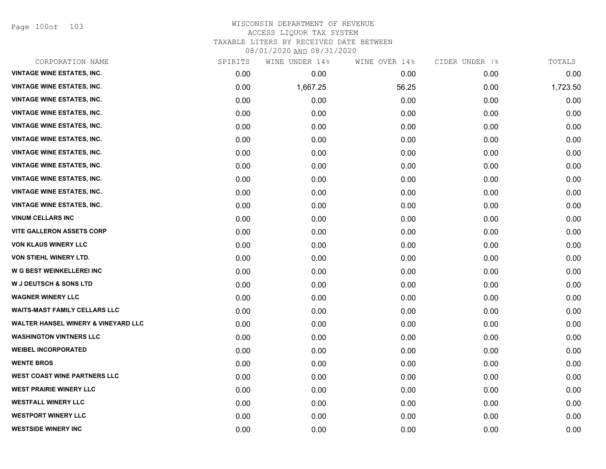Page 100of 103

#### WISCONSIN DEPARTMENT OF REVENUE ACCESS LIQUOR TAX SYSTEM TAXABLE LITERS BY RECEIVED DATE BETWEEN

08/01/2020 AND 08/31/2020

| CORPORATION NAME                               | SPIRITS | WINE UNDER 14% | WINE OVER 14% | CIDER UNDER 7% | TOTALS   |
|------------------------------------------------|---------|----------------|---------------|----------------|----------|
| <b>VINTAGE WINE ESTATES, INC.</b>              | 0.00    | 0.00           | 0.00          | 0.00           | 0.00     |
| <b>VINTAGE WINE ESTATES, INC.</b>              | 0.00    | 1,667.25       | 56.25         | 0.00           | 1,723.50 |
| <b>VINTAGE WINE ESTATES, INC.</b>              | 0.00    | 0.00           | 0.00          | 0.00           | 0.00     |
| <b>VINTAGE WINE ESTATES, INC.</b>              | 0.00    | 0.00           | 0.00          | 0.00           | 0.00     |
| <b>VINTAGE WINE ESTATES, INC.</b>              | 0.00    | 0.00           | 0.00          | 0.00           | 0.00     |
| <b>VINTAGE WINE ESTATES, INC.</b>              | 0.00    | 0.00           | 0.00          | 0.00           | 0.00     |
| <b>VINTAGE WINE ESTATES, INC.</b>              | 0.00    | 0.00           | 0.00          | 0.00           | 0.00     |
| <b>VINTAGE WINE ESTATES, INC.</b>              | 0.00    | 0.00           | 0.00          | 0.00           | 0.00     |
| <b>VINTAGE WINE ESTATES, INC.</b>              | 0.00    | 0.00           | 0.00          | 0.00           | 0.00     |
| <b>VINTAGE WINE ESTATES, INC.</b>              | 0.00    | 0.00           | 0.00          | 0.00           | 0.00     |
| <b>VINTAGE WINE ESTATES, INC.</b>              | 0.00    | 0.00           | 0.00          | 0.00           | 0.00     |
| <b>VINUM CELLARS INC</b>                       | 0.00    | 0.00           | 0.00          | 0.00           | 0.00     |
| <b>VITE GALLERON ASSETS CORP</b>               | 0.00    | 0.00           | 0.00          | 0.00           | 0.00     |
| <b>VON KLAUS WINERY LLC</b>                    | 0.00    | 0.00           | 0.00          | 0.00           | 0.00     |
| VON STIEHL WINERY LTD.                         | 0.00    | 0.00           | 0.00          | 0.00           | 0.00     |
| W G BEST WEINKELLEREI INC                      | 0.00    | 0.00           | 0.00          | 0.00           | 0.00     |
| <b>W J DEUTSCH &amp; SONS LTD</b>              | 0.00    | 0.00           | 0.00          | 0.00           | 0.00     |
| <b>WAGNER WINERY LLC</b>                       | 0.00    | 0.00           | 0.00          | 0.00           | 0.00     |
| <b>WAITS-MAST FAMILY CELLARS LLC</b>           | 0.00    | 0.00           | 0.00          | 0.00           | 0.00     |
| <b>WALTER HANSEL WINERY &amp; VINEYARD LLC</b> | 0.00    | 0.00           | 0.00          | 0.00           | 0.00     |
| <b>WASHINGTON VINTNERS LLC</b>                 | 0.00    | 0.00           | 0.00          | 0.00           | 0.00     |
| <b>WEIBEL INCORPORATED</b>                     | 0.00    | 0.00           | 0.00          | 0.00           | 0.00     |
| <b>WENTE BROS</b>                              | 0.00    | 0.00           | 0.00          | 0.00           | 0.00     |
| <b>WEST COAST WINE PARTNERS LLC</b>            | 0.00    | 0.00           | 0.00          | 0.00           | 0.00     |
| <b>WEST PRAIRIE WINERY LLC</b>                 | 0.00    | 0.00           | 0.00          | 0.00           | 0.00     |
| <b>WESTFALL WINERY LLC</b>                     | 0.00    | 0.00           | 0.00          | 0.00           | 0.00     |
| <b>WESTPORT WINERY LLC</b>                     | 0.00    | 0.00           | 0.00          | 0.00           | 0.00     |
| <b>WESTSIDE WINERY INC</b>                     | 0.00    | 0.00           | 0.00          | 0.00           | 0.00     |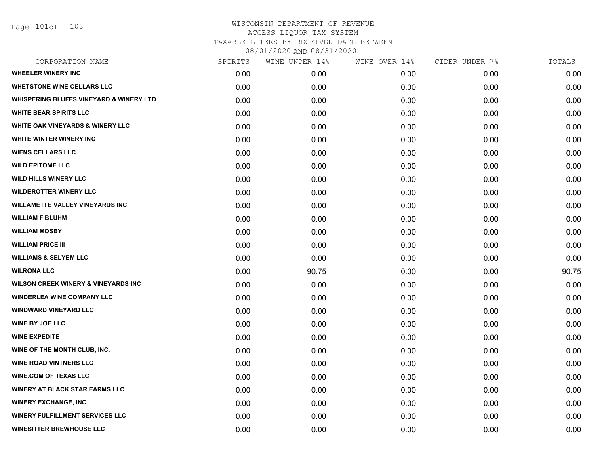Page 101of 103

| CORPORATION NAME                                   | SPIRITS | WINE UNDER 14% | WINE OVER 14% | CIDER UNDER 7% | TOTALS |
|----------------------------------------------------|---------|----------------|---------------|----------------|--------|
| <b>WHEELER WINERY INC</b>                          | 0.00    | 0.00           | 0.00          | 0.00           | 0.00   |
| <b>WHETSTONE WINE CELLARS LLC</b>                  | 0.00    | 0.00           | 0.00          | 0.00           | 0.00   |
| <b>WHISPERING BLUFFS VINEYARD &amp; WINERY LTD</b> | 0.00    | 0.00           | 0.00          | 0.00           | 0.00   |
| <b>WHITE BEAR SPIRITS LLC</b>                      | 0.00    | 0.00           | 0.00          | 0.00           | 0.00   |
| <b>WHITE OAK VINEYARDS &amp; WINERY LLC</b>        | 0.00    | 0.00           | 0.00          | 0.00           | 0.00   |
| WHITE WINTER WINERY INC                            | 0.00    | 0.00           | 0.00          | 0.00           | 0.00   |
| <b>WIENS CELLARS LLC</b>                           | 0.00    | 0.00           | 0.00          | 0.00           | 0.00   |
| <b>WILD EPITOME LLC</b>                            | 0.00    | 0.00           | 0.00          | 0.00           | 0.00   |
| <b>WILD HILLS WINERY LLC</b>                       | 0.00    | 0.00           | 0.00          | 0.00           | 0.00   |
| <b>WILDEROTTER WINERY LLC</b>                      | 0.00    | 0.00           | 0.00          | 0.00           | 0.00   |
| <b>WILLAMETTE VALLEY VINEYARDS INC</b>             | 0.00    | 0.00           | 0.00          | 0.00           | 0.00   |
| <b>WILLIAM F BLUHM</b>                             | 0.00    | 0.00           | 0.00          | 0.00           | 0.00   |
| <b>WILLIAM MOSBY</b>                               | 0.00    | 0.00           | 0.00          | 0.00           | 0.00   |
| <b>WILLIAM PRICE III</b>                           | 0.00    | 0.00           | 0.00          | 0.00           | 0.00   |
| <b>WILLIAMS &amp; SELYEM LLC</b>                   | 0.00    | 0.00           | 0.00          | 0.00           | 0.00   |
| <b>WILRONA LLC</b>                                 | 0.00    | 90.75          | 0.00          | 0.00           | 90.75  |
| WILSON CREEK WINERY & VINEYARDS INC                | 0.00    | 0.00           | 0.00          | 0.00           | 0.00   |
| <b>WINDERLEA WINE COMPANY LLC</b>                  | 0.00    | 0.00           | 0.00          | 0.00           | 0.00   |
| <b>WINDWARD VINEYARD LLC</b>                       | 0.00    | 0.00           | 0.00          | 0.00           | 0.00   |
| <b>WINE BY JOE LLC</b>                             | 0.00    | 0.00           | 0.00          | 0.00           | 0.00   |
| <b>WINE EXPEDITE</b>                               | 0.00    | 0.00           | 0.00          | 0.00           | 0.00   |
| WINE OF THE MONTH CLUB, INC.                       | 0.00    | 0.00           | 0.00          | 0.00           | 0.00   |
| <b>WINE ROAD VINTNERS LLC</b>                      | 0.00    | 0.00           | 0.00          | 0.00           | 0.00   |
| <b>WINE.COM OF TEXAS LLC</b>                       | 0.00    | 0.00           | 0.00          | 0.00           | 0.00   |
| <b>WINERY AT BLACK STAR FARMS LLC</b>              | 0.00    | 0.00           | 0.00          | 0.00           | 0.00   |
| <b>WINERY EXCHANGE, INC.</b>                       | 0.00    | 0.00           | 0.00          | 0.00           | 0.00   |
| <b>WINERY FULFILLMENT SERVICES LLC</b>             | 0.00    | 0.00           | 0.00          | 0.00           | 0.00   |
| <b>WINESITTER BREWHOUSE LLC</b>                    | 0.00    | 0.00           | 0.00          | 0.00           | 0.00   |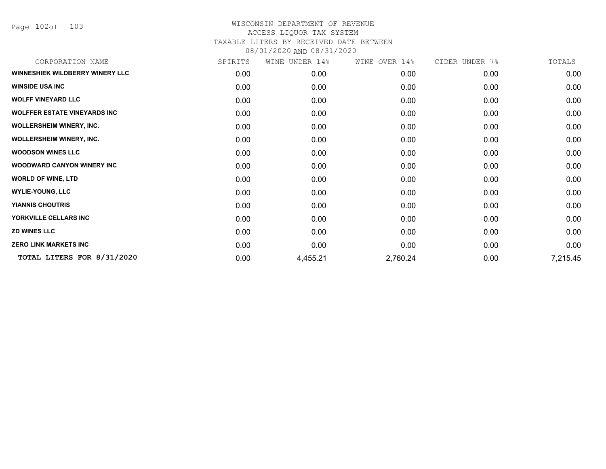Page 102of 103

| CORPORATION NAME                       | SPIRITS | WINE UNDER 14% | WINE OVER 14% | CIDER UNDER 7% | TOTALS   |
|----------------------------------------|---------|----------------|---------------|----------------|----------|
| <b>WINNESHIEK WILDBERRY WINERY LLC</b> | 0.00    | 0.00           | 0.00          | 0.00           | 0.00     |
| <b>WINSIDE USA INC</b>                 | 0.00    | 0.00           | 0.00          | 0.00           | 0.00     |
| <b>WOLFF VINEYARD LLC</b>              | 0.00    | 0.00           | 0.00          | 0.00           | 0.00     |
| <b>WOLFFER ESTATE VINEYARDS INC</b>    | 0.00    | 0.00           | 0.00          | 0.00           | 0.00     |
| <b>WOLLERSHEIM WINERY, INC.</b>        | 0.00    | 0.00           | 0.00          | 0.00           | 0.00     |
| <b>WOLLERSHEIM WINERY, INC.</b>        | 0.00    | 0.00           | 0.00          | 0.00           | 0.00     |
| <b>WOODSON WINES LLC</b>               | 0.00    | 0.00           | 0.00          | 0.00           | 0.00     |
| <b>WOODWARD CANYON WINERY INC</b>      | 0.00    | 0.00           | 0.00          | 0.00           | 0.00     |
| <b>WORLD OF WINE, LTD</b>              | 0.00    | 0.00           | 0.00          | 0.00           | 0.00     |
| <b>WYLIE-YOUNG, LLC</b>                | 0.00    | 0.00           | 0.00          | 0.00           | 0.00     |
| <b>YIANNIS CHOUTRIS</b>                | 0.00    | 0.00           | 0.00          | 0.00           | 0.00     |
| YORKVILLE CELLARS INC                  | 0.00    | 0.00           | 0.00          | 0.00           | 0.00     |
| <b>ZD WINES LLC</b>                    | 0.00    | 0.00           | 0.00          | 0.00           | 0.00     |
| <b>ZERO LINK MARKETS INC</b>           | 0.00    | 0.00           | 0.00          | 0.00           | 0.00     |
| TOTAL LITERS FOR 8/31/2020             | 0.00    | 4,455.21       | 2,760.24      | 0.00           | 7,215.45 |